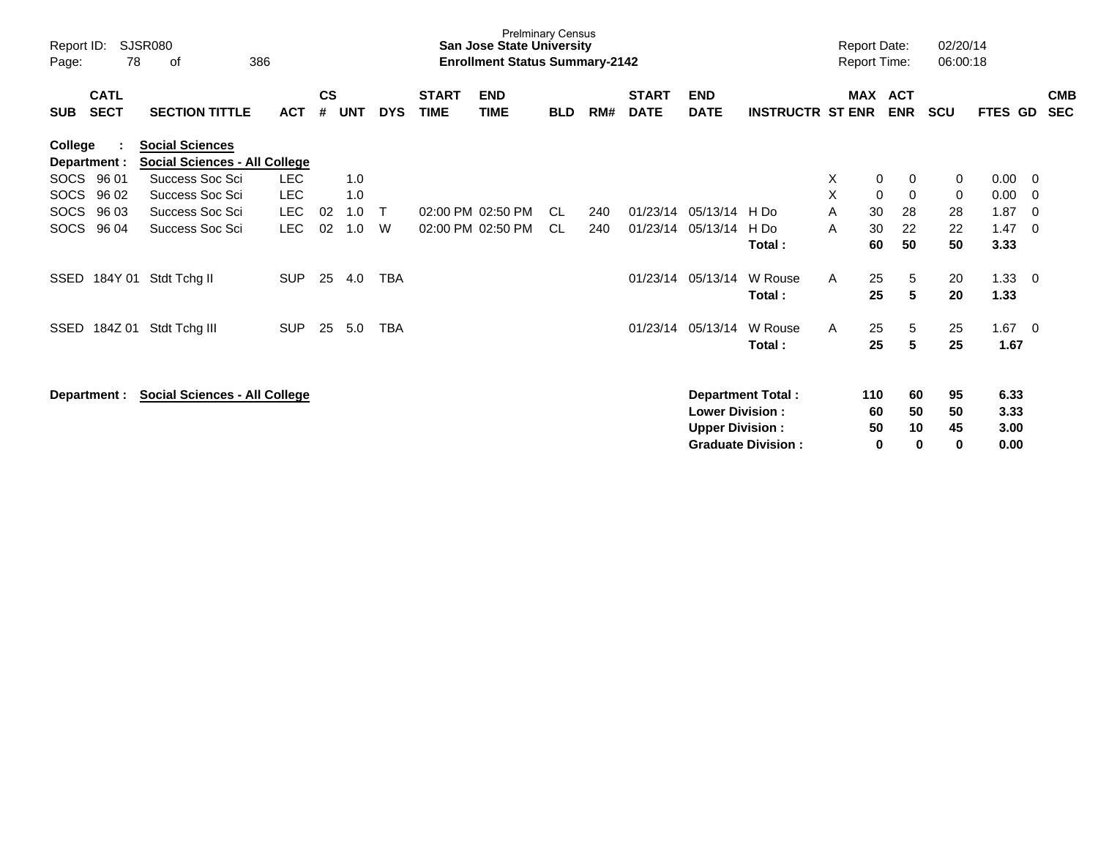| Report ID:<br>Page: | 78                         | <b>SJSR080</b><br>386<br>οf                                    |            |                    |            |            |                             | San Jose State University<br><b>Enrollment Status Summary-2142</b> | <b>Prelminary Census</b> |     |                             |                           |                           |    |            | <b>Report Date:</b><br><b>Report Time:</b> | 02/20/14<br>06:00:18 |                |     |                          |
|---------------------|----------------------------|----------------------------------------------------------------|------------|--------------------|------------|------------|-----------------------------|--------------------------------------------------------------------|--------------------------|-----|-----------------------------|---------------------------|---------------------------|----|------------|--------------------------------------------|----------------------|----------------|-----|--------------------------|
| <b>SUB</b>          | <b>CATL</b><br><b>SECT</b> | <b>SECTION TITTLE</b>                                          | <b>ACT</b> | $\mathsf{cs}$<br># | <b>UNT</b> | <b>DYS</b> | <b>START</b><br><b>TIME</b> | <b>END</b><br><b>TIME</b>                                          | <b>BLD</b>               | RM# | <b>START</b><br><b>DATE</b> | <b>END</b><br><b>DATE</b> | <b>INSTRUCTR ST ENR</b>   |    | <b>MAX</b> | <b>ACT</b><br><b>ENR</b>                   | <b>SCU</b>           | <b>FTES GD</b> |     | <b>CMB</b><br><b>SEC</b> |
| College             | Department :               | <b>Social Sciences</b><br><b>Social Sciences - All College</b> |            |                    |            |            |                             |                                                                    |                          |     |                             |                           |                           |    |            |                                            |                      |                |     |                          |
|                     | SOCS 96 01                 | Success Soc Sci                                                | <b>LEC</b> |                    | 1.0        |            |                             |                                                                    |                          |     |                             |                           |                           | X  | 0          | 0                                          | 0                    | 0.00           | - 0 |                          |
| <b>SOCS</b>         | 96 02                      | Success Soc Sci                                                | <b>LEC</b> |                    | 1.0        |            |                             |                                                                    |                          |     |                             |                           |                           | X  | 0          | 0                                          | 0                    | 0.00           | - 0 |                          |
| <b>SOCS</b>         | 96 03                      | Success Soc Sci                                                | <b>LEC</b> | 02                 | 1.0        | Т          |                             | 02:00 PM 02:50 PM                                                  | CL.                      | 240 | 01/23/14                    | 05/13/14                  | H Do                      | A  | 30         | 28                                         | 28                   | 1.87           | - 0 |                          |
| <b>SOCS</b>         | 96 04                      | Success Soc Sci                                                | <b>LEC</b> | 02                 | 1.0        | W          |                             | 02:00 PM 02:50 PM                                                  | CL.                      | 240 | 01/23/14                    | 05/13/14                  | H Do                      | A  | 30         | 22                                         | 22                   | 1.47           | - 0 |                          |
|                     |                            |                                                                |            |                    |            |            |                             |                                                                    |                          |     |                             |                           | Total:                    |    | 60         | 50                                         | 50                   | 3.33           |     |                          |
| SSED                | 184Y 01                    | Stdt Tchg II                                                   | <b>SUP</b> | 25                 | 4.0        | <b>TBA</b> |                             |                                                                    |                          |     | 01/23/14                    | 05/13/14                  | W Rouse                   | A  | 25         | 5                                          | 20                   | 1.33           | - 0 |                          |
|                     |                            |                                                                |            |                    |            |            |                             |                                                                    |                          |     |                             |                           | Total:                    |    | 25         | 5                                          | 20                   | 1.33           |     |                          |
| SSED                | 184Z 01                    | Stdt Tchg III                                                  | <b>SUP</b> | 25                 | 5.0        | TBA        |                             |                                                                    |                          |     | 01/23/14                    | 05/13/14                  | W Rouse                   | A  | 25         | 5                                          | 25                   | $1.67 \t 0$    |     |                          |
|                     |                            |                                                                |            |                    |            |            |                             |                                                                    |                          |     |                             |                           | Total:                    |    | 25         | 5                                          | 25                   | 1.67           |     |                          |
|                     | Department :               | <b>Social Sciences - All College</b>                           |            |                    |            |            |                             |                                                                    |                          |     |                             |                           | <b>Department Total:</b>  |    | 110        | 60                                         | 95                   | 6.33           |     |                          |
|                     |                            |                                                                |            |                    |            |            |                             |                                                                    |                          |     | <b>Lower Division:</b>      |                           |                           | 60 | 50         | 50                                         | 3.33                 |                |     |                          |
|                     |                            |                                                                |            |                    |            |            |                             |                                                                    |                          |     |                             | <b>Upper Division:</b>    |                           |    | 50         | 10                                         | 45                   | 3.00           |     |                          |
|                     |                            |                                                                |            |                    |            |            |                             |                                                                    |                          |     |                             |                           | <b>Graduate Division:</b> |    | 0          | $\bf{0}$                                   | 0                    | 0.00           |     |                          |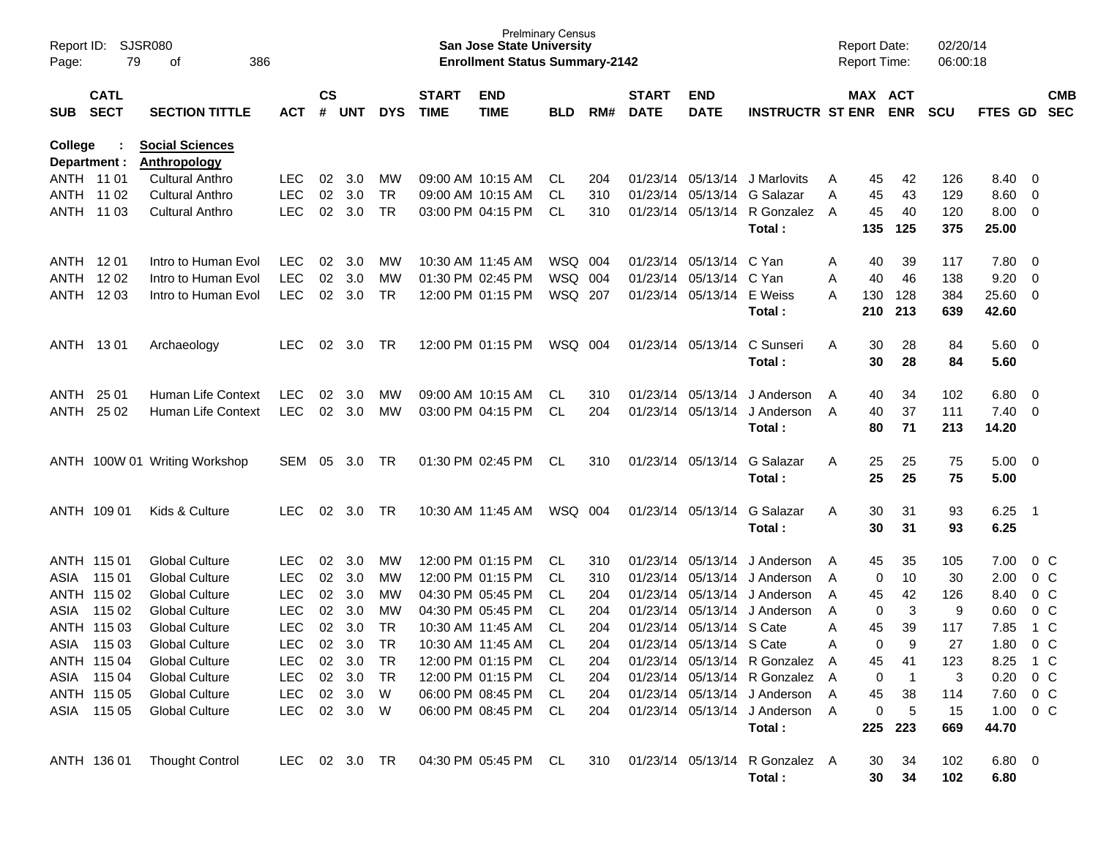| Report ID:<br>Page:     | SJSR080<br>79                                                                               | 386<br>of                     |               |    |            |            |                             | <b>San Jose State University</b><br><b>Enrollment Status Summary-2142</b> | <b>Prelminary Census</b> |     |                             |                           |                                          |   | <b>Report Date:</b><br>Report Time: |                | 02/20/14<br>06:00:18 |                   |                            |                          |
|-------------------------|---------------------------------------------------------------------------------------------|-------------------------------|---------------|----|------------|------------|-----------------------------|---------------------------------------------------------------------------|--------------------------|-----|-----------------------------|---------------------------|------------------------------------------|---|-------------------------------------|----------------|----------------------|-------------------|----------------------------|--------------------------|
| SUB                     | <b>CATL</b><br><b>SECT</b><br><b>SECTION TITTLE</b><br><b>ACT</b><br><b>Social Sciences</b> |                               |               |    | <b>UNT</b> | <b>DYS</b> | <b>START</b><br><b>TIME</b> | <b>END</b><br><b>TIME</b>                                                 | <b>BLD</b>               | RM# | <b>START</b><br><b>DATE</b> | <b>END</b><br><b>DATE</b> | <b>INSTRUCTR ST ENR</b>                  |   | MAX ACT                             | <b>ENR</b>     | <b>SCU</b>           | FTES GD           |                            | <b>CMB</b><br><b>SEC</b> |
| College<br>Department : |                                                                                             | <b>Anthropology</b>           |               |    |            |            |                             |                                                                           |                          |     |                             |                           |                                          |   |                                     |                |                      |                   |                            |                          |
| ANTH 11 01              |                                                                                             | <b>Cultural Anthro</b>        | <b>LEC</b>    | 02 | 3.0        | MW         |                             | 09:00 AM 10:15 AM                                                         | CL                       | 204 |                             |                           | 01/23/14 05/13/14 J Marlovits            | A | 45                                  | 42             | 126                  | 8.40              | - 0                        |                          |
| ANTH 11 02              |                                                                                             | <b>Cultural Anthro</b>        | <b>LEC</b>    | 02 | 3.0        | <b>TR</b>  |                             | 09:00 AM 10:15 AM                                                         | CL                       | 310 | 01/23/14                    | 05/13/14                  | G Salazar                                | A | 45                                  | 43             | 129                  | 8.60              | $\overline{0}$             |                          |
| ANTH                    | 11 03                                                                                       | <b>Cultural Anthro</b>        | <b>LEC</b>    | 02 | 3.0        | <b>TR</b>  |                             | 03:00 PM 04:15 PM                                                         | CL                       | 310 |                             | 01/23/14 05/13/14         | R Gonzalez A<br>Total:                   |   | 45<br>135                           | 40<br>125      | 120<br>375           | 8.00<br>25.00     | $\overline{\mathbf{0}}$    |                          |
| ANTH 1201               |                                                                                             | Intro to Human Evol           | LEC.          | 02 | 3.0        | MW         |                             | 10:30 AM 11:45 AM                                                         | WSQ 004                  |     | 01/23/14                    | 05/13/14                  | C Yan                                    | A | 40                                  | 39             | 117                  | 7.80              | $\overline{\phantom{0}}$   |                          |
| ANTH                    | 1202                                                                                        | Intro to Human Evol           | <b>LEC</b>    | 02 | 3.0        | MW         |                             | 01:30 PM 02:45 PM                                                         | WSQ 004                  |     | 01/23/14                    | 05/13/14                  | C Yan                                    | A | 40                                  | 46             | 138                  | 9.20              | $\overline{0}$             |                          |
| ANTH                    | 1203                                                                                        | Intro to Human Evol           | <b>LEC</b>    | 02 | 3.0        | <b>TR</b>  |                             | 12:00 PM 01:15 PM                                                         | WSQ 207                  |     |                             | 01/23/14 05/13/14         | E Weiss                                  | A | 130                                 | 128            | 384                  | 25.60             | $\overline{\mathbf{0}}$    |                          |
|                         |                                                                                             |                               |               |    |            |            |                             |                                                                           |                          |     |                             |                           | Total:                                   |   | 210                                 | 213            | 639                  | 42.60             |                            |                          |
| ANTH 1301               |                                                                                             | Archaeology                   | LEC           | 02 | 3.0        | TR         |                             | 12:00 PM 01:15 PM                                                         | WSQ 004                  |     |                             | 01/23/14 05/13/14         | C Sunseri<br>Total:                      | A | 30<br>30                            | 28<br>28       | 84<br>84             | 5.60<br>5.60      | $\overline{\phantom{0}}$   |                          |
| ANTH                    | 25 01                                                                                       | Human Life Context            | LEC.          | 02 | 3.0        | MW         |                             | 09:00 AM 10:15 AM                                                         | CL.                      | 310 | 01/23/14                    | 05/13/14                  | J Anderson                               | A | 40                                  | 34             | 102                  | 6.80              | $\overline{\mathbf{0}}$    |                          |
| ANTH                    | 25 02                                                                                       | Human Life Context            | <b>LEC</b>    | 02 | 3.0        | MW         |                             | 03:00 PM 04:15 PM                                                         | <b>CL</b>                | 204 |                             | 01/23/14 05/13/14         | J Anderson                               | A | 40                                  | 37             | 111                  | 7.40              | $\overline{\mathbf{0}}$    |                          |
|                         |                                                                                             |                               |               |    |            |            |                             |                                                                           |                          |     |                             |                           | Total:                                   |   | 80                                  | 71             | 213                  | 14.20             |                            |                          |
|                         |                                                                                             | ANTH 100W 01 Writing Workshop | SEM           | 05 | 3.0        | TR         |                             | 01:30 PM 02:45 PM                                                         | CL                       | 310 |                             | 01/23/14 05/13/14         | G Salazar<br>Total:                      | A | 25<br>25                            | 25<br>25       | 75<br>75             | 5.00<br>5.00      | $\overline{\phantom{0}}$   |                          |
| ANTH 109 01             |                                                                                             | Kids & Culture                | LEC           | 02 | 3.0        | TR         |                             | 10:30 AM 11:45 AM                                                         | WSQ 004                  |     |                             | 01/23/14 05/13/14         | G Salazar                                | A | 30                                  | 31             | 93                   | 6.25              | $\overline{\phantom{0}}$ 1 |                          |
|                         |                                                                                             |                               |               |    |            |            |                             |                                                                           |                          |     |                             |                           | Total:                                   |   | 30                                  | 31             | 93                   | 6.25              |                            |                          |
| ANTH 115 01             |                                                                                             | <b>Global Culture</b>         | <b>LEC</b>    | 02 | 3.0        | MW         |                             | 12:00 PM 01:15 PM                                                         | CL                       | 310 | 01/23/14                    | 05/13/14                  | J Anderson                               | A | 45                                  | 35             | 105                  | 7.00              | $0\,C$                     |                          |
| ASIA                    | 115 01                                                                                      | <b>Global Culture</b>         | <b>LEC</b>    | 02 | 3.0        | MW         |                             | 12:00 PM 01:15 PM                                                         | CL                       | 310 | 01/23/14                    | 05/13/14                  | J Anderson                               | A | 0                                   | 10             | 30                   | 2.00              | 0 <sup>C</sup>             |                          |
|                         | ANTH 115 02                                                                                 | <b>Global Culture</b>         | <b>LEC</b>    | 02 | 3.0        | MW         |                             | 04:30 PM 05:45 PM                                                         | CL                       | 204 | 01/23/14                    | 05/13/14                  | J Anderson                               | A | 45                                  | 42             | 126                  | 8.40              | 0 <sup>C</sup>             |                          |
| ASIA                    | 115 02                                                                                      | <b>Global Culture</b>         | <b>LEC</b>    | 02 | 3.0        | MW         |                             | 04:30 PM 05:45 PM                                                         | <b>CL</b>                | 204 | 01/23/14                    | 05/13/14                  | J Anderson                               | A | 0                                   | $\mathbf{3}$   | 9                    | 0.60              | 0 <sup>C</sup>             |                          |
|                         | ANTH 115 03                                                                                 | <b>Global Culture</b>         | <b>LEC</b>    | 02 | 3.0        | <b>TR</b>  |                             | 10:30 AM 11:45 AM                                                         | <b>CL</b>                | 204 | 01/23/14                    | 05/13/14                  | S Cate                                   | Α | 45                                  | 39             | 117                  | 7.85              | 1 C                        |                          |
| ASIA                    | 115 03                                                                                      | <b>Global Culture</b>         | <b>LEC</b>    | 02 | 3.0        | <b>TR</b>  |                             | 10:30 AM 11:45 AM                                                         | <b>CL</b>                | 204 |                             | 01/23/14 05/13/14 S Cate  |                                          | Α | 0                                   | 9              | 27                   | 1.80              | $0\,C$                     |                          |
|                         | ANTH 115 04                                                                                 | <b>Global Culture</b>         | <b>LEC</b>    | 02 | 3.0        | TR         |                             | 12:00 PM 01:15 PM                                                         | CL.                      | 204 |                             |                           | 01/23/14 05/13/14 R Gonzalez A           |   | 45                                  | 41             | 123                  | 8.25              | 1 C                        |                          |
|                         | ASIA 115 04                                                                                 | <b>Global Culture</b>         | <b>LEC</b>    | 02 | 3.0        | TR         |                             | 12:00 PM 01:15 PM                                                         | CL.                      | 204 |                             |                           | 01/23/14 05/13/14 R Gonzalez A           |   | 0                                   | $\overline{1}$ | 3                    | 0.20              | $0\,$ C                    |                          |
|                         | ANTH 115 05                                                                                 | <b>Global Culture</b>         | <b>LEC</b>    |    | 02 3.0     | W          |                             | 06:00 PM 08:45 PM                                                         | CL                       | 204 |                             |                           | 01/23/14 05/13/14 J Anderson A           |   | 45                                  | 38             | 114                  | 7.60              | $0\,$ C                    |                          |
|                         | ASIA 115 05                                                                                 | <b>Global Culture</b>         | <b>LEC</b>    |    | 02 3.0     | W          |                             | 06:00 PM 08:45 PM                                                         | CL                       | 204 |                             |                           | 01/23/14 05/13/14 J Anderson A<br>Total: |   | 0<br>225                            | 5<br>223       | 15<br>669            | 1.00 0 C<br>44.70 |                            |                          |
|                         |                                                                                             |                               |               |    |            |            |                             |                                                                           |                          |     |                             |                           |                                          |   |                                     |                |                      |                   |                            |                          |
|                         | ANTH 136 01                                                                                 | <b>Thought Control</b>        | LEC 02 3.0 TR |    |            |            |                             | 04:30 PM 05:45 PM CL                                                      |                          | 310 |                             |                           | 01/23/14 05/13/14 R Gonzalez A<br>Total: |   | 30<br>30                            | 34<br>34       | 102<br>102           | 6.80 0<br>6.80    |                            |                          |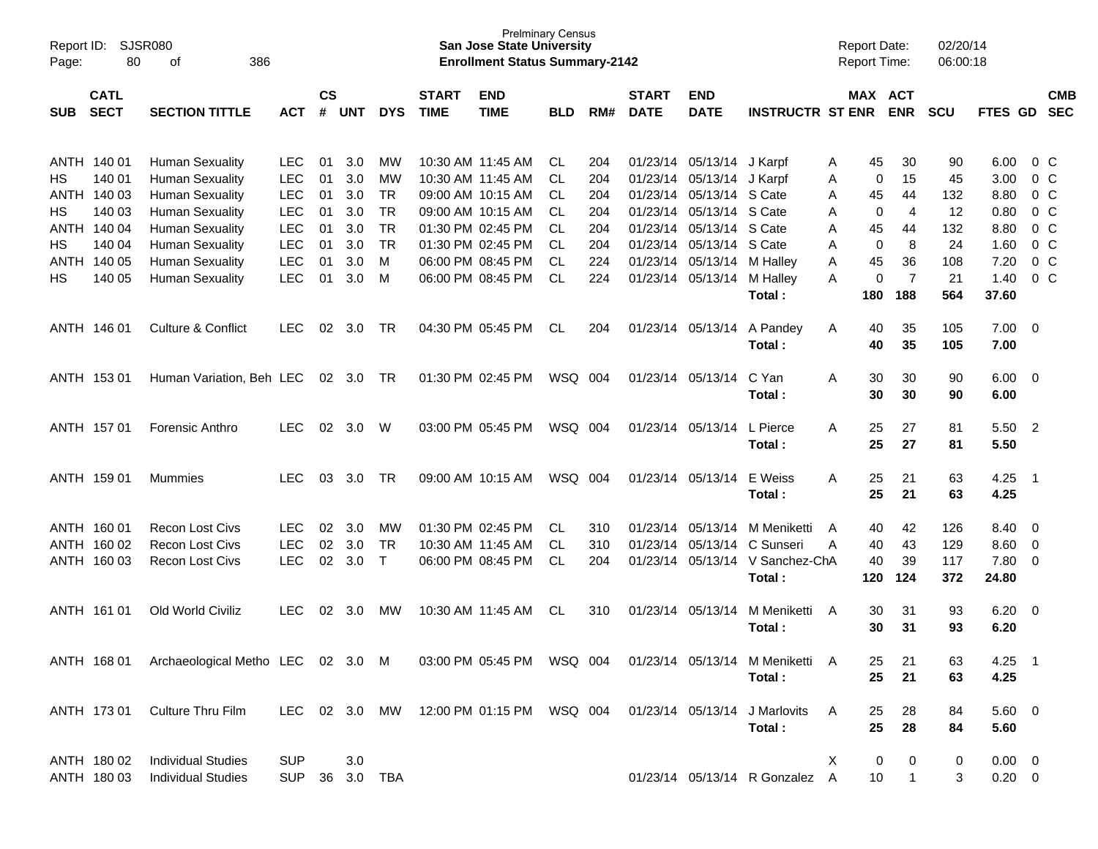| Report ID:<br>Page: | 80                         | <b>SJSR080</b><br>οf<br>386                                             |                          |                    |                   |                        |                             | <b>Prelminary Census</b><br><b>San Jose State University</b><br><b>Enrollment Status Summary-2142</b> |                        |            |                             |                                                |                                                                                 | <b>Report Date:</b><br><b>Report Time:</b> |                                  | 02/20/14<br>06:00:18 |                            |                               |                                  |
|---------------------|----------------------------|-------------------------------------------------------------------------|--------------------------|--------------------|-------------------|------------------------|-----------------------------|-------------------------------------------------------------------------------------------------------|------------------------|------------|-----------------------------|------------------------------------------------|---------------------------------------------------------------------------------|--------------------------------------------|----------------------------------|----------------------|----------------------------|-------------------------------|----------------------------------|
| <b>SUB</b>          | <b>CATL</b><br><b>SECT</b> | <b>SECTION TITTLE</b>                                                   | <b>ACT</b>               | $\mathsf{cs}$<br># | <b>UNT</b>        | <b>DYS</b>             | <b>START</b><br><b>TIME</b> | <b>END</b><br><b>TIME</b>                                                                             | <b>BLD</b>             | RM#        | <b>START</b><br><b>DATE</b> | <b>END</b><br><b>DATE</b>                      | <b>INSTRUCTR ST ENR</b>                                                         |                                            | MAX ACT<br><b>ENR</b>            | <b>SCU</b>           | FTES GD                    |                               | <b>CMB</b><br><b>SEC</b>         |
| НS                  | ANTH 140 01<br>140 01      | <b>Human Sexuality</b><br><b>Human Sexuality</b>                        | <b>LEC</b><br><b>LEC</b> | 01<br>01           | 3.0<br>3.0        | MW<br>MW               |                             | 10:30 AM 11:45 AM<br>10:30 AM 11:45 AM                                                                | CL.<br><b>CL</b>       | 204<br>204 |                             | 01/23/14 05/13/14 J Karpf<br>01/23/14 05/13/14 | J Karpf                                                                         | 45<br>A<br>Α                               | 30<br>15<br>0                    | 90<br>45             | 6.00<br>3.00               | $0\,$ C                       | 0 <sup>o</sup>                   |
| НS                  | ANTH 140 03<br>140 03      | <b>Human Sexuality</b><br><b>Human Sexuality</b>                        | LEC<br>LEC               | 01<br>01           | 3.0<br>3.0        | TR<br><b>TR</b>        |                             | 09:00 AM 10:15 AM<br>09:00 AM 10:15 AM                                                                | <b>CL</b><br><b>CL</b> | 204<br>204 |                             | 01/23/14 05/13/14<br>01/23/14 05/13/14 S Cate  | S Cate                                                                          | 45<br>Α<br>Α                               | 44<br>$\overline{4}$<br>0        | 132<br>12            | 8.80<br>0.80               |                               | 0 <sup>C</sup><br>0 <sup>o</sup> |
| НS                  | ANTH 140 04<br>140 04      | <b>Human Sexuality</b><br><b>Human Sexuality</b>                        | <b>LEC</b><br>LEC        | 01<br>01           | 3.0<br>3.0        | <b>TR</b><br><b>TR</b> |                             | 01:30 PM 02:45 PM<br>01:30 PM 02:45 PM                                                                | <b>CL</b><br><b>CL</b> | 204<br>204 |                             | 01/23/14 05/13/14<br>01/23/14 05/13/14         | S Cate<br>S Cate                                                                | Α<br>45<br>Α                               | 44<br>8<br>0                     | 132<br>24            | 8.80<br>1.60               |                               | 0 <sup>o</sup><br>0 <sup>o</sup> |
| ANTH<br>НS          | 140 05<br>140 05           | <b>Human Sexuality</b><br><b>Human Sexuality</b>                        | LEC<br><b>LEC</b>        | 01<br>01           | 3.0<br>3.0        | M<br>M                 |                             | 06:00 PM 08:45 PM<br>06:00 PM 08:45 PM                                                                | <b>CL</b><br>CL.       | 224<br>224 |                             | 01/23/14 05/13/14<br>01/23/14 05/13/14         | M Halley<br>M Halley<br>Total:                                                  | Α<br>45<br>A<br>180                        | 36<br>$\overline{7}$<br>0<br>188 | 108<br>21<br>564     | 7.20<br>1.40<br>37.60      |                               | $0\,C$<br>0 <sup>o</sup>         |
|                     | ANTH 146 01                | Culture & Conflict                                                      | <b>LEC</b>               | 02                 | 3.0               | TR                     |                             | 04:30 PM 05:45 PM                                                                                     | CL.                    | 204        |                             | 01/23/14 05/13/14                              | A Pandey<br>Total:                                                              | Α<br>40<br>40                              | 35<br>35                         | 105<br>105           | 7.00<br>7.00               | $\overline{0}$                |                                  |
|                     | ANTH 153 01                | Human Variation, Beh LEC                                                |                          | 02                 | - 3.0             | TR                     |                             | 01:30 PM 02:45 PM                                                                                     | WSQ 004                |            |                             | 01/23/14 05/13/14                              | C Yan<br>Total:                                                                 | 30<br>Α<br>30                              | 30<br>30                         | 90<br>90             | 6.00<br>6.00               | $\overline{\mathbf{0}}$       |                                  |
|                     | ANTH 157 01                | <b>Forensic Anthro</b>                                                  | <b>LEC</b>               | 02                 | 3.0               | W                      |                             | 03:00 PM 05:45 PM                                                                                     | WSQ 004                |            |                             | 01/23/14 05/13/14                              | L Pierce<br>Total:                                                              | 25<br>Α<br>25                              | 27<br>27                         | 81<br>81             | 5.50<br>5.50               | $\overline{\phantom{0}}$      |                                  |
|                     | ANTH 159 01                | Mummies                                                                 | <b>LEC</b>               | 03                 | 3.0               | TR                     |                             | 09:00 AM 10:15 AM                                                                                     | WSQ 004                |            |                             | 01/23/14 05/13/14                              | E Weiss<br>Total:                                                               | Α<br>25<br>25                              | 21<br>21                         | 63<br>63             | 4.25<br>4.25               | $\overline{1}$                |                                  |
|                     | ANTH 160 01<br>ANTH 160 02 | <b>Recon Lost Civs</b><br><b>Recon Lost Civs</b>                        | <b>LEC</b><br><b>LEC</b> | 02<br>02           | 3.0<br>3.0        | MW<br><b>TR</b>        |                             | 01:30 PM 02:45 PM<br>10:30 AM 11:45 AM                                                                | CL.<br><b>CL</b>       | 310<br>310 |                             | 01/23/14 05/13/14<br>01/23/14 05/13/14         | M Meniketti<br>C Sunseri                                                        | 40<br>A<br>40<br>Α                         | 42<br>43                         | 126<br>129           | 8.40<br>8.60               | $\overline{0}$<br>$\mathbf 0$ |                                  |
|                     | ANTH 160 03                | <b>Recon Lost Civs</b>                                                  | <b>LEC</b>               | 02                 | 3.0               | $\mathsf{T}$           |                             | 06:00 PM 08:45 PM                                                                                     | <b>CL</b>              | 204        |                             | 01/23/14 05/13/14                              | V Sanchez-ChA<br>Total:                                                         | 40<br>120                                  | 39<br>124                        | 117<br>372           | 7.80<br>24.80              | $\overline{0}$                |                                  |
|                     | ANTH 161 01                | Old World Civiliz                                                       | <b>LEC</b>               | 02                 | 3.0               | MW                     |                             | 10:30 AM 11:45 AM                                                                                     | CL.                    | 310        |                             | 01/23/14 05/13/14                              | M Meniketti<br>Total:                                                           | 30<br>A<br>30                              | 31<br>31                         | 93<br>93             | 6.20<br>6.20               | $\overline{\mathbf{0}}$       |                                  |
|                     |                            | ANTH 168 01 Archaeological Metho LEC 02 3.0 M 03:00 PM 05:45 PM WSQ 004 |                          |                    |                   |                        |                             |                                                                                                       |                        |            |                             |                                                | 01/23/14 05/13/14 M Meniketti<br>Total:                                         | 25<br>25                                   | 21<br>21                         | 63<br>63             | $4.25$ 1<br>4.25           |                               |                                  |
|                     | ANTH 173 01                | Culture Thru Film                                                       |                          |                    |                   |                        |                             |                                                                                                       |                        |            |                             |                                                | LEC 02 3.0 MW 12:00 PM 01:15 PM WSQ 004 01/23/14 05/13/14 J Marlovits<br>Total: | A<br>25<br>25                              | 28<br>28                         | 84<br>84             | $5.60$ 0<br>5.60           |                               |                                  |
|                     | ANTH 180 02<br>ANTH 180 03 | <b>Individual Studies</b><br><b>Individual Studies</b>                  | <b>SUP</b><br><b>SUP</b> |                    | 3.0<br>36 3.0 TBA |                        |                             |                                                                                                       |                        |            |                             |                                                | 01/23/14 05/13/14 R Gonzalez A                                                  | X<br>10                                    | 0<br>0<br>$\mathbf{1}$           | 0<br>3               | $0.00 \t 0$<br>$0.20 \t 0$ |                               |                                  |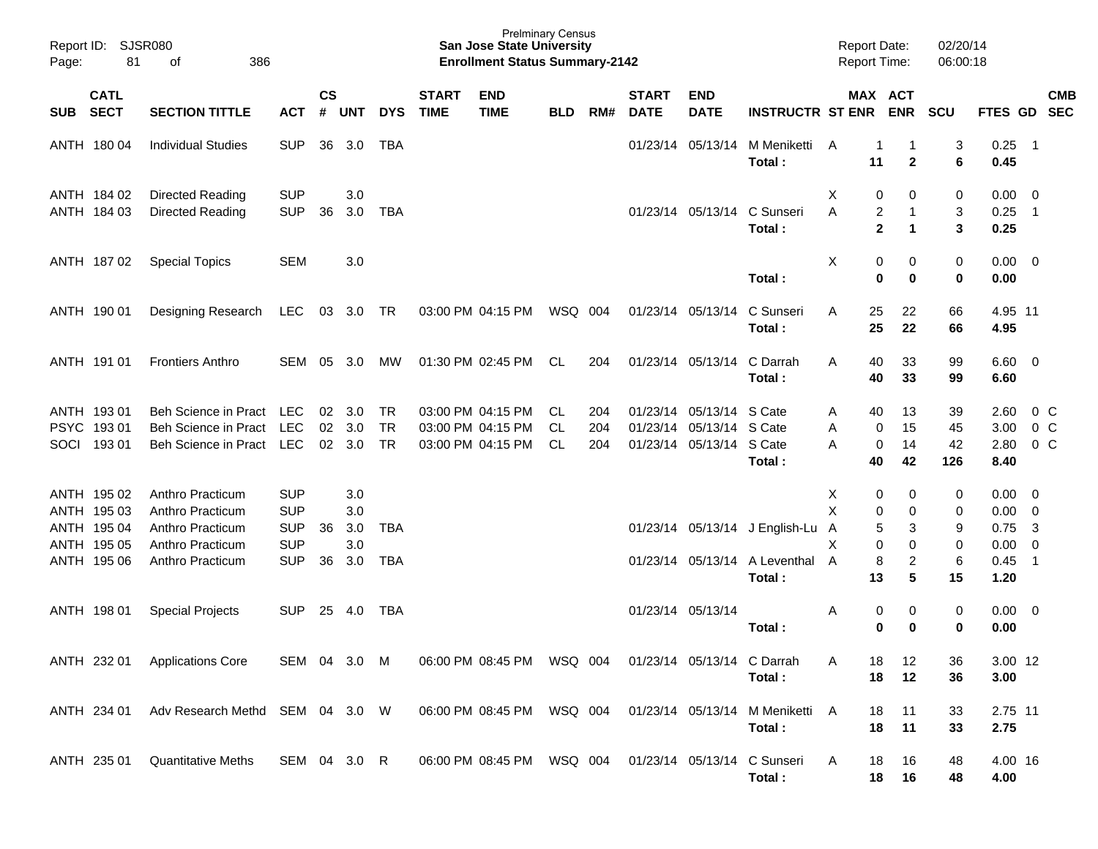| Page: | Report ID: SJSR080<br>81   | 386<br>οf                       |              |                    |            |            |                             | <b>Prelminary Census</b><br><b>San Jose State University</b><br><b>Enrollment Status Summary-2142</b> |            |     |                             |                            |                                           | <b>Report Date:</b><br><b>Report Time:</b> |                    |                     | 02/20/14<br>06:00:18 |                        |                          |                |
|-------|----------------------------|---------------------------------|--------------|--------------------|------------|------------|-----------------------------|-------------------------------------------------------------------------------------------------------|------------|-----|-----------------------------|----------------------------|-------------------------------------------|--------------------------------------------|--------------------|---------------------|----------------------|------------------------|--------------------------|----------------|
| SUB   | <b>CATL</b><br><b>SECT</b> | <b>SECTION TITTLE</b>           | <b>ACT</b>   | $\mathsf{cs}$<br># | <b>UNT</b> | <b>DYS</b> | <b>START</b><br><b>TIME</b> | <b>END</b><br><b>TIME</b>                                                                             | <b>BLD</b> | RM# | <b>START</b><br><b>DATE</b> | <b>END</b><br><b>DATE</b>  | <b>INSTRUCTR ST ENR ENR</b>               |                                            |                    | MAX ACT             | <b>SCU</b>           | FTES GD SEC            |                          | <b>CMB</b>     |
|       | ANTH 180 04                | <b>Individual Studies</b>       | <b>SUP</b>   | 36                 | 3.0        | <b>TBA</b> |                             |                                                                                                       |            |     |                             | 01/23/14 05/13/14          | M Meniketti A<br>Total:                   |                                            | $\mathbf{1}$<br>11 | $\mathbf{2}$        | 3<br>6               | 0.25<br>0.45           | $\overline{\phantom{1}}$ |                |
|       | ANTH 184 02                | Directed Reading                | <b>SUP</b>   |                    | 3.0        |            |                             |                                                                                                       |            |     |                             |                            |                                           | X                                          | 0                  | 0                   | 0                    | 0.00                   | $\overline{0}$           |                |
|       | ANTH 184 03                | Directed Reading                | <b>SUP</b>   | 36                 | 3.0        | <b>TBA</b> |                             |                                                                                                       |            |     |                             | 01/23/14 05/13/14          | C Sunseri<br>Total:                       | Α                                          | 2<br>$\mathbf 2$   | 1<br>1              | 3<br>3               | 0.25<br>0.25           | $\overline{1}$           |                |
|       | ANTH 187 02                | <b>Special Topics</b>           | <b>SEM</b>   |                    | 3.0        |            |                             |                                                                                                       |            |     |                             |                            | Total:                                    | X                                          | 0<br>$\bf{0}$      | 0<br>0              | 0<br>$\mathbf 0$     | 0.00<br>0.00           | $\overline{\mathbf{0}}$  |                |
|       | ANTH 190 01                | Designing Research              | LEC          | 03                 | 3.0        | TR         |                             | 03:00 PM 04:15 PM                                                                                     | WSQ 004    |     |                             | 01/23/14 05/13/14          | C Sunseri<br>Total:                       | A                                          | 25<br>25           | 22<br>22            | 66<br>66             | 4.95 11<br>4.95        |                          |                |
|       | ANTH 191 01                | <b>Frontiers Anthro</b>         | <b>SEM</b>   | 05                 | 3.0        | MW         |                             | 01:30 PM 02:45 PM                                                                                     | CL         | 204 |                             | 01/23/14 05/13/14          | C Darrah<br>Total:                        | A                                          | 40<br>40           | 33<br>33            | 99<br>99             | $6.60 \quad 0$<br>6.60 |                          |                |
|       | ANTH 193 01                | Beh Science in Pract            | <b>LEC</b>   | 02                 | 3.0        | <b>TR</b>  |                             | 03:00 PM 04:15 PM                                                                                     | CL.        | 204 |                             | 01/23/14 05/13/14 S Cate   |                                           | Α                                          | 40                 | 13                  | 39                   | 2.60                   |                          | 0 <sup>C</sup> |
|       | PSYC 193 01                | Beh Science in Pract            | LEC          | 02                 | 3.0        | <b>TR</b>  |                             | 03:00 PM 04:15 PM                                                                                     | <b>CL</b>  | 204 |                             | 01/23/14 05/13/14 S Cate   |                                           | Α                                          | 0                  | 15                  | 45                   | 3.00                   |                          | $0\,C$         |
| SOCI  | 19301                      | Beh Science in Pract            | LEC          |                    | 02 3.0     | <b>TR</b>  |                             | 03:00 PM 04:15 PM                                                                                     | <b>CL</b>  | 204 |                             | 01/23/14 05/13/14          | S Cate<br>Total:                          | А                                          | 0<br>40            | 14<br>42            | 42<br>126            | 2.80<br>8.40           |                          | $0\,C$         |
|       | ANTH 195 02                | Anthro Practicum                | <b>SUP</b>   |                    | 3.0        |            |                             |                                                                                                       |            |     |                             |                            |                                           | X                                          | 0                  | 0                   | 0                    | 0.00                   | 0                        |                |
|       | ANTH 195 03                | Anthro Practicum                | <b>SUP</b>   |                    | 3.0        |            |                             |                                                                                                       |            |     |                             |                            |                                           | X                                          | 0                  | $\Omega$            | 0                    | 0.00                   | $\overline{0}$           |                |
|       | ANTH 195 04                | Anthro Practicum                | <b>SUP</b>   | 36                 | 3.0        | <b>TBA</b> |                             |                                                                                                       |            |     |                             |                            | 01/23/14 05/13/14 J English-Lu            | A                                          | 5                  | 3                   | 9                    | 0.75                   | $\overline{3}$           |                |
|       | ANTH 195 05                | Anthro Practicum                | <b>SUP</b>   |                    | 3.0        |            |                             |                                                                                                       |            |     |                             |                            |                                           | X                                          | 0                  | $\Omega$            | 0                    | 0.00                   | 0                        |                |
|       | ANTH 195 06                | Anthro Practicum                | <b>SUP</b>   | 36                 | 3.0        | <b>TBA</b> |                             |                                                                                                       |            |     |                             | 01/23/14 05/13/14          | A Leventhal<br>Total:                     | A                                          | 8<br>13            | $\overline{c}$<br>5 | 6<br>15              | 0.45<br>1.20           | $\overline{1}$           |                |
|       | ANTH 198 01                | <b>Special Projects</b>         | <b>SUP</b>   | 25                 | 4.0        | TBA        |                             |                                                                                                       |            |     |                             | 01/23/14 05/13/14          | Total:                                    | Α                                          | 0<br>0             | 0<br>0              | 0<br>$\mathbf 0$     | $0.00 \ 0$<br>0.00     |                          |                |
|       | ANTH 232 01                | <b>Applications Core</b>        | SEM 04 3.0 M |                    |            |            |                             | 06:00 PM 08:45 PM WSQ 004                                                                             |            |     |                             | 01/23/14 05/13/14 C Darrah | Total:                                    | Α                                          | 18<br>18           | 12<br>12            | 36<br>36             | 3.00 12<br>3.00        |                          |                |
|       | ANTH 234 01                | Adv Research Methd SEM 04 3.0 W |              |                    |            |            |                             | 06:00 PM 08:45 PM WSQ 004                                                                             |            |     |                             |                            | 01/23/14 05/13/14 M Meniketti A<br>Total: |                                            | 18<br>18           | 11<br>11            | 33<br>33             | 2.75 11<br>2.75        |                          |                |
|       | ANTH 235 01                | <b>Quantitative Meths</b>       | SEM 04 3.0 R |                    |            |            |                             | 06:00 PM 08:45 PM WSQ 004                                                                             |            |     |                             |                            | 01/23/14 05/13/14 C Sunseri<br>Total:     | A                                          | 18<br>18           | 16<br>$-16$         | 48<br>48             | 4.00 16<br>4.00        |                          |                |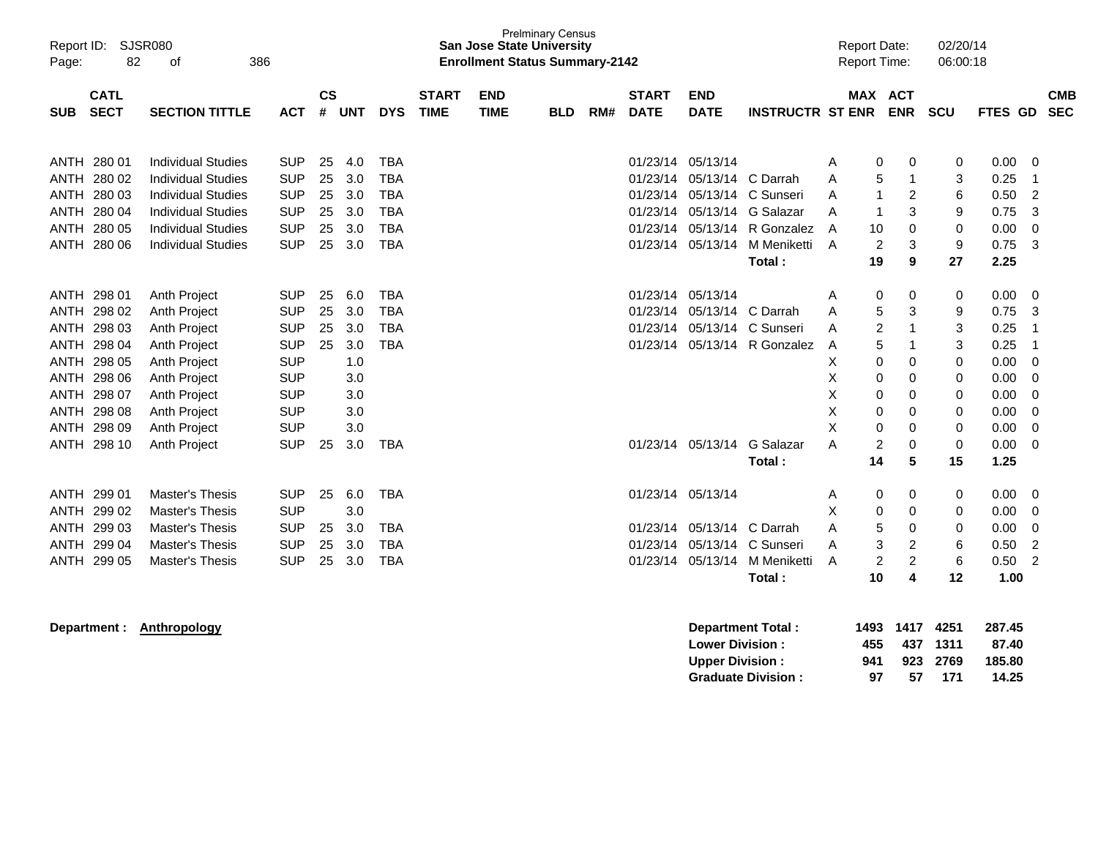| Report ID:<br>Page:  | 82                                        | <b>SJSR080</b><br>386<br>οf                                                         |                                        |                |                   |                                        |                           | <b>San Jose State University</b><br><b>Enrollment Status Summary-2142</b> | <b>Prelminary Census</b> |                             |                                  |                               |                                                                 |             | <b>Report Date:</b><br><b>Report Time:</b> |                                       | 02/20/14<br>06:00:18 |                           |                          |
|----------------------|-------------------------------------------|-------------------------------------------------------------------------------------|----------------------------------------|----------------|-------------------|----------------------------------------|---------------------------|---------------------------------------------------------------------------|--------------------------|-----------------------------|----------------------------------|-------------------------------|-----------------------------------------------------------------|-------------|--------------------------------------------|---------------------------------------|----------------------|---------------------------|--------------------------|
| <b>SUB</b>           | <b>CATL</b><br><b>SECT</b>                | <b>ACT</b>                                                                          | <b>CS</b><br>#                         | <b>UNT</b>     | <b>DYS</b>        | <b>START</b><br><b>TIME</b>            | <b>END</b><br><b>TIME</b> | <b>BLD</b>                                                                | RM#                      | <b>START</b><br><b>DATE</b> | <b>END</b><br><b>DATE</b>        | <b>INSTRUCTR ST ENR ENR</b>   |                                                                 | MAX ACT     |                                            | <b>SCU</b>                            |                      | <b>CMB</b><br>FTES GD SEC |                          |
| <b>ANTH</b>          | ANTH 280 01<br>280 02                     | <b>Individual Studies</b><br><b>Individual Studies</b>                              | <b>SUP</b><br><b>SUP</b>               | 25<br>25       | 4.0<br>3.0        | <b>TBA</b><br><b>TBA</b>               |                           |                                                                           |                          |                             | 01/23/14 05/13/14<br>01/23/14    | 05/13/14 C Darrah             |                                                                 | Α<br>Α      | 0<br>5                                     | 0<br>-1                               | 0<br>3               | 0.00<br>0.25              | 0<br>-1                  |
| ANTH<br>ANTH<br>ANTH | 280 03<br>280 04<br>280 05                | <b>Individual Studies</b><br><b>Individual Studies</b><br><b>Individual Studies</b> | <b>SUP</b><br><b>SUP</b><br><b>SUP</b> | 25<br>25<br>25 | 3.0<br>3.0<br>3.0 | <b>TBA</b><br><b>TBA</b><br><b>TBA</b> |                           |                                                                           |                          |                             | 01/23/14<br>01/23/14<br>01/23/14 |                               | 05/13/14 C Sunseri<br>05/13/14 G Salazar<br>05/13/14 R Gonzalez | A<br>A<br>A | 1<br>1<br>10                               | 2<br>3<br>0                           | 6<br>9<br>0          | 0.50<br>0.75<br>0.00      | 2<br>3<br>0              |
|                      | ANTH 280 06                               | <b>Individual Studies</b>                                                           | <b>SUP</b>                             | 25             | 3.0               | <b>TBA</b>                             |                           |                                                                           |                          |                             | 01/23/14                         | 05/13/14                      | M Meniketti<br>Total:                                           | A           | 2<br>19                                    | 3<br>9                                | 9<br>27              | 0.75<br>2.25              | 3                        |
| <b>ANTH</b>          | ANTH 298 01<br>298 02                     | Anth Project<br>Anth Project                                                        | <b>SUP</b><br><b>SUP</b>               | 25<br>25       | 6.0<br>3.0        | <b>TBA</b><br><b>TBA</b>               |                           |                                                                           |                          |                             | 01/23/14<br>01/23/14             | 05/13/14<br>05/13/14 C Darrah |                                                                 | Α<br>A      | 0<br>5                                     | 0<br>3                                | 0<br>9               | 0.00<br>0.75              | 0<br>3                   |
|                      | ANTH 298 03<br>ANTH 298 04                | Anth Project<br>Anth Project                                                        | <b>SUP</b><br><b>SUP</b>               | 25<br>25       | 3.0<br>3.0        | <b>TBA</b><br><b>TBA</b>               |                           |                                                                           |                          |                             | 01/23/14                         |                               | 05/13/14 C Sunseri<br>01/23/14 05/13/14 R Gonzalez              | A<br>A      | 2<br>5                                     |                                       | 3<br>3               | 0.25<br>0.25              | $\mathbf 1$<br>1         |
|                      | ANTH 298 05<br>ANTH 298 06<br>ANTH 298 07 | Anth Project<br><b>Anth Project</b><br>Anth Project                                 | <b>SUP</b><br><b>SUP</b><br><b>SUP</b> |                | 1.0<br>3.0<br>3.0 |                                        |                           |                                                                           |                          |                             |                                  |                               |                                                                 | Х<br>Χ<br>X | 0<br>0<br>0                                | 0<br>0<br>$\Omega$                    | 0<br>0<br>0          | 0.00<br>0.00<br>0.00      | 0<br>0<br>0              |
| ANTH<br><b>ANTH</b>  | 298 08<br>298 09                          | Anth Project<br>Anth Project                                                        | <b>SUP</b><br><b>SUP</b>               |                | 3.0<br>3.0        |                                        |                           |                                                                           |                          |                             |                                  |                               |                                                                 | X<br>X      | 0<br>0                                     | 0<br>$\mathbf 0$                      | 0<br>0               | 0.00<br>0.00              | 0<br>0                   |
| ANTH                 | 298 10                                    | <b>Anth Project</b>                                                                 | <b>SUP</b>                             | 25             | 3.0               | TBA                                    |                           |                                                                           |                          |                             |                                  | 01/23/14 05/13/14             | G Salazar<br>Total:                                             | A           | 2<br>14                                    | 0<br>5                                | 0<br>15              | 0.00<br>1.25              | 0                        |
| <b>ANTH</b>          | ANTH 299 01<br>299 02                     | <b>Master's Thesis</b><br>Master's Thesis                                           | <b>SUP</b><br><b>SUP</b>               | 25             | 6.0<br>3.0        | <b>TBA</b>                             |                           |                                                                           |                          |                             | 01/23/14 05/13/14                |                               |                                                                 | A<br>Х      | 0<br>0                                     | 0<br>0                                | 0<br>0               | 0.00<br>0.00              | 0<br>0                   |
| ANTH<br>ANTH         | 299 03<br>299 04<br>ANTH 299 05           | <b>Master's Thesis</b><br>Master's Thesis<br>Master's Thesis                        | <b>SUP</b><br><b>SUP</b><br><b>SUP</b> | 25<br>25<br>25 | 3.0<br>3.0<br>3.0 | <b>TBA</b><br><b>TBA</b><br><b>TBA</b> |                           |                                                                           |                          |                             | 01/23/14<br>01/23/14<br>01/23/14 | 05/13/14 C Darrah             | 05/13/14 C Sunseri<br>05/13/14 M Meniketti                      | A<br>A<br>A | 5<br>3<br>$\overline{c}$                   | 0<br>$\overline{c}$<br>$\overline{c}$ | 0<br>6<br>6          | 0.00<br>0.50<br>0.50      | 0<br>$\overline{2}$<br>2 |
|                      |                                           |                                                                                     |                                        |                |                   |                                        |                           |                                                                           |                          |                             |                                  |                               | Total:                                                          |             | 10                                         | 4                                     | 12                   | 1.00                      |                          |

**Department : Anthropology Department Total : 1493 1417 4251 287.45 Lower Division : 455 437 1311 87.40 Upper Division : 941 923 2769 185.80 Graduate Division :**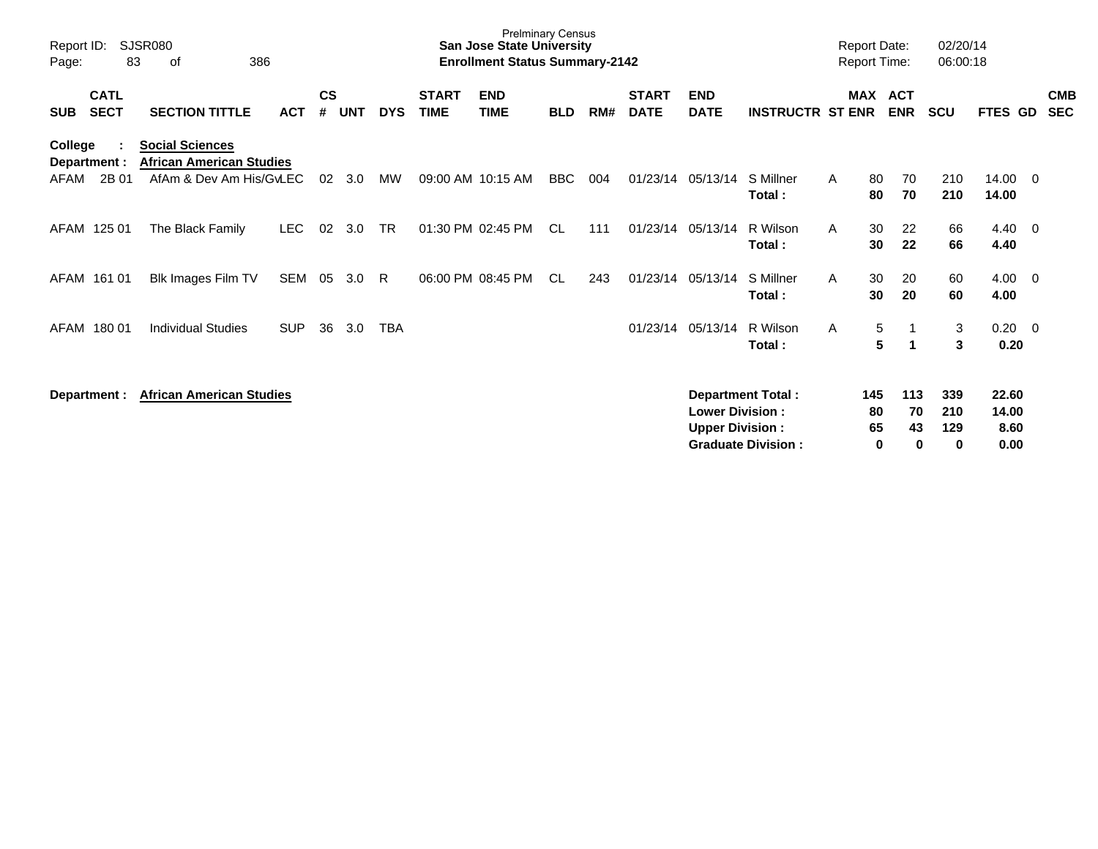| Report ID:<br>Page:                      | <b>SJSR080</b><br>386<br>83<br>οf                                                    |            |                |            |            |                             | <b>Prelminary Census</b><br><b>San Jose State University</b><br><b>Enrollment Status Summary-2142</b> |            |     |                             |                                                  |                                                       |              | <b>Report Date:</b><br><b>Report Time:</b> |                             | 02/20/14<br>06:00:18           |                          |                          |
|------------------------------------------|--------------------------------------------------------------------------------------|------------|----------------|------------|------------|-----------------------------|-------------------------------------------------------------------------------------------------------|------------|-----|-----------------------------|--------------------------------------------------|-------------------------------------------------------|--------------|--------------------------------------------|-----------------------------|--------------------------------|--------------------------|--------------------------|
| <b>CATL</b><br><b>SECT</b><br><b>SUB</b> | <b>SECTION TITTLE</b>                                                                | <b>ACT</b> | <b>CS</b><br># | <b>UNT</b> | <b>DYS</b> | <b>START</b><br><b>TIME</b> | <b>END</b><br><b>TIME</b>                                                                             | <b>BLD</b> | RM# | <b>START</b><br><b>DATE</b> | <b>END</b><br><b>DATE</b>                        | <b>INSTRUCTR ST ENR</b>                               | <b>MAX</b>   | <b>ACT</b><br><b>ENR</b>                   | <b>SCU</b>                  | FTES GD                        |                          | <b>CMB</b><br><b>SEC</b> |
| College<br>Department :<br>2B 01<br>AFAM | <b>Social Sciences</b><br><b>African American Studies</b><br>AfAm & Dev Am His/GvLEC |            | 02             | 3.0        | MW         |                             | 09:00 AM 10:15 AM                                                                                     | <b>BBC</b> | 004 | 01/23/14                    | 05/13/14                                         | S Millner<br>Total:                                   | A            | 70<br>80<br>70<br>80                       | 210<br>210                  | 14.00<br>14.00                 | - 0                      |                          |
| AFAM 125 01                              | The Black Family                                                                     | <b>LEC</b> | 02             | 3.0        | <b>TR</b>  |                             | 01:30 PM 02:45 PM                                                                                     | CL.        | 111 |                             | 01/23/14 05/13/14                                | R Wilson<br>Total:                                    | A            | 30<br>22<br>22<br>30                       | 66<br>66                    | 4.40<br>4.40                   | - 0                      |                          |
| AFAM 161 01                              | Blk Images Film TV                                                                   | SEM        | 05             | 3.0        | R.         |                             | 06:00 PM 08:45 PM                                                                                     | CL.        | 243 | 01/23/14                    | 05/13/14                                         | S Millner<br>Total:                                   | $\mathsf{A}$ | 30<br>20<br>20<br>30                       | 60<br>60                    | 4.00<br>4.00                   | $\overline{\phantom{0}}$ |                          |
| AFAM 180 01                              | <b>Individual Studies</b>                                                            | <b>SUP</b> | 36             | 3.0        | <b>TBA</b> |                             |                                                                                                       |            |     | 01/23/14                    | 05/13/14                                         | R Wilson<br>Total:                                    | A            | 5<br>5<br>1                                | 3<br>3                      | $0.20 \ 0$<br>0.20             |                          |                          |
| Department :                             | <b>African American Studies</b>                                                      |            |                |            |            |                             |                                                                                                       |            |     |                             | <b>Lower Division:</b><br><b>Upper Division:</b> | <b>Department Total:</b><br><b>Graduate Division:</b> |              | 113<br>145<br>70<br>80<br>65<br>43<br>0    | 339<br>210<br>129<br>0<br>0 | 22.60<br>14.00<br>8.60<br>0.00 |                          |                          |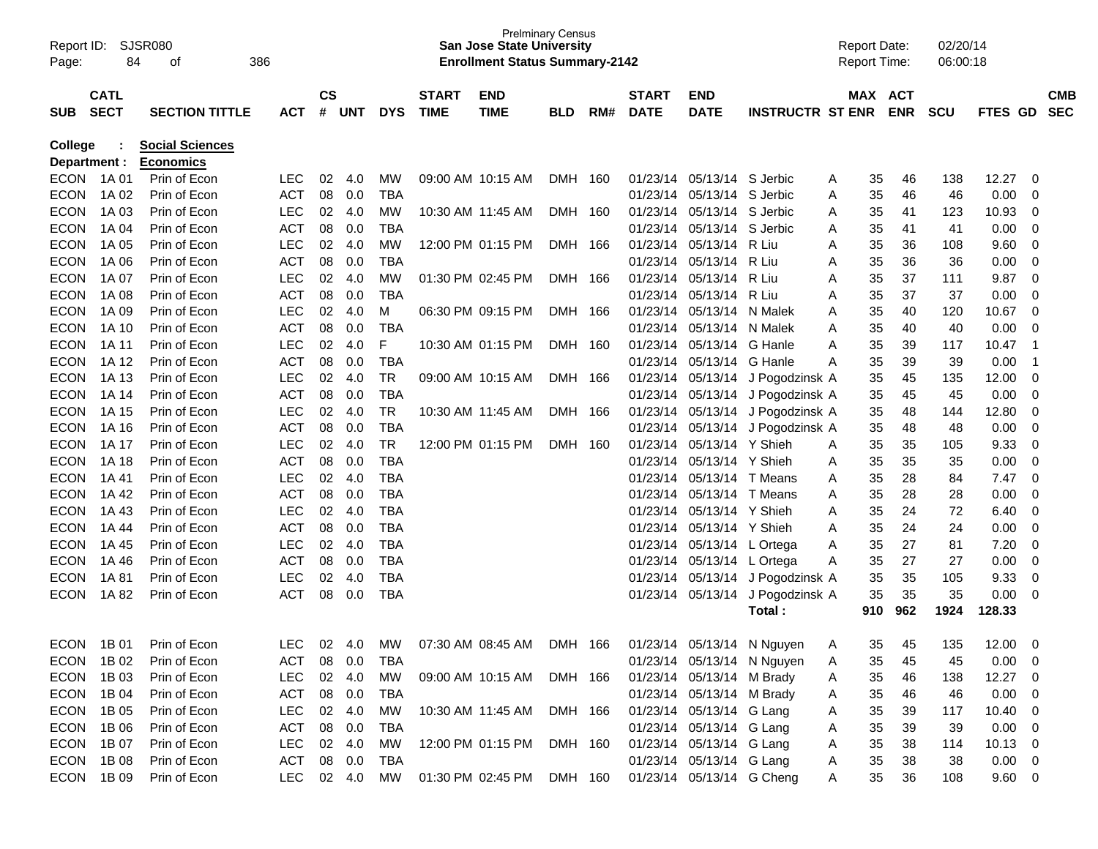|                           | Report ID: SJSR080 |                                  |            |               |             |            |              | <b>San Jose State University</b>      | <b>Prelminary Census</b> |     |              |                            |                                  | <b>Report Date:</b> |            |            | 02/20/14 |              |                         |            |
|---------------------------|--------------------|----------------------------------|------------|---------------|-------------|------------|--------------|---------------------------------------|--------------------------|-----|--------------|----------------------------|----------------------------------|---------------------|------------|------------|----------|--------------|-------------------------|------------|
| Page:                     | 84                 | οf                               | 386        |               |             |            |              | <b>Enrollment Status Summary-2142</b> |                          |     |              |                            |                                  | <b>Report Time:</b> |            |            | 06:00:18 |              |                         |            |
|                           | <b>CATL</b>        |                                  |            | $\mathsf{cs}$ |             |            | <b>START</b> | <b>END</b>                            |                          |     | <b>START</b> | <b>END</b>                 |                                  |                     | MAX ACT    |            |          |              |                         | <b>CMB</b> |
| <b>SUB</b>                | <b>SECT</b>        | <b>SECTION TITTLE</b>            | ACT        | #             | UNT         | <b>DYS</b> | <b>TIME</b>  | <b>TIME</b>                           | <b>BLD</b>               | RM# | <b>DATE</b>  | <b>DATE</b>                | <b>INSTRUCTR ST ENR</b>          |                     | <b>ENR</b> | <b>SCU</b> |          | FTES GD      |                         | <b>SEC</b> |
|                           |                    |                                  |            |               |             |            |              |                                       |                          |     |              |                            |                                  |                     |            |            |          |              |                         |            |
| <b>College</b>            |                    | <b>Social Sciences</b>           |            |               |             |            |              |                                       |                          |     |              |                            |                                  |                     |            |            |          |              |                         |            |
| Department :<br>ECON 1A01 |                    | <b>Economics</b><br>Prin of Econ | <b>LEC</b> | 02            |             | MW         |              | 09:00 AM 10:15 AM                     |                          |     |              | 01/23/14 05/13/14 S Jerbic |                                  |                     |            | 46         | 138      | 12.27        | 0                       |            |
| <b>ECON</b>               | 1A 02              | Prin of Econ                     | <b>ACT</b> | 08            | 4.0<br>0.0  | <b>TBA</b> |              |                                       | DMH 160                  |     | 01/23/14     | 05/13/14 S Jerbic          |                                  | A<br>A              | 35<br>35   | 46         | 46       | 0.00         | 0                       |            |
| <b>ECON</b>               | 1A 03              | Prin of Econ                     | <b>LEC</b> | 02            | 4.0         | MW         |              | 10:30 AM 11:45 AM                     | DMH 160                  |     |              | 01/23/14 05/13/14 S Jerbic |                                  | A                   | 35         | 41         | 123      | 10.93        | 0                       |            |
| <b>ECON</b>               | 1A 04              | Prin of Econ                     | <b>ACT</b> | 08            | 0.0         | <b>TBA</b> |              |                                       |                          |     | 01/23/14     | 05/13/14 S Jerbic          |                                  | A                   | 35         | 41         | 41       | 0.00         | 0                       |            |
| <b>ECON</b>               | 1A 05              | Prin of Econ                     | <b>LEC</b> | 02            | 4.0         | MW         |              | 12:00 PM 01:15 PM                     | DMH 166                  |     | 01/23/14     | 05/13/14 R Liu             |                                  | A                   | 35         | 36         | 108      | 9.60         | 0                       |            |
| <b>ECON</b>               | 1A 06              | Prin of Econ                     | <b>ACT</b> | 08            | 0.0         | <b>TBA</b> |              |                                       |                          |     | 01/23/14     | 05/13/14 R Liu             |                                  | A                   | 35         | 36         | 36       | 0.00         | 0                       |            |
| <b>ECON</b>               | 1A 07              | Prin of Econ                     | <b>LEC</b> | 02            | 4.0         | MW         |              | 01:30 PM 02:45 PM                     | DMH 166                  |     | 01/23/14     | 05/13/14                   | R Liu                            | Α                   | 35         | 37         | 111      | 9.87         | $\mathbf 0$             |            |
| <b>ECON</b>               | 1A 08              | Prin of Econ                     | <b>ACT</b> | 08            | 0.0         | <b>TBA</b> |              |                                       |                          |     | 01/23/14     | 05/13/14 R Liu             |                                  | Α                   | 35         | 37         | 37       | 0.00         | 0                       |            |
| <b>ECON</b>               | 1A 09              | Prin of Econ                     | <b>LEC</b> | 02            | 4.0         | M          |              | 06:30 PM 09:15 PM                     | DMH 166                  |     | 01/23/14     | 05/13/14 N Malek           |                                  | A                   | 35         | 40         | 120      | 10.67        | 0                       |            |
| <b>ECON</b>               | 1A 10              | Prin of Econ                     | <b>ACT</b> | 08            | 0.0         | <b>TBA</b> |              |                                       |                          |     | 01/23/14     | 05/13/14 N Malek           |                                  | A                   | 35         | 40         | 40       | 0.00         | 0                       |            |
| <b>ECON</b>               | 1A 11              | Prin of Econ                     | <b>LEC</b> | 02            | 4.0         | F          |              | 10:30 AM 01:15 PM                     | DMH 160                  |     |              | 01/23/14 05/13/14 G Hanle  |                                  | Α                   | 35         | 39         | 117      | 10.47        | $\overline{1}$          |            |
| <b>ECON</b>               | 1A 12              | Prin of Econ                     | <b>ACT</b> | 08            | 0.0         | <b>TBA</b> |              |                                       |                          |     |              | 01/23/14 05/13/14 G Hanle  |                                  | Α                   | 35         | 39         | 39       | 0.00         | $\overline{1}$          |            |
| <b>ECON</b>               | 1A 13              | Prin of Econ                     | <b>LEC</b> | 02            | 4.0         | <b>TR</b>  |              | 09:00 AM 10:15 AM                     | DMH 166                  |     |              |                            | 01/23/14 05/13/14 J Pogodzinsk A |                     | 35         | 45         | 135      | 12.00        | $\mathbf 0$             |            |
| <b>ECON</b>               | 1A 14              | Prin of Econ                     | <b>ACT</b> | 08            | 0.0         | <b>TBA</b> |              |                                       |                          |     |              |                            | 01/23/14 05/13/14 J Pogodzinsk A |                     | 35         | 45         | 45       | 0.00         | 0                       |            |
| <b>ECON</b>               | 1A 15              | Prin of Econ                     | <b>LEC</b> | 02            | 4.0         | <b>TR</b>  |              | 10:30 AM 11:45 AM                     | DMH 166                  |     |              |                            | 01/23/14 05/13/14 J Pogodzinsk A |                     | 35         | 48         | 144      | 12.80        | 0                       |            |
| <b>ECON</b>               | 1A 16              | Prin of Econ                     | <b>ACT</b> | 08            | 0.0         | <b>TBA</b> |              |                                       |                          |     |              |                            | 01/23/14 05/13/14 J Pogodzinsk A |                     | 35         | 48         | 48       | 0.00         | 0                       |            |
| <b>ECON</b>               | 1A 17              | Prin of Econ                     | <b>LEC</b> | 02            | 4.0         | <b>TR</b>  |              | 12:00 PM 01:15 PM                     | DMH 160                  |     | 01/23/14     | 05/13/14 Y Shieh           |                                  | A                   | 35         | 35         | 105      | 9.33         | $\mathbf 0$             |            |
| <b>ECON</b>               | 1A 18              | Prin of Econ                     | <b>ACT</b> | 08            | 0.0         | <b>TBA</b> |              |                                       |                          |     | 01/23/14     | 05/13/14 Y Shieh           |                                  | A                   | 35         | 35         | 35       | 0.00         | $\mathbf 0$             |            |
| <b>ECON</b>               | 1A 41              | Prin of Econ                     | <b>LEC</b> | 02            | 4.0         | <b>TBA</b> |              |                                       |                          |     |              | 01/23/14 05/13/14 T Means  |                                  | A                   | 35         | 28         | 84       | 7.47         | $\mathbf 0$             |            |
| <b>ECON</b>               | 1A 42              | Prin of Econ                     | <b>ACT</b> | 08            | 0.0         | <b>TBA</b> |              |                                       |                          |     |              | 01/23/14 05/13/14 T Means  |                                  | A                   | 35         | 28         | 28       | 0.00         | 0                       |            |
| <b>ECON</b>               | 1A 43              | Prin of Econ                     | <b>LEC</b> | 02            | 4.0         | <b>TBA</b> |              |                                       |                          |     | 01/23/14     | 05/13/14 Y Shieh           |                                  | A                   | 35         | 24         | 72       | 6.40         | 0                       |            |
| <b>ECON</b>               | 1A 44              | Prin of Econ                     | <b>ACT</b> | 08            | 0.0         | <b>TBA</b> |              |                                       |                          |     |              | 01/23/14 05/13/14 Y Shieh  |                                  | A                   | 35         | 24         | 24       | 0.00         | 0                       |            |
| <b>ECON</b>               | 1A 45              | Prin of Econ                     | <b>LEC</b> | 02            | 4.0         | <b>TBA</b> |              |                                       |                          |     |              | 01/23/14 05/13/14 L Ortega |                                  | A                   | 35         | 27         | 81       | 7.20         | 0                       |            |
| <b>ECON</b>               | 1A 46              | Prin of Econ                     | <b>ACT</b> | 08            | 0.0         | <b>TBA</b> |              |                                       |                          |     |              | 01/23/14 05/13/14 L Ortega |                                  | Α                   | 35         | 27         | 27       | 0.00         | 0                       |            |
| <b>ECON</b>               | 1A 81              | Prin of Econ                     | LEC        | 02            | 4.0         | <b>TBA</b> |              |                                       |                          |     |              |                            | 01/23/14 05/13/14 J Pogodzinsk A |                     | 35         | 35         | 105      | 9.33         | 0                       |            |
| <b>ECON</b>               | 1A 82              | Prin of Econ                     | <b>ACT</b> | 08            | 0.0         | <b>TBA</b> |              |                                       |                          |     |              |                            | 01/23/14 05/13/14 J Pogodzinsk A |                     | 35         | 35         | 35       | 0.00         | 0                       |            |
|                           |                    |                                  |            |               |             |            |              |                                       |                          |     |              |                            | Total:                           |                     | 910        | 962        | 1924     | 128.33       |                         |            |
|                           |                    |                                  |            |               |             |            |              |                                       |                          |     |              |                            |                                  |                     |            |            |          |              |                         |            |
| <b>ECON</b>               | 1B 01              | Prin of Econ                     | <b>LEC</b> | 02            | - 4.0       | МW         |              | 07:30 AM 08:45 AM                     | DMH 166                  |     |              |                            | 01/23/14 05/13/14 N Nguyen       | A                   | 35         | 45         | 135      | 12.00        | 0                       |            |
|                           | ECON 1B02          | Prin of Econ                     | ACT        |               | 08 0.0      | <b>TBA</b> |              |                                       |                          |     |              |                            | 01/23/14 05/13/14 N Nguyen       | A                   | 35         | 45         | 45       | 0.00         | $\overline{\mathbf{0}}$ |            |
| <b>ECON</b>               | 1B 03              | Prin of Econ                     | <b>LEC</b> |               | 02 4.0      | MW         |              | 09:00 AM 10:15 AM DMH 166             |                          |     |              | 01/23/14 05/13/14 M Brady  |                                  | A                   | 35         | 46         | 138      | 12.27 0      |                         |            |
| ECON 1B04                 |                    | Prin of Econ                     | <b>ACT</b> |               | 08 0.0      | TBA        |              |                                       |                          |     |              | 01/23/14 05/13/14 M Brady  |                                  | A                   | 35         | 46         | 46       | 0.00         | $\overline{\mathbf{0}}$ |            |
| ECON 1B05                 |                    | Prin of Econ                     | <b>LEC</b> |               | 02 4.0      | MW         |              | 10:30 AM 11:45 AM DMH 166             |                          |     |              | 01/23/14 05/13/14 G Lang   |                                  | A                   | 35         | 39         | 117      | $10.40 \ 0$  |                         |            |
| ECON 1B06                 |                    | Prin of Econ                     | <b>ACT</b> |               | 08 0.0      | TBA        |              |                                       |                          |     |              | 01/23/14 05/13/14 G Lang   |                                  | A                   | 35         | 39         | 39       | $0.00 \t 0$  |                         |            |
| ECON 1B07                 |                    | Prin of Econ                     | <b>LEC</b> |               | 02 4.0      | MW         |              | 12:00 PM 01:15 PM DMH 160             |                          |     |              | 01/23/14 05/13/14 G Lang   |                                  | A                   | 35         | 38         | 114      | $10.13 \t 0$ |                         |            |
| ECON 1B08                 |                    | Prin of Econ                     | ACT        |               | 08 0.0      | TBA        |              |                                       |                          |     |              | 01/23/14 05/13/14 G Lang   |                                  | A                   | 35         | 38         | 38       | $0.00 \t 0$  |                         |            |
|                           | ECON 1B09          | Prin of Econ                     | <b>LEC</b> |               | 02  4.0  MW |            |              | 01:30 PM 02:45 PM DMH 160             |                          |     |              | 01/23/14 05/13/14 G Cheng  |                                  | A                   | 35         | 36         | 108      | 9.60 0       |                         |            |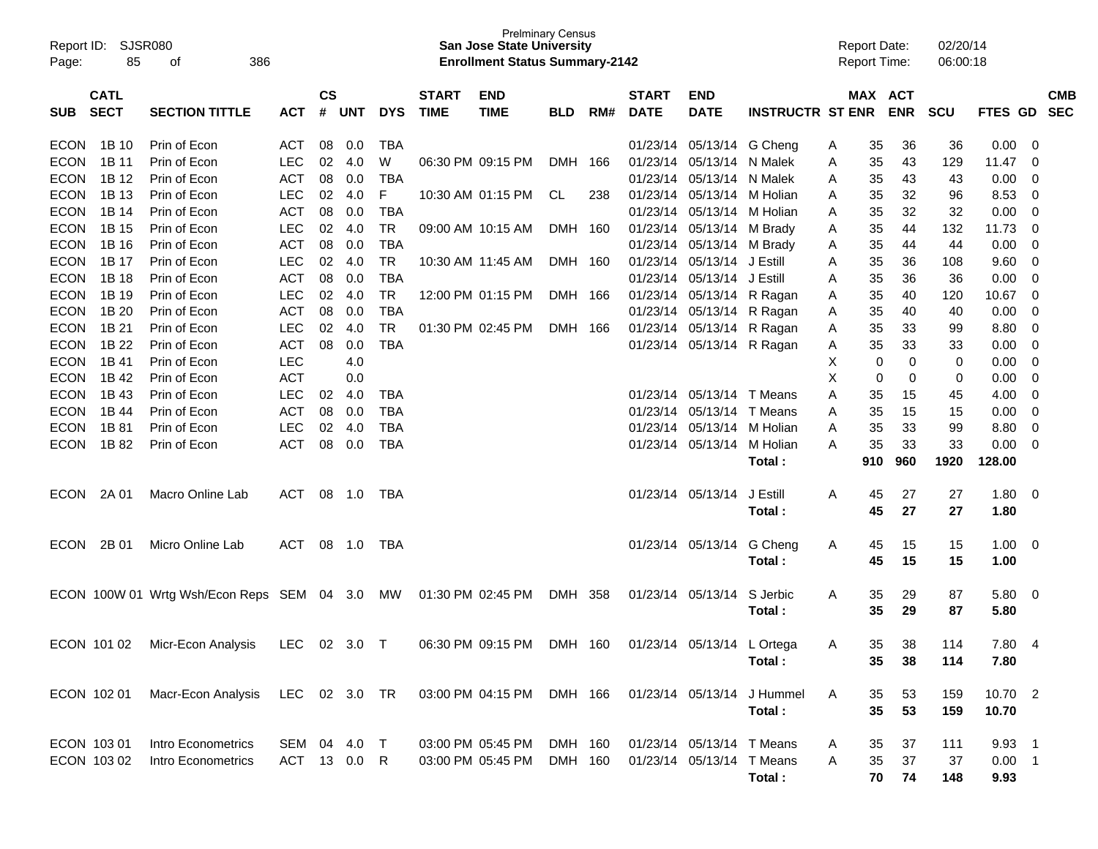| Report ID:<br>Page: | 85          | SJSR080<br>386<br>of                       |              |               |            |            |                   | <b>San Jose State University</b><br><b>Enrollment Status Summary-2142</b> | <b>Prelminary Census</b> |     |                   |                            |                         | <b>Report Date:</b><br><b>Report Time:</b> |     |            | 02/20/14<br>06:00:18 |                |                |            |
|---------------------|-------------|--------------------------------------------|--------------|---------------|------------|------------|-------------------|---------------------------------------------------------------------------|--------------------------|-----|-------------------|----------------------------|-------------------------|--------------------------------------------|-----|------------|----------------------|----------------|----------------|------------|
|                     | <b>CATL</b> |                                            |              | $\mathsf{cs}$ |            |            | <b>START</b>      | <b>END</b>                                                                |                          |     | <b>START</b>      | <b>END</b>                 |                         |                                            |     | MAX ACT    |                      |                |                | <b>CMB</b> |
| <b>SUB</b>          | <b>SECT</b> | <b>SECTION TITTLE</b>                      | <b>ACT</b>   | #             | <b>UNT</b> | <b>DYS</b> | <b>TIME</b>       | <b>TIME</b>                                                               | <b>BLD</b>               | RM# | <b>DATE</b>       | <b>DATE</b>                | <b>INSTRUCTR ST ENR</b> |                                            |     | <b>ENR</b> | <b>SCU</b>           | <b>FTES GD</b> |                | <b>SEC</b> |
| <b>ECON</b>         | 1B 10       | Prin of Econ                               | <b>ACT</b>   | 08            | 0.0        | <b>TBA</b> |                   |                                                                           |                          |     | 01/23/14          | 05/13/14                   | G Cheng                 | A                                          | 35  | 36         | 36                   | 0.00           | 0              |            |
| <b>ECON</b>         | 1B 11       | Prin of Econ                               | <b>LEC</b>   | 02            | 4.0        | W          |                   | 06:30 PM 09:15 PM                                                         | <b>DMH</b>               | 166 | 01/23/14          | 05/13/14                   | N Malek                 | A                                          | 35  | 43         | 129                  | 11.47          | 0              |            |
| <b>ECON</b>         | 1B 12       | Prin of Econ                               | <b>ACT</b>   | 08            | 0.0        | <b>TBA</b> |                   |                                                                           |                          |     | 01/23/14          | 05/13/14                   | N Malek                 | A                                          | 35  | 43         | 43                   | 0.00           | 0              |            |
| <b>ECON</b>         | 1B 13       | Prin of Econ                               | <b>LEC</b>   | 02            | 4.0        | F          |                   | 10:30 AM 01:15 PM                                                         | CL                       | 238 | 01/23/14          | 05/13/14                   | M Holian                | A                                          | 35  | 32         | 96                   | 8.53           | 0              |            |
| <b>ECON</b>         | 1B 14       | Prin of Econ                               | <b>ACT</b>   | 08            | 0.0        | <b>TBA</b> |                   |                                                                           |                          |     | 01/23/14          | 05/13/14                   | M Holian                | A                                          | 35  | 32         | 32                   | 0.00           | 0              |            |
| <b>ECON</b>         | 1B 15       | Prin of Econ                               | <b>LEC</b>   | 02            | 4.0        | <b>TR</b>  |                   | 09:00 AM 10:15 AM                                                         | <b>DMH</b>               | 160 | 01/23/14          | 05/13/14                   | M Brady                 | A                                          | 35  | 44         | 132                  | 11.73          | 0              |            |
| <b>ECON</b>         | 1B 16       | Prin of Econ                               | <b>ACT</b>   | 08            | 0.0        | TBA        |                   |                                                                           |                          |     | 01/23/14          | 05/13/14                   | M Brady                 | A                                          | 35  | 44         | 44                   | 0.00           | 0              |            |
| <b>ECON</b>         | 1B 17       | Prin of Econ                               | <b>LEC</b>   | 02            | 4.0        | <b>TR</b>  |                   | 10:30 AM 11:45 AM                                                         | <b>DMH</b>               | 160 | 01/23/14          | 05/13/14                   | J Estill                | A                                          | 35  | 36         | 108                  | 9.60           | 0              |            |
| <b>ECON</b>         | 1B 18       | Prin of Econ                               | <b>ACT</b>   | 08            | 0.0        | TBA        |                   |                                                                           |                          |     | 01/23/14          | 05/13/14                   | J Estill                | A                                          | 35  | 36         | 36                   | 0.00           | 0              |            |
| <b>ECON</b>         | 1B 19       | Prin of Econ                               | <b>LEC</b>   | 02            | 4.0        | <b>TR</b>  |                   | 12:00 PM 01:15 PM                                                         | <b>DMH</b>               | 166 | 01/23/14          | 05/13/14                   | R Ragan                 | A                                          | 35  | 40         | 120                  | 10.67          | 0              |            |
| <b>ECON</b>         | 1B 20       | Prin of Econ                               | <b>ACT</b>   | 08            | 0.0        | TBA        |                   |                                                                           |                          |     | 01/23/14          | 05/13/14                   | R Ragan                 | A                                          | 35  | 40         | 40                   | 0.00           | 0              |            |
| <b>ECON</b>         | 1B 21       | Prin of Econ                               | LEC          | 02            | 4.0        | <b>TR</b>  |                   | 01:30 PM 02:45 PM                                                         | DMH                      | 166 | 01/23/14          | 05/13/14                   | R Ragan                 | A                                          | 35  | 33         | 99                   | 8.80           | 0              |            |
| <b>ECON</b>         | 1B 22       | Prin of Econ                               | <b>ACT</b>   | 08            | 0.0        | <b>TBA</b> |                   |                                                                           |                          |     | 01/23/14          | 05/13/14 R Ragan           |                         | A                                          | 35  | 33         | 33                   | 0.00           | 0              |            |
| <b>ECON</b>         | 1B 41       | Prin of Econ                               | <b>LEC</b>   |               | 4.0        |            |                   |                                                                           |                          |     |                   |                            |                         | Х                                          | 0   | 0          | 0                    | 0.00           | 0              |            |
| <b>ECON</b>         | 1B 42       | Prin of Econ                               | <b>ACT</b>   |               | 0.0        |            |                   |                                                                           |                          |     |                   |                            |                         | X                                          | 0   | 0          | 0                    | 0.00           | 0              |            |
| <b>ECON</b>         | 1B 43       | Prin of Econ                               | <b>LEC</b>   | 02            | 4.0        | <b>TBA</b> |                   |                                                                           |                          |     | 01/23/14          | 05/13/14                   | T Means                 | Α                                          | 35  | 15         | 45                   | 4.00           | 0              |            |
| <b>ECON</b>         | 1B 44       | Prin of Econ                               | <b>ACT</b>   | 08            | 0.0        | <b>TBA</b> |                   |                                                                           |                          |     | 01/23/14          | 05/13/14                   | T Means                 | A                                          | 35  | 15         | 15                   | 0.00           | 0              |            |
| <b>ECON</b>         | 1B 81       | Prin of Econ                               | <b>LEC</b>   | 02            | 4.0        | <b>TBA</b> |                   |                                                                           |                          |     | 01/23/14          | 05/13/14                   | M Holian                | A                                          | 35  | 33         | 99                   | 8.80           | 0              |            |
| <b>ECON</b>         | 1B 82       | Prin of Econ                               | <b>ACT</b>   | 08            | 0.0        | <b>TBA</b> |                   |                                                                           |                          |     | 01/23/14          | 05/13/14                   | M Holian                | A                                          | 35  | 33         | 33                   | 0.00           | 0              |            |
|                     |             |                                            |              |               |            |            |                   |                                                                           |                          |     |                   |                            | Total:                  |                                            | 910 | 960        | 1920                 | 128.00         |                |            |
| <b>ECON</b>         | 2A 01       | Macro Online Lab                           | <b>ACT</b>   | 08            | 1.0        | <b>TBA</b> |                   |                                                                           |                          |     | 01/23/14          | 05/13/14                   | J Estill                | A                                          | 45  | 27         | 27                   | 1.80           | 0              |            |
|                     |             |                                            |              |               |            |            |                   |                                                                           |                          |     |                   |                            | Total:                  |                                            | 45  | 27         | 27                   | 1.80           |                |            |
|                     |             |                                            |              |               |            |            |                   |                                                                           |                          |     |                   |                            |                         |                                            |     |            |                      |                |                |            |
| <b>ECON</b>         | 2B 01       | Micro Online Lab                           | <b>ACT</b>   | 08            | 1.0        | <b>TBA</b> |                   |                                                                           |                          |     |                   | 01/23/14 05/13/14          | G Cheng                 | A                                          | 45  | 15         | 15                   | 1.00           | - 0            |            |
|                     |             |                                            |              |               |            |            |                   |                                                                           |                          |     |                   |                            | Total:                  |                                            | 45  | 15         | 15                   | 1.00           |                |            |
|                     |             | ECON 100W 01 Wrtg Wsh/Econ Reps SEM 04 3.0 |              |               |            | MW         | 01:30 PM 02:45 PM |                                                                           | DMH 358                  |     | 01/23/14          | 05/13/14                   | S Jerbic                | A                                          | 35  | 29         | 87                   | 5.80           | $\overline{0}$ |            |
|                     |             |                                            |              |               |            |            |                   |                                                                           |                          |     |                   |                            | Total:                  |                                            | 35  | 29         | 87                   | 5.80           |                |            |
|                     |             |                                            |              |               |            |            |                   |                                                                           |                          |     |                   |                            |                         |                                            |     |            |                      |                |                |            |
|                     | ECON 101 02 | Micr-Econ Analysis                         | LEC 02 3.0 T |               |            |            |                   | 06:30 PM 09:15 PM DMH 160                                                 |                          |     |                   | 01/23/14 05/13/14 L Ortega |                         | A                                          | 35. | 38         | 114                  | 7.80 4         |                |            |
|                     |             |                                            |              |               |            |            |                   |                                                                           |                          |     |                   |                            | Total:                  |                                            | 35  | 38         | 114                  | 7.80           |                |            |
|                     |             |                                            |              |               |            |            |                   |                                                                           |                          |     |                   |                            |                         |                                            |     |            |                      |                |                |            |
|                     | ECON 102 01 | Macr-Econ Analysis LEC 02 3.0 TR           |              |               |            |            |                   | 03:00 PM 04:15 PM DMH 166 01/23/14 05/13/14 J Hummel                      |                          |     |                   |                            |                         | A                                          | 35  | 53         | 159                  | 10.70 2        |                |            |
|                     |             |                                            |              |               |            |            |                   |                                                                           |                          |     |                   |                            | Total:                  |                                            | 35  | 53         | 159                  | 10.70          |                |            |
|                     |             |                                            |              |               |            |            |                   |                                                                           |                          |     |                   |                            |                         |                                            |     |            |                      |                |                |            |
| ECON 103 01         |             | Intro Econometrics                         | SEM 04 4.0 T |               |            |            |                   | 03:00 PM 05:45 PM                                                         | DMH 160                  |     |                   | 01/23/14 05/13/14 T Means  |                         | A                                          | 35  | 37         | 111                  | $9.93$ 1       |                |            |
|                     | ECON 103 02 | Intro Econometrics                         | ACT 13 0.0 R |               |            |            |                   | 03:00 PM 05:45 PM                                                         | DMH 160                  |     | 01/23/14 05/13/14 |                            | T Means                 | A                                          | 35  | 37         | 37                   | $0.00$ 1       |                |            |
|                     |             |                                            |              |               |            |            |                   |                                                                           |                          |     |                   |                            | Total:                  |                                            | 70  | 74         | 148                  | 9.93           |                |            |
|                     |             |                                            |              |               |            |            |                   |                                                                           |                          |     |                   |                            |                         |                                            |     |            |                      |                |                |            |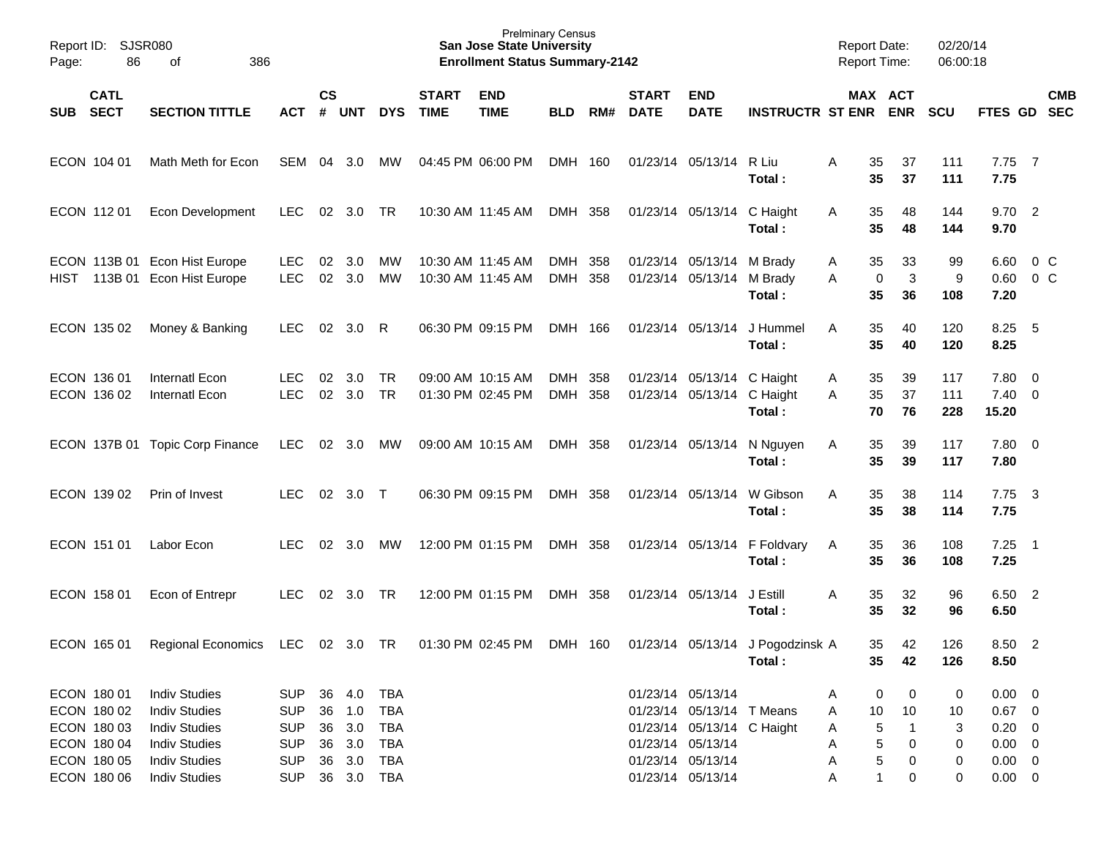| Page:                                                                   | Report ID: SJSR080<br>86<br>386<br>of<br><b>CATL</b>                                                                 |                                                                    |                      |                                    |                                                             |                             | <b>San Jose State University</b><br><b>Enrollment Status Summary-2142</b> | <b>Prelminary Census</b> |            |                             |                                                                                                   |                                            | <b>Report Date:</b><br><b>Report Time:</b> |                                                                      | 02/20/14<br>06:00:18   |                                                                     |                          |            |
|-------------------------------------------------------------------------|----------------------------------------------------------------------------------------------------------------------|--------------------------------------------------------------------|----------------------|------------------------------------|-------------------------------------------------------------|-----------------------------|---------------------------------------------------------------------------|--------------------------|------------|-----------------------------|---------------------------------------------------------------------------------------------------|--------------------------------------------|--------------------------------------------|----------------------------------------------------------------------|------------------------|---------------------------------------------------------------------|--------------------------|------------|
| <b>SECT</b><br>SUB                                                      | <b>SECTION TITTLE</b>                                                                                                | <b>ACT</b>                                                         | <b>CS</b>            | # UNT                              | <b>DYS</b>                                                  | <b>START</b><br><b>TIME</b> | <b>END</b><br><b>TIME</b>                                                 | <b>BLD</b>               | RM#        | <b>START</b><br><b>DATE</b> | <b>END</b><br><b>DATE</b>                                                                         | <b>INSTRUCTR ST ENR</b>                    |                                            | MAX ACT<br><b>ENR</b>                                                | <b>SCU</b>             | FTES GD SEC                                                         |                          | <b>CMB</b> |
| ECON 104 01                                                             | Math Meth for Econ                                                                                                   | SEM 04                                                             |                      | 3.0                                | МW                                                          |                             | 04:45 PM 06:00 PM                                                         | DMH 160                  |            |                             | 01/23/14 05/13/14                                                                                 | R Liu<br>Total:                            | A                                          | 35<br>37<br>35<br>37                                                 | 111<br>111             | $7.75$ 7<br>7.75                                                    |                          |            |
| ECON 11201                                                              | Econ Development                                                                                                     | <b>LEC</b>                                                         |                      | $02 \quad 3.0$                     | TR                                                          |                             | 10:30 AM 11:45 AM                                                         | DMH 358                  |            |                             | 01/23/14 05/13/14 C Haight                                                                        | Total:                                     | A                                          | 35<br>48<br>35<br>48                                                 | 144<br>144             | 9.702<br>9.70                                                       |                          |            |
| <b>HIST</b>                                                             | ECON 113B 01 Econ Hist Europe<br>113B 01 Econ Hist Europe                                                            | <b>LEC</b><br><b>LEC</b>                                           | 02<br>02             | 3.0<br>3.0                         | MW<br>MW                                                    |                             | 10:30 AM 11:45 AM<br>10:30 AM 11:45 AM                                    | DMH 358<br>DMH           | 358        |                             | 01/23/14 05/13/14<br>01/23/14 05/13/14                                                            | M Brady<br>M Brady<br>Total:               | A<br>A                                     | 33<br>35<br>$\mathbf{3}$<br>$\mathbf 0$<br>35<br>36                  | 99<br>9<br>108         | 6.60<br>0.60<br>7.20                                                | $0\,C$<br>0 <sup>o</sup> |            |
| ECON 135 02                                                             | Money & Banking                                                                                                      | <b>LEC</b>                                                         | 02                   | 3.0                                | R                                                           |                             | 06:30 PM 09:15 PM                                                         | DMH 166                  |            |                             | 01/23/14 05/13/14                                                                                 | J Hummel<br>Total:                         | A                                          | 35<br>40<br>35<br>40                                                 | 120<br>120             | $8.25$ 5<br>8.25                                                    |                          |            |
| ECON 136 01<br>ECON 136 02                                              | Internatl Econ<br><b>Internatl Econ</b>                                                                              | <b>LEC</b><br><b>LEC</b>                                           | 02<br>02             | 3.0<br>3.0                         | TR<br>TR                                                    |                             | 09:00 AM 10:15 AM<br>01:30 PM 02:45 PM                                    | DMH<br>DMH               | 358<br>358 |                             | 01/23/14 05/13/14 C Haight<br>01/23/14 05/13/14 C Haight                                          | Total:                                     | A<br>A                                     | 35<br>39<br>35<br>37<br>70<br>76                                     | 117<br>111<br>228      | 7.80 0<br>$7.40 \quad 0$<br>15.20                                   |                          |            |
|                                                                         | ECON 137B 01 Topic Corp Finance                                                                                      | <b>LEC</b>                                                         | 02                   | 3.0                                | МW                                                          |                             | 09:00 AM 10:15 AM                                                         | DMH 358                  |            |                             | 01/23/14 05/13/14                                                                                 | N Nguyen<br>Total:                         | A                                          | 35<br>39<br>35<br>39                                                 | 117<br>117             | 7.80 0<br>7.80                                                      |                          |            |
| ECON 139 02                                                             | Prin of Invest                                                                                                       | LEC.                                                               | 02                   | 3.0 T                              |                                                             |                             | 06:30 PM 09:15 PM                                                         | DMH 358                  |            |                             | 01/23/14 05/13/14                                                                                 | W Gibson<br>Total:                         | A                                          | 35<br>38<br>35<br>38                                                 | 114<br>114             | $7.75 \quad 3$<br>7.75                                              |                          |            |
| ECON 151 01                                                             | Labor Econ                                                                                                           | LEC.                                                               | 02                   | 3.0                                | MW                                                          |                             | 12:00 PM 01:15 PM                                                         | DMH 358                  |            |                             |                                                                                                   | 01/23/14 05/13/14 F Foldvary<br>Total:     | A                                          | 35<br>36<br>35<br>36                                                 | 108<br>108             | $7.25$ 1<br>7.25                                                    |                          |            |
| ECON 158 01                                                             | Econ of Entrepr                                                                                                      | <b>LEC</b>                                                         | 02                   | 3.0                                | TR                                                          |                             | 12:00 PM 01:15 PM                                                         | DMH 358                  |            |                             | 01/23/14 05/13/14                                                                                 | J Estill<br>Total:                         | A                                          | 35<br>32<br>35<br>32                                                 | 96<br>96               | 6.50 2<br>6.50                                                      |                          |            |
| ECON 165 01                                                             | <b>Regional Economics</b>                                                                                            | LEC                                                                |                      | 02 3.0 TR                          |                                                             |                             | 01:30 PM 02:45 PM                                                         | DMH 160                  |            |                             |                                                                                                   | 01/23/14 05/13/14 J Pogodzinsk A<br>Total: |                                            | 42<br>35<br>35<br>42                                                 | 126<br>126             | 8.50 2<br>8.50                                                      |                          |            |
| ECON 180 01<br>ECON 180 02<br>ECON 180 03<br>ECON 180 04<br>ECON 180 05 | <b>Indiv Studies</b><br><b>Indiv Studies</b><br><b>Indiv Studies</b><br><b>Indiv Studies</b><br><b>Indiv Studies</b> | <b>SUP</b><br><b>SUP</b><br><b>SUP</b><br><b>SUP</b><br><b>SUP</b> | 36<br>36<br>36<br>36 | 4.0<br>36 1.0<br>3.0<br>3.0<br>3.0 | TBA<br><b>TBA</b><br><b>TBA</b><br><b>TBA</b><br><b>TBA</b> |                             |                                                                           |                          |            | 01/23/14 05/13/14           | 01/23/14 05/13/14<br>01/23/14 05/13/14 T Means<br>01/23/14 05/13/14 C Haight<br>01/23/14 05/13/14 |                                            | A<br>A<br>A<br>A<br>A                      | 0<br>0<br>10<br>10<br>$\sqrt{5}$<br>$\mathbf{1}$<br>5<br>0<br>5<br>0 | 0<br>10<br>3<br>0<br>0 | $0.00 \t 0$<br>$0.67$ 0<br>$0.20 \ 0$<br>$0.00 \t 0$<br>$0.00 \t 0$ |                          |            |
| ECON 180 06                                                             | <b>Indiv Studies</b>                                                                                                 | <b>SUP</b>                                                         |                      | 36 3.0                             | <b>TBA</b>                                                  |                             |                                                                           |                          |            |                             | 01/23/14 05/13/14                                                                                 |                                            | Α                                          | $\mathbf{1}$<br>0                                                    | 0                      | $0.00 \t 0$                                                         |                          |            |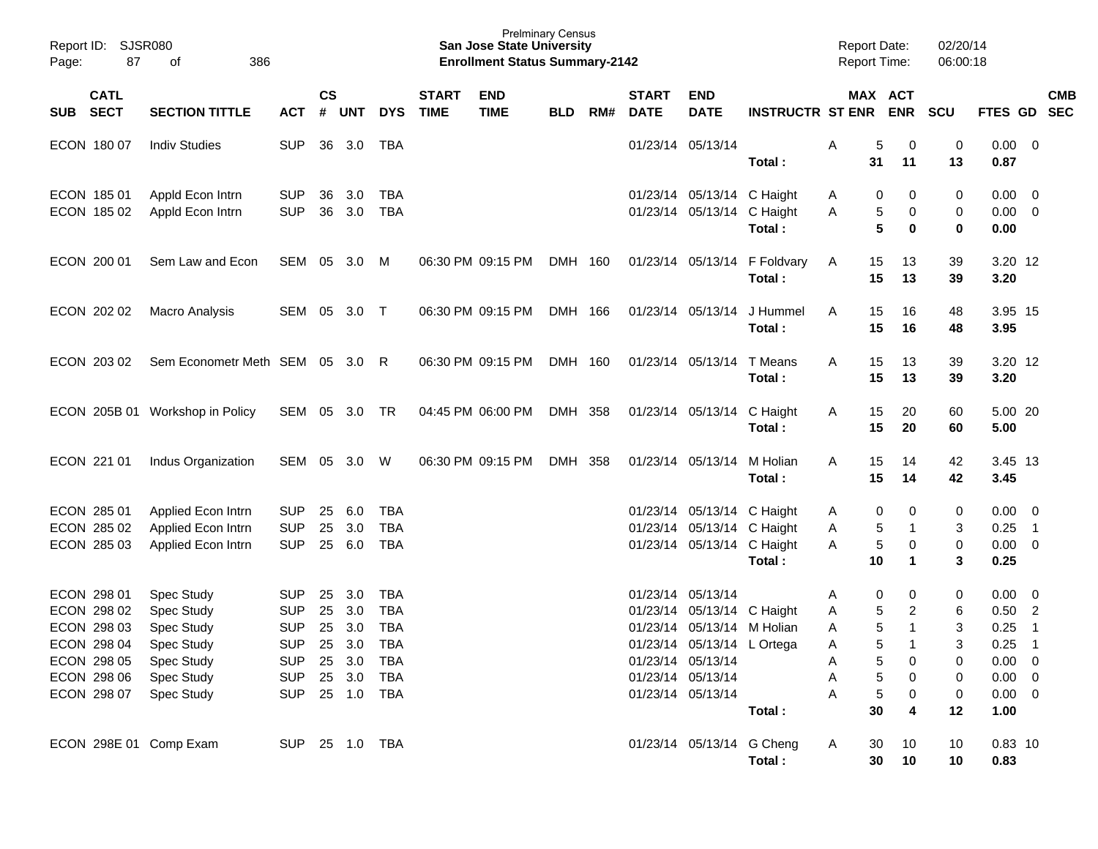| Report ID:<br><b>SJSR080</b><br>87<br>Page:                                                                                                       | 386<br>оf                                                      |                                                                                                                |                    |                      |                                        |                             | <b>Prelminary Census</b><br><b>San Jose State University</b><br><b>Enrollment Status Summary-2142</b> |            |     |                             |                                                                                                                                                       |                                        | <b>Report Date:</b><br><b>Report Time:</b> |                                                                                   | 02/20/14<br>06:00:18            |                                                                                  |                                                                       |                          |
|---------------------------------------------------------------------------------------------------------------------------------------------------|----------------------------------------------------------------|----------------------------------------------------------------------------------------------------------------|--------------------|----------------------|----------------------------------------|-----------------------------|-------------------------------------------------------------------------------------------------------|------------|-----|-----------------------------|-------------------------------------------------------------------------------------------------------------------------------------------------------|----------------------------------------|--------------------------------------------|-----------------------------------------------------------------------------------|---------------------------------|----------------------------------------------------------------------------------|-----------------------------------------------------------------------|--------------------------|
| <b>CATL</b><br><b>SECT</b><br><b>SUB</b>                                                                                                          | <b>SECTION TITTLE</b>                                          | <b>ACT</b>                                                                                                     | $\mathsf{cs}$<br># | <b>UNT</b>           | <b>DYS</b>                             | <b>START</b><br><b>TIME</b> | <b>END</b><br><b>TIME</b>                                                                             | <b>BLD</b> | RM# | <b>START</b><br><b>DATE</b> | <b>END</b><br><b>DATE</b>                                                                                                                             | <b>INSTRUCTR ST ENR</b>                |                                            | MAX ACT<br><b>ENR</b>                                                             | <b>SCU</b>                      | <b>FTES GD</b>                                                                   |                                                                       | <b>CMB</b><br><b>SEC</b> |
| ECON 180 07                                                                                                                                       | <b>Indiv Studies</b>                                           | <b>SUP</b>                                                                                                     | 36                 | 3.0                  | TBA                                    |                             |                                                                                                       |            |     |                             | 01/23/14 05/13/14                                                                                                                                     | Total:                                 | Α<br>31                                    | 5<br>0<br>11                                                                      | 0<br>13                         | 0.00<br>0.87                                                                     | $\overline{\phantom{0}}$                                              |                          |
| ECON 185 01<br>ECON 185 02                                                                                                                        | Appld Econ Intrn<br>Appld Econ Intrn                           | <b>SUP</b><br><b>SUP</b>                                                                                       | 36<br>36           | 3.0<br>3.0           | <b>TBA</b><br><b>TBA</b>               |                             |                                                                                                       |            |     |                             | 01/23/14 05/13/14 C Haight<br>01/23/14 05/13/14 C Haight                                                                                              | Total:                                 | Α<br>A                                     | 0<br>0<br>5<br>0<br>5<br>0                                                        | 0<br>0<br>$\mathbf 0$           | 0.00<br>0.00<br>0.00                                                             | $\overline{\mathbf{0}}$<br>$\overline{\mathbf{0}}$                    |                          |
| ECON 200 01                                                                                                                                       | Sem Law and Econ                                               | SEM                                                                                                            | 05                 | 3.0                  | M                                      |                             | 06:30 PM 09:15 PM                                                                                     | DMH 160    |     |                             |                                                                                                                                                       | 01/23/14 05/13/14 F Foldvary<br>Total: | 15<br>A<br>15                              | 13<br>13                                                                          | 39<br>39                        | 3.20 12<br>3.20                                                                  |                                                                       |                          |
| ECON 202 02                                                                                                                                       | Macro Analysis                                                 | SEM                                                                                                            | 05                 | 3.0                  | $\top$                                 |                             | 06:30 PM 09:15 PM                                                                                     | DMH 166    |     |                             | 01/23/14 05/13/14                                                                                                                                     | J Hummel<br>Total:                     | A<br>15<br>15                              | 16<br>16                                                                          | 48<br>48                        | 3.95 15<br>3.95                                                                  |                                                                       |                          |
| ECON 203 02                                                                                                                                       | Sem Econometr Meth SEM 05 3.0                                  |                                                                                                                |                    |                      | -R                                     |                             | 06:30 PM 09:15 PM                                                                                     | DMH 160    |     |                             | 01/23/14 05/13/14                                                                                                                                     | T Means<br>Total:                      | A<br>15<br>15                              | 13<br>13                                                                          | 39<br>39                        | 3.20 12<br>3.20                                                                  |                                                                       |                          |
|                                                                                                                                                   | ECON 205B 01 Workshop in Policy                                | SEM                                                                                                            |                    | 05 3.0               | TR                                     |                             | 04:45 PM 06:00 PM                                                                                     | DMH 358    |     |                             | 01/23/14 05/13/14 C Haight                                                                                                                            | Total:                                 | 15<br>A<br>15                              | 20<br>20                                                                          | 60<br>60                        | 5.00 20<br>5.00                                                                  |                                                                       |                          |
| ECON 221 01                                                                                                                                       | Indus Organization                                             | SEM                                                                                                            |                    | 05 3.0               | W                                      |                             | 06:30 PM 09:15 PM                                                                                     | DMH 358    |     |                             | 01/23/14 05/13/14                                                                                                                                     | M Holian<br>Total:                     | 15<br>A<br>15                              | 14<br>14                                                                          | 42<br>42                        | 3.45 13<br>3.45                                                                  |                                                                       |                          |
| ECON 285 01<br>ECON 285 02<br>ECON 285 03                                                                                                         | Applied Econ Intrn<br>Applied Econ Intrn<br>Applied Econ Intrn | <b>SUP</b><br><b>SUP</b><br><b>SUP</b>                                                                         | 25<br>25           | 6.0<br>3.0<br>25 6.0 | <b>TBA</b><br><b>TBA</b><br><b>TBA</b> |                             |                                                                                                       |            |     |                             | 01/23/14 05/13/14 C Haight<br>01/23/14 05/13/14 C Haight<br>01/23/14 05/13/14 C Haight                                                                | Total:                                 | Α<br>Α<br>A<br>10                          | 0<br>0<br>5<br>5<br>0<br>1                                                        | 0<br>3<br>0<br>3                | 0.00<br>0.25<br>0.00<br>0.25                                                     | $\overline{\mathbf{0}}$<br>$\overline{1}$<br>$\overline{\mathbf{0}}$  |                          |
| ECON 298 01<br>ECON 298 02<br>ECON 298 03<br>ECON 298 04 Spec Study<br>ECON 298 05 Spec Study<br>ECON 298 06 Spec Study<br>ECON 298 07 Spec Study | Spec Study<br>Spec Study<br>Spec Study                         | <b>SUP</b><br><b>SUP</b><br><b>SUP</b><br>SUP 25 3.0 TBA<br>SUP 25 3.0 TBA<br>SUP 25 3.0 TBA<br>SUP 25 1.0 TBA | 25<br>25<br>25     | 3.0<br>3.0<br>3.0    | <b>TBA</b><br><b>TBA</b><br><b>TBA</b> |                             |                                                                                                       |            |     | 01/23/14 05/13/14           | 01/23/14 05/13/14 C Haight<br>01/23/14 05/13/14 M Holian<br>01/23/14 05/13/14 L Ortega<br>01/23/14 05/13/14<br>01/23/14 05/13/14<br>01/23/14 05/13/14 |                                        | Α<br>A<br>A<br>A<br>A<br>A<br>A<br>30      | 0<br>0<br>5<br>2<br>5<br>-1<br>5<br>0<br>5<br>$\,$ 5 $\,$<br>0<br>$\sqrt{5}$<br>0 | 0<br>6<br>3<br>3<br>0<br>0<br>0 | 0.00<br>0.50<br>0.25<br>$0.25$ 1<br>$0.00 \quad 0$<br>$0.00 \t 0$<br>$0.00 \t 0$ | $\overline{\mathbf{0}}$<br>$\overline{\phantom{a}}$<br>$\overline{1}$ |                          |
| ECON 298E 01 Comp Exam                                                                                                                            |                                                                | SUP 25 1.0 TBA                                                                                                 |                    |                      |                                        |                             |                                                                                                       |            |     |                             | 01/23/14 05/13/14 G Cheng                                                                                                                             | Total :<br>Total:                      | 30<br>A<br>30                              | 4<br>10<br>10                                                                     | 12<br>10<br>10                  | 1.00<br>$0.83$ 10<br>0.83                                                        |                                                                       |                          |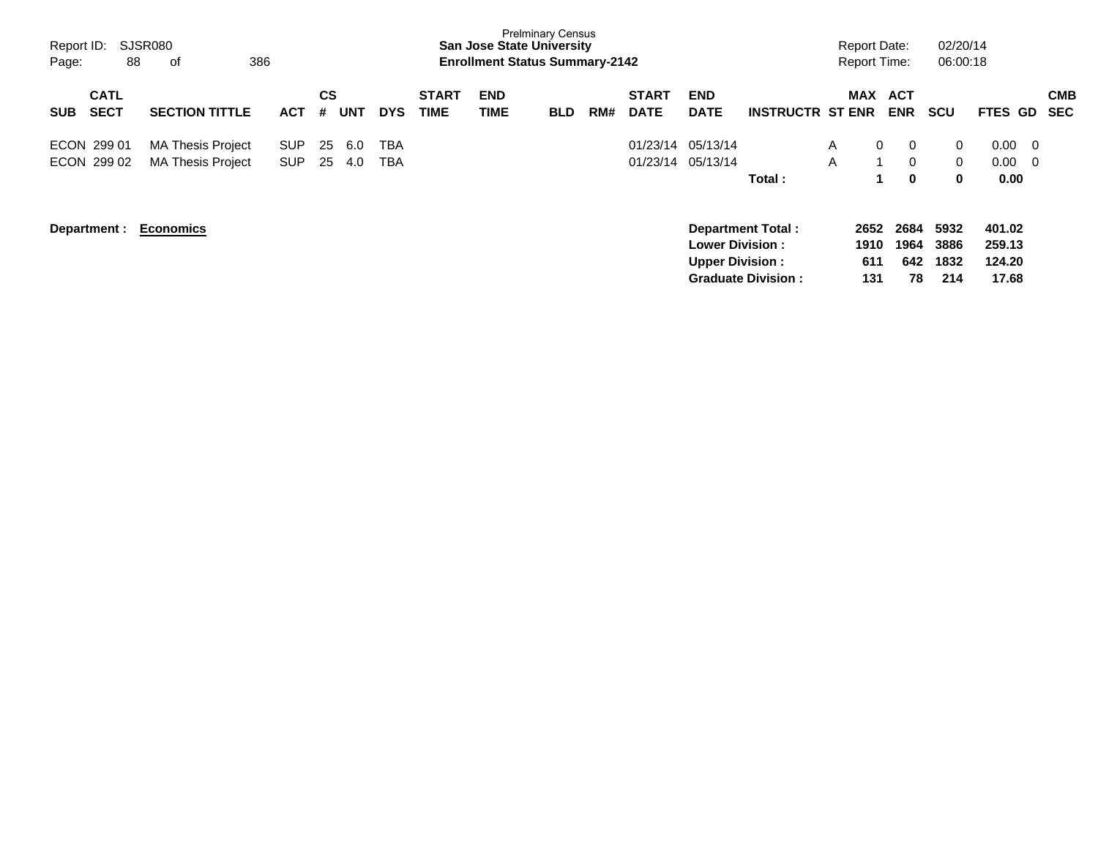| Report ID:<br>Page: | 88                         | SJSR080<br>of                                        | 386                |                |            |            |                             |                    | <b>Prelminary Census</b><br><b>San Jose State University</b><br><b>Enrollment Status Summary-2142</b> |     |                             |                                                  |                                                       |        | <b>Report Date:</b><br><b>Report Time:</b> |                              | 02/20/14<br>06:00:18                      |                                          |                          |
|---------------------|----------------------------|------------------------------------------------------|--------------------|----------------|------------|------------|-----------------------------|--------------------|-------------------------------------------------------------------------------------------------------|-----|-----------------------------|--------------------------------------------------|-------------------------------------------------------|--------|--------------------------------------------|------------------------------|-------------------------------------------|------------------------------------------|--------------------------|
| <b>SUB</b>          | <b>CATL</b><br><b>SECT</b> | <b>SECTION TITTLE</b>                                | <b>ACT</b>         | <b>CS</b><br># | <b>UNT</b> | <b>DYS</b> | <b>START</b><br><b>TIME</b> | <b>END</b><br>TIME | <b>BLD</b>                                                                                            | RM# | <b>START</b><br><b>DATE</b> | <b>END</b><br><b>DATE</b>                        | <b>INSTRUCTR ST ENR</b>                               |        | <b>MAX</b>                                 | <b>ACT</b><br><b>ENR</b>     | <b>SCU</b>                                | <b>FTES GD</b>                           | <b>CMB</b><br><b>SEC</b> |
|                     | ECON 299 01<br>ECON 299 02 | <b>MA Thesis Project</b><br><b>MA Thesis Project</b> | SUP.<br><b>SUP</b> | 25<br>25       | 6.0<br>4.0 | TBA<br>TBA |                             |                    |                                                                                                       |     |                             | 01/23/14 05/13/14<br>01/23/14 05/13/14           | Total :                                               | A<br>A | $\mathbf{0}$                               | $\mathbf 0$<br>$\Omega$<br>0 | $\overline{0}$<br>$\Omega$<br>$\mathbf 0$ | $0.00 \quad 0$<br>$0.00 \quad 0$<br>0.00 |                          |
|                     | Department :               | <b>Economics</b>                                     |                    |                |            |            |                             |                    |                                                                                                       |     |                             | <b>Lower Division:</b><br><b>Upper Division:</b> | <b>Department Total:</b><br><b>Graduate Division:</b> |        | 2652<br>1910<br>611<br>131                 | 2684<br>1964<br>642<br>78    | 5932<br>3886<br>1832<br>214               | 401.02<br>259.13<br>124.20<br>17.68      |                          |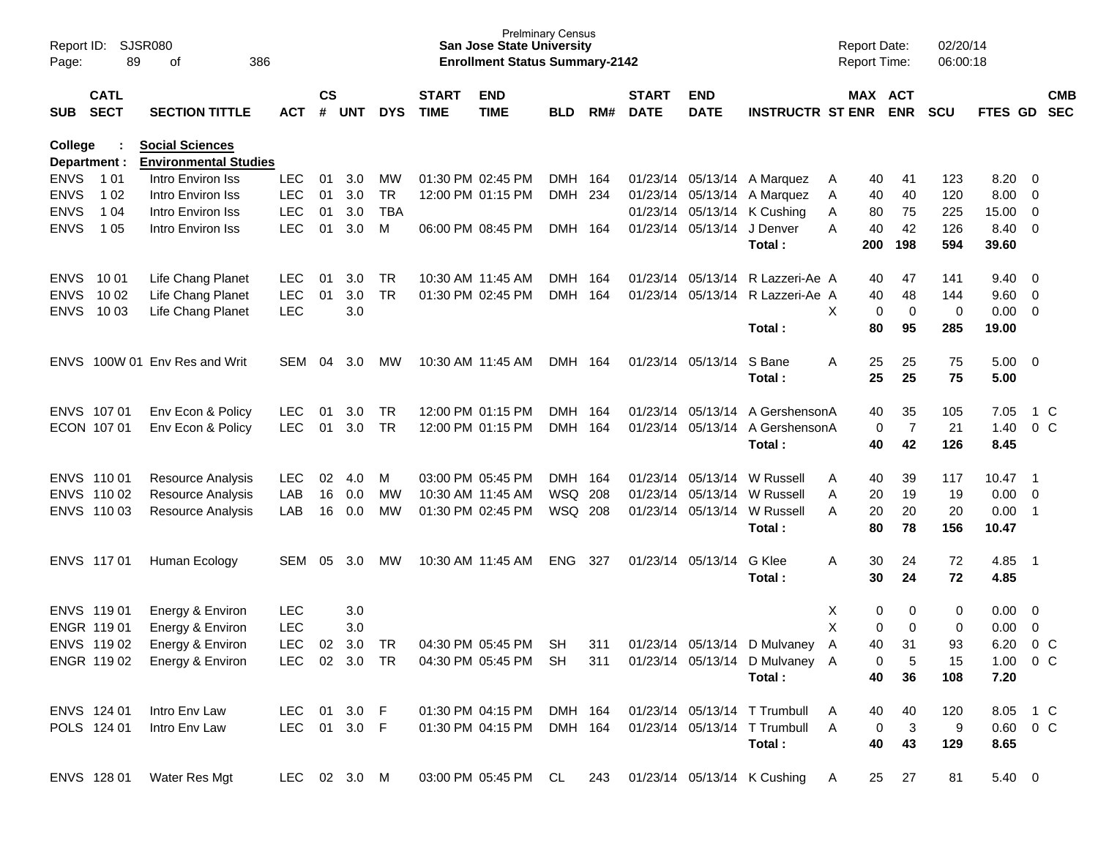| Report ID:<br>Page: | SJSR080<br>89              | 386                                                    |               |                    |            |            | <b>San Jose State University</b><br><b>Enrollment Status Summary-2142</b> | <b>Prelminary Census</b>  |                |       |                             |                            |                                                      | <b>Report Date:</b><br>Report Time: |             | 02/20/14<br>06:00:18 |            |               |                          |                          |
|---------------------|----------------------------|--------------------------------------------------------|---------------|--------------------|------------|------------|---------------------------------------------------------------------------|---------------------------|----------------|-------|-----------------------------|----------------------------|------------------------------------------------------|-------------------------------------|-------------|----------------------|------------|---------------|--------------------------|--------------------------|
| SUB                 | <b>CATL</b><br><b>SECT</b> | <b>SECTION TITTLE</b>                                  | <b>ACT</b>    | $\mathsf{cs}$<br># | <b>UNT</b> | <b>DYS</b> | <b>START</b><br><b>TIME</b>                                               | <b>END</b><br><b>TIME</b> | <b>BLD</b>     | RM#   | <b>START</b><br><b>DATE</b> | <b>END</b><br><b>DATE</b>  | <b>INSTRUCTR ST ENR</b>                              |                                     | MAX ACT     | <b>ENR</b>           | <b>SCU</b> | FTES GD       |                          | <b>CMB</b><br><b>SEC</b> |
| College             | Department :               | <b>Social Sciences</b><br><b>Environmental Studies</b> |               |                    |            |            |                                                                           |                           |                |       |                             |                            |                                                      |                                     |             |                      |            |               |                          |                          |
| <b>ENVS</b>         | 1 0 1                      | Intro Environ Iss                                      | <b>LEC</b>    | 01                 | 3.0        | <b>MW</b>  |                                                                           | 01:30 PM 02:45 PM         | <b>DMH</b>     | - 164 |                             |                            | 01/23/14 05/13/14 A Marquez                          | Α                                   | 40          | 41                   | 123        | 8.20          | - 0                      |                          |
| <b>ENVS</b>         | 1 0 2                      | Intro Environ Iss                                      | <b>LEC</b>    | 01                 | 3.0        | <b>TR</b>  |                                                                           | 12:00 PM 01:15 PM         | <b>DMH</b>     | 234   |                             |                            | 01/23/14 05/13/14 A Marquez                          | A                                   | 40          | 40                   | 120        | 8.00          | $\overline{\mathbf{0}}$  |                          |
| <b>ENVS</b>         | 1 0 4                      | Intro Environ Iss                                      | <b>LEC</b>    | 01                 | 3.0        | <b>TBA</b> |                                                                           |                           |                |       |                             |                            | 01/23/14 05/13/14 K Cushing                          | Α                                   | 80          | 75                   | 225        | 15.00         | 0                        |                          |
| <b>ENVS</b>         | 1 0 5                      | Intro Environ Iss                                      | <b>LEC</b>    | 01                 | 3.0        | M          |                                                                           | 06:00 PM 08:45 PM         | <b>DMH</b>     | 164   |                             | 01/23/14 05/13/14 J Denver |                                                      | A                                   | 40          | 42                   | 126        | 8.40          | $\overline{\mathbf{0}}$  |                          |
|                     |                            |                                                        |               |                    |            |            |                                                                           |                           |                |       |                             |                            | Total:                                               |                                     | 200         | 198                  | 594        | 39.60         |                          |                          |
| <b>ENVS</b>         | 10 01                      | Life Chang Planet                                      | <b>LEC</b>    | 01                 | 3.0        | TR         |                                                                           | 10:30 AM 11:45 AM         | <b>DMH</b>     | -164  |                             | 01/23/14 05/13/14          | R Lazzeri-Ae A                                       |                                     | 40          | 47                   | 141        | 9.40          | $\overline{\mathbf{0}}$  |                          |
| <b>ENVS</b>         | 10 02                      | Life Chang Planet                                      | <b>LEC</b>    | 01                 | 3.0        | <b>TR</b>  |                                                                           | 01:30 PM 02:45 PM         | <b>DMH</b>     | 164   |                             |                            | 01/23/14 05/13/14 R Lazzeri-Ae A                     |                                     | 40          | 48                   | 144        | 9.60          | $\overline{\mathbf{0}}$  |                          |
| <b>ENVS</b>         | 10 03                      | Life Chang Planet                                      | <b>LEC</b>    |                    | 3.0        |            |                                                                           |                           |                |       |                             |                            |                                                      | X                                   | 0           | 0                    | 0          | 0.00          | $\overline{\phantom{0}}$ |                          |
|                     |                            |                                                        |               |                    |            |            |                                                                           |                           |                |       |                             |                            | Total:                                               |                                     | 80          | 95                   | 285        | 19.00         |                          |                          |
| ENVS.               |                            | 100W 01 Env Res and Writ                               | <b>SEM</b>    | 04                 | 3.0        | <b>MW</b>  |                                                                           | 10:30 AM 11:45 AM         | DMH 164        |       |                             | 01/23/14 05/13/14          | S Bane                                               | A                                   | 25          | 25                   | 75         | 5.00          | $\overline{\mathbf{0}}$  |                          |
|                     |                            |                                                        |               |                    |            |            |                                                                           |                           |                |       |                             |                            | Total:                                               |                                     | 25          | 25                   | 75         | 5.00          |                          |                          |
|                     | ENVS 107 01                | Env Econ & Policy                                      | <b>LEC</b>    | 01                 | 3.0        | TR         |                                                                           | 12:00 PM 01:15 PM         | <b>DMH</b>     | 164   |                             | 01/23/14 05/13/14          | A GershensonA                                        |                                     | 40          | 35                   | 105        | 7.05          |                          | 1 C                      |
|                     | ECON 107 01                | Env Econ & Policy                                      | <b>LEC</b>    | 01                 | 3.0        | <b>TR</b>  |                                                                           | 12:00 PM 01:15 PM         | <b>DMH</b>     | 164   |                             |                            | 01/23/14 05/13/14 A GershensonA                      |                                     | 0           | $\overline{7}$       | 21         | 1.40          |                          | 0 <sup>o</sup>           |
|                     |                            |                                                        |               |                    |            |            |                                                                           |                           |                |       |                             |                            | Total:                                               |                                     | 40          | 42                   | 126        | 8.45          |                          |                          |
|                     | ENVS 110 01                | Resource Analysis                                      | LEC.          | 02                 | 4.0        | м          |                                                                           | 03:00 PM 05:45 PM         | <b>DMH</b>     | 164   |                             | 01/23/14 05/13/14          | W Russell                                            | Α                                   | 40          | 39                   | 117        | 10.47         | - 1                      |                          |
|                     | ENVS 110 02                | Resource Analysis                                      | LAB           | 16                 | 0.0        | MW         |                                                                           | 10:30 AM 11:45 AM         | <b>WSQ 208</b> |       |                             | 01/23/14 05/13/14          | W Russell                                            | Α                                   | 20          | 19                   | 19         | 0.00          | $\overline{\mathbf{0}}$  |                          |
|                     | ENVS 110 03                | Resource Analysis                                      | LAB           | 16                 | 0.0        | MW         |                                                                           | 01:30 PM 02:45 PM         | WSQ 208        |       |                             |                            | 01/23/14 05/13/14 W Russell                          | A                                   | 20          | 20                   | 20         | 0.00          | - 1                      |                          |
|                     |                            |                                                        |               |                    |            |            |                                                                           |                           |                |       |                             |                            | Total:                                               |                                     | 80          | 78                   | 156        | 10.47         |                          |                          |
|                     | ENVS 11701                 | Human Ecology                                          | <b>SEM</b>    | 05                 | 3.0        | <b>MW</b>  |                                                                           | 10:30 AM 11:45 AM         | <b>ENG</b>     | 327   |                             | 01/23/14 05/13/14          | G Klee                                               | A                                   | 30          | 24                   | 72         | 4.85          | - 1                      |                          |
|                     |                            |                                                        |               |                    |            |            |                                                                           |                           |                |       |                             |                            | Total:                                               |                                     | 30          | 24                   | 72         | 4.85          |                          |                          |
|                     | ENVS 11901                 | Energy & Environ                                       | <b>LEC</b>    |                    | 3.0        |            |                                                                           |                           |                |       |                             |                            |                                                      | X                                   | 0           | 0                    | 0          | 0.00          | $\overline{\mathbf{0}}$  |                          |
|                     | ENGR 11901                 | Energy & Environ                                       | <b>LEC</b>    |                    | 3.0        |            |                                                                           |                           |                |       |                             |                            |                                                      | X                                   | 0           | $\mathbf 0$          | 0          | 0.00          | 0                        |                          |
|                     | ENVS 119 02                | Energy & Environ                                       | <b>LEC</b>    | 02                 | 3.0        | <b>TR</b>  |                                                                           | 04:30 PM 05:45 PM         | <b>SH</b>      | 311   |                             |                            | 01/23/14 05/13/14 D Mulvaney                         | A                                   | 40          | 31                   | 93         | 6.20          |                          | 0 <sup>o</sup>           |
|                     | ENGR 11902                 | Energy & Environ                                       | LEC 02 3.0 TR |                    |            |            |                                                                           | 04:30 PM 05:45 PM SH      |                | 311   |                             |                            | 01/23/14 05/13/14 D Mulvaney A                       |                                     | 0           | 5                    | 15         | 1.00 0 C      |                          |                          |
|                     |                            |                                                        |               |                    |            |            |                                                                           |                           |                |       |                             |                            | Total:                                               |                                     | 40          | 36                   | 108        | 7.20          |                          |                          |
|                     | ENVS 124 01                | Intro Env Law                                          | LEC 01 3.0 F  |                    |            |            |                                                                           | 01:30 PM 04:15 PM         | DMH 164        |       |                             |                            | 01/23/14 05/13/14 T Trumbull                         | A                                   | 40          | 40                   | 120        | 8.05 1 C      |                          |                          |
|                     | POLS 124 01                | Intro Env Law                                          | LEC 01 3.0 F  |                    |            |            |                                                                           | 01:30 PM 04:15 PM         | DMH 164        |       |                             |                            | 01/23/14 05/13/14 T Trumbull                         | A                                   | $\mathbf 0$ | $\mathbf{3}$         | 9          | $0.60 \t 0 C$ |                          |                          |
|                     |                            |                                                        |               |                    |            |            |                                                                           |                           |                |       |                             |                            | Total:                                               |                                     | 40          | 43                   | 129        | 8.65          |                          |                          |
|                     | ENVS 128 01                | Water Res Mgt                                          | LEC 02 3.0 M  |                    |            |            |                                                                           |                           |                |       |                             |                            | 03:00 PM 05:45 PM CL 243 01/23/14 05/13/14 K Cushing | A                                   | 25          | 27                   | 81         | $5.40\ 0$     |                          |                          |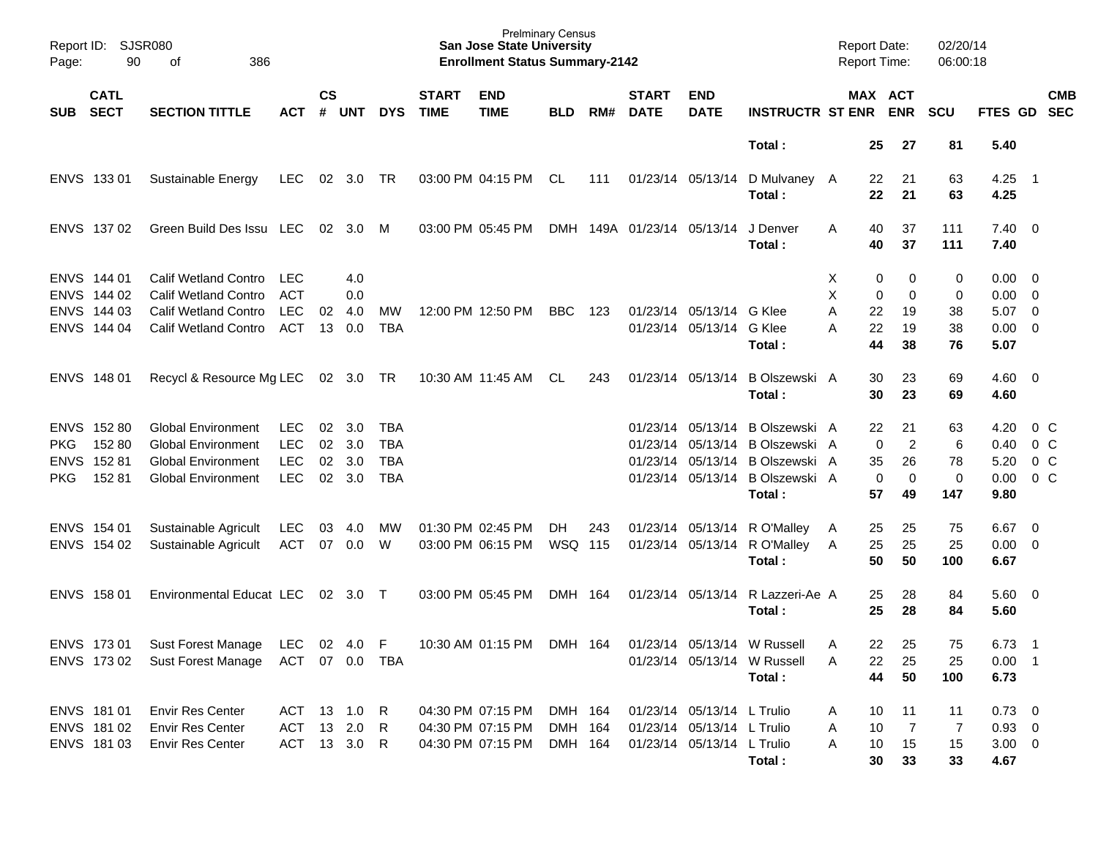| Page: | Report ID: SJSR080<br>90                  | 386<br>οf                                                                                 |                                 |                    |                   |            |                             | <b>Prelminary Census</b><br><b>San Jose State University</b><br><b>Enrollment Status Summary-2142</b> |                |     |                             |                            |                                           | <b>Report Date:</b><br><b>Report Time:</b> |              |                       | 02/20/14<br>06:00:18 |                                           |                          |            |
|-------|-------------------------------------------|-------------------------------------------------------------------------------------------|---------------------------------|--------------------|-------------------|------------|-----------------------------|-------------------------------------------------------------------------------------------------------|----------------|-----|-----------------------------|----------------------------|-------------------------------------------|--------------------------------------------|--------------|-----------------------|----------------------|-------------------------------------------|--------------------------|------------|
| SUB   | <b>CATL</b><br><b>SECT</b>                | <b>SECTION TITTLE</b>                                                                     | <b>ACT</b>                      | $\mathsf{cs}$<br># | <b>UNT</b>        | <b>DYS</b> | <b>START</b><br><b>TIME</b> | <b>END</b><br><b>TIME</b>                                                                             | <b>BLD</b>     | RM# | <b>START</b><br><b>DATE</b> | <b>END</b><br><b>DATE</b>  | <b>INSTRUCTR ST ENR</b>                   |                                            |              | MAX ACT<br><b>ENR</b> | <b>SCU</b>           | FTES GD SEC                               |                          | <b>CMB</b> |
|       |                                           |                                                                                           |                                 |                    |                   |            |                             |                                                                                                       |                |     |                             |                            | Total:                                    |                                            | 25           | 27                    | 81                   | 5.40                                      |                          |            |
|       | ENVS 133 01                               | Sustainable Energy                                                                        | <b>LEC</b>                      |                    | 02 3.0 TR         |            |                             | 03:00 PM 04:15 PM                                                                                     | CL             | 111 |                             | 01/23/14 05/13/14          | D Mulvaney A<br>Total:                    |                                            | 22<br>22     | 21<br>21              | 63<br>63             | 4.25<br>4.25                              | $\overline{\phantom{0}}$ |            |
|       | ENVS 137 02                               | Green Build Des Issu LEC                                                                  |                                 |                    | 02 3.0 M          |            |                             | 03:00 PM 05:45 PM                                                                                     |                |     | DMH 149A 01/23/14 05/13/14  |                            | J Denver<br>Total:                        | A                                          | 40<br>40     | 37<br>37              | 111<br>111           | $7.40 \quad 0$<br>7.40                    |                          |            |
|       | ENVS 144 01<br>ENVS 144 02<br>ENVS 144 03 | <b>Calif Wetland Contro</b><br><b>Calif Wetland Contro</b><br><b>Calif Wetland Contro</b> | LEC<br><b>ACT</b><br><b>LEC</b> | 02                 | 4.0<br>0.0<br>4.0 | MW         |                             | 12:00 PM 12:50 PM                                                                                     | <b>BBC</b>     | 123 |                             | 01/23/14 05/13/14 G Klee   |                                           | X<br>X<br>Α                                | 0<br>0<br>22 | 0<br>0<br>19          | 0<br>0<br>38         | $0.00 \quad 0$<br>$0.00 \t 0$<br>$5.07$ 0 |                          |            |
|       | ENVS 144 04                               | Calif Wetland Contro                                                                      | <b>ACT</b>                      | 13                 | 0.0               | <b>TBA</b> |                             |                                                                                                       |                |     |                             | 01/23/14 05/13/14 G Klee   | Total:                                    | А                                          | 22<br>44     | 19<br>38              | 38<br>76             | $0.00 \ 0$<br>5.07                        |                          |            |
|       | ENVS 148 01                               | Recycl & Resource Mg LEC 02 3.0 TR                                                        |                                 |                    |                   |            |                             | 10:30 AM 11:45 AM                                                                                     | CL             | 243 |                             | 01/23/14 05/13/14          | B Olszewski A<br>Total:                   |                                            | 30<br>30     | 23<br>23              | 69<br>69             | $4.60 \ 0$<br>4.60                        |                          |            |
|       | ENVS 152 80                               | <b>Global Environment</b>                                                                 | LEC.                            | 02                 | 3.0               | TBA        |                             |                                                                                                       |                |     |                             |                            | 01/23/14 05/13/14 B Olszewski A           |                                            | 22           | 21                    | 63                   | 4.20                                      |                          | $0\,$ C    |
| PKG.  | 152 80                                    | <b>Global Environment</b>                                                                 | <b>LEC</b>                      | 02                 | 3.0               | <b>TBA</b> |                             |                                                                                                       |                |     |                             |                            | 01/23/14 05/13/14 B Olszewski A           |                                            | $\mathbf 0$  | 2                     | 6                    | 0.40                                      | 0 <sup>o</sup>           |            |
|       | ENVS 152 81                               | <b>Global Environment</b>                                                                 | <b>LEC</b>                      | 02                 | 3.0               | <b>TBA</b> |                             |                                                                                                       |                |     |                             |                            | 01/23/14 05/13/14 B Olszewski A           |                                            | 35           | 26                    | 78                   | 5.20                                      | 0 <sup>o</sup>           |            |
| PKG   | 15281                                     | <b>Global Environment</b>                                                                 | <b>LEC</b>                      | 02                 | 3.0               | <b>TBA</b> |                             |                                                                                                       |                |     |                             |                            | 01/23/14 05/13/14 B Olszewski A<br>Total: |                                            | 0<br>57      | $\mathbf 0$<br>49     | 0<br>147             | 0.00<br>9.80                              | 0 <sup>o</sup>           |            |
|       | ENVS 154 01                               | Sustainable Agricult                                                                      | <b>LEC</b>                      | 03                 | 4.0               | MW         |                             | 01:30 PM 02:45 PM                                                                                     | DH.            | 243 |                             |                            | 01/23/14 05/13/14 R O'Malley              | A                                          | 25           | 25                    | 75                   | 6.67                                      | $\overline{\phantom{0}}$ |            |
|       | ENVS 154 02                               | Sustainable Agricult                                                                      | ACT                             | 07                 | 0.0               | W          |                             | 03:00 PM 06:15 PM                                                                                     | <b>WSQ 115</b> |     |                             |                            | 01/23/14 05/13/14 R O'Malley<br>Total:    | A                                          | 25<br>50     | 25<br>50              | 25<br>100            | $0.00 \t 0$<br>6.67                       |                          |            |
|       | ENVS 158 01                               | Environmental Educat LEC                                                                  |                                 |                    | 02 3.0 T          |            |                             | 03:00 PM 05:45 PM                                                                                     | DMH 164        |     |                             | 01/23/14 05/13/14          | R Lazzeri-Ae A<br>Total:                  |                                            | 25<br>25     | 28<br>28              | 84<br>84             | $5.60 \quad 0$<br>5.60                    |                          |            |
|       | ENVS 17301                                | Sust Forest Manage                                                                        | <b>LEC</b>                      |                    | 02 4.0 F          |            |                             | 10:30 AM 01:15 PM                                                                                     | DMH 164        |     |                             |                            | 01/23/14 05/13/14 W Russell               | A                                          | 22           | 25                    | 75                   | 6.73                                      | $\overline{\phantom{1}}$ |            |
|       |                                           | ENVS 173 02 Sust Forest Manage ACT 07 0.0 TBA                                             |                                 |                    |                   |            |                             |                                                                                                       |                |     |                             |                            | 01/23/14 05/13/14 W Russell               | Α                                          | 22           | 25                    | 25                   | $0.00$ 1                                  |                          |            |
|       |                                           |                                                                                           |                                 |                    |                   |            |                             |                                                                                                       |                |     |                             |                            | Total:                                    |                                            | 44           | 50                    | 100                  | 6.73                                      |                          |            |
|       | ENVS 181 01                               | <b>Envir Res Center</b>                                                                   | ACT 13 1.0 R                    |                    |                   |            |                             | 04:30 PM 07:15 PM                                                                                     | DMH 164        |     |                             | 01/23/14 05/13/14 L Trulio |                                           | Α                                          | 10           | 11                    | 11                   | $0.73 \ 0$                                |                          |            |
|       | ENVS 181 02                               | <b>Envir Res Center</b>                                                                   | ACT 13 2.0 R                    |                    |                   |            |                             | 04:30 PM 07:15 PM                                                                                     | DMH 164        |     |                             | 01/23/14 05/13/14 L Trulio |                                           | Α                                          | 10           | $\overline{7}$        | 7                    | $0.93 \quad 0$                            |                          |            |
|       | ENVS 181 03                               | <b>Envir Res Center</b>                                                                   | ACT 13 3.0 R                    |                    |                   |            |                             | 04:30 PM 07:15 PM                                                                                     | DMH 164        |     |                             | 01/23/14 05/13/14 L Trulio | Total:                                    | Α                                          | 10<br>30     | 15<br>33              | 15<br>33             | $3.00 \ 0$<br>4.67                        |                          |            |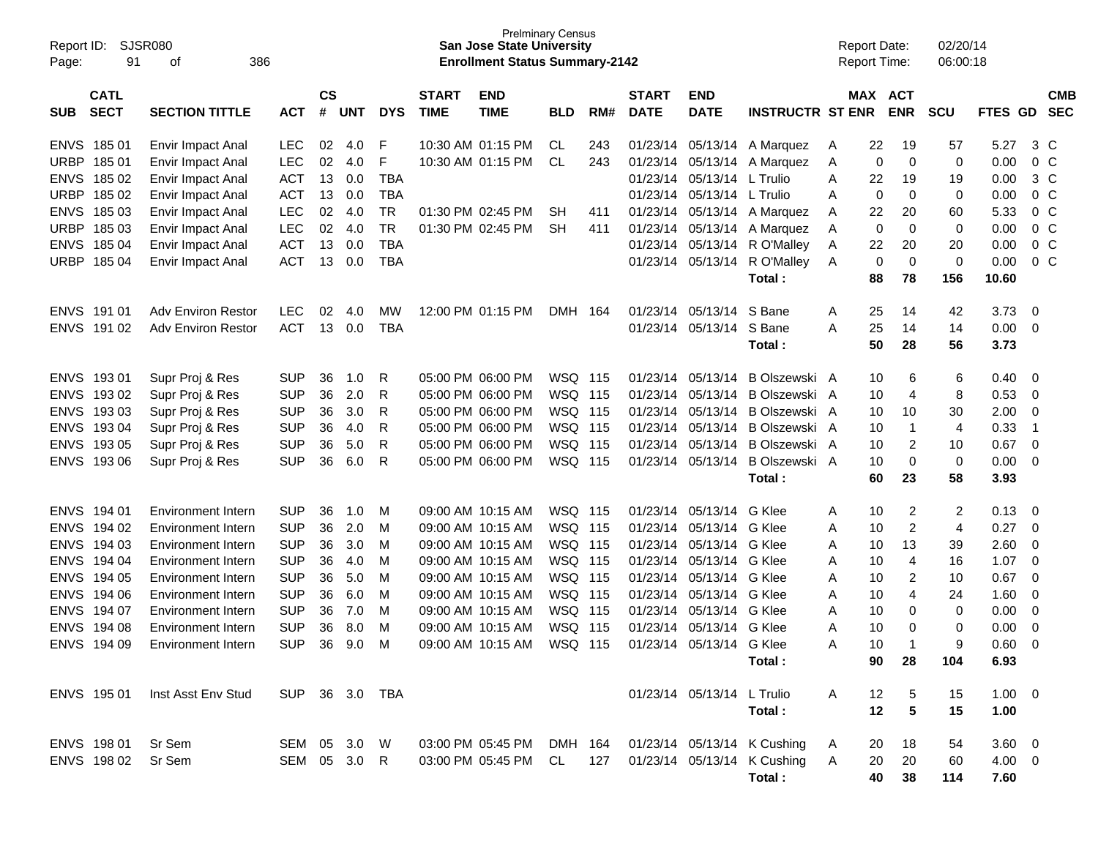| Report ID:<br>Page: | 91                         | SJSR080<br>386<br>оf           |                |                    |            |            |                             | <b>Prelminary Census</b><br><b>San Jose State University</b><br><b>Enrollment Status Summary-2142</b> |            |     |                             |                            |                             |     | <b>Report Date:</b><br><b>Report Time:</b> |                | 02/20/14<br>06:00:18 |                |                          |                          |
|---------------------|----------------------------|--------------------------------|----------------|--------------------|------------|------------|-----------------------------|-------------------------------------------------------------------------------------------------------|------------|-----|-----------------------------|----------------------------|-----------------------------|-----|--------------------------------------------|----------------|----------------------|----------------|--------------------------|--------------------------|
| <b>SUB</b>          | <b>CATL</b><br><b>SECT</b> | <b>SECTION TITTLE</b>          | <b>ACT</b>     | $\mathsf{cs}$<br># | <b>UNT</b> | <b>DYS</b> | <b>START</b><br><b>TIME</b> | <b>END</b><br><b>TIME</b>                                                                             | <b>BLD</b> | RM# | <b>START</b><br><b>DATE</b> | <b>END</b><br><b>DATE</b>  | <b>INSTRUCTR ST ENR</b>     |     | MAX ACT                                    | <b>ENR</b>     | <b>SCU</b>           | <b>FTES GD</b> |                          | <b>CMB</b><br><b>SEC</b> |
| <b>ENVS</b>         | 18501                      | Envir Impact Anal              | LEC            | 02                 | 4.0        | F          |                             | 10:30 AM 01:15 PM                                                                                     | CL         | 243 | 01/23/14                    | 05/13/14                   | A Marquez                   | A   | 22                                         | 19             | 57                   | 5.27           | 3 C                      |                          |
| <b>URBP</b>         | 18501                      | Envir Impact Anal              | LEC            | 02                 | 4.0        | F          |                             | 10:30 AM 01:15 PM                                                                                     | CL         | 243 |                             | 01/23/14 05/13/14          | A Marquez                   | A   | 0                                          | 0              | 0                    | 0.00           | 0 <sup>C</sup>           |                          |
| <b>ENVS</b>         | 185 02                     | Envir Impact Anal              | <b>ACT</b>     | 13                 | 0.0        | <b>TBA</b> |                             |                                                                                                       |            |     | 01/23/14                    | 05/13/14                   | L Trulio                    | A   | 22                                         | 19             | 19                   | 0.00           | 3 C                      |                          |
| <b>URBP</b>         | 185 02                     | Envir Impact Anal              | <b>ACT</b>     | 13                 | 0.0        | <b>TBA</b> |                             |                                                                                                       |            |     | 01/23/14                    | 05/13/14                   | L Trulio                    | A   | 0                                          | 0              | $\mathbf 0$          | 0.00           | 0 <sup>C</sup>           |                          |
| <b>ENVS</b>         | 185 03                     | Envir Impact Anal              | <b>LEC</b>     | 02                 | 4.0        | <b>TR</b>  |                             | 01:30 PM 02:45 PM                                                                                     | <b>SH</b>  | 411 |                             | 01/23/14 05/13/14          | A Marquez                   | A   | 22                                         | 20             | 60                   | 5.33           | 0 <sup>C</sup>           |                          |
| <b>URBP</b>         | 185 03                     | Envir Impact Anal              | LEC            | 02                 | 4.0        | <b>TR</b>  |                             | 01:30 PM 02:45 PM                                                                                     | <b>SH</b>  | 411 |                             | 01/23/14 05/13/14          | A Marquez                   | A   | 0                                          | 0              | 0                    | 0.00           | 0 <sup>C</sup>           |                          |
| <b>ENVS</b>         | 185 04                     | Envir Impact Anal              | <b>ACT</b>     | 13                 | 0.0        | <b>TBA</b> |                             |                                                                                                       |            |     | 01/23/14                    | 05/13/14                   | R O'Malley                  | A   | 22                                         | 20             | 20                   | 0.00           | 0 <sup>C</sup>           |                          |
| <b>URBP</b>         | 185 04                     | Envir Impact Anal              | <b>ACT</b>     | 13                 | 0.0        | <b>TBA</b> |                             |                                                                                                       |            |     | 01/23/14                    | 05/13/14                   | R O'Malley                  | A   | 0                                          | $\mathbf 0$    | 0                    | 0.00           | 0 <sup>C</sup>           |                          |
|                     |                            |                                |                |                    |            |            |                             |                                                                                                       |            |     |                             |                            | Total:                      |     | 88                                         | 78             | 156                  | 10.60          |                          |                          |
| <b>ENVS</b>         | 191 01                     | <b>Adv Environ Restor</b>      | <b>LEC</b>     | 02                 | 4.0        | MW         |                             | 12:00 PM 01:15 PM                                                                                     | DMH 164    |     | 01/23/14                    | 05/13/14                   | S Bane                      | Α   | 25                                         | 14             | 42                   | 3.73           | 0                        |                          |
|                     | ENVS 191 02                | <b>Adv Environ Restor</b>      | <b>ACT</b>     | 13                 | 0.0        | <b>TBA</b> |                             |                                                                                                       |            |     |                             | 01/23/14 05/13/14          | S Bane                      | A   | 25                                         | 14             | 14                   | 0.00           | - 0                      |                          |
|                     |                            |                                |                |                    |            |            |                             |                                                                                                       |            |     |                             |                            | Total:                      |     | 50                                         | 28             | 56                   | 3.73           |                          |                          |
| <b>ENVS</b>         | 19301                      | Supr Proj & Res                | <b>SUP</b>     | 36                 | 1.0        | R          |                             | 05:00 PM 06:00 PM                                                                                     | WSQ 115    |     | 01/23/14                    | 05/13/14                   | B Olszewski A               |     | 10                                         | 6              | 6                    | 0.40           | 0                        |                          |
| <b>ENVS</b>         | 193 02                     | Supr Proj & Res                | <b>SUP</b>     | 36                 | 2.0        | R          |                             | 05:00 PM 06:00 PM                                                                                     | WSQ 115    |     | 01/23/14                    | 05/13/14                   | B Olszewski A               |     | 10                                         | 4              | 8                    | 0.53           | $\overline{0}$           |                          |
| <b>ENVS</b>         | 193 03                     | Supr Proj & Res                | <b>SUP</b>     | 36                 | 3.0        | R          |                             | 05:00 PM 06:00 PM                                                                                     | WSQ 115    |     | 01/23/14                    | 05/13/14                   | B Olszewski A               |     | 10                                         | 10             | 30                   | 2.00           | 0                        |                          |
| <b>ENVS</b>         | 193 04                     | Supr Proj & Res                | <b>SUP</b>     | 36                 | 4.0        | R          |                             | 05:00 PM 06:00 PM                                                                                     | WSQ 115    |     | 01/23/14                    | 05/13/14                   | B Olszewski A               |     | 10                                         | $\mathbf{1}$   | $\overline{4}$       | 0.33           | $\overline{1}$           |                          |
| <b>ENVS</b>         | 193 05                     | Supr Proj & Res                | <b>SUP</b>     | 36                 | 5.0        | R          |                             | 05:00 PM 06:00 PM                                                                                     | WSQ 115    |     | 01/23/14                    | 05/13/14                   | B Olszewski A               |     | 10                                         | $\overline{2}$ | 10                   | 0.67           | 0                        |                          |
| <b>ENVS</b>         | 193 06                     | Supr Proj & Res                | <b>SUP</b>     | 36                 | 6.0        | R          |                             | 05:00 PM 06:00 PM                                                                                     | WSQ 115    |     |                             | 01/23/14 05/13/14          | B Olszewski A               |     | 10                                         | 0              | 0                    | 0.00           | $\overline{0}$           |                          |
|                     |                            |                                |                |                    |            |            |                             |                                                                                                       |            |     |                             |                            | Total:                      |     | 60                                         | 23             | 58                   | 3.93           |                          |                          |
| <b>ENVS</b>         | 194 01                     | <b>Environment Intern</b>      | <b>SUP</b>     | 36                 | 1.0        | M          |                             | 09:00 AM 10:15 AM                                                                                     | WSQ 115    |     | 01/23/14                    | 05/13/14                   | G Klee                      | A   | 10                                         | $\overline{c}$ | 2                    | 0.13           | 0                        |                          |
| <b>ENVS</b>         | 194 02                     | Environment Intern             | <b>SUP</b>     | 36                 | 2.0        | м          |                             | 09:00 AM 10:15 AM                                                                                     | WSQ 115    |     | 01/23/14                    | 05/13/14                   | G Klee                      | A   | 10                                         | 2              | 4                    | 0.27           | 0                        |                          |
| <b>ENVS</b>         | 194 03                     | Environment Intern             | <b>SUP</b>     | 36                 | 3.0        | M          |                             | 09:00 AM 10:15 AM                                                                                     | WSQ 115    |     | 01/23/14                    | 05/13/14                   | G Klee                      | A   | 10                                         | 13             | 39                   | 2.60           | 0                        |                          |
| <b>ENVS</b>         | 194 04                     | Environment Intern             | <b>SUP</b>     | 36                 | 4.0        | M          |                             | 09:00 AM 10:15 AM                                                                                     | WSQ 115    |     | 01/23/14                    | 05/13/14                   | G Klee                      | A   | 10                                         | 4              | 16                   | 1.07           | 0                        |                          |
| <b>ENVS</b>         | 194 05                     | Environment Intern             | <b>SUP</b>     | 36                 | 5.0        | M          |                             | 09:00 AM 10:15 AM                                                                                     | WSQ 115    |     | 01/23/14                    | 05/13/14                   | G Klee                      | A   | 10                                         | 2              | 10                   | 0.67           | 0                        |                          |
| <b>ENVS</b>         | 194 06                     | Environment Intern             | <b>SUP</b>     | 36                 | 6.0        | M          |                             | 09:00 AM 10:15 AM                                                                                     | WSQ 115    |     | 01/23/14                    | 05/13/14                   | G Klee                      | A   | 10                                         | 4              | 24                   | 1.60           | 0                        |                          |
| <b>ENVS</b>         | 194 07                     | Environment Intern             | <b>SUP</b>     | 36                 | 7.0        | M          |                             | 09:00 AM 10:15 AM                                                                                     | WSQ 115    |     | 01/23/14                    | 05/13/14                   | G Klee                      | A   | 10                                         | 0              | 0                    | 0.00           | 0                        |                          |
| <b>ENVS</b>         | 194 08                     | <b>Environment Intern</b>      | <b>SUP</b>     | 36                 | 8.0        | M          |                             | 09:00 AM 10:15 AM                                                                                     | WSQ 115    |     | 01/23/14                    | 05/13/14                   | G Klee                      | Α   | 10                                         | 0              | $\mathbf 0$          | 0.00           | 0                        |                          |
|                     | ENVS 194 09                | Environment Intern             | SUP 36 9.0 M   |                    |            |            |                             | 09:00 AM 10:15 AM                                                                                     | WSQ 115    |     |                             | 01/23/14 05/13/14 G Klee   |                             | A   | $10^{-1}$                                  | 1              | 9                    | 0.60           | $\overline{\phantom{0}}$ |                          |
|                     |                            |                                |                |                    |            |            |                             |                                                                                                       |            |     |                             |                            | Total :                     |     | 90                                         | 28             | 104                  | 6.93           |                          |                          |
|                     |                            | ENVS 195 01 Inst Asst Env Stud | SUP 36 3.0 TBA |                    |            |            |                             |                                                                                                       |            |     |                             | 01/23/14 05/13/14 L Trulio |                             | A   | 12                                         | 5              | 15                   | $1.00 \t 0$    |                          |                          |
|                     |                            |                                |                |                    |            |            |                             |                                                                                                       |            |     |                             |                            | Total:                      |     | 12                                         | 5              | 15                   | 1.00           |                          |                          |
|                     | ENVS 198 01                | Sr Sem                         | SEM 05 3.0 W   |                    |            |            |                             | 03:00 PM 05:45 PM DMH 164 01/23/14 05/13/14 K Cushing                                                 |            |     |                             |                            |                             | A   | 20                                         | 18             | 54                   | $3.60 \quad 0$ |                          |                          |
|                     | ENVS 198 02                | Sr Sem                         | SEM 05 3.0 R   |                    |            |            |                             | 03:00 PM 05:45 PM CL                                                                                  |            | 127 |                             |                            | 01/23/14 05/13/14 K Cushing | - A | 20                                         | 20             | 60                   | 4.00 0         |                          |                          |
|                     |                            |                                |                |                    |            |            |                             |                                                                                                       |            |     |                             |                            | Total:                      |     | 40                                         | 38             | 114                  | 7.60           |                          |                          |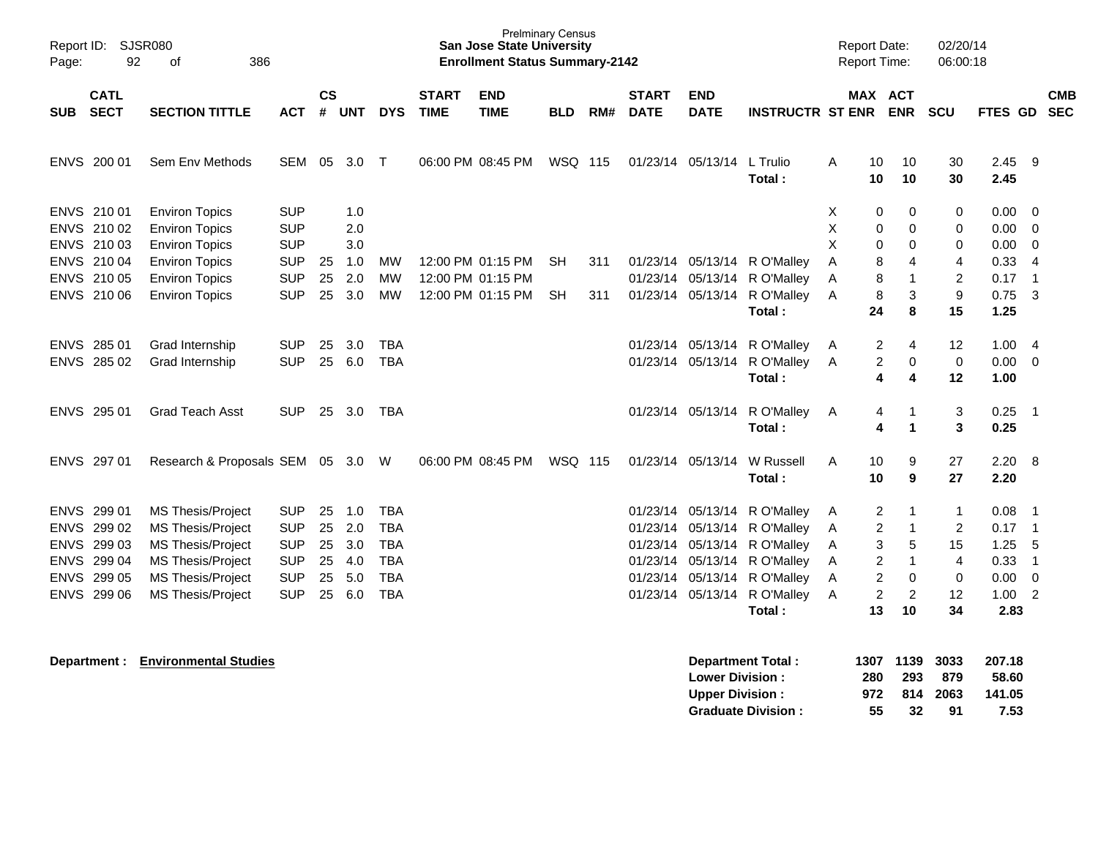| Report ID: SJSR080<br>Page:                              | 92<br>386<br>of                                                                                              |                                                      |                      |                          |                                                      |                             | <b>Prelminary Census</b><br><b>San Jose State University</b><br><b>Enrollment Status Summary-2142</b> |                  |            |                             |                                        |                                                                                                                              | <b>Report Date:</b> |                                            | <b>Report Time:</b>                    | 02/20/14<br>06:00:18                        |                                  |                                                             |                          |
|----------------------------------------------------------|--------------------------------------------------------------------------------------------------------------|------------------------------------------------------|----------------------|--------------------------|------------------------------------------------------|-----------------------------|-------------------------------------------------------------------------------------------------------|------------------|------------|-----------------------------|----------------------------------------|------------------------------------------------------------------------------------------------------------------------------|---------------------|--------------------------------------------|----------------------------------------|---------------------------------------------|----------------------------------|-------------------------------------------------------------|--------------------------|
| <b>CATL</b><br><b>SECT</b><br>SUB                        | <b>SECTION TITTLE</b>                                                                                        | <b>ACT</b>                                           | <b>CS</b><br>#       | <b>UNT</b>               | <b>DYS</b>                                           | <b>START</b><br><b>TIME</b> | <b>END</b><br><b>TIME</b>                                                                             | <b>BLD</b>       | RM#        | <b>START</b><br><b>DATE</b> | <b>END</b><br><b>DATE</b>              | <b>INSTRUCTR ST ENR</b>                                                                                                      |                     |                                            | MAX ACT<br><b>ENR</b>                  | <b>SCU</b>                                  | <b>FTES GD</b>                   |                                                             | <b>CMB</b><br><b>SEC</b> |
| ENVS 200 01                                              | Sem Env Methods                                                                                              | SEM                                                  |                      | 05 3.0 T                 |                                                      |                             | 06:00 PM 08:45 PM                                                                                     | WSQ 115          |            |                             | 01/23/14 05/13/14 L Trulio             | Total:                                                                                                                       | A                   | 10<br>10                                   | 10<br>10                               | 30<br>30                                    | $2.45$ 9<br>2.45                 |                                                             |                          |
| ENVS 210 01<br>ENVS 210 02<br>ENVS 210 03                | <b>Environ Topics</b><br><b>Environ Topics</b><br><b>Environ Topics</b>                                      | <b>SUP</b><br><b>SUP</b><br><b>SUP</b>               |                      | 1.0<br>2.0<br>3.0        |                                                      |                             |                                                                                                       |                  |            |                             |                                        |                                                                                                                              | Χ<br>Χ<br>X         | 0<br>0<br>0                                | 0<br>0<br>0                            | 0<br>0<br>0                                 | 0.00<br>0.00<br>0.00             | $\overline{0}$<br>$\overline{\mathbf{0}}$<br>$\overline{0}$ |                          |
| ENVS 210 04<br>ENVS 210 05<br>ENVS 210 06                | <b>Environ Topics</b><br><b>Environ Topics</b><br><b>Environ Topics</b>                                      | <b>SUP</b><br><b>SUP</b><br><b>SUP</b>               | 25<br>25<br>25       | 1.0<br>2.0<br>3.0        | МW<br><b>MW</b><br><b>MW</b>                         |                             | 12:00 PM 01:15 PM<br>12:00 PM 01:15 PM<br>12:00 PM 01:15 PM                                           | SH.<br><b>SH</b> | 311<br>311 |                             | 01/23/14 05/13/14<br>01/23/14 05/13/14 | 01/23/14 05/13/14 R O'Malley<br>R O'Malley<br>R O'Malley<br>Total:                                                           | A<br>Α<br>A         | 8<br>8<br>8<br>24                          | 4<br>$\mathbf{1}$<br>3<br>8            | $\overline{4}$<br>$\overline{2}$<br>9<br>15 | 0.33<br>0.17<br>$0.75$ 3<br>1.25 | $\overline{4}$<br>$\overline{\phantom{0}}$ 1                |                          |
| ENVS 285 01<br>ENVS 285 02                               | Grad Internship<br>Grad Internship                                                                           | <b>SUP</b><br><b>SUP</b>                             | 25                   | 3.0<br>25 6.0            | <b>TBA</b><br><b>TBA</b>                             |                             |                                                                                                       |                  |            |                             |                                        | 01/23/14 05/13/14 R O'Malley<br>01/23/14 05/13/14 R O'Malley<br>Total:                                                       | Α<br>Α              | $\overline{c}$<br>2<br>4                   | 4<br>0<br>4                            | 12<br>0<br>12                               | 1.004<br>$0.00 \t 0$<br>1.00     |                                                             |                          |
| ENVS 295 01                                              | <b>Grad Teach Asst</b>                                                                                       | <b>SUP</b>                                           |                      | 25 3.0                   | TBA                                                  |                             |                                                                                                       |                  |            |                             |                                        | 01/23/14 05/13/14 R O'Malley<br>Total:                                                                                       | A                   | 4<br>4                                     | -1<br>$\mathbf{1}$                     | 3<br>$\mathbf{3}$                           | 0.25<br>0.25                     | $\overline{\phantom{0}}$ 1                                  |                          |
| ENVS 297 01                                              | Research & Proposals SEM 05 3.0 W                                                                            |                                                      |                      |                          |                                                      |                             | 06:00 PM 08:45 PM                                                                                     | WSQ 115          |            |                             | 01/23/14 05/13/14                      | W Russell<br>Total:                                                                                                          | A                   | 10<br>10                                   | 9<br>9                                 | 27<br>27                                    | $2.20\ 8$<br>2.20                |                                                             |                          |
| ENVS 299 01<br>ENVS 299 02<br>ENVS 299 03<br>ENVS 299 04 | <b>MS Thesis/Project</b><br><b>MS Thesis/Project</b><br><b>MS Thesis/Project</b><br><b>MS Thesis/Project</b> | <b>SUP</b><br><b>SUP</b><br><b>SUP</b><br><b>SUP</b> | 25<br>25<br>25<br>25 | 1.0<br>2.0<br>3.0<br>4.0 | <b>TBA</b><br><b>TBA</b><br><b>TBA</b><br><b>TBA</b> |                             |                                                                                                       |                  |            |                             |                                        | 01/23/14 05/13/14 R O'Malley<br>01/23/14 05/13/14 R O'Malley<br>01/23/14 05/13/14 R O'Malley<br>01/23/14 05/13/14 R O'Malley | A<br>A<br>A<br>A    | 2<br>$\overline{c}$<br>3<br>$\overline{c}$ | $\mathbf 1$<br>-1<br>5<br>$\mathbf{1}$ | $\mathbf{1}$<br>2<br>15<br>$\overline{4}$   | 0.08<br>$0.17$ 1<br>1.25<br>0.33 | - 1<br>-5<br>$\overline{1}$                                 |                          |
| ENVS 299 05<br>ENVS 299 06                               | <b>MS Thesis/Project</b><br><b>MS Thesis/Project</b>                                                         | <b>SUP</b><br><b>SUP</b>                             | 25<br>25             | 5.0<br>6.0               | <b>TBA</b><br><b>TBA</b>                             |                             |                                                                                                       |                  |            |                             |                                        | 01/23/14 05/13/14 R O'Malley<br>01/23/14 05/13/14 R O'Malley<br>Total:                                                       | A<br>Α              | $\overline{c}$<br>$\boldsymbol{2}$<br>13   | $\Omega$<br>$\overline{2}$<br>10       | 0<br>12<br>34                               | 0.00<br>1.00<br>2.83             | $\overline{0}$<br>2                                         |                          |
|                                                          | Department : Environmental Studies                                                                           |                                                      |                      |                          |                                                      |                             |                                                                                                       |                  |            |                             | Lower Division .                       | <b>Department Total:</b>                                                                                                     |                     | 280 L                                      | 1307 1139<br>າດາ                       | 3033<br><b>270</b>                          | 207.18<br><b>58.60</b>           |                                                             |                          |

| <b>Lower Division:</b>    | 280 |     | 293 879 | 58.60               |
|---------------------------|-----|-----|---------|---------------------|
| <b>Upper Division:</b>    |     |     |         | 972 814 2063 141.05 |
| <b>Graduate Division:</b> | 55  | -32 | -91     | 7.53                |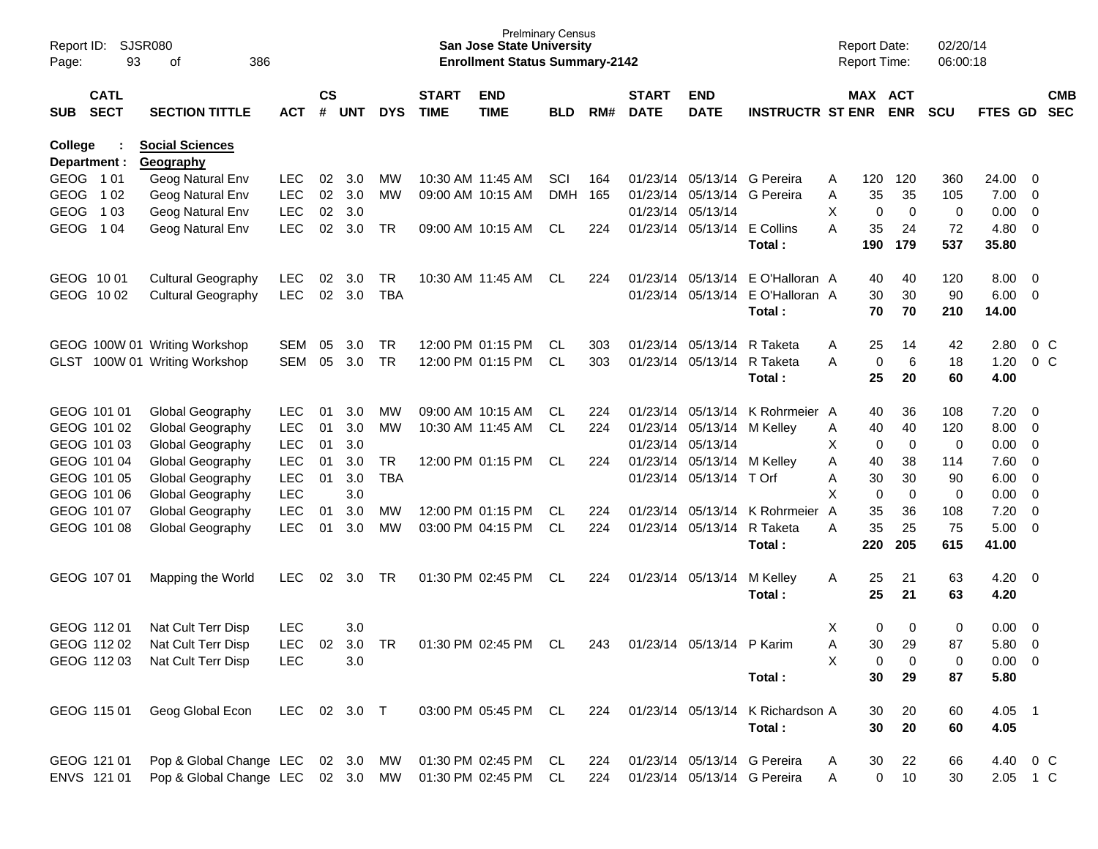| Report ID:<br>Page: | SJSR080<br>93              |                                     |              |                    |            |            | <b>San Jose State University</b><br><b>Enrollment Status Summary-2142</b> | <b>Prelminary Census</b>  |            |     |                             |                           | <b>Report Date:</b><br><b>Report Time:</b> |                | 02/20/14<br>06:00:18  |            |               |                |                          |
|---------------------|----------------------------|-------------------------------------|--------------|--------------------|------------|------------|---------------------------------------------------------------------------|---------------------------|------------|-----|-----------------------------|---------------------------|--------------------------------------------|----------------|-----------------------|------------|---------------|----------------|--------------------------|
| SUB                 | <b>CATL</b><br><b>SECT</b> | <b>SECTION TITTLE</b>               | <b>ACT</b>   | $\mathsf{cs}$<br># | <b>UNT</b> | <b>DYS</b> | <b>START</b><br><b>TIME</b>                                               | <b>END</b><br><b>TIME</b> | <b>BLD</b> | RM# | <b>START</b><br><b>DATE</b> | <b>END</b><br><b>DATE</b> | <b>INSTRUCTR ST ENR</b>                    |                | MAX ACT<br><b>ENR</b> | <b>SCU</b> | FTES GD       |                | <b>CMB</b><br><b>SEC</b> |
| College             | Department :               | <b>Social Sciences</b><br>Geography |              |                    |            |            |                                                                           |                           |            |     |                             |                           |                                            |                |                       |            |               |                |                          |
| GEOG 101            |                            | Geog Natural Env                    | <b>LEC</b>   | 02                 | 3.0        | MW         |                                                                           | 10:30 AM 11:45 AM         | SCI        | 164 | 01/23/14                    |                           | 05/13/14 G Pereira                         | 120<br>A       | 120                   | 360        | 24.00         | $\mathbf{0}$   |                          |
| <b>GEOG</b>         | 1 0 2                      | Geog Natural Env                    | <b>LEC</b>   | 02                 | 3.0        | МW         |                                                                           | 09:00 AM 10:15 AM         | <b>DMH</b> | 165 | 01/23/14                    | 05/13/14                  | G Pereira                                  | 35<br>Α        | 35                    | 105        | 7.00          | 0              |                          |
| <b>GEOG</b>         | 1 0 3                      | Geog Natural Env                    | <b>LEC</b>   | 02                 | 3.0        |            |                                                                           |                           |            |     | 01/23/14                    | 05/13/14                  |                                            | X              | 0<br>0                | 0          | 0.00          | $\mathbf 0$    |                          |
| <b>GEOG</b>         | 1 04                       | Geog Natural Env                    | <b>LEC</b>   | 02                 | 3.0        | <b>TR</b>  |                                                                           | 09:00 AM 10:15 AM         | CL         | 224 |                             | 01/23/14 05/13/14         | E Collins<br>Total:                        | 35<br>А<br>190 | 24<br>179             | 72<br>537  | 4.80<br>35.80 | $\mathbf 0$    |                          |
|                     | GEOG 1001                  | <b>Cultural Geography</b>           | LEC.         | 02                 | 3.0        | <b>TR</b>  |                                                                           | 10:30 AM 11:45 AM         | CL.        | 224 |                             | 01/23/14 05/13/14         | E O'Halloran A                             | 40             | 40                    | 120        | 8.00          | 0              |                          |
|                     | GEOG 1002                  | <b>Cultural Geography</b>           | <b>LEC</b>   | 02                 | 3.0        | <b>TBA</b> |                                                                           |                           |            |     |                             |                           | 01/23/14 05/13/14 E O'Halloran A           | 30             | 30                    | 90         | 6.00          | $\mathbf 0$    |                          |
|                     |                            |                                     |              |                    |            |            |                                                                           |                           |            |     |                             |                           | Total:                                     | 70             | 70                    | 210        | 14.00         |                |                          |
|                     |                            | GEOG 100W 01 Writing Workshop       | <b>SEM</b>   | 05                 | 3.0        | <b>TR</b>  |                                                                           | 12:00 PM 01:15 PM         | CL.        | 303 |                             | 01/23/14 05/13/14         | R Taketa                                   | 25<br>Α        | 14                    | 42         | 2.80          |                | 0 <sup>C</sup>           |
| GLST                |                            | 100W 01 Writing Workshop            | <b>SEM</b>   | 05                 | 3.0        | <b>TR</b>  |                                                                           | 12:00 PM 01:15 PM         | CL         | 303 |                             | 01/23/14 05/13/14         | R Taketa                                   | Α              | 6<br>0                | 18         | 1.20          |                | 0 <sup>o</sup>           |
|                     |                            |                                     |              |                    |            |            |                                                                           |                           |            |     |                             |                           | Total:                                     | 25             | 20                    | 60         | 4.00          |                |                          |
|                     | GEOG 101 01                | Global Geography                    | LEC.         | 01                 | 3.0        | MW         |                                                                           | 09:00 AM 10:15 AM         | CL.        | 224 | 01/23/14                    | 05/13/14                  | K Rohrmeier A                              | 40             | 36                    | 108        | 7.20          | 0              |                          |
|                     | GEOG 101 02                | Global Geography                    | <b>LEC</b>   | 01                 | 3.0        | МW         |                                                                           | 10:30 AM 11:45 AM         | CL         | 224 | 01/23/14                    | 05/13/14                  | M Kelley                                   | 40<br>Α        | 40                    | 120        | 8.00          | $\mathbf 0$    |                          |
|                     | GEOG 101 03                | Global Geography                    | <b>LEC</b>   | 01                 | 3.0        |            |                                                                           |                           |            |     |                             | 01/23/14 05/13/14         |                                            | X              | 0<br>0                | 0          | 0.00          | $\mathbf 0$    |                          |
|                     | GEOG 101 04                | Global Geography                    | <b>LEC</b>   | 01                 | 3.0        | <b>TR</b>  |                                                                           | 12:00 PM 01:15 PM         | CL         | 224 |                             | 01/23/14 05/13/14         | M Kelley                                   | 40<br>Α        | 38                    | 114        | 7.60          | $\mathbf 0$    |                          |
|                     | GEOG 101 05                | Global Geography                    | <b>LEC</b>   | 01                 | 3.0        | <b>TBA</b> |                                                                           |                           |            |     |                             | 01/23/14 05/13/14         | T Orf                                      | 30<br>Α        | 30                    | 90         | 6.00          | $\mathbf 0$    |                          |
|                     | GEOG 101 06                | Global Geography                    | <b>LEC</b>   |                    | 3.0        |            |                                                                           |                           |            |     |                             |                           |                                            | X              | 0<br>0                | 0          | 0.00          | $\mathbf 0$    |                          |
|                     | GEOG 101 07                | Global Geography                    | <b>LEC</b>   | 01                 | 3.0        | MW         |                                                                           | 12:00 PM 01:15 PM         | CL.        | 224 |                             | 01/23/14 05/13/14         | K Rohrmeier                                | 35<br>A        | 36                    | 108        | 7.20          | $\mathbf 0$    |                          |
|                     | GEOG 101 08                | Global Geography                    | <b>LEC</b>   | 01                 | 3.0        | МW         |                                                                           | 03:00 PM 04:15 PM         | CL         | 224 |                             | 01/23/14 05/13/14         | R Taketa<br>Total:                         | 35<br>Α<br>220 | 25<br>205             | 75<br>615  | 5.00<br>41.00 | $\mathbf 0$    |                          |
|                     |                            |                                     |              |                    |            |            |                                                                           |                           |            |     |                             |                           |                                            |                |                       |            |               |                |                          |
|                     | GEOG 107 01                | Mapping the World                   | LEC          | 02                 | 3.0        | TR         |                                                                           | 01:30 PM 02:45 PM         | CL         | 224 |                             | 01/23/14 05/13/14         | M Kelley                                   | Α<br>25        | 21                    | 63         | 4.20          | $\overline{0}$ |                          |
|                     |                            |                                     |              |                    |            |            |                                                                           |                           |            |     |                             |                           | Total:                                     | 25             | 21                    | 63         | 4.20          |                |                          |
|                     | GEOG 112 01                | Nat Cult Terr Disp                  | <b>LEC</b>   |                    | 3.0        |            |                                                                           |                           |            |     |                             |                           |                                            | X              | 0<br>0                | 0          | 0.00          | 0              |                          |
|                     | GEOG 112 02                | Nat Cult Terr Disp                  | <b>LEC</b>   | 02                 | 3.0        | <b>TR</b>  |                                                                           | 01:30 PM 02:45 PM         | CL         | 243 |                             | 01/23/14 05/13/14 P Karim |                                            | Α<br>30        | 29                    | 87         | 5.80          | $\overline{0}$ |                          |
|                     | GEOG 112 03                | Nat Cult Terr Disp                  | <b>LEC</b>   |                    | 3.0        |            |                                                                           |                           |            |     |                             |                           |                                            | X              | 0<br>0                | 0          | $0.00 \t 0$   |                |                          |
|                     |                            |                                     |              |                    |            |            |                                                                           |                           |            |     |                             |                           | Total:                                     | 30             | 29                    | 87         | 5.80          |                |                          |
|                     | GEOG 115 01                | Geog Global Econ                    | LEC 02 3.0 T |                    |            |            |                                                                           | 03:00 PM 05:45 PM         | CL         | 224 |                             |                           | 01/23/14 05/13/14 K Richardson A           | 30             | 20                    | 60         | $4.05$ 1      |                |                          |
|                     |                            |                                     |              |                    |            |            |                                                                           |                           |            |     |                             |                           | Total:                                     | 30             | 20                    | 60         | 4.05          |                |                          |
|                     | GEOG 121 01                | Pop & Global Change LEC             |              |                    | 02 3.0     | MW         |                                                                           | 01:30 PM 02:45 PM         | CL         | 224 |                             |                           | 01/23/14 05/13/14 G Pereira                | 30<br>Α        | 22                    | 66         | 4.40          | $0\,$ C        |                          |
|                     | ENVS 121 01                | Pop & Global Change LEC 02 3.0 MW   |              |                    |            |            |                                                                           | 01:30 PM 02:45 PM         | CL.        | 224 |                             |                           | 01/23/14 05/13/14 G Pereira                | Α              | 0<br>10               | 30         | 2.05 1 C      |                |                          |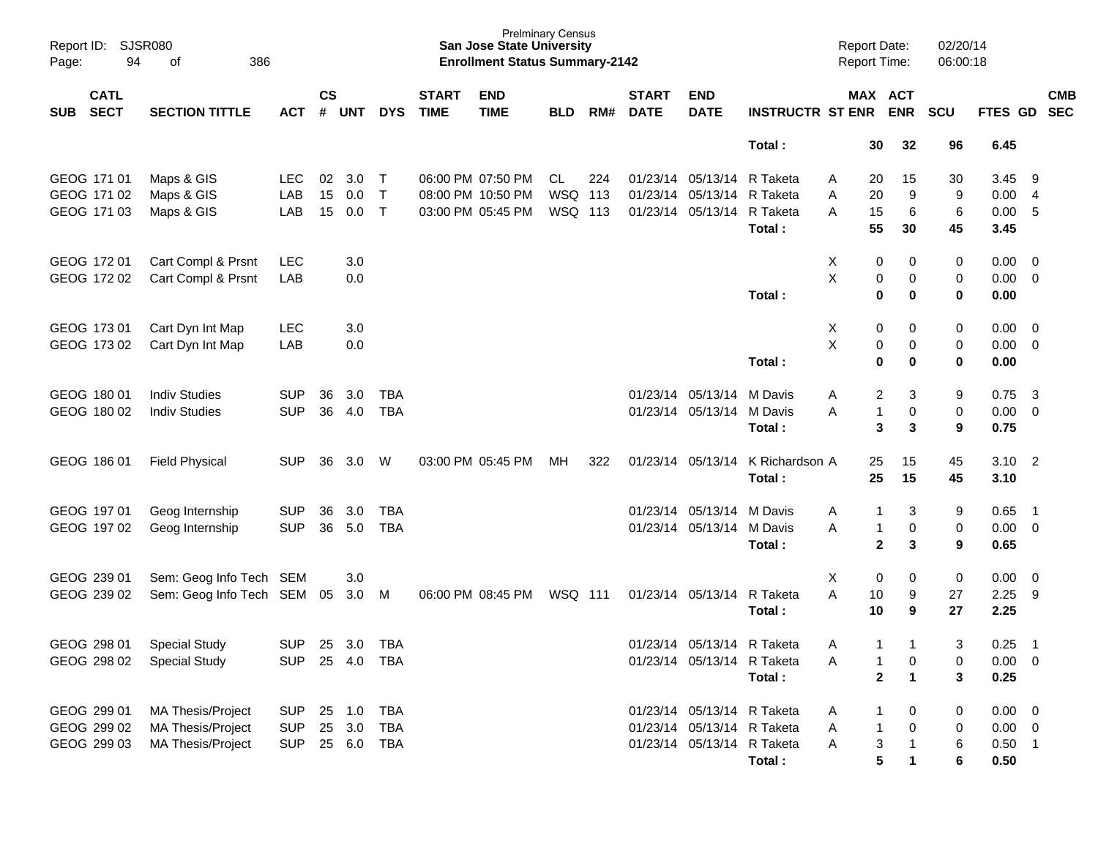| Page:      | SJSR080<br>Report ID:<br>94<br>386<br>of |                           |            |                    |            |              |                             | <b>San Jose State University</b><br><b>Enrollment Status Summary-2142</b> | <b>Prelminary Census</b> |     |                             |                            |                         | <b>Report Date:</b><br><b>Report Time:</b> |              |                       | 02/20/14<br>06:00:18 |             |                          |            |
|------------|------------------------------------------|---------------------------|------------|--------------------|------------|--------------|-----------------------------|---------------------------------------------------------------------------|--------------------------|-----|-----------------------------|----------------------------|-------------------------|--------------------------------------------|--------------|-----------------------|----------------------|-------------|--------------------------|------------|
| <b>SUB</b> | <b>CATL</b><br><b>SECT</b>               | <b>SECTION TITTLE</b>     | <b>ACT</b> | $\mathsf{cs}$<br># | <b>UNT</b> | <b>DYS</b>   | <b>START</b><br><b>TIME</b> | <b>END</b><br><b>TIME</b>                                                 | <b>BLD</b>               | RM# | <b>START</b><br><b>DATE</b> | <b>END</b><br><b>DATE</b>  | <b>INSTRUCTR ST ENR</b> |                                            |              | MAX ACT<br><b>ENR</b> | <b>SCU</b>           | FTES GD SEC |                          | <b>CMB</b> |
|            |                                          |                           |            |                    |            |              |                             |                                                                           |                          |     |                             |                            | Total:                  |                                            | 30           | 32                    | 96                   | 6.45        |                          |            |
|            | GEOG 171 01                              | Maps & GIS                | LEC.       | 02                 | 3.0        | $\top$       |                             | 06:00 PM 07:50 PM                                                         | CL                       | 224 |                             | 01/23/14 05/13/14          | R Taketa                | Α                                          | 20           | 15                    | 30                   | 3.45        | - 9                      |            |
|            | GEOG 171 02                              | Maps & GIS                | LAB        | 15                 | 0.0        | T            |                             | 08:00 PM 10:50 PM                                                         | WSQ 113                  |     |                             | 01/23/14 05/13/14          | R Taketa                | Α                                          | 20           | 9                     | 9                    | 0.00        | -4                       |            |
|            | GEOG 171 03                              | Maps & GIS                | LAB        | 15                 | 0.0        | $\mathsf{T}$ |                             | 03:00 PM 05:45 PM                                                         | WSQ 113                  |     |                             | 01/23/14 05/13/14          | R Taketa                | A                                          | 15           | 6                     | 6                    | 0.00        | 5                        |            |
|            |                                          |                           |            |                    |            |              |                             |                                                                           |                          |     |                             |                            | Total:                  |                                            | 55           | 30                    | 45                   | 3.45        |                          |            |
|            | GEOG 172 01                              | Cart Compl & Prsnt        | <b>LEC</b> |                    | 3.0        |              |                             |                                                                           |                          |     |                             |                            |                         | Х                                          | 0            | 0                     | 0                    | 0.00        | $\overline{\mathbf{0}}$  |            |
|            | GEOG 172 02                              | Cart Compl & Prsnt        | LAB        |                    | 0.0        |              |                             |                                                                           |                          |     |                             |                            |                         | $\sf X$                                    | 0            | 0                     | 0                    | 0.00        | $\overline{\mathbf{0}}$  |            |
|            |                                          |                           |            |                    |            |              |                             |                                                                           |                          |     |                             |                            | Total:                  |                                            | 0            | 0                     | 0                    | 0.00        |                          |            |
|            | GEOG 173 01                              | Cart Dyn Int Map          | <b>LEC</b> |                    | 3.0        |              |                             |                                                                           |                          |     |                             |                            |                         | Х                                          | 0            | 0                     | 0                    | 0.00        | $\overline{\phantom{0}}$ |            |
|            | GEOG 173 02                              | Cart Dyn Int Map          | LAB        |                    | 0.0        |              |                             |                                                                           |                          |     |                             |                            |                         | $\sf X$                                    | $\pmb{0}$    | 0                     | 0                    | 0.00        | $\overline{\mathbf{0}}$  |            |
|            |                                          |                           |            |                    |            |              |                             |                                                                           |                          |     |                             |                            | Total:                  |                                            | 0            | 0                     | 0                    | 0.00        |                          |            |
|            | GEOG 180 01                              | <b>Indiv Studies</b>      | <b>SUP</b> | 36                 | 3.0        | TBA          |                             |                                                                           |                          |     |                             | 01/23/14 05/13/14          | M Davis                 | Α                                          | 2            | 3                     | 9                    | 0.75        | - 3                      |            |
|            | GEOG 180 02                              | <b>Indiv Studies</b>      | <b>SUP</b> | 36                 | 4.0        | <b>TBA</b>   |                             |                                                                           |                          |     |                             | 01/23/14 05/13/14 M Davis  |                         | Α                                          | 1            | 0                     | 0                    | 0.00        | $\overline{\mathbf{0}}$  |            |
|            |                                          |                           |            |                    |            |              |                             |                                                                           |                          |     |                             |                            | Total:                  |                                            | 3            | 3                     | 9                    | 0.75        |                          |            |
|            | GEOG 186 01                              | <b>Field Physical</b>     | <b>SUP</b> | 36                 | 3.0        | W            |                             | 03:00 PM 05:45 PM                                                         | MH.                      | 322 |                             | 01/23/14 05/13/14          | K Richardson A          |                                            | 25           | 15                    | 45                   | 3.10        | $\overline{\phantom{0}}$ |            |
|            |                                          |                           |            |                    |            |              |                             |                                                                           |                          |     |                             |                            | Total:                  |                                            | 25           | 15                    | 45                   | 3.10        |                          |            |
|            | GEOG 197 01                              | Geog Internship           | <b>SUP</b> | 36                 | 3.0        | <b>TBA</b>   |                             |                                                                           |                          |     |                             | 01/23/14 05/13/14 M Davis  |                         | A                                          |              | 3                     | 9                    | 0.65        | $\overline{\phantom{1}}$ |            |
|            | GEOG 197 02                              | Geog Internship           | <b>SUP</b> | 36                 | 5.0        | <b>TBA</b>   |                             |                                                                           |                          |     |                             | 01/23/14 05/13/14 M Davis  |                         | A                                          | $\mathbf{1}$ | 0                     | 0                    | 0.00        | $\overline{\phantom{0}}$ |            |
|            |                                          |                           |            |                    |            |              |                             |                                                                           |                          |     |                             |                            | Total:                  |                                            | $\mathbf{2}$ | 3                     | 9                    | 0.65        |                          |            |
|            | GEOG 239 01                              | Sem: Geog Info Tech SEM   |            |                    | 3.0        |              |                             |                                                                           |                          |     |                             |                            |                         | X                                          | 0            | 0                     | 0                    | 0.00        | $\overline{\phantom{0}}$ |            |
|            | GEOG 239 02                              | Sem: Geog Info Tech SEM   |            | 05                 | 3.0        | M            |                             | 06:00 PM 08:45 PM                                                         | <b>WSQ 111</b>           |     |                             | 01/23/14 05/13/14          | R Taketa                | A                                          | 10           | 9                     | 27                   | 2.25        | - 9                      |            |
|            |                                          |                           |            |                    |            |              |                             |                                                                           |                          |     |                             |                            | Total:                  |                                            | 10           | 9                     | 27                   | 2.25        |                          |            |
|            | GEOG 298 01                              | <b>Special Study</b>      | <b>SUP</b> | 25                 | 3.0        | TBA          |                             |                                                                           |                          |     |                             | 01/23/14 05/13/14 R Taketa |                         | Α                                          | $\mathbf{1}$ | 1                     | 3                    | 0.25        | - 1                      |            |
|            |                                          | GEOG 298 02 Special Study | <b>SUP</b> |                    | 25 4.0     | TBA          |                             |                                                                           |                          |     |                             | 01/23/14 05/13/14 R Taketa |                         | Α                                          | 1            | 0                     | 0                    | $0.00 \t 0$ |                          |            |
|            |                                          |                           |            |                    |            |              |                             |                                                                           |                          |     |                             |                            | Total:                  |                                            | $\mathbf{2}$ | $\mathbf{1}$          | 3                    | 0.25        |                          |            |
|            | GEOG 299 01                              | MA Thesis/Project         | <b>SUP</b> |                    | 25 1.0     | <b>TBA</b>   |                             |                                                                           |                          |     |                             | 01/23/14 05/13/14 R Taketa |                         | A                                          |              | 0                     | 0                    | $0.00 \t 0$ |                          |            |
|            | GEOG 299 02                              | MA Thesis/Project         | <b>SUP</b> |                    | 25 3.0     | <b>TBA</b>   |                             |                                                                           |                          |     |                             | 01/23/14 05/13/14 R Taketa |                         | Α                                          | $\mathbf{1}$ | $\pmb{0}$             | 0                    | $0.00 \t 0$ |                          |            |
|            | GEOG 299 03                              | MA Thesis/Project         | <b>SUP</b> |                    | 25 6.0     | TBA          |                             |                                                                           |                          |     |                             | 01/23/14 05/13/14 R Taketa |                         | Α                                          | 3            | $\mathbf{1}$          | 6                    | $0.50$ 1    |                          |            |
|            |                                          |                           |            |                    |            |              |                             |                                                                           |                          |     |                             |                            | Total:                  |                                            | 5            | $\mathbf 1$           | 6                    | 0.50        |                          |            |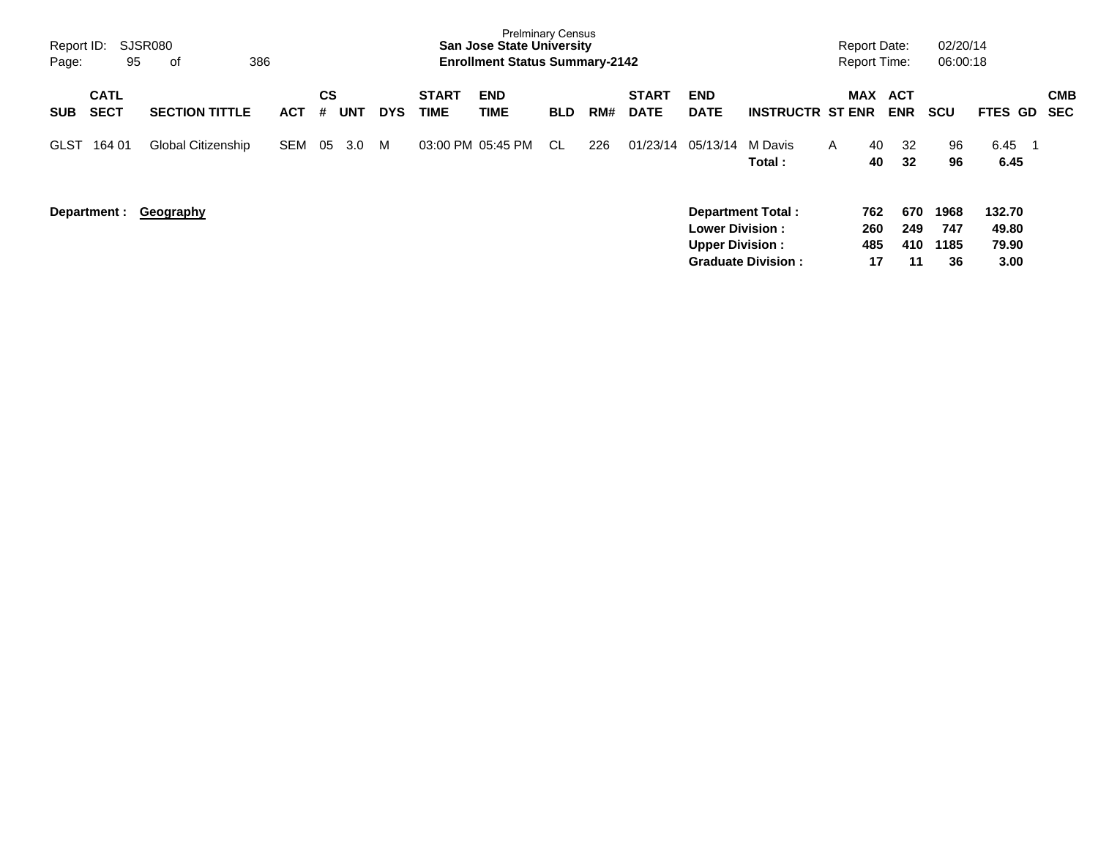| Report ID:<br>Page:                      | SJSR080<br>386<br>95<br>оf |            |                |     |            |                             | <b>Prelminary Census</b><br><b>San Jose State University</b><br><b>Enrollment Status Summary-2142</b> |            |     |                             |                                                  |                                                       |              | <b>Report Date:</b><br><b>Report Time:</b> |                         | 02/20/14<br>06:00:18      |                                  |                   |
|------------------------------------------|----------------------------|------------|----------------|-----|------------|-----------------------------|-------------------------------------------------------------------------------------------------------|------------|-----|-----------------------------|--------------------------------------------------|-------------------------------------------------------|--------------|--------------------------------------------|-------------------------|---------------------------|----------------------------------|-------------------|
| <b>CATL</b><br><b>SECT</b><br><b>SUB</b> | <b>SECTION TITTLE</b>      | <b>ACT</b> | <b>CS</b><br># | UNT | <b>DYS</b> | <b>START</b><br><b>TIME</b> | <b>END</b><br><b>TIME</b>                                                                             | <b>BLD</b> | RM# | <b>START</b><br><b>DATE</b> | <b>END</b><br><b>DATE</b>                        | <b>INSTRUCTR ST ENR</b>                               |              | <b>MAX</b>                                 | ACT<br><b>ENR</b>       | <b>SCU</b>                | <b>FTES GD</b>                   | <b>CMB</b><br>SEC |
| 164 01<br><b>GLST</b>                    | Global Citizenship         | SEM        | 05             | 3.0 | M          |                             | 03:00 PM 05:45 PM                                                                                     | CL.        | 226 | 01/23/14                    | 05/13/14                                         | M Davis<br>Total:                                     | $\mathsf{A}$ | 40<br>40                                   | 32<br>32                | 96<br>96                  | 6.45<br>6.45                     |                   |
| Department :                             | <b>Geography</b>           |            |                |     |            |                             |                                                                                                       |            |     |                             | <b>Lower Division:</b><br><b>Upper Division:</b> | <b>Department Total:</b><br><b>Graduate Division:</b> |              | 762<br>260<br>485<br>17                    | 670<br>249<br>410<br>11 | 1968<br>747<br>1185<br>36 | 132.70<br>49.80<br>79.90<br>3.00 |                   |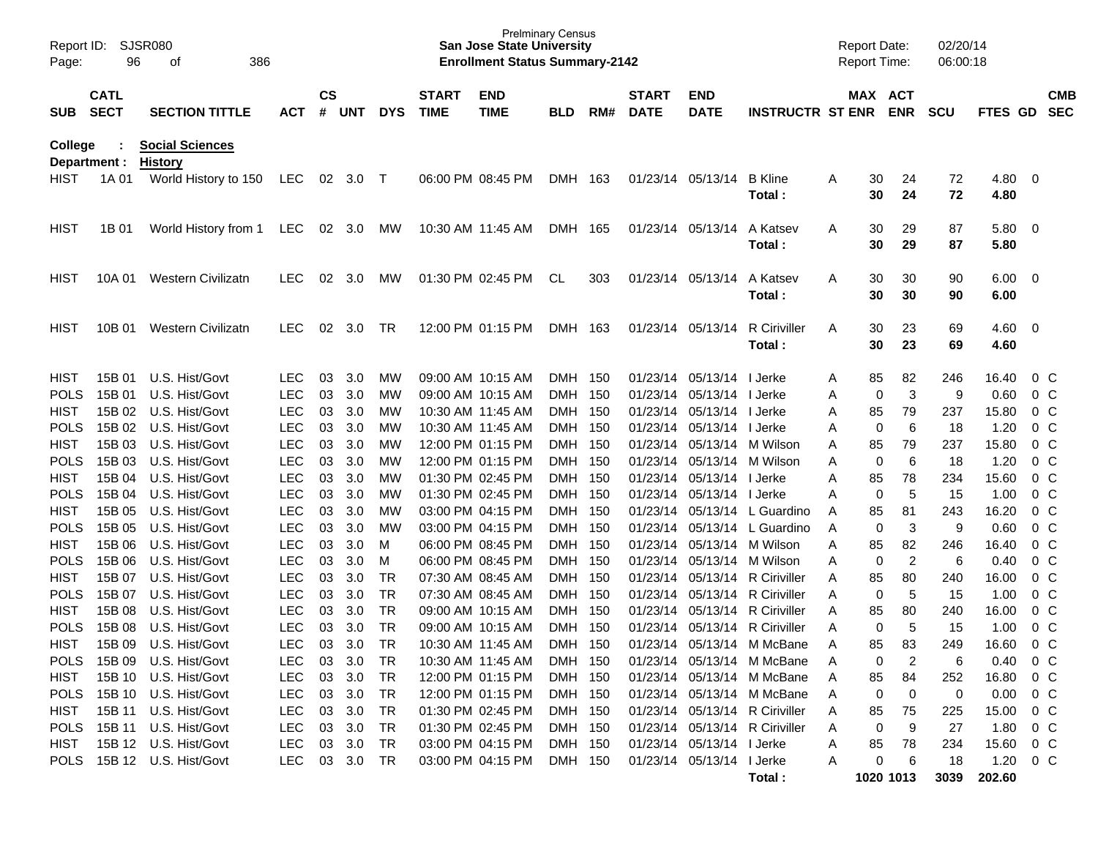| Report ID:<br>Page: | 96                         | <b>SJSR080</b><br>386<br>οf                         |            |                    |                  |            |                             | <b>Prelminary Census</b><br><b>San Jose State University</b><br><b>Enrollment Status Summary-2142</b> |            |       |                             |                           |                                |   | <b>Report Date:</b><br><b>Report Time:</b> |                | 02/20/14<br>06:00:18 |                         |                         |                          |
|---------------------|----------------------------|-----------------------------------------------------|------------|--------------------|------------------|------------|-----------------------------|-------------------------------------------------------------------------------------------------------|------------|-------|-----------------------------|---------------------------|--------------------------------|---|--------------------------------------------|----------------|----------------------|-------------------------|-------------------------|--------------------------|
| <b>SUB</b>          | <b>CATL</b><br><b>SECT</b> | <b>SECTION TITTLE</b>                               | <b>ACT</b> | $\mathsf{cs}$<br># | UNT              | <b>DYS</b> | <b>START</b><br><b>TIME</b> | <b>END</b><br><b>TIME</b>                                                                             | <b>BLD</b> | RM#   | <b>START</b><br><b>DATE</b> | <b>END</b><br><b>DATE</b> | <b>INSTRUCTR ST ENR</b>        |   | MAX ACT                                    | <b>ENR</b>     | <b>SCU</b>           | FTES GD                 |                         | <b>CMB</b><br><b>SEC</b> |
| College             | Department :               | <b>Social Sciences</b><br><b>History</b>            |            |                    |                  |            |                             |                                                                                                       |            |       |                             |                           |                                |   |                                            |                |                      |                         |                         |                          |
| HIST                | 1A 01                      | World History to 150                                | LEC.       |                    | 02 3.0 T         |            |                             | 06:00 PM 08:45 PM                                                                                     | DMH 163    |       |                             | 01/23/14 05/13/14         | <b>B</b> Kline<br>Total:       | A | 30<br>30                                   | 24<br>24       | 72<br>72             | 4.80<br>4.80            | $\overline{\mathbf{0}}$ |                          |
| HIST                | 1B 01                      | World History from 1                                | LEC.       | 02                 | 3.0              | МW         |                             | 10:30 AM 11:45 AM                                                                                     | DMH 165    |       |                             | 01/23/14 05/13/14         | A Katsev<br>Total:             | A | 30<br>30                                   | 29<br>29       | 87<br>87             | 5.80<br>5.80            | $\overline{\mathbf{0}}$ |                          |
| HIST                | 10A 01                     | Western Civilizatn                                  | <b>LEC</b> | 02                 | 3.0              | МW         |                             | 01:30 PM 02:45 PM                                                                                     | CL         | 303   |                             | 01/23/14 05/13/14         | A Katsev<br>Total:             | A | 30<br>30                                   | 30<br>30       | 90<br>90             | 6.00<br>6.00            | $\overline{\mathbf{0}}$ |                          |
| HIST                | 10B 01                     | Western Civilizatn                                  | <b>LEC</b> | 02                 | 3.0              | TR.        |                             | 12:00 PM 01:15 PM                                                                                     | DMH 163    |       |                             | 01/23/14 05/13/14         | <b>R</b> Ciriviller<br>Total:  | A | 30<br>30                                   | 23<br>23       | 69<br>69             | 4.60<br>4.60            | $\overline{\mathbf{0}}$ |                          |
| HIST                | 15B 01                     | U.S. Hist/Govt                                      | <b>LEC</b> | 03                 | 3.0              | MW         |                             | 09:00 AM 10:15 AM                                                                                     | DMH 150    |       |                             | 01/23/14 05/13/14 I Jerke |                                | A | 85                                         | 82             | 246                  | 16.40                   | $0\,C$                  |                          |
| <b>POLS</b>         | 15B 01                     | U.S. Hist/Govt                                      | <b>LEC</b> | 03                 | 3.0              | MW         |                             | 09:00 AM 10:15 AM                                                                                     | <b>DMH</b> | 150   | 01/23/14                    | 05/13/14   Jerke          |                                | Α | 0                                          | $\mathbf{3}$   | 9                    | 0.60                    | 0 C                     |                          |
| <b>HIST</b>         | 15B 02                     | U.S. Hist/Govt                                      | <b>LEC</b> | 03                 | 3.0              | <b>MW</b>  |                             | 10:30 AM 11:45 AM                                                                                     | DMH 150    |       | 01/23/14                    | 05/13/14   Jerke          |                                | Α | 85                                         | 79             | 237                  | 15.80                   | 0 <sup>C</sup>          |                          |
| <b>POLS</b>         | 15B 02                     | U.S. Hist/Govt                                      | <b>LEC</b> | 03                 | 3.0              | МW         |                             | 10:30 AM 11:45 AM                                                                                     | DMH 150    |       | 01/23/14                    | 05/13/14   Jerke          |                                | Α | 0                                          | 6              | 18                   | 1.20                    | 0 <sup>C</sup>          |                          |
| <b>HIST</b>         | 15B 03                     | U.S. Hist/Govt                                      | <b>LEC</b> | 03                 | 3.0              | МW         |                             | 12:00 PM 01:15 PM                                                                                     | DMH 150    |       | 01/23/14                    |                           | 05/13/14 M Wilson              | Α | 85                                         | 79             | 237                  | 15.80                   | 0 <sup>C</sup>          |                          |
| <b>POLS</b>         | 15B 03                     | U.S. Hist/Govt                                      | <b>LEC</b> | 03                 | 3.0              | MW         |                             | 12:00 PM 01:15 PM                                                                                     | DMH 150    |       | 01/23/14                    |                           | 05/13/14 M Wilson              | Α | 0                                          | 6              | 18                   | 1.20                    | 0 <sup>C</sup>          |                          |
| <b>HIST</b>         | 15B 04                     | U.S. Hist/Govt                                      | <b>LEC</b> | 03                 | 3.0              | MW         |                             | 01:30 PM 02:45 PM                                                                                     | DMH 150    |       | 01/23/14                    | 05/13/14   Jerke          |                                | Α | 85                                         | 78             | 234                  | 15.60                   | 0 <sup>C</sup>          |                          |
| <b>POLS</b>         | 15B 04                     | U.S. Hist/Govt                                      | <b>LEC</b> | 03                 | 3.0              | МW         |                             | 01:30 PM 02:45 PM                                                                                     | DMH 150    |       | 01/23/14                    | 05/13/14   Jerke          |                                | Α | 0                                          | 5              | 15                   | 1.00                    | 0 <sup>C</sup>          |                          |
| <b>HIST</b>         | 15B 05                     | U.S. Hist/Govt                                      | <b>LEC</b> | 03                 | 3.0              | MW         |                             | 03:00 PM 04:15 PM                                                                                     | DMH 150    |       | 01/23/14                    |                           | 05/13/14 L Guardino            | A | 85                                         | 81             | 243                  | 16.20                   | 0 <sup>C</sup>          |                          |
| <b>POLS</b>         | 15B 05                     | U.S. Hist/Govt                                      | <b>LEC</b> | 03                 | 3.0              | MW         |                             | 03:00 PM 04:15 PM                                                                                     | DMH 150    |       | 01/23/14                    |                           | 05/13/14 L Guardino            | A | 0                                          | 3              | 9                    | 0.60                    | 0 <sup>C</sup>          |                          |
| <b>HIST</b>         | 15B 06                     | U.S. Hist/Govt                                      | <b>LEC</b> | 03                 | 3.0              | м          |                             | 06:00 PM 08:45 PM                                                                                     | DMH 150    |       | 01/23/14                    |                           | 05/13/14 M Wilson              | A | 85                                         | 82             | 246                  | 16.40                   | 0 <sup>C</sup>          |                          |
| <b>POLS</b>         | 15B 06                     | U.S. Hist/Govt                                      | <b>LEC</b> | 03                 | 3.0              | M          |                             | 06:00 PM 08:45 PM                                                                                     | <b>DMH</b> | - 150 | 01/23/14                    |                           | 05/13/14 M Wilson              | Α | 0                                          | $\overline{c}$ | 6                    | 0.40                    | 0 <sup>C</sup>          |                          |
| <b>HIST</b>         | 15B 07                     | U.S. Hist/Govt                                      | <b>LEC</b> | 03                 | 3.0              | <b>TR</b>  |                             | 07:30 AM 08:45 AM                                                                                     | <b>DMH</b> | 150   | 01/23/14                    |                           | 05/13/14 R Ciriviller          | A | 85                                         | 80             | 240                  | 16.00                   | 0 <sup>C</sup>          |                          |
| <b>POLS</b>         | 15B 07                     | U.S. Hist/Govt                                      | <b>LEC</b> | 03                 | 3.0              | <b>TR</b>  |                             | 07:30 AM 08:45 AM                                                                                     | <b>DMH</b> | 150   | 01/23/14                    |                           | 05/13/14 R Ciriviller          | A | 0                                          | 5              | 15                   | 1.00                    | 0 <sup>C</sup>          |                          |
| <b>HIST</b>         | 15B 08                     | U.S. Hist/Govt                                      | LEC        | 03                 | 3.0              | <b>TR</b>  |                             | 09:00 AM 10:15 AM                                                                                     | <b>DMH</b> | 150   | 01/23/14                    |                           | 05/13/14 R Ciriviller          | A | 85                                         | 80             | 240                  | 16.00                   | 0 <sup>C</sup>          |                          |
| <b>POLS</b>         | 15B 08                     | U.S. Hist/Govt                                      | <b>LEC</b> | 03                 | 3.0              | <b>TR</b>  |                             | 09:00 AM 10:15 AM                                                                                     | <b>DMH</b> | 150   | 01/23/14                    | 05/13/14                  | R Ciriviller                   | A | 0                                          | 5              | 15                   | 1.00                    | 0 <sup>C</sup>          |                          |
| <b>HIST</b>         | 15B 09                     | U.S. Hist/Govt                                      | <b>LEC</b> | 03                 | 3.0              | <b>TR</b>  |                             | 10:30 AM 11:45 AM                                                                                     | <b>DMH</b> | 150   |                             |                           | 01/23/14 05/13/14 M McBane     | A | 85                                         | 83             | 249                  | 16.60                   | 0 C                     |                          |
|                     |                            | POLS 15B 09 U.S. Hist/Govt                          | LEC.       | 03                 | 3.0              | TR         |                             | 10:30 AM 11:45 AM                                                                                     | DMH 150    |       |                             |                           | 01/23/14 05/13/14 M McBane     | Α | 0                                          | 2              | 6                    | 0.40                    | 0 C                     |                          |
| HIST                |                            | 15B 10 U.S. Hist/Govt                               | LEC.       | 03                 | 3.0              | TR         |                             | 12:00 PM 01:15 PM                                                                                     | DMH 150    |       |                             |                           | 01/23/14 05/13/14 M McBane     | A | 85                                         | 84             | 252                  | 16.80                   | $0\,$ C                 |                          |
|                     |                            | POLS 15B 10 U.S. Hist/Govt                          | <b>LEC</b> |                    | 03 3.0           | TR         |                             | 12:00 PM 01:15 PM                                                                                     | DMH 150    |       |                             |                           | 01/23/14 05/13/14 M McBane     | A | 0                                          | 0              | 0                    | 0.00                    | $0\,$ C                 |                          |
| HIST                |                            | 15B 11 U.S. Hist/Govt                               | <b>LEC</b> | 03                 | 3.0              | TR         |                             | 01:30 PM 02:45 PM                                                                                     | DMH 150    |       |                             |                           | 01/23/14 05/13/14 R Ciriviller | A | 85                                         | 75             | 225                  | 15.00                   | $0\,$ C                 |                          |
|                     |                            | POLS 15B 11 U.S. Hist/Govt                          | <b>LEC</b> | 03                 | 3.0              | TR         |                             | 01:30 PM 02:45 PM                                                                                     | DMH 150    |       |                             | 01/23/14 05/13/14 I Jerke | 01/23/14 05/13/14 R Ciriviller | Α | 0                                          | 9              | 27                   | 1.80                    | $0\,$ C                 |                          |
| HIST                |                            | 15B 12 U.S. Hist/Govt<br>POLS 15B 12 U.S. Hist/Govt | <b>LEC</b> | 03                 | 3.0<br>03 3.0 TR | TR         |                             | 03:00 PM 04:15 PM                                                                                     | DMH 150    |       |                             | 01/23/14 05/13/14 I Jerke |                                | A | 85                                         | 78             | 234                  | 15.60                   | $0\,$ C                 |                          |
|                     |                            |                                                     | LEC        |                    |                  |            |                             | 03:00 PM 04:15 PM                                                                                     | DMH 150    |       |                             |                           | Total:                         | A | 0<br>1020 1013                             | 6              | 18<br>3039           | $1.20 \t 0 C$<br>202.60 |                         |                          |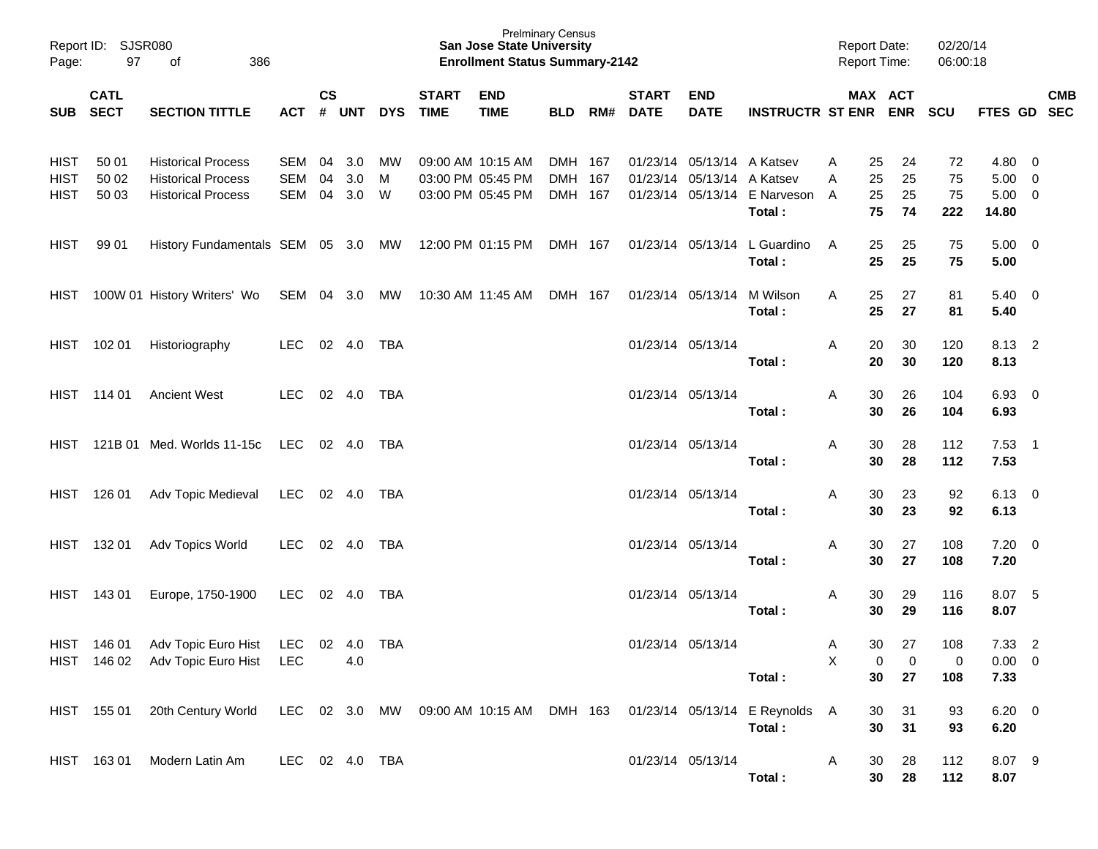| Page:                                     | Report ID: SJSR080<br>97 | 386<br>of                                                                           |                       |               |                        |            |                             | <b>San Jose State University</b><br><b>Enrollment Status Summary-2142</b> | <b>Prelminary Census</b>      |     |                             |                                                          |                                          | <b>Report Date:</b><br><b>Report Time:</b> |                      | 02/20/14<br>06:00:18  |                                               |                          |            |
|-------------------------------------------|--------------------------|-------------------------------------------------------------------------------------|-----------------------|---------------|------------------------|------------|-----------------------------|---------------------------------------------------------------------------|-------------------------------|-----|-----------------------------|----------------------------------------------------------|------------------------------------------|--------------------------------------------|----------------------|-----------------------|-----------------------------------------------|--------------------------|------------|
|                                           | <b>CATL</b><br>SUB SECT  | <b>SECTION TITTLE</b>                                                               | ACT                   | $\mathsf{cs}$ | # UNT                  | <b>DYS</b> | <b>START</b><br><b>TIME</b> | <b>END</b><br><b>TIME</b>                                                 | BLD                           | RM# | <b>START</b><br><b>DATE</b> | <b>END</b><br><b>DATE</b>                                | <b>INSTRUCTR ST ENR ENR</b>              |                                            | MAX ACT              | SCU                   | FTES GD SEC                                   |                          | <b>CMB</b> |
| <b>HIST</b><br><b>HIST</b><br><b>HIST</b> | 50 01<br>50 02<br>50 03  | <b>Historical Process</b><br><b>Historical Process</b><br><b>Historical Process</b> | SEM<br>SEM<br>SEM     | 04<br>04      | 3.0<br>3.0<br>04 3.0 W | MW<br>M    |                             | 09:00 AM 10:15 AM<br>03:00 PM 05:45 PM<br>03:00 PM 05:45 PM               | DMH 167<br>DMH 167<br>DMH 167 |     |                             | 01/23/14 05/13/14 A Katsev<br>01/23/14 05/13/14 A Katsev | 01/23/14 05/13/14 E Narveson<br>Total:   | Α<br>25<br>25<br>Α<br>25<br>A<br>75        | 24<br>25<br>25<br>74 | 72<br>75<br>75<br>222 | 4.80 0<br>$5.00 \t 0$<br>$5.00 \t 0$<br>14.80 |                          |            |
| <b>HIST</b>                               | 99 01                    | History Fundamentals SEM 05 3.0 MW 12:00 PM 01:15 PM                                |                       |               |                        |            |                             |                                                                           | DMH 167                       |     |                             |                                                          | 01/23/14 05/13/14 L Guardino<br>Total:   | A<br>25<br>25                              | 25<br>25             | 75<br>75              | $5.00 \t 0$<br>5.00                           |                          |            |
| HIST                                      |                          | 100W 01 History Writers' Wo SEM 04 3.0 MW 10:30 AM 11:45 AM                         |                       |               |                        |            |                             |                                                                           | DMH 167                       |     |                             | 01/23/14 05/13/14                                        | M Wilson<br>Total:                       | 25<br>A<br>25                              | 27<br>27             | 81<br>81              | $5.40 \quad 0$<br>5.40                        |                          |            |
| HIST                                      | 102 01                   | Historiography                                                                      | LEC.                  |               |                        |            |                             |                                                                           |                               |     |                             | 01/23/14 05/13/14                                        | Total:                                   | 20<br>A<br>20                              | 30<br>30             | 120<br>120            | 8.13 2<br>8.13                                |                          |            |
|                                           | HIST 114 01              | <b>Ancient West</b>                                                                 | LEC.                  |               |                        |            |                             |                                                                           |                               |     |                             | 01/23/14 05/13/14                                        | Total:                                   | 30<br>A<br>30                              | 26<br>26             | 104<br>104            | $6.93 \quad 0$<br>6.93                        |                          |            |
| HIST.                                     |                          | 121B 01 Med. Worlds 11-15c                                                          | LEC 02 4.0 TBA        |               |                        |            |                             |                                                                           |                               |     |                             | 01/23/14 05/13/14                                        | Total:                                   | 30<br>A<br>30                              | 28<br>28             | 112<br>112            | $7.53$ 1<br>7.53                              |                          |            |
| HIST                                      | 126 01                   | Adv Topic Medieval                                                                  | LEC                   |               |                        |            |                             |                                                                           |                               |     |                             | 01/23/14 05/13/14                                        | Total:                                   | 30<br>A<br>30                              | 23<br>23             | 92<br>92              | $6.13 \quad 0$<br>6.13                        |                          |            |
| HIST                                      | 132 01                   | Adv Topics World                                                                    | LEC.                  |               | 02  4.0  TBA           |            |                             |                                                                           |                               |     |                             | 01/23/14 05/13/14                                        | Total:                                   | 30<br>A<br>30                              | 27<br>27             | 108<br>108            | $7.20 \t 0$<br>7.20                           |                          |            |
| HIST                                      | 143 01                   | Europe, 1750-1900                                                                   | LEC                   |               | 02  4.0  TBA           |            |                             |                                                                           |                               |     |                             | 01/23/14 05/13/14                                        | Total:                                   | 30<br>A<br>30                              | 29<br>29             | 116<br>116            | 8.07 5<br>8.07                                |                          |            |
| HIST                                      | 146 01                   | Adv Topic Euro Hist<br>HIST 146 02 Adv Topic Euro Hist                              | LEC 02 4.0 TBA<br>LEC |               | 4.0                    |            |                             |                                                                           |                               |     |                             | 01/23/14 05/13/14                                        | Total:                                   | 30<br>A<br>$\pmb{\times}$<br>30            | 27<br>0<br>0<br>27   | 108<br>0<br>108       | 7.33<br>$0.00 \t 0$<br>7.33                   | $\overline{\phantom{0}}$ |            |
|                                           | HIST 155 01              | 20th Century World                                                                  |                       |               |                        |            |                             | LEC 02 3.0 MW 09:00 AM 10:15 AM DMH 163                                   |                               |     |                             |                                                          | 01/23/14 05/13/14 E Reynolds A<br>Total: | 30<br>30                                   | 31<br>31             | 93<br>93              | $6.20 \t 0$<br>6.20                           |                          |            |
|                                           | HIST 16301               | Modern Latin Am                                                                     | LEC 02 4.0 TBA        |               |                        |            |                             |                                                                           |                               |     |                             | 01/23/14 05/13/14                                        | Total:                                   | A<br>30<br>30                              | 28<br>28             | 112<br>112            | 8.07 9<br>8.07                                |                          |            |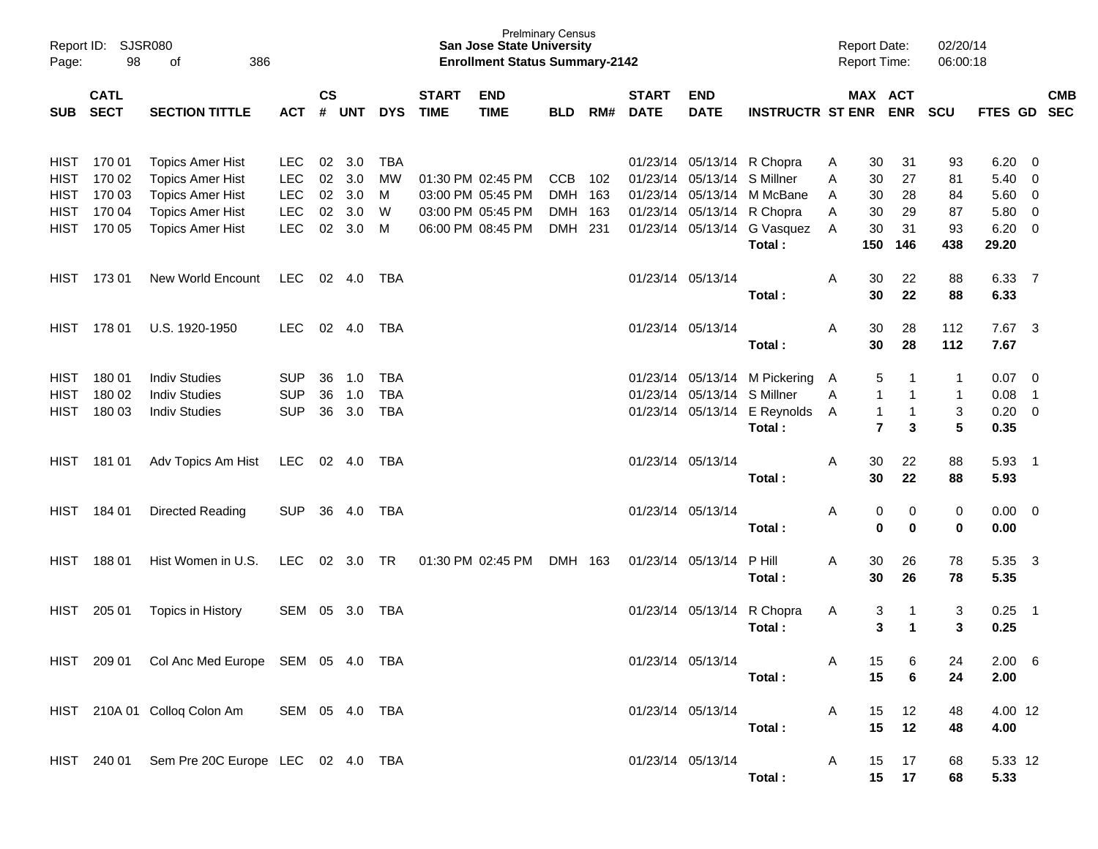| Page:                                     | Report ID: SJSR080<br>98   | 386<br>οf                                                                     |                                        |                |                   |                                        |                             | <b>Prelminary Census</b><br><b>San Jose State University</b><br><b>Enrollment Status Summary-2142</b> |                                     |            |                             |                             |                                                                                                   |              | <b>Report Date:</b><br><b>Report Time:</b>          |                                        | 02/20/14<br>06:00:18                               |                                     |                                            |            |
|-------------------------------------------|----------------------------|-------------------------------------------------------------------------------|----------------------------------------|----------------|-------------------|----------------------------------------|-----------------------------|-------------------------------------------------------------------------------------------------------|-------------------------------------|------------|-----------------------------|-----------------------------|---------------------------------------------------------------------------------------------------|--------------|-----------------------------------------------------|----------------------------------------|----------------------------------------------------|-------------------------------------|--------------------------------------------|------------|
| <b>SUB</b>                                | <b>CATL</b><br><b>SECT</b> | <b>SECTION TITTLE</b>                                                         | <b>ACT</b>                             | $\mathsf{cs}$  | # UNT             | <b>DYS</b>                             | <b>START</b><br><b>TIME</b> | <b>END</b><br><b>TIME</b>                                                                             | <b>BLD</b>                          | RM#        | <b>START</b><br><b>DATE</b> | <b>END</b><br><b>DATE</b>   | <b>INSTRUCTR ST ENR</b>                                                                           |              | MAX ACT                                             | <b>ENR</b>                             | <b>SCU</b>                                         | FTES GD SEC                         |                                            | <b>CMB</b> |
| HIST<br><b>HIST</b>                       | 170 01<br>170 02           | <b>Topics Amer Hist</b><br><b>Topics Amer Hist</b>                            | LEC.<br><b>LEC</b>                     | 02<br>02       | 3.0<br>3.0        | TBA<br><b>MW</b>                       |                             | 01:30 PM 02:45 PM                                                                                     | <b>CCB</b>                          | 102        |                             | 01/23/14 05/13/14 S Millner | 01/23/14 05/13/14 R Chopra                                                                        | A<br>A       | 30<br>30                                            | 31<br>27                               | 93<br>81                                           | $6.20 \quad 0$<br>5.40              | $\overline{\mathbf{0}}$                    |            |
| <b>HIST</b><br><b>HIST</b><br><b>HIST</b> | 170 03<br>170 04<br>170 05 | <b>Topics Amer Hist</b><br><b>Topics Amer Hist</b><br><b>Topics Amer Hist</b> | <b>LEC</b><br><b>LEC</b><br><b>LEC</b> | 02<br>02<br>02 | 3.0<br>3.0<br>3.0 | M<br>W<br>M                            |                             | 03:00 PM 05:45 PM<br>03:00 PM 05:45 PM<br>06:00 PM 08:45 PM                                           | <b>DMH</b><br><b>DMH</b><br>DMH 231 | 163<br>163 |                             |                             | 01/23/14 05/13/14 M McBane<br>01/23/14 05/13/14 R Chopra<br>01/23/14 05/13/14 G Vasquez<br>Total: | A<br>A<br>A  | 30<br>30<br>30<br>150                               | 28<br>29<br>31<br>146                  | 84<br>87<br>93<br>438                              | 5.60<br>5.80<br>$6.20 \ 0$<br>29.20 | $\overline{0}$<br>$\overline{0}$           |            |
| HIST                                      | 17301                      | <b>New World Encount</b>                                                      | <b>LEC</b>                             |                | 02 4.0            | TBA                                    |                             |                                                                                                       |                                     |            | 01/23/14 05/13/14           |                             | Total:                                                                                            | A            | 30<br>30                                            | 22<br>22                               | 88<br>88                                           | 6.33 7<br>6.33                      |                                            |            |
| HIST                                      | 178 01                     | U.S. 1920-1950                                                                | LEC.                                   | 02             | 4.0               | TBA                                    |                             |                                                                                                       |                                     |            | 01/23/14 05/13/14           |                             | Total:                                                                                            | Α            | 30<br>30                                            | 28<br>28                               | 112<br>112                                         | 7.67 3<br>7.67                      |                                            |            |
| HIST<br><b>HIST</b><br><b>HIST</b>        | 18001<br>180 02<br>180 03  | <b>Indiv Studies</b><br><b>Indiv Studies</b><br><b>Indiv Studies</b>          | <b>SUP</b><br><b>SUP</b><br><b>SUP</b> | 36<br>36<br>36 | 1.0<br>1.0<br>3.0 | <b>TBA</b><br><b>TBA</b><br><b>TBA</b> |                             |                                                                                                       |                                     |            |                             | 01/23/14 05/13/14 S Millner | 01/23/14 05/13/14 M Pickering<br>01/23/14 05/13/14 E Reynolds<br>Total:                           | A<br>A<br>A  | 5<br>$\mathbf{1}$<br>$\mathbf{1}$<br>$\overline{7}$ | -1<br>$\mathbf 1$<br>$\mathbf{1}$<br>3 | 1<br>$\mathbf 1$<br>$\ensuremath{\mathsf{3}}$<br>5 | 0.07<br>0.08<br>$0.20 \ 0$<br>0.35  | $\overline{\phantom{0}}$<br>$\overline{1}$ |            |
| HIST                                      | 181 01                     | Adv Topics Am Hist                                                            | <b>LEC</b>                             |                | 02 4.0            | TBA                                    |                             |                                                                                                       |                                     |            | 01/23/14 05/13/14           |                             | Total:                                                                                            | A            | 30<br>30                                            | 22<br>22                               | 88<br>88                                           | 5.93<br>5.93                        | $\overline{\phantom{1}}$                   |            |
| HIST                                      | 184 01                     | Directed Reading                                                              | <b>SUP</b>                             | 36             | 4.0               | TBA                                    |                             |                                                                                                       |                                     |            | 01/23/14 05/13/14           |                             | Total:                                                                                            | Α            | 0<br>0                                              | 0<br>$\mathbf 0$                       | 0<br>$\pmb{0}$                                     | $0.00 \t 0$<br>0.00                 |                                            |            |
| <b>HIST</b>                               | 18801                      | Hist Women in U.S.                                                            | LEC.                                   | 02             | 3.0               | TR                                     |                             | 01:30 PM 02:45 PM                                                                                     | DMH 163                             |            |                             | 01/23/14 05/13/14           | P Hill<br>Total:                                                                                  | Α            | 30<br>30                                            | 26<br>26                               | 78<br>78                                           | 5.35<br>5.35                        | $\overline{\mathbf{3}}$                    |            |
| HIST                                      | 205 01                     | Topics in History                                                             | SEM                                    | 05             | 3.0               | TBA                                    |                             |                                                                                                       |                                     |            |                             |                             | 01/23/14 05/13/14 R Chopra<br>Total:                                                              | A            | 3<br>3                                              | $\mathbf 1$<br>-1                      | 3<br>3                                             | 0.25<br>0.25                        | $\overline{\phantom{1}}$                   |            |
|                                           |                            | HIST 209 01 Col Anc Med Europe SEM 05 4.0 TBA                                 |                                        |                |                   |                                        |                             |                                                                                                       |                                     |            |                             | 01/23/14 05/13/14           | Total:                                                                                            | Α            | 15<br>15                                            | 6<br>6                                 | 24<br>24                                           | $2.00\quad 6$<br>2.00               |                                            |            |
|                                           |                            | HIST 210A 01 Colloq Colon Am SEM 05 4.0 TBA                                   |                                        |                |                   |                                        |                             |                                                                                                       |                                     |            |                             | 01/23/14 05/13/14           | Total:                                                                                            | A            | 15<br>15                                            | 12<br>12                               | 48<br>48                                           | 4.00 12<br>4.00                     |                                            |            |
|                                           |                            | HIST 240 01 Sem Pre 20C Europe LEC 02 4.0 TBA                                 |                                        |                |                   |                                        |                             |                                                                                                       |                                     |            |                             | 01/23/14 05/13/14           | Total:                                                                                            | $\mathsf{A}$ | 15                                                  | 17<br>15 17                            | 68<br>68                                           | 5.33 12<br>5.33                     |                                            |            |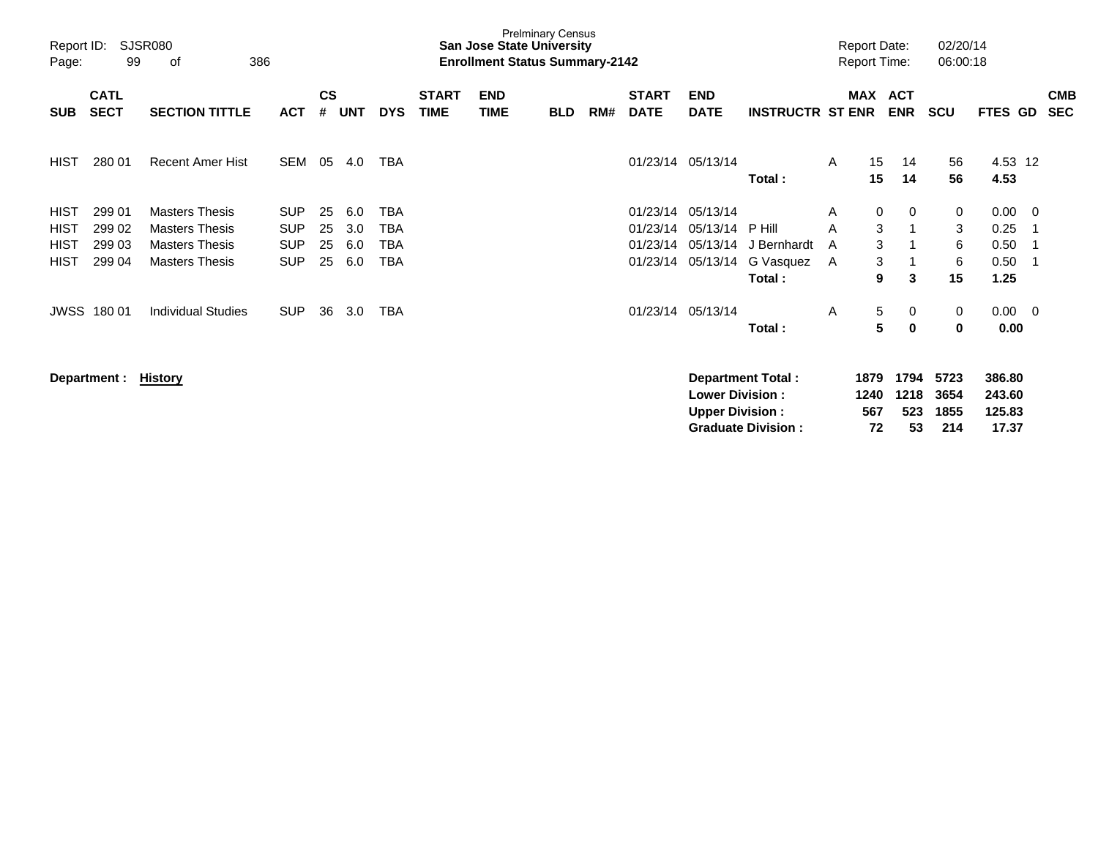| Page:                      | SJSR080<br>Report ID:<br>99<br>386<br>οf<br><b>CATL</b> |                                                |                          |                |            |                          |                             | San Jose State University<br><b>Enrollment Status Summary-2142</b> | <b>Prelminary Census</b> |     |                             |                                                   |                          |        | <b>Report Date:</b><br><b>Report Time:</b> |                     | 02/20/14<br>06:00:18 |                            |                         |                          |
|----------------------------|---------------------------------------------------------|------------------------------------------------|--------------------------|----------------|------------|--------------------------|-----------------------------|--------------------------------------------------------------------|--------------------------|-----|-----------------------------|---------------------------------------------------|--------------------------|--------|--------------------------------------------|---------------------|----------------------|----------------------------|-------------------------|--------------------------|
| <b>SUB</b>                 | <b>SECT</b>                                             | <b>SECTION TITTLE</b>                          | <b>ACT</b>               | <b>CS</b><br># | UNT        | <b>DYS</b>               | <b>START</b><br><b>TIME</b> | <b>END</b><br><b>TIME</b>                                          | <b>BLD</b>               | RM# | <b>START</b><br><b>DATE</b> | <b>END</b><br><b>DATE</b>                         | <b>INSTRUCTR ST ENR</b>  |        | MAX ACT                                    | <b>ENR</b>          | <b>SCU</b>           | FTES GD                    |                         | <b>CMB</b><br><b>SEC</b> |
| <b>HIST</b>                | 280 01                                                  | <b>Recent Amer Hist</b>                        | <b>SEM</b>               | 05             | 4.0        | <b>TBA</b>               |                             |                                                                    |                          |     |                             | 01/23/14 05/13/14                                 | Total:                   | A      | 15<br>15                                   | 14<br>14            | 56<br>56             | 4.53 12<br>4.53            |                         |                          |
| HIST                       | 299 01                                                  | <b>Masters Thesis</b>                          | <b>SUP</b>               | 25             | 6.0        | <b>TBA</b>               |                             |                                                                    |                          |     | 01/23/14                    | 05/13/14                                          |                          | A      | 0                                          | 0                   | 0                    | 0.00                       | - 0                     |                          |
| <b>HIST</b><br><b>HIST</b> | 299 02<br>299 03                                        | <b>Masters Thesis</b><br><b>Masters Thesis</b> | <b>SUP</b><br><b>SUP</b> | 25<br>25       | 3.0<br>6.0 | <b>TBA</b><br><b>TBA</b> |                             |                                                                    |                          |     | 01/23/14<br>01/23/14        | 05/13/14<br>05/13/14                              | P Hill<br>J Bernhardt    | A<br>A | 3<br>3                                     |                     | 3<br>6               | 0.25<br>0.50               | -1<br>-1                |                          |
| <b>HIST</b>                | 299 04                                                  | <b>Masters Thesis</b>                          | <b>SUP</b>               | 25             | 6.0        | <b>TBA</b>               |                             |                                                                    |                          |     | 01/23/14                    | 05/13/14                                          | G Vasquez                | A      | 3                                          |                     | 6                    | 0.50                       | -1                      |                          |
|                            |                                                         |                                                |                          |                |            |                          |                             |                                                                    |                          |     |                             |                                                   | Total:                   |        | 9                                          | 3                   | 15                   | 1.25                       |                         |                          |
|                            | <b>JWSS 180 01</b>                                      | <b>Individual Studies</b>                      | <b>SUP</b>               | 36             | 3.0        | TBA                      |                             |                                                                    |                          |     |                             | 01/23/14 05/13/14                                 |                          | A      | 5                                          | 0                   | 0                    | 0.00                       | $\overline{\mathbf{0}}$ |                          |
|                            |                                                         |                                                |                          |                |            |                          |                             |                                                                    |                          |     |                             |                                                   | Total:                   |        | 5                                          | 0                   | 0                    | 0.00                       |                         |                          |
|                            | Department :                                            | History                                        |                          |                |            |                          |                             |                                                                    |                          |     |                             | <b>Lower Division :</b><br><b>Upper Division:</b> | <b>Department Total:</b> |        | 1879<br>1240<br>567                        | 1794<br>1218<br>523 | 5723<br>3654<br>1855 | 386.80<br>243.60<br>125.83 |                         |                          |

**Graduate Division : 72 53 214 17.37**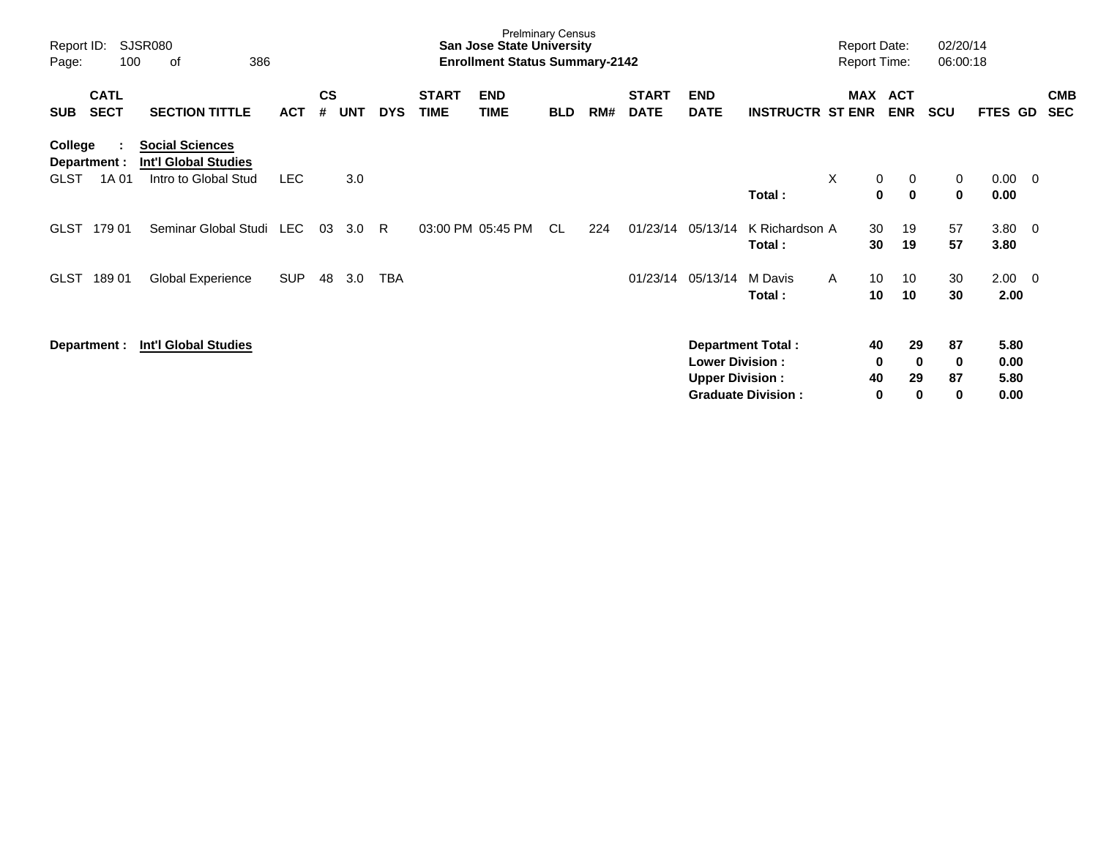| Report ID:<br>Page:                           | 100                        | SJSR080<br>386<br>оf                                                          |            |                |            |            |                             | <b>Prelminary Census</b><br><b>San Jose State University</b><br><b>Enrollment Status Summary-2142</b> |            |     |                             |                                                  |                                                       | <b>Report Date:</b><br><b>Report Time:</b> |                    |                                     | 02/20/14<br>06:00:18 |                              |    |                          |
|-----------------------------------------------|----------------------------|-------------------------------------------------------------------------------|------------|----------------|------------|------------|-----------------------------|-------------------------------------------------------------------------------------------------------|------------|-----|-----------------------------|--------------------------------------------------|-------------------------------------------------------|--------------------------------------------|--------------------|-------------------------------------|----------------------|------------------------------|----|--------------------------|
| <b>SUB</b>                                    | <b>CATL</b><br><b>SECT</b> | <b>SECTION TITTLE</b>                                                         | <b>ACT</b> | <b>CS</b><br># | <b>UNT</b> | <b>DYS</b> | <b>START</b><br><b>TIME</b> | <b>END</b><br><b>TIME</b>                                                                             | <b>BLD</b> | RM# | <b>START</b><br><b>DATE</b> | <b>END</b><br><b>DATE</b>                        | <b>INSTRUCTR ST ENR</b>                               | MAX ACT                                    |                    | <b>ENR</b>                          | <b>SCU</b>           | <b>FTES</b>                  | GD | <b>CMB</b><br><b>SEC</b> |
| <b>College</b><br>Department :<br><b>GLST</b> | 1A 01                      | <b>Social Sciences</b><br><b>Int'l Global Studies</b><br>Intro to Global Stud | <b>LEC</b> |                | 3.0        |            |                             |                                                                                                       |            |     |                             |                                                  | Total:                                                | X                                          | $\mathbf 0$<br>0   | 0<br>$\mathbf 0$                    | 0<br>$\mathbf 0$     | $0.00 \quad 0$<br>0.00       |    |                          |
| <b>GLST</b>                                   | 179 01                     | Seminar Global Studi LEC                                                      |            | 03             | 3.0        | R.         |                             | 03:00 PM 05:45 PM                                                                                     | CL.        | 224 | 01/23/14                    | 05/13/14                                         | K Richardson A<br>Total:                              |                                            | 30<br>30           | 19<br>19                            | 57<br>57             | $3.80 \ 0$<br>3.80           |    |                          |
| <b>GLST</b>                                   | 18901                      | Global Experience                                                             | <b>SUP</b> | 48             | 3.0        | TBA        |                             |                                                                                                       |            |     | 01/23/14                    | 05/13/14                                         | M Davis<br>Total:                                     | $\mathsf{A}$                               | 10<br>10           | 10<br>10                            | 30<br>30             | $2.00 \t 0$<br>2.00          |    |                          |
| Department :                                  |                            | <b>Int'l Global Studies</b>                                                   |            |                |            |            |                             |                                                                                                       |            |     |                             | <b>Lower Division:</b><br><b>Upper Division:</b> | <b>Department Total:</b><br><b>Graduate Division:</b> |                                            | 40<br>0<br>40<br>0 | 29<br>$\mathbf 0$<br>29<br>$\bf{0}$ | 87<br>0<br>87<br>0   | 5.80<br>0.00<br>5.80<br>0.00 |    |                          |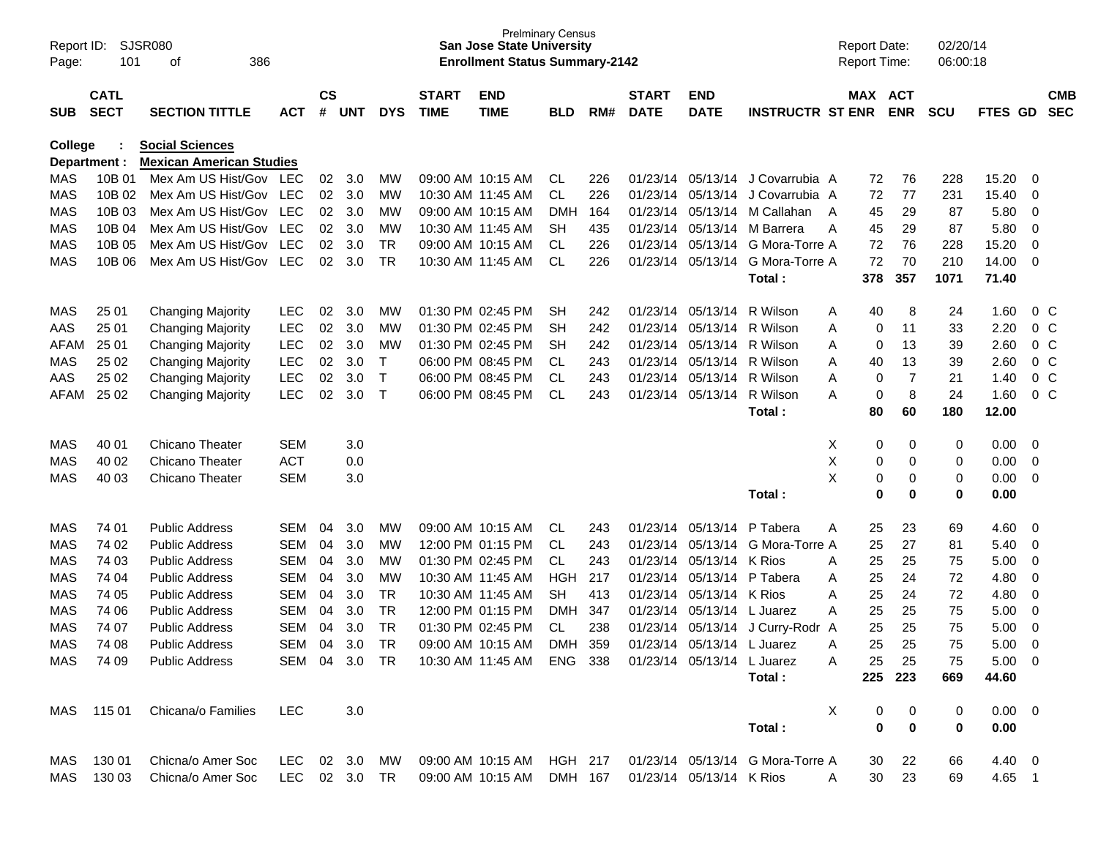| Page:                    | SJSR080<br>Report ID:<br>101<br>386<br>of |                                                                                    |            |                    |            |              |                                        | <b>San Jose State University</b><br><b>Enrollment Status Summary-2142</b> | <b>Prelminary Census</b> |            |                             |                           |                                                                          | <b>Report Date:</b><br><b>Report Time:</b> |                | 02/20/14<br>06:00:18 |              |                            |
|--------------------------|-------------------------------------------|------------------------------------------------------------------------------------|------------|--------------------|------------|--------------|----------------------------------------|---------------------------------------------------------------------------|--------------------------|------------|-----------------------------|---------------------------|--------------------------------------------------------------------------|--------------------------------------------|----------------|----------------------|--------------|----------------------------|
| <b>SUB</b>               | <b>CATL</b><br><b>SECT</b>                | <b>SECTION TITTLE</b>                                                              | <b>ACT</b> | $\mathsf{cs}$<br># | UNT        | <b>DYS</b>   | <b>START</b><br><b>TIME</b>            | <b>END</b><br><b>TIME</b>                                                 | <b>BLD</b>               | RM#        | <b>START</b><br><b>DATE</b> | <b>END</b><br><b>DATE</b> | <b>INSTRUCTR ST ENR</b>                                                  | MAX ACT                                    | <b>ENR</b>     | <b>SCU</b>           | FTES GD      | <b>CMB</b><br><b>SEC</b>   |
| College                  |                                           | <b>Social Sciences</b>                                                             |            |                    |            |              |                                        |                                                                           |                          |            |                             |                           |                                                                          |                                            |                |                      |              |                            |
| Department :             |                                           | <b>Mexican American Studies</b><br>Mex Am US Hist/Gov LEC                          |            |                    |            |              |                                        | 09:00 AM 10:15 AM                                                         |                          |            |                             |                           |                                                                          |                                            |                |                      |              |                            |
| MAS<br><b>MAS</b>        | 10B 01<br>10B 02                          |                                                                                    |            | 02                 | 3.0        | MW           |                                        |                                                                           | CL                       | 226        | 01/23/14                    |                           | 05/13/14 J Covarrubia A                                                  | 72                                         | 76<br>77       | 228                  | 15.20        | 0                          |
|                          |                                           | Mex Am US Hist/Gov LEC<br>Mex Am US Hist/Gov                                       | <b>LEC</b> | 02                 | 3.0        | MW           |                                        | 10:30 AM 11:45 AM                                                         | CL.                      | 226        | 01/23/14                    | 05/13/14                  | J Covarrubia A                                                           | 72                                         |                | 231                  | 15.40        | 0                          |
| <b>MAS</b><br><b>MAS</b> | 10B 03<br>10B 04                          | Mex Am US Hist/Gov                                                                 | <b>LEC</b> | 02<br>02           | 3.0<br>3.0 | MW<br>MW     | 09:00 AM 10:15 AM<br>10:30 AM 11:45 AM |                                                                           | <b>DMH</b><br><b>SH</b>  | 164<br>435 | 01/23/14<br>01/23/14        |                           | 05/13/14 M Callahan<br>05/13/14 M Barrera                                | 45<br>A<br>45                              | 29<br>29       | 87<br>87             | 5.80<br>5.80 | $\mathbf 0$<br>$\mathbf 0$ |
| <b>MAS</b>               | 10B 05                                    | Mex Am US Hist/Gov                                                                 | <b>LEC</b> | 02                 | 3.0        | <b>TR</b>    |                                        | 09:00 AM 10:15 AM                                                         | CL                       | 226        | 01/23/14                    | 05/13/14                  | G Mora-Torre A                                                           | A<br>72                                    | 76             | 228                  | 15.20        | 0                          |
| <b>MAS</b>               | 10B 06                                    | Mex Am US Hist/Gov                                                                 | LEC        | 02                 | 3.0        | <b>TR</b>    | 10:30 AM 11:45 AM                      |                                                                           | <b>CL</b>                | 226        | 01/23/14                    | 05/13/14                  | G Mora-Torre A                                                           | 72                                         | 70             | 210                  | 14.00        | $\mathbf 0$                |
|                          |                                           |                                                                                    |            |                    |            |              |                                        |                                                                           |                          |            |                             |                           | Total:                                                                   | 378                                        | 357            | 1071                 | 71.40        |                            |
|                          |                                           |                                                                                    |            |                    |            |              |                                        |                                                                           |                          |            |                             |                           |                                                                          |                                            |                |                      |              |                            |
| MAS                      | 25 01                                     | <b>Changing Majority</b>                                                           | <b>LEC</b> | 02                 | 3.0        | MW           |                                        | 01:30 PM 02:45 PM                                                         | SН                       | 242        | 01/23/14                    | 05/13/14                  | R Wilson                                                                 | 40<br>A                                    | 8              | 24                   | 1.60         | 0 <sup>o</sup>             |
| AAS                      | 25 01                                     | <b>Changing Majority</b>                                                           | <b>LEC</b> | 02                 | 3.0        | MW           |                                        | 01:30 PM 02:45 PM                                                         | <b>SH</b>                | 242        | 01/23/14                    | 05/13/14                  | R Wilson                                                                 | A<br>0                                     | 11             | 33                   | 2.20         | 0 <sup>o</sup>             |
| AFAM                     | 25 01                                     | <b>Changing Majority</b>                                                           | <b>LEC</b> | 02                 | 3.0        | MW           |                                        | 01:30 PM 02:45 PM                                                         | <b>SH</b>                | 242        | 01/23/14                    | 05/13/14                  | R Wilson                                                                 | 0<br>A                                     | 13             | 39                   | 2.60         | 0 <sup>o</sup>             |
| <b>MAS</b>               | 25 02                                     | <b>Changing Majority</b>                                                           | <b>LEC</b> | 02                 | 3.0        | $\mathsf{T}$ | 06:00 PM 08:45 PM                      |                                                                           | CL                       | 243        | 01/23/14                    | 05/13/14                  | R Wilson                                                                 | 40<br>A                                    | 13             | 39                   | 2.60         | 0 <sup>o</sup>             |
| AAS                      | 25 02                                     | <b>Changing Majority</b>                                                           | <b>LEC</b> | 02                 | 3.0        | $\mathsf{T}$ |                                        | 06:00 PM 08:45 PM                                                         | CL                       | 243        | 01/23/14                    | 05/13/14 R Wilson         |                                                                          | 0<br>A                                     | $\overline{7}$ | 21                   | 1.40         | 0 <sup>o</sup>             |
| AFAM                     | 25 02                                     | <b>Changing Majority</b>                                                           | <b>LEC</b> | 02                 | 3.0        | $\mathsf{T}$ | 06:00 PM 08:45 PM                      |                                                                           | <b>CL</b>                | 243        | 01/23/14                    | 05/13/14                  | R Wilson                                                                 | 0<br>A                                     | 8              | 24                   | 1.60         | 0 <sup>o</sup>             |
|                          |                                           |                                                                                    |            |                    |            |              |                                        |                                                                           |                          |            |                             |                           | Total:                                                                   | 80                                         | 60             | 180                  | 12.00        |                            |
|                          |                                           |                                                                                    |            |                    |            |              |                                        |                                                                           |                          |            |                             |                           |                                                                          |                                            |                |                      |              |                            |
| MAS                      | 40 01                                     | Chicano Theater                                                                    | <b>SEM</b> |                    | 3.0        |              |                                        |                                                                           |                          |            |                             |                           |                                                                          | X<br>0                                     | 0              | 0                    | 0.00         | 0                          |
| <b>MAS</b>               | 40 02                                     | Chicano Theater                                                                    | <b>ACT</b> |                    | 0.0        |              |                                        |                                                                           |                          |            |                             |                           |                                                                          | X<br>0                                     | 0              | 0                    | 0.00         | $\mathbf 0$                |
| <b>MAS</b>               | 40 03                                     | <b>Chicano Theater</b>                                                             | <b>SEM</b> |                    | 3.0        |              |                                        |                                                                           |                          |            |                             |                           |                                                                          | X<br>0                                     | 0              | 0                    | 0.00         | $\mathbf 0$                |
|                          |                                           |                                                                                    |            |                    |            |              |                                        |                                                                           |                          |            |                             |                           | Total:                                                                   | 0                                          | 0              | 0                    | 0.00         |                            |
|                          |                                           |                                                                                    |            |                    |            |              |                                        |                                                                           |                          |            |                             |                           |                                                                          |                                            |                |                      |              |                            |
| MAS                      | 74 01                                     | <b>Public Address</b>                                                              | <b>SEM</b> | 04                 | 3.0        | MW           |                                        | 09:00 AM 10:15 AM                                                         | CL.                      | 243        | 01/23/14                    | 05/13/14                  | P Tabera                                                                 | 25<br>A                                    | 23             | 69                   | 4.60         | 0                          |
| <b>MAS</b>               | 74 02                                     | <b>Public Address</b>                                                              | SEM        | 04                 | 3.0        | MW           |                                        | 12:00 PM 01:15 PM                                                         | CL                       | 243        | 01/23/14                    | 05/13/14                  | G Mora-Torre A                                                           | 25                                         | 27             | 81                   | 5.40         | $\mathbf 0$                |
| <b>MAS</b>               | 74 03                                     | <b>Public Address</b>                                                              | SEM        | 04                 | 3.0        | MW           | 01:30 PM 02:45 PM                      |                                                                           | CL                       | 243        | 01/23/14                    | 05/13/14                  | K Rios                                                                   | 25<br>A                                    | 25             | 75                   | 5.00         | $\mathbf 0$                |
| <b>MAS</b>               | 74 04                                     | <b>Public Address</b>                                                              | SEM        | 04                 | 3.0        | MW           | 10:30 AM 11:45 AM                      |                                                                           | HGH                      | 217        | 01/23/14                    | 05/13/14                  | P Tabera                                                                 | 25<br>Α                                    | 24             | 72                   | 4.80         | 0                          |
| <b>MAS</b>               | 74 05                                     | <b>Public Address</b>                                                              | SEM        | 04                 | 3.0        | <b>TR</b>    | 10:30 AM 11:45 AM                      |                                                                           | <b>SH</b>                | 413        | 01/23/14                    | 05/13/14                  | K Rios                                                                   | 25<br>A                                    | 24             | 72                   | 4.80         | 0                          |
| <b>MAS</b>               | 74 06                                     | <b>Public Address</b>                                                              | SEM        | 04                 | 3.0        | TR           | 12:00 PM 01:15 PM                      |                                                                           | <b>DMH</b>               | 347        | 01/23/14                    | 05/13/14                  | L Juarez                                                                 | 25<br>A                                    | 25             | 75                   | 5.00         | $\mathbf 0$                |
| <b>MAS</b>               | 74 07                                     | <b>Public Address</b>                                                              | <b>SEM</b> | 04                 | 3.0        | TR           | 01:30 PM 02:45 PM                      |                                                                           | CL                       | 238        | 01/23/14                    | 05/13/14                  | J Curry-Rodr A                                                           | 25                                         | 25             | 75                   | 5.00         | 0                          |
| <b>MAS</b>               | 74 08                                     | <b>Public Address</b>                                                              | SEM        | 04                 | 3.0        | <b>TR</b>    | 09:00 AM 10:15 AM                      |                                                                           | <b>DMH</b>               | 359        | 01/23/14                    | 05/13/14 L Juarez         |                                                                          | 25<br>A                                    | 25             | 75                   | 5.00         | $\mathbf 0$                |
| MAS                      | 74 09                                     | <b>Public Address</b>                                                              |            |                    |            |              |                                        | SEM 04 3.0 TR  10:30 AM 11:45 AM  ENG  338  01/23/14  05/13/14  L Juarez  |                          |            |                             |                           |                                                                          | 25<br>A                                    | 25             | 75                   | $5.00 \t 0$  |                            |
|                          |                                           |                                                                                    |            |                    |            |              |                                        |                                                                           |                          |            |                             |                           | Total:                                                                   |                                            | 225 223        | 669                  | 44.60        |                            |
|                          | MAS 11501                                 | Chicana/o Families                                                                 | LEC        |                    | 3.0        |              |                                        |                                                                           |                          |            |                             |                           |                                                                          | X<br>0                                     | $\mathbf 0$    | 0                    | $0.00 \t 0$  |                            |
|                          |                                           |                                                                                    |            |                    |            |              |                                        |                                                                           |                          |            |                             |                           | Total:                                                                   | 0                                          | $\mathbf 0$    | 0                    | 0.00         |                            |
|                          |                                           |                                                                                    |            |                    |            |              |                                        |                                                                           |                          |            |                             |                           |                                                                          |                                            |                |                      |              |                            |
| MAS                      | 130 01                                    | Chicna/o Amer Soc                                                                  |            |                    |            |              |                                        |                                                                           |                          |            |                             |                           | LEC 02 3.0 MW 09:00 AM 10:15 AM HGH 217 01/23/14 05/13/14 G Mora-Torre A | 30                                         | 22             | 66                   | 4.40 0       |                            |
|                          | MAS 130 03                                | Chicna/o Amer Soc LEC 02 3.0 TR 09:00 AM 10:15 AM DMH 167 01/23/14 05/13/14 K Rios |            |                    |            |              |                                        |                                                                           |                          |            |                             |                           |                                                                          | A                                          | 30 23          | 69                   | 4.65 1       |                            |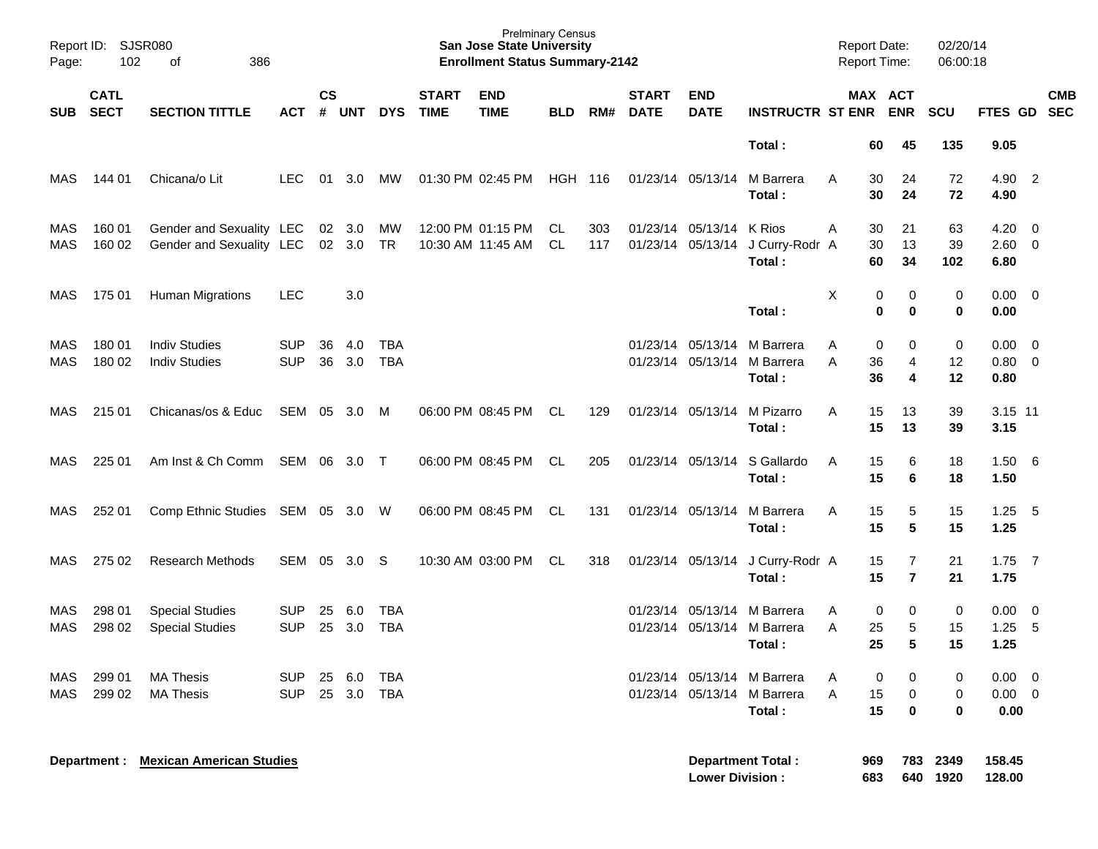| Report ID:<br>Page: | <b>SJSR080</b><br>102      | 386<br>οf                                            |                          |                    |                  |                   |                             | <b>Prelminary Census</b><br><b>San Jose State University</b><br><b>Enrollment Status Summary-2142</b> |                |            |                                        |                           |                                                    | <b>Report Date:</b><br>Report Time: |                                  | 02/20/14<br>06:00:18 |                                    |                                 |
|---------------------|----------------------------|------------------------------------------------------|--------------------------|--------------------|------------------|-------------------|-----------------------------|-------------------------------------------------------------------------------------------------------|----------------|------------|----------------------------------------|---------------------------|----------------------------------------------------|-------------------------------------|----------------------------------|----------------------|------------------------------------|---------------------------------|
| <b>SUB</b>          | <b>CATL</b><br><b>SECT</b> | <b>SECTION TITTLE</b>                                | <b>ACT</b>               | $\mathsf{cs}$<br># | <b>UNT</b>       | <b>DYS</b>        | <b>START</b><br><b>TIME</b> | <b>END</b><br><b>TIME</b>                                                                             | <b>BLD</b>     | RM#        | <b>START</b><br><b>DATE</b>            | <b>END</b><br><b>DATE</b> | <b>INSTRUCTR ST ENR</b>                            |                                     | <b>MAX ACT</b><br><b>ENR</b>     | <b>SCU</b>           | FTES GD                            | <b>CMB</b><br><b>SEC</b>        |
|                     |                            |                                                      |                          |                    |                  |                   |                             |                                                                                                       |                |            |                                        |                           | Total:                                             |                                     | 60<br>45                         | 135                  | 9.05                               |                                 |
| MAS                 | 144 01                     | Chicana/o Lit                                        | <b>LEC</b>               | 01                 | 3.0              | MW                |                             | 01:30 PM 02:45 PM                                                                                     | <b>HGH 116</b> |            | 01/23/14 05/13/14                      |                           | M Barrera<br>Total:                                | A                                   | 30<br>24<br>30<br>24             | 72<br>72             | 4.90 2<br>4.90                     |                                 |
| MAS<br><b>MAS</b>   | 160 01<br>160 02           | Gender and Sexuality LEC<br>Gender and Sexuality LEC |                          | 02<br>02           | 3.0<br>3.0       | MW<br><b>TR</b>   |                             | 12:00 PM 01:15 PM<br>10:30 AM 11:45 AM                                                                | CL.<br>CL      | 303<br>117 | 01/23/14 05/13/14<br>01/23/14 05/13/14 |                           | <b>K</b> Rios<br>J Curry-Rodr A<br>Total:          | Α                                   | 30<br>21<br>13<br>30<br>60<br>34 | 63<br>39<br>102      | 4.20<br>$2.60 \t 0$<br>6.80        | $\overline{\phantom{0}}$        |
| MAS                 | 175 01                     | <b>Human Migrations</b>                              | <b>LEC</b>               |                    | 3.0              |                   |                             |                                                                                                       |                |            |                                        |                           | Total:                                             | Х                                   | 0<br>0<br>0<br>0                 | 0<br>0               | $0.00 \quad 0$<br>0.00             |                                 |
| MAS<br><b>MAS</b>   | 180 01<br>180 02           | <b>Indiv Studies</b><br><b>Indiv Studies</b>         | <b>SUP</b><br><b>SUP</b> | 36<br>36           | 4.0<br>3.0       | TBA<br><b>TBA</b> |                             |                                                                                                       |                |            | 01/23/14 05/13/14                      | 01/23/14 05/13/14         | M Barrera<br>M Barrera<br>Total:                   | Α<br>A                              | 0<br>0<br>36<br>4<br>36<br>4     | 0<br>12<br>12        | $0.00 \t 0$<br>$0.80 \ 0$<br>0.80  |                                 |
| MAS                 | 215 01                     | Chicanas/os & Educ                                   | SEM 05                   |                    | 3.0              | M                 |                             | 06:00 PM 08:45 PM                                                                                     | CL             | 129        | 01/23/14 05/13/14                      |                           | M Pizarro<br>Total:                                | A                                   | 15<br>13<br>15<br>13             | 39<br>39             | 3.15 11<br>3.15                    |                                 |
| MAS                 | 225 01                     | Am Inst & Ch Comm                                    | SEM 06                   |                    | 3.0              | $\top$            |                             | 06:00 PM 08:45 PM                                                                                     | CL             | 205        | 01/23/14 05/13/14                      |                           | S Gallardo<br>Total:                               | A                                   | 15<br>6<br>15<br>6               | 18<br>18             | $1.50\quad 6$<br>1.50              |                                 |
| MAS                 | 252 01                     | Comp Ethnic Studies SEM 05 3.0                       |                          |                    |                  | - W               |                             | 06:00 PM 08:45 PM                                                                                     | CL             | 131        | 01/23/14 05/13/14                      |                           | M Barrera<br>Total:                                | A                                   | 15<br>5<br>5<br>15               | 15<br>15             | 1.25<br>1.25                       | - 5                             |
| MAS                 | 275 02                     | <b>Research Methods</b>                              | SEM                      | 05                 | 3.0              | -S                |                             | 10:30 AM 03:00 PM                                                                                     | CL             | 318        | 01/23/14 05/13/14                      |                           | J Curry-Rodr A<br>Total:                           |                                     | 15<br>7<br>15<br>$\overline{7}$  | 21<br>21             | $1.75$ 7<br>1.75                   |                                 |
| MAS<br>MAS          | 298 01<br>298 02           | <b>Special Studies</b><br><b>Special Studies</b>     | <b>SUP</b><br><b>SUP</b> | 25<br>25           | 6.0<br>3.0       | TBA<br><b>TBA</b> |                             |                                                                                                       |                |            | 01/23/14 05/13/14                      | 01/23/14 05/13/14         | M Barrera<br>M Barrera<br>Total:                   | A<br>A                              | 0<br>0<br>25<br>5<br>25<br>5     | 0<br>15<br>15        | 0.00<br>1.25<br>1.25               | $\overline{\phantom{0}}$<br>- 5 |
| MAS<br>MAS          | 299 01<br>299 02           | <b>MA Thesis</b><br><b>MA Thesis</b>                 | <b>SUP</b><br><b>SUP</b> |                    | 25 6.0<br>25 3.0 | TBA<br><b>TBA</b> |                             |                                                                                                       |                |            |                                        | 01/23/14 05/13/14         | 01/23/14 05/13/14 M Barrera<br>M Barrera<br>Total: | A<br>A                              | 0<br>0<br>15<br>0<br>15<br>0     | 0<br>0<br>0          | $0.00 \t 0$<br>$0.00 \t 0$<br>0.00 |                                 |
|                     |                            | <b>Department : Mexican American Studies</b>         |                          |                    |                  |                   |                             |                                                                                                       |                |            |                                        | <b>Lower Division:</b>    | <b>Department Total:</b>                           | 969<br>683                          | 783<br>640                       | 2349<br>1920         | 158.45<br>128.00                   |                                 |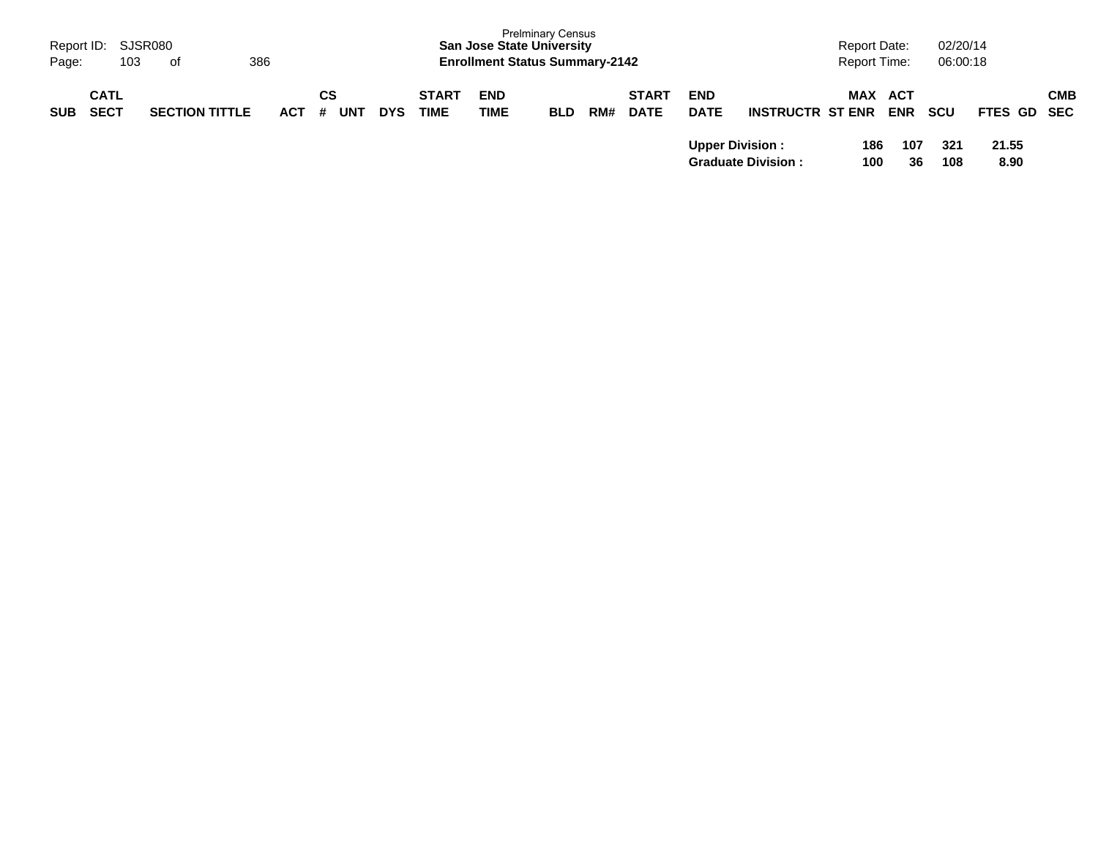| Page:      | Report ID: SJSR080<br>103  | 386<br>of             |            |                       |            |                             | <b>San Jose State University</b><br><b>Enrollment Status Summary-2142</b> | <b>Prelminary Census</b> |     |                             |                           |                           | <b>Report Date:</b><br><b>Report Time:</b> |            | 02/20/14<br>06:00:18 |               |            |
|------------|----------------------------|-----------------------|------------|-----------------------|------------|-----------------------------|---------------------------------------------------------------------------|--------------------------|-----|-----------------------------|---------------------------|---------------------------|--------------------------------------------|------------|----------------------|---------------|------------|
| <b>SUB</b> | <b>CATL</b><br><b>SECT</b> | <b>SECTION TITTLE</b> | <b>ACT</b> | СS<br><b>UNT</b><br># | <b>DYS</b> | <b>START</b><br><b>TIME</b> | <b>END</b><br>TIME                                                        | <b>BLD</b>               | RM# | <b>START</b><br><b>DATE</b> | <b>END</b><br><b>DATE</b> | <b>INSTRUCTR ST ENR</b>   | <b>MAX ACT</b>                             | <b>ENR</b> | <b>SCU</b>           | FTES GD SEC   | <b>CMB</b> |
|            |                            |                       |            |                       |            |                             |                                                                           |                          |     |                             | <b>Upper Division:</b>    | <b>Graduate Division:</b> | 186<br>100                                 | 107<br>36  | 321<br>108           | 21.55<br>8.90 |            |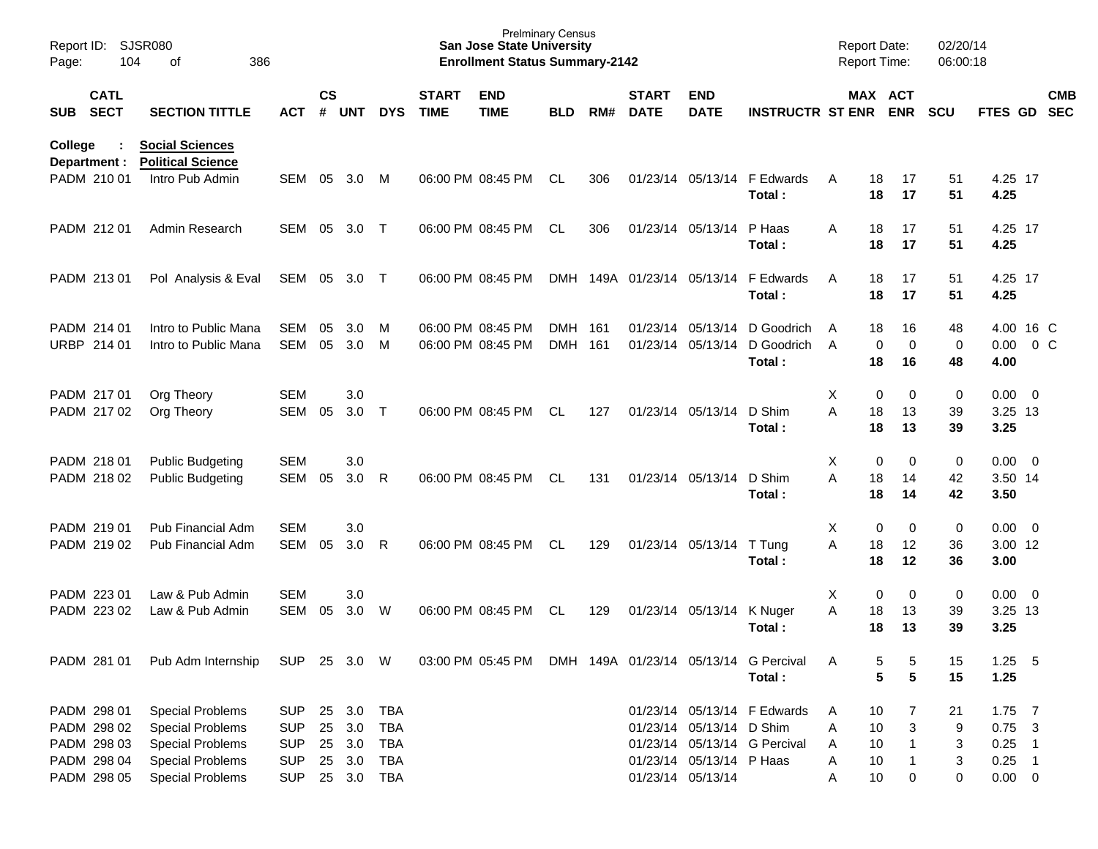| Page:   | <b>SJSR080</b><br>Report ID:<br>104<br>οf<br>386<br><b>CATL</b> |                                                                               |                                 |                       |                            |                          |                             | <b>Prelminary Census</b><br><b>San Jose State University</b><br><b>Enrollment Status Summary-2142</b> |                    |     |                             |                                               |                                                             | <b>Report Date:</b><br><b>Report Time:</b> |                                                    | 02/20/14<br>06:00:18    |                                  |        |                          |
|---------|-----------------------------------------------------------------|-------------------------------------------------------------------------------|---------------------------------|-----------------------|----------------------------|--------------------------|-----------------------------|-------------------------------------------------------------------------------------------------------|--------------------|-----|-----------------------------|-----------------------------------------------|-------------------------------------------------------------|--------------------------------------------|----------------------------------------------------|-------------------------|----------------------------------|--------|--------------------------|
| SUB     | <b>SECT</b>                                                     | <b>SECTION TITTLE</b>                                                         | <b>ACT</b>                      | $\mathsf{cs}$<br>$\#$ | <b>UNT</b>                 | <b>DYS</b>               | <b>START</b><br><b>TIME</b> | <b>END</b><br><b>TIME</b>                                                                             | <b>BLD</b>         | RM# | <b>START</b><br><b>DATE</b> | <b>END</b><br><b>DATE</b>                     | <b>INSTRUCTR ST ENR</b>                                     |                                            | MAX ACT<br><b>ENR</b>                              | <b>SCU</b>              | FTES GD                          |        | <b>CMB</b><br><b>SEC</b> |
| College | Department :                                                    | <b>Social Sciences</b><br><b>Political Science</b>                            |                                 |                       |                            |                          |                             |                                                                                                       |                    |     |                             |                                               |                                                             |                                            |                                                    |                         |                                  |        |                          |
|         | PADM 210 01                                                     | Intro Pub Admin                                                               | <b>SEM</b>                      | 05                    | 3.0                        | M                        |                             | 06:00 PM 08:45 PM                                                                                     | <b>CL</b>          | 306 |                             | 01/23/14 05/13/14                             | F Edwards<br>Total:                                         | A                                          | 18<br>17<br>18<br>17                               | 51<br>51                | 4.25 17<br>4.25                  |        |                          |
|         | PADM 212 01                                                     | Admin Research                                                                | <b>SEM</b>                      | 05                    | 3.0                        | $\top$                   |                             | 06:00 PM 08:45 PM                                                                                     | <b>CL</b>          | 306 |                             | 01/23/14 05/13/14                             | P Haas<br>Total:                                            | A                                          | 18<br>17<br>18<br>17                               | 51<br>51                | 4.25 17<br>4.25                  |        |                          |
|         | PADM 213 01                                                     | Pol Analysis & Eval                                                           | SEM                             | 05                    | 3.0 T                      |                          |                             | 06:00 PM 08:45 PM                                                                                     |                    |     | DMH 149A 01/23/14 05/13/14  |                                               | F Edwards<br>Total:                                         | A                                          | 18<br>17<br>18<br>17                               | 51<br>51                | 4.25 17<br>4.25                  |        |                          |
|         | PADM 214 01<br>URBP 214 01                                      | Intro to Public Mana<br>Intro to Public Mana                                  | <b>SEM</b><br><b>SEM</b>        | 05<br>05              | 3.0 <sub>2</sub><br>3.0    | M<br>M                   |                             | 06:00 PM 08:45 PM<br>06:00 PM 08:45 PM                                                                | DMH 161<br>DMH 161 |     |                             | 01/23/14 05/13/14<br>01/23/14 05/13/14        | D Goodrich<br>D Goodrich<br>Total:                          | A<br>$\overline{A}$                        | 16<br>18<br>$\mathbf 0$<br>$\mathbf 0$<br>18<br>16 | 48<br>$\mathbf 0$<br>48 | 4.00 16 C<br>0.00<br>4.00        | $0\,C$ |                          |
|         | PADM 217 01<br>PADM 217 02                                      | Org Theory<br>Org Theory                                                      | <b>SEM</b><br><b>SEM</b>        | 05                    | 3.0<br>3.0                 | $\top$                   |                             | 06:00 PM 08:45 PM                                                                                     | <b>CL</b>          | 127 |                             | 01/23/14 05/13/14                             | D Shim<br>Total:                                            | X<br>A                                     | 0<br>0<br>18<br>13<br>18<br>13                     | $\pmb{0}$<br>39<br>39   | $0.00 \t 0$<br>3.25 13<br>3.25   |        |                          |
|         | PADM 218 01<br>PADM 218 02                                      | <b>Public Budgeting</b><br><b>Public Budgeting</b>                            | <b>SEM</b><br><b>SEM</b>        | 05                    | 3.0<br>3.0                 | R                        |                             | 06:00 PM 08:45 PM                                                                                     | <b>CL</b>          | 131 |                             | 01/23/14 05/13/14                             | D Shim<br>Total:                                            | X<br>A                                     | 0<br>0<br>18<br>14<br>18<br>14                     | $\pmb{0}$<br>42<br>42   | $0.00 \t 0$<br>3.50 14<br>3.50   |        |                          |
|         | PADM 219 01<br>PADM 219 02                                      | Pub Financial Adm<br>Pub Financial Adm                                        | <b>SEM</b><br><b>SEM</b>        | 05                    | 3.0<br>3.0                 | R                        |                             | 06:00 PM 08:45 PM                                                                                     | <b>CL</b>          | 129 |                             | 01/23/14 05/13/14                             | T Tung<br>Total:                                            | X<br>A                                     | 0<br>$\mathbf 0$<br>18<br>12<br>18<br>12           | $\pmb{0}$<br>36<br>36   | $0.00 \t 0$<br>3.00 12<br>3.00   |        |                          |
|         | PADM 223 01<br>PADM 223 02                                      | Law & Pub Admin<br>Law & Pub Admin                                            | <b>SEM</b><br><b>SEM</b>        | 05                    | 3.0<br>3.0                 | W                        |                             | 06:00 PM 08:45 PM                                                                                     | <b>CL</b>          | 129 |                             | 01/23/14 05/13/14                             | K Nuger<br>Total:                                           | Χ<br>A                                     | 0<br>0<br>13<br>18<br>18<br>13                     | $\pmb{0}$<br>39<br>39   | $0.00 \t 0$<br>3.25 13<br>3.25   |        |                          |
|         | PADM 281 01                                                     | Pub Adm Internship                                                            | SUP 25 3.0 W                    |                       |                            |                          |                             | 03:00 PM 05:45 PM DMH 149A 01/23/14 05/13/14 G Percival                                               |                    |     |                             |                                               | Total:                                                      | Α                                          | 5<br>5<br>5<br>5                                   | 15<br>15                | $1.25$ 5<br>1.25                 |        |                          |
|         | PADM 298 01<br>PADM 298 02<br>PADM 298 03                       | <b>Special Problems</b><br><b>Special Problems</b><br><b>Special Problems</b> | SUP<br><b>SUP</b><br><b>SUP</b> |                       | 25 3.0<br>25 3.0<br>25 3.0 | TBA<br>TBA<br><b>TBA</b> |                             |                                                                                                       |                    |     |                             | 01/23/14 05/13/14 D Shim                      | 01/23/14 05/13/14 F Edwards<br>01/23/14 05/13/14 G Percival | A<br>Α<br>Α                                | 10<br>7<br>10<br>3<br>10                           | 21<br>9<br>3            | $1.75$ 7<br>$0.75$ 3<br>$0.25$ 1 |        |                          |
|         | PADM 298 04<br>PADM 298 05                                      | <b>Special Problems</b><br><b>Special Problems</b>                            | <b>SUP</b><br><b>SUP</b>        |                       | 25 3.0<br>25 3.0 TBA       | <b>TBA</b>               |                             |                                                                                                       |                    |     |                             | 01/23/14 05/13/14 P Haas<br>01/23/14 05/13/14 |                                                             | Α<br>Α                                     | 10<br>10<br>0                                      | 3<br>0                  | $0.25$ 1<br>$0.00 \t 0$          |        |                          |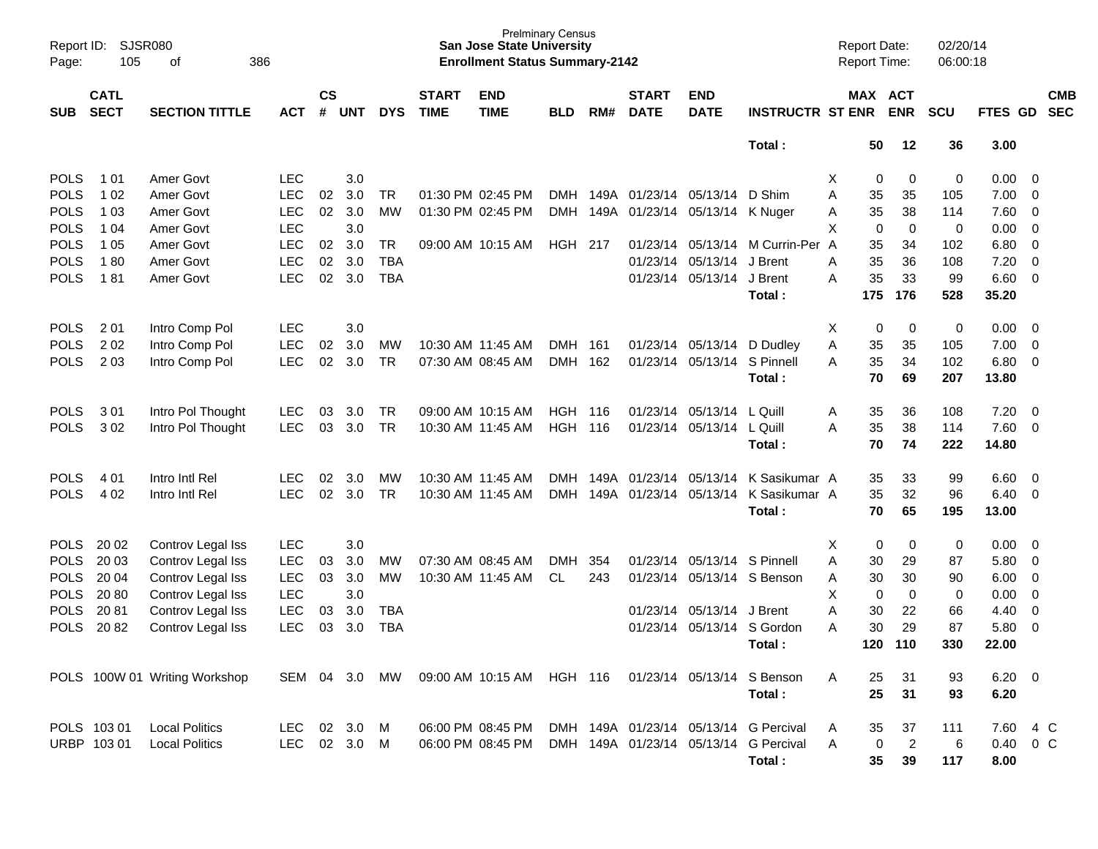| Report ID:<br>Page: | SJSR080<br>105             | 386<br>of                     |            |                    |            |            |                             | <b>San Jose State University</b><br><b>Enrollment Status Summary-2142</b> | <b>Prelminary Census</b> |       |                             |                                |                                       |    | <b>Report Date:</b><br><b>Report Time:</b> |                | 02/20/14<br>06:00:18 |                |                          |                          |
|---------------------|----------------------------|-------------------------------|------------|--------------------|------------|------------|-----------------------------|---------------------------------------------------------------------------|--------------------------|-------|-----------------------------|--------------------------------|---------------------------------------|----|--------------------------------------------|----------------|----------------------|----------------|--------------------------|--------------------------|
| <b>SUB</b>          | <b>CATL</b><br><b>SECT</b> | <b>SECTION TITTLE</b>         | <b>ACT</b> | $\mathsf{cs}$<br># | <b>UNT</b> | <b>DYS</b> | <b>START</b><br><b>TIME</b> | <b>END</b><br><b>TIME</b>                                                 | <b>BLD</b>               | RM#   | <b>START</b><br><b>DATE</b> | <b>END</b><br><b>DATE</b>      | <b>INSTRUCTR ST ENR</b>               |    | MAX ACT                                    | <b>ENR</b>     | <b>SCU</b>           | <b>FTES GD</b> |                          | <b>CMB</b><br><b>SEC</b> |
|                     |                            |                               |            |                    |            |            |                             |                                                                           |                          |       |                             |                                | Total:                                |    | 50                                         | 12             | 36                   | 3.00           |                          |                          |
| <b>POLS</b>         | 1 0 1                      | Amer Govt                     | <b>LEC</b> |                    | 3.0        |            |                             |                                                                           |                          |       |                             |                                |                                       | X. | 0                                          | 0              | 0                    | $0.00 \t 0$    |                          |                          |
| <b>POLS</b>         | 1 0 2                      | Amer Govt                     | <b>LEC</b> | 02                 | 3.0        | TR         |                             | 01:30 PM 02:45 PM                                                         |                          |       |                             | DMH 149A 01/23/14 05/13/14     | D Shim                                | A  | 35                                         | 35             | 105                  | $7.00 \t 0$    |                          |                          |
| <b>POLS</b>         | 1 0 3                      | Amer Govt                     | <b>LEC</b> | 02                 | 3.0        | MW         |                             | 01:30 PM 02:45 PM                                                         | DMH                      |       |                             | 149A 01/23/14 05/13/14 K Nuger |                                       | Α  | 35                                         | 38             | 114                  | 7.60 0         |                          |                          |
| <b>POLS</b>         | 1 0 4                      | Amer Govt                     | <b>LEC</b> |                    | 3.0        |            |                             |                                                                           |                          |       |                             |                                |                                       | X  | 0                                          | $\mathbf 0$    | 0                    | $0.00 \ 0$     |                          |                          |
| <b>POLS</b>         | 1 0 5                      | Amer Govt                     | <b>LEC</b> | 02                 | 3.0        | TR         |                             | 09:00 AM 10:15 AM                                                         | <b>HGH 217</b>           |       |                             | 01/23/14 05/13/14              | M Currin-Per A                        |    | 35                                         | 34             | 102                  | 6.80           | $\overline{\phantom{0}}$ |                          |
| <b>POLS</b>         | 180                        | Amer Govt                     | <b>LEC</b> | 02                 | 3.0        | <b>TBA</b> |                             |                                                                           |                          |       |                             | 01/23/14 05/13/14              | J Brent                               | Α  | 35                                         | 36             | 108                  | 7.20           | $\overline{\phantom{0}}$ |                          |
| <b>POLS</b>         | 181                        | Amer Govt                     | <b>LEC</b> | 02                 | 3.0        | <b>TBA</b> |                             |                                                                           |                          |       |                             | 01/23/14 05/13/14 J Brent      |                                       | A  | 35                                         | 33             | 99                   | $6.60$ 0       |                          |                          |
|                     |                            |                               |            |                    |            |            |                             |                                                                           |                          |       |                             |                                | Total:                                |    | 175                                        | 176            | 528                  | 35.20          |                          |                          |
| <b>POLS</b>         | 201                        | Intro Comp Pol                | <b>LEC</b> |                    | 3.0        |            |                             |                                                                           |                          |       |                             |                                |                                       | X  | 0                                          | 0              | 0                    | $0.00 \t 0$    |                          |                          |
| <b>POLS</b>         | 2 0 2                      | Intro Comp Pol                | <b>LEC</b> | 02                 | 3.0        | MW         |                             | 10:30 AM 11:45 AM                                                         | DMH 161                  |       |                             | 01/23/14 05/13/14              | D Dudley                              | Α  | 35                                         | 35             | 105                  | $7.00 \t 0$    |                          |                          |
| <b>POLS</b>         | 2 0 3                      | Intro Comp Pol                | <b>LEC</b> | 02                 | 3.0        | TR         |                             | 07:30 AM 08:45 AM                                                         | <b>DMH</b>               | 162   |                             | 01/23/14 05/13/14              | S Pinnell                             | Α  | 35                                         | 34             | 102                  | $6.80$ 0       |                          |                          |
|                     |                            |                               |            |                    |            |            |                             |                                                                           |                          |       |                             |                                | Total:                                |    | 70                                         | 69             | 207                  | 13.80          |                          |                          |
| <b>POLS</b>         | 301                        | Intro Pol Thought             | <b>LEC</b> | 03                 | 3.0        | TR         |                             | 09:00 AM 10:15 AM                                                         | HGH                      | - 116 |                             | 01/23/14 05/13/14              | L Quill                               | A  | 35                                         | 36             | 108                  | 7.20           | $\overline{\phantom{0}}$ |                          |
| <b>POLS</b>         | 302                        | Intro Pol Thought             | <b>LEC</b> | 03                 | 3.0        | TR         |                             | 10:30 AM 11:45 AM                                                         | HGH 116                  |       |                             | 01/23/14 05/13/14              | L Quill                               | Α  | 35                                         | 38             | 114                  | 7.60 0         |                          |                          |
|                     |                            |                               |            |                    |            |            |                             |                                                                           |                          |       |                             |                                | Total:                                |    | 70                                         | 74             | 222                  | 14.80          |                          |                          |
| <b>POLS</b>         | 4 0 1                      | Intro Intl Rel                | LEC.       | 02                 | 3.0        | MW         |                             | 10:30 AM 11:45 AM                                                         |                          |       |                             | DMH 149A 01/23/14 05/13/14     | K Sasikumar A                         |    | 35                                         | 33             | 99                   | $6.60$ 0       |                          |                          |
| <b>POLS</b>         | 4 0 2                      | Intro Intl Rel                | <b>LEC</b> | 02                 | 3.0        | <b>TR</b>  |                             | 10:30 AM 11:45 AM                                                         | <b>DMH</b>               |       |                             | 149A 01/23/14 05/13/14         | K Sasikumar A                         |    | 35                                         | 32             | 96                   | $6.40 \quad 0$ |                          |                          |
|                     |                            |                               |            |                    |            |            |                             |                                                                           |                          |       |                             |                                | Total:                                |    | 70                                         | 65             | 195                  | 13.00          |                          |                          |
| <b>POLS</b>         | 20 02                      | Controv Legal Iss             | <b>LEC</b> |                    | 3.0        |            |                             |                                                                           |                          |       |                             |                                |                                       | X  | 0                                          | 0              | 0                    | $0.00 \t 0$    |                          |                          |
| <b>POLS</b>         | 20 03                      | Controv Legal Iss             | <b>LEC</b> | 03                 | 3.0        | MW         |                             | 07:30 AM 08:45 AM                                                         | <b>DMH</b>               | 354   |                             | 01/23/14 05/13/14 S Pinnell    |                                       | Α  | 30                                         | 29             | 87                   | 5.80 0         |                          |                          |
| <b>POLS</b>         | 20 04                      | Controv Legal Iss             | <b>LEC</b> | 03                 | 3.0        | MW         |                             | 10:30 AM 11:45 AM                                                         | CL                       | 243   |                             |                                | 01/23/14 05/13/14 S Benson            | Α  | 30                                         | 30             | 90                   | $6.00 \t 0$    |                          |                          |
| <b>POLS</b>         | 2080                       | Controv Legal Iss             | <b>LEC</b> |                    | 3.0        |            |                             |                                                                           |                          |       |                             |                                |                                       | X  | 0                                          | $\mathbf 0$    | 0                    | 0.00           | $\overline{\phantom{0}}$ |                          |
| <b>POLS</b>         | 2081                       | Controv Legal Iss             | <b>LEC</b> | 03                 | 3.0        | <b>TBA</b> |                             |                                                                           |                          |       |                             | 01/23/14 05/13/14              | J Brent                               | Α  | 30                                         | 22             | 66                   | 4.40           | $\overline{\mathbf{0}}$  |                          |
| <b>POLS</b>         | 2082                       | Controv Legal Iss             | <b>LEC</b> | 03                 | 3.0        | <b>TBA</b> |                             |                                                                           |                          |       |                             | 01/23/14 05/13/14              | S Gordon                              | Α  | 30                                         | 29             | 87                   | 5.80           | $\overline{\mathbf{0}}$  |                          |
|                     |                            |                               |            |                    |            |            |                             |                                                                           |                          |       |                             |                                | Total:                                |    | 120                                        | 110            | 330                  | 22.00          |                          |                          |
|                     |                            | POLS 100W 01 Writing Workshop | SEM 04 3.0 |                    |            | MW         |                             | 09:00 AM 10:15 AM HGH 116                                                 |                          |       |                             |                                | 01/23/14 05/13/14 S Benson            | A  | 25                                         | 31             | 93                   | $6.20 \quad 0$ |                          |                          |
|                     |                            |                               |            |                    |            |            |                             |                                                                           |                          |       |                             |                                | Total:                                |    | 25                                         | 31             | 93                   | 6.20           |                          |                          |
|                     | POLS 103 01                | <b>Local Politics</b>         | LEC 02 3.0 |                    |            | M          | 06:00 PM 08:45 PM           |                                                                           |                          |       |                             |                                | DMH 149A 01/23/14 05/13/14 G Percival | Α  | 35                                         | 37             | 111                  | 7.60 4 C       |                          |                          |
|                     | URBP 103 01                | <b>Local Politics</b>         | <b>LEC</b> |                    | 02 3.0 M   |            |                             | 06:00 PM 08:45 PM                                                         |                          |       |                             |                                | DMH 149A 01/23/14 05/13/14 G Percival | A  | $\mathbf 0$                                | $\overline{2}$ | $\,6$                | 0.40 0 C       |                          |                          |
|                     |                            |                               |            |                    |            |            |                             |                                                                           |                          |       |                             |                                | Total:                                |    | 35                                         | 39             | 117                  | 8.00           |                          |                          |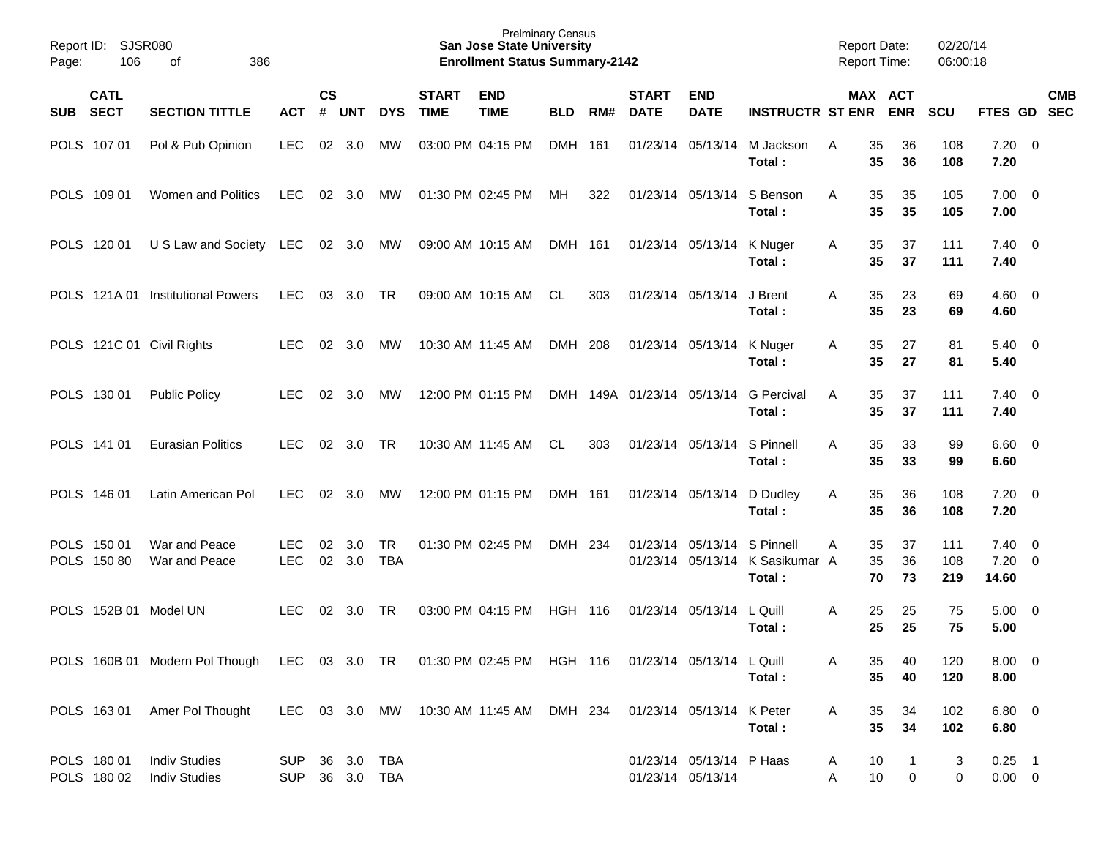| Report ID:<br>Page: | 106                        | <b>SJSR080</b><br>386<br>оf                                                                      |                                  |               |            |                         |              | <b>Prelminary Census</b><br><b>San Jose State University</b><br><b>Enrollment Status Summary-2142</b> |                |       |                        |                                               |                                       | <b>Report Date:</b><br>Report Time: |                                 | 02/20/14<br>06:00:18 |                         |                                 |
|---------------------|----------------------------|--------------------------------------------------------------------------------------------------|----------------------------------|---------------|------------|-------------------------|--------------|-------------------------------------------------------------------------------------------------------|----------------|-------|------------------------|-----------------------------------------------|---------------------------------------|-------------------------------------|---------------------------------|----------------------|-------------------------|---------------------------------|
|                     | <b>CATL</b>                |                                                                                                  |                                  | $\mathsf{cs}$ |            |                         | <b>START</b> | <b>END</b>                                                                                            |                |       | <b>START</b>           | <b>END</b>                                    |                                       |                                     | <b>MAX ACT</b>                  |                      |                         | <b>CMB</b>                      |
| <b>SUB</b>          | <b>SECT</b>                | <b>SECTION TITTLE</b>                                                                            | <b>ACT</b>                       | #             | <b>UNT</b> | <b>DYS</b>              | <b>TIME</b>  | <b>TIME</b>                                                                                           | <b>BLD</b>     | RM#   | <b>DATE</b>            | <b>DATE</b>                                   | <b>INSTRUCTR ST ENR</b>               |                                     | <b>ENR</b>                      | <b>SCU</b>           | FTES GD                 | <b>SEC</b>                      |
|                     | POLS 107 01                | Pol & Pub Opinion                                                                                | <b>LEC</b>                       | 02            | 3.0        | МW                      |              | 03:00 PM 04:15 PM                                                                                     | <b>DMH</b>     | 161   | 01/23/14               | 05/13/14                                      | M Jackson<br>Total :                  | 35<br>A<br>35                       | 36<br>36                        | 108<br>108           | $7.20 \ 0$<br>7.20      |                                 |
| <b>POLS</b>         | 109 01                     | <b>Women and Politics</b>                                                                        | <b>LEC</b>                       | 02            | 3.0        | МW                      |              | 01:30 PM 02:45 PM                                                                                     | MH             | 322   |                        | 01/23/14 05/13/14                             | S Benson<br>Total :                   | 35<br>Α<br>35                       | 35<br>35                        | 105<br>105           | $7.00 \ 0$<br>7.00      |                                 |
| <b>POLS</b>         | 120 01                     | U S Law and Society                                                                              | LEC                              | 02            | 3.0        | МW                      |              | 09:00 AM 10:15 AM                                                                                     | <b>DMH</b>     | - 161 |                        | 01/23/14 05/13/14                             | K Nuger<br>Total:                     | 35<br>A<br>35                       | 37<br>37                        | 111<br>111           | $7.40 \quad 0$<br>7.40  |                                 |
| <b>POLS</b>         | 121A 01                    | <b>Institutional Powers</b>                                                                      | <b>LEC</b>                       | 03            | 3.0        | <b>TR</b>               |              | 09:00 AM 10:15 AM                                                                                     | <b>CL</b>      | 303   |                        | 01/23/14 05/13/14                             | J Brent<br>Total :                    | 35<br>A<br>35                       | 23<br>23                        | 69<br>69             | $4.60 \quad 0$<br>4.60  |                                 |
|                     |                            | POLS 121C 01 Civil Rights                                                                        | <b>LEC</b>                       | 02            | 3.0        | МW                      |              | 10:30 AM 11:45 AM                                                                                     | <b>DMH</b>     | 208   |                        | 01/23/14 05/13/14                             | K Nuger<br>Total:                     | 35<br>A<br>35                       | 27<br>27                        | 81<br>81             | $5.40 \quad 0$<br>5.40  |                                 |
|                     | POLS 130 01                | <b>Public Policy</b>                                                                             | <b>LEC</b>                       | 02            | 3.0        | МW                      |              | 12:00 PM 01:15 PM                                                                                     | <b>DMH</b>     |       | 149A 01/23/14 05/13/14 |                                               | <b>G</b> Percival<br>Total :          | 35<br>A<br>35                       | 37<br>37                        | 111<br>111           | $7.40 \quad 0$<br>7.40  |                                 |
|                     | POLS 141 01                | <b>Eurasian Politics</b>                                                                         | <b>LEC</b>                       | 02            | 3.0        | <b>TR</b>               |              | 10:30 AM 11:45 AM                                                                                     | <b>CL</b>      | 303   |                        | 01/23/14 05/13/14                             | S Pinnell<br>Total :                  | A<br>35<br>35                       | 33<br>33                        | 99<br>99             | $6.60 \quad 0$<br>6.60  |                                 |
|                     | POLS 146 01                | Latin American Pol                                                                               | <b>LEC</b>                       | 02            | 3.0        | MW                      |              | 12:00 PM 01:15 PM                                                                                     | DMH 161        |       |                        | 01/23/14 05/13/14                             | D Dudley<br>Total:                    | 35<br>Α<br>35                       | 36<br>36                        | 108<br>108           | 7.20<br>7.20            | - 0                             |
|                     | POLS 150 01<br>POLS 150 80 | War and Peace<br>War and Peace                                                                   | <b>LEC</b><br><b>LEC</b>         | 02<br>02      | 3.0<br>3.0 | <b>TR</b><br><b>TBA</b> |              | 01:30 PM 02:45 PM                                                                                     | <b>DMH</b>     | 234   | 01/23/14               | 05/13/14<br>01/23/14 05/13/14                 | S Pinnell<br>K Sasikumar A<br>Total : | 35<br>Α<br>35<br>70                 | 37<br>36<br>73                  | 111<br>108<br>219    | 7.40<br>7.20<br>14.60   | $\overline{\phantom{0}}$<br>- 0 |
|                     |                            | POLS 152B 01 Model UN                                                                            | <b>LEC</b>                       | 02            | 3.0        | <b>TR</b>               |              | 03:00 PM 04:15 PM                                                                                     | <b>HGH 116</b> |       |                        | 01/23/14 05/13/14                             | L Quill<br>Total :                    | 25<br>Α<br>25                       | 25<br>25                        | 75<br>75             | 5.00<br>5.00            | - 0                             |
|                     |                            | POLS 160B 01 Modern Pol Though LEC 03 3.0 TR 01:30 PM 02:45 PM HGH 116 01/23/14 05/13/14 L Quill |                                  |               |            |                         |              |                                                                                                       |                |       |                        |                                               | Total:                                | A                                   | 35<br>40<br>35<br>40            | 120<br>120           | $8.00 \t 0$<br>8.00     |                                 |
|                     |                            | POLS 163 01 Amer Pol Thought                                                                     |                                  |               |            |                         |              | LEC 03 3.0 MW 10:30 AM 11:45 AM DMH 234 01/23/14 05/13/14 K Peter                                     |                |       |                        |                                               | Total:                                | Α                                   | 35<br>34<br>35<br>34            | 102<br>102           | $6.80\ 0$<br>6.80       |                                 |
|                     | POLS 180 01<br>POLS 180 02 | <b>Indiv Studies</b><br><b>Indiv Studies</b>                                                     | SUP 36 3.0 TBA<br>SUP 36 3.0 TBA |               |            |                         |              |                                                                                                       |                |       |                        | 01/23/14 05/13/14 P Haas<br>01/23/14 05/13/14 |                                       | A<br>Α                              | 10<br>1<br>10<br>$\overline{0}$ | 3<br>0               | $0.25$ 1<br>$0.00 \t 0$ |                                 |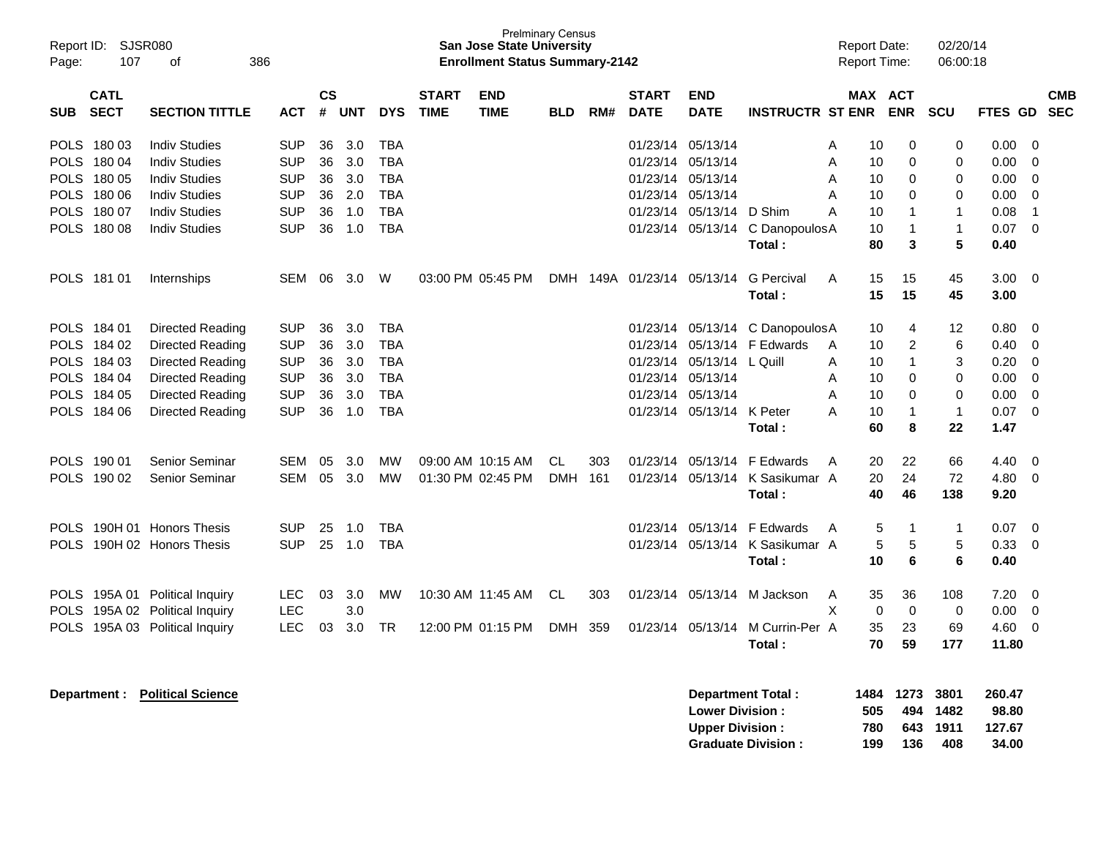| Page:                                     | Report ID: SJSR080<br>107                                                              | 386<br>оf                                                                                                            |                                                                                  |                                  |                                        |                                                                                  |                             | <b>Prelminary Census</b><br><b>San Jose State University</b><br><b>Enrollment Status Summary-2142</b> |                   |            |                                                                            |                                                       |                                                             | <b>Report Date:</b>   | <b>Report Time:</b>                                                                                   | 02/20/14<br>06:00:18                                |                                                      |                                                                            |
|-------------------------------------------|----------------------------------------------------------------------------------------|----------------------------------------------------------------------------------------------------------------------|----------------------------------------------------------------------------------|----------------------------------|----------------------------------------|----------------------------------------------------------------------------------|-----------------------------|-------------------------------------------------------------------------------------------------------|-------------------|------------|----------------------------------------------------------------------------|-------------------------------------------------------|-------------------------------------------------------------|-----------------------|-------------------------------------------------------------------------------------------------------|-----------------------------------------------------|------------------------------------------------------|----------------------------------------------------------------------------|
| <b>SUB</b>                                | <b>CATL</b><br><b>SECT</b>                                                             | <b>SECTION TITTLE</b>                                                                                                | <b>ACT</b>                                                                       | <b>CS</b><br>#                   | <b>UNT</b>                             | <b>DYS</b>                                                                       | <b>START</b><br><b>TIME</b> | <b>END</b><br><b>TIME</b>                                                                             | <b>BLD</b>        | RM#        | <b>START</b><br><b>DATE</b>                                                | <b>END</b><br><b>DATE</b>                             | <b>INSTRUCTR ST ENR</b>                                     | <b>MAX</b>            | <b>ACT</b><br><b>ENR</b>                                                                              | SCU                                                 | <b>FTES</b><br>GD                                    | <b>CMB</b><br><b>SEC</b>                                                   |
| <b>POLS</b><br><b>POLS</b>                | 18003<br>POLS 180 04<br>180 05                                                         | <b>Indiv Studies</b><br><b>Indiv Studies</b><br><b>Indiv Studies</b>                                                 | <b>SUP</b><br><b>SUP</b><br><b>SUP</b>                                           | 36<br>36<br>36                   | 3.0<br>3.0<br>3.0                      | <b>TBA</b><br><b>TBA</b><br><b>TBA</b>                                           |                             |                                                                                                       |                   |            | 01/23/14<br>01/23/14                                                       | 01/23/14 05/13/14<br>05/13/14<br>05/13/14             |                                                             | A<br>A<br>A           | 0<br>10<br>$\mathbf 0$<br>10<br>$\mathbf 0$<br>10                                                     | 0<br>0<br>0                                         | 0.00<br>0.00<br>0.00                                 | $\mathbf 0$<br>$\Omega$<br>$\Omega$                                        |
| <b>POLS</b><br><b>POLS</b>                | 180 06<br>180 07<br>POLS 180 08                                                        | <b>Indiv Studies</b><br><b>Indiv Studies</b><br><b>Indiv Studies</b>                                                 | <b>SUP</b><br><b>SUP</b><br><b>SUP</b>                                           | 36<br>36<br>36                   | 2.0<br>1.0<br>1.0                      | <b>TBA</b><br><b>TBA</b><br><b>TBA</b>                                           |                             |                                                                                                       |                   |            | 01/23/14<br>01/23/14                                                       | 05/13/14<br>05/13/14<br>01/23/14 05/13/14             | D Shim<br>C DanopoulosA<br>Total:                           | A<br>A                | $\Omega$<br>10<br>10<br>1<br>10<br>1<br>80<br>3                                                       | $\Omega$<br>$\mathbf 1$<br>$\mathbf{1}$<br>5        | 0.00<br>0.08<br>0.07<br>0.40                         | $\Omega$<br>$\overline{1}$<br>$\mathbf 0$                                  |
|                                           | POLS 181 01                                                                            | Internships                                                                                                          | SEM 06                                                                           |                                  | 3.0                                    | W                                                                                |                             | 03:00 PM 05:45 PM                                                                                     |                   |            | DMH 149A 01/23/14 05/13/14                                                 |                                                       | <b>G</b> Percival<br>Total:                                 | A                     | 15<br>15<br>15<br>15                                                                                  | 45<br>45                                            | 3.00 <sub>1</sub><br>3.00                            | $\mathbf 0$                                                                |
|                                           | POLS 184 01<br>POLS 184 02<br>POLS 184 03<br>POLS 184 04<br>POLS 184 05<br>POLS 184 06 | Directed Reading<br>Directed Reading<br>Directed Reading<br>Directed Reading<br>Directed Reading<br>Directed Reading | <b>SUP</b><br><b>SUP</b><br><b>SUP</b><br><b>SUP</b><br><b>SUP</b><br><b>SUP</b> | 36<br>36<br>36<br>36<br>36<br>36 | 3.0<br>3.0<br>3.0<br>3.0<br>3.0<br>1.0 | <b>TBA</b><br><b>TBA</b><br><b>TBA</b><br><b>TBA</b><br><b>TBA</b><br><b>TBA</b> |                             |                                                                                                       |                   |            | 01/23/14<br>01/23/14<br>01/23/14<br>01/23/14 05/13/14<br>01/23/14 05/13/14 | 05/13/14<br>05/13/14<br>05/13/14<br>01/23/14 05/13/14 | C Danopoulos A<br>F Edwards<br>L Quill<br>K Peter<br>Total: | A<br>A<br>A<br>A<br>A | 10<br>4<br>2<br>10<br>$\mathbf{1}$<br>10<br>$\Omega$<br>10<br>$\mathbf 0$<br>10<br>10<br>1<br>60<br>8 | 12<br>6<br>3<br>$\Omega$<br>0<br>$\mathbf{1}$<br>22 | 0.80<br>0.40<br>0.20<br>0.00<br>0.00<br>0.07<br>1.47 | $\Omega$<br>$\Omega$<br>$\Omega$<br>$\Omega$<br>$\mathbf 0$<br>$\mathbf 0$ |
| <b>POLS</b><br><b>POLS</b>                | 190 01<br>190 02                                                                       | Senior Seminar<br><b>Senior Seminar</b>                                                                              | <b>SEM</b><br><b>SEM</b>                                                         | 05<br>05                         | 3.0<br>3.0                             | <b>MW</b><br><b>MW</b>                                                           |                             | 09:00 AM 10:15 AM<br>01:30 PM 02:45 PM                                                                | CL<br><b>DMH</b>  | 303<br>161 | 01/23/14<br>01/23/14                                                       | 05/13/14<br>05/13/14                                  | F Edwards<br>K Sasikumar A<br>Total:                        | A                     | 20<br>22<br>24<br>20<br>40<br>46                                                                      | 66<br>72<br>138                                     | 4.40<br>4.80<br>9.20                                 | $\mathbf 0$<br>$\mathbf 0$                                                 |
| <b>POLS</b><br><b>POLS</b>                |                                                                                        | 190H 01 Honors Thesis<br>190H 02 Honors Thesis                                                                       | <b>SUP</b><br><b>SUP</b>                                                         | 25<br>25                         | 1.0<br>1.0                             | <b>TBA</b><br><b>TBA</b>                                                         |                             |                                                                                                       |                   |            | 01/23/14                                                                   | 05/13/14<br>01/23/14 05/13/14                         | F Edwards<br>K Sasikumar A<br>Total:                        | A                     | 5<br>1<br>5<br>5<br>10<br>6                                                                           | -1<br>5<br>6                                        | 0.07<br>0.33<br>0.40                                 | $\mathbf 0$<br>$\Omega$                                                    |
| <b>POLS</b><br><b>POLS</b><br><b>POLS</b> |                                                                                        | 195A 01 Political Inquiry<br>195A 02 Political Inquiry<br>195A 03 Political Inquiry                                  | <b>LEC</b><br><b>LEC</b><br>LEC                                                  | 03<br>03                         | 3.0<br>3.0<br>3.0                      | <b>MW</b><br>TR                                                                  |                             | 10:30 AM 11:45 AM<br>12:00 PM 01:15 PM                                                                | CL.<br><b>DMH</b> | 303<br>359 | 01/23/14<br>01/23/14                                                       | 05/13/14<br>05/13/14                                  | M Jackson<br>M Currin-Per A<br>Total:                       | A<br>X                | 35<br>36<br>$\mathbf 0$<br>$\mathbf 0$<br>35<br>23<br>59<br>70                                        | 108<br>0<br>69<br>177                               | 7.20<br>0.00<br>4.60<br>11.80                        | 0<br>$\mathbf 0$<br>$\mathbf 0$                                            |

| Department Total:         |     | 1484 1273 3801 |        | 260.47 |
|---------------------------|-----|----------------|--------|--------|
| <b>Lower Division:</b>    | 505 | 494            | 1482   | 98.80  |
| <b>Upper Division:</b>    | 780 | 643            | - 1911 | 127.67 |
| <b>Graduate Division:</b> | 199 | 136            | 408    | 34.00  |

**Department : Political Science**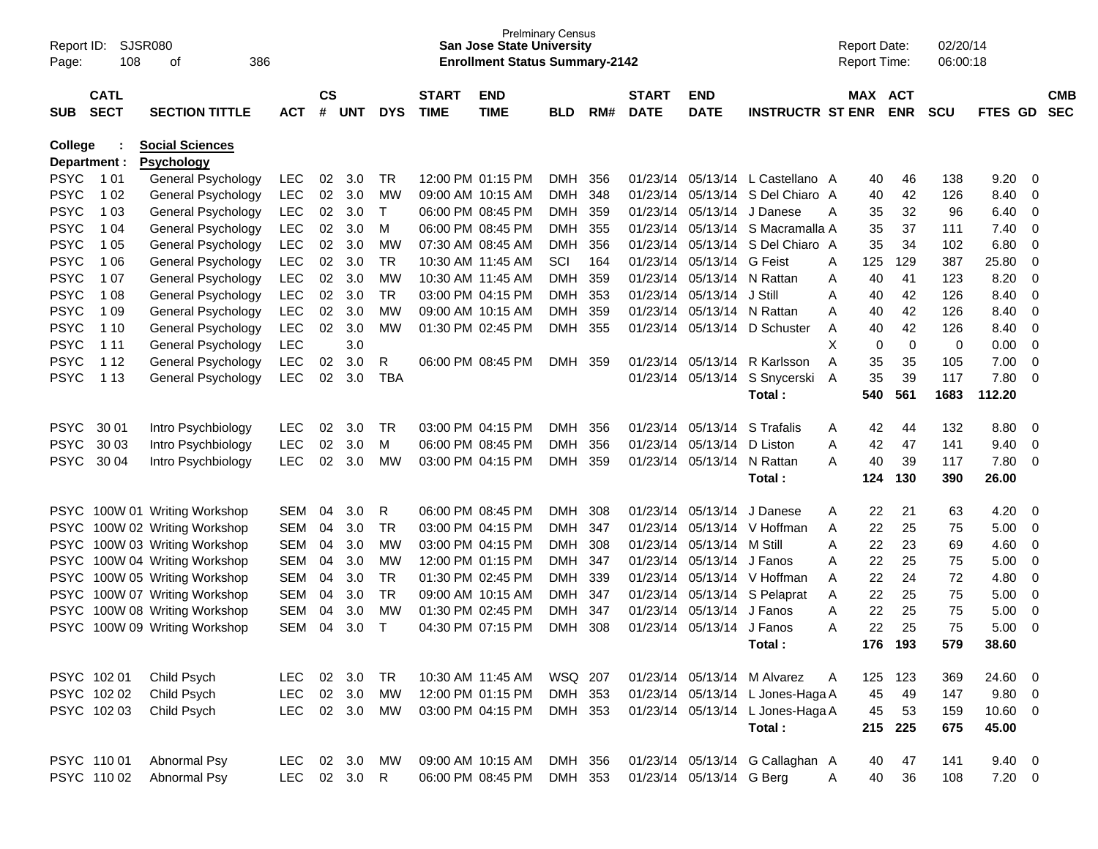| Report ID:<br>Page:        | 108                        | SJSR080<br>386<br>οf                     |                          |                |            |            |                             | <b>San Jose State University</b><br><b>Enrollment Status Summary-2142</b> | <b>Prelminary Census</b> |            |                             |                           |                                  |        | <b>Report Date:</b><br>Report Time: |            | 02/20/14<br>06:00:18 |                |                            |                          |
|----------------------------|----------------------------|------------------------------------------|--------------------------|----------------|------------|------------|-----------------------------|---------------------------------------------------------------------------|--------------------------|------------|-----------------------------|---------------------------|----------------------------------|--------|-------------------------------------|------------|----------------------|----------------|----------------------------|--------------------------|
| <b>SUB</b>                 | <b>CATL</b><br><b>SECT</b> | <b>SECTION TITTLE</b>                    | <b>ACT</b>               | <b>CS</b><br># | <b>UNT</b> | <b>DYS</b> | <b>START</b><br><b>TIME</b> | <b>END</b><br><b>TIME</b>                                                 | <b>BLD</b>               | RM#        | <b>START</b><br><b>DATE</b> | <b>END</b><br><b>DATE</b> | <b>INSTRUCTR ST ENR</b>          |        | MAX ACT                             | <b>ENR</b> | <b>SCU</b>           | FTES GD        |                            | <b>CMB</b><br><b>SEC</b> |
| College                    |                            | <b>Social Sciences</b>                   |                          |                |            |            |                             |                                                                           |                          |            |                             |                           |                                  |        |                                     |            |                      |                |                            |                          |
| Department :               |                            | <b>Psychology</b>                        |                          |                |            |            |                             |                                                                           |                          |            |                             |                           |                                  |        |                                     |            |                      |                |                            |                          |
| <b>PSYC</b>                | 1 0 1                      | General Psychology                       | <b>LEC</b>               | 02             | 3.0        | TR         |                             | 12:00 PM 01:15 PM                                                         | <b>DMH</b>               | 356        |                             |                           | 01/23/14 05/13/14 L Castellano A |        | 40                                  | 46         | 138                  | 9.20           | 0                          |                          |
| <b>PSYC</b>                | 1 0 2                      | General Psychology                       | <b>LEC</b>               | 02             | 3.0        | MW         |                             | 09:00 AM 10:15 AM                                                         | <b>DMH</b>               | 348        | 01/23/14                    | 05/13/14                  | S Del Chiaro A                   |        | 40                                  | 42         | 126                  | 8.40           | 0                          |                          |
| <b>PSYC</b>                | 1 0 3                      | General Psychology                       | <b>LEC</b>               | 02             | 3.0        | т          |                             | 06:00 PM 08:45 PM                                                         | <b>DMH</b>               | 359        | 01/23/14                    | 05/13/14                  | J Danese                         | A      | 35                                  | 32         | 96                   | 6.40           | 0                          |                          |
| <b>PSYC</b>                | 1 04                       | General Psychology                       | <b>LEC</b>               | 02             | 3.0        | M          |                             | 06:00 PM 08:45 PM                                                         | <b>DMH</b>               | 355        | 01/23/14                    | 05/13/14                  | S Macramalla A<br>S Del Chiaro A |        | 35                                  | 37         | 111                  | 7.40           | 0                          |                          |
| <b>PSYC</b><br><b>PSYC</b> | 1 0 5                      | General Psychology                       | <b>LEC</b>               | 02             | 3.0        | MW         |                             | 07:30 AM 08:45 AM                                                         | <b>DMH</b>               | 356        | 01/23/14                    | 05/13/14                  | <b>G</b> Feist                   |        | 35                                  | 34         | 102                  | 6.80           | 0                          |                          |
| <b>PSYC</b>                | 1 0 6<br>1 0 7             | General Psychology                       | <b>LEC</b><br><b>LEC</b> | 02<br>02       | 3.0<br>3.0 | TR<br>MW   |                             | 10:30 AM 11:45 AM<br>10:30 AM 11:45 AM                                    | SCI<br><b>DMH</b>        | 164<br>359 | 01/23/14<br>01/23/14        | 05/13/14<br>05/13/14      | N Rattan                         | A      | 125<br>40                           | 129<br>41  | 387<br>123           | 25.80<br>8.20  | $\mathbf 0$<br>$\mathbf 0$ |                          |
| <b>PSYC</b>                | 1 0 8                      | General Psychology<br>General Psychology | <b>LEC</b>               | 02             | 3.0        | <b>TR</b>  |                             | 03:00 PM 04:15 PM                                                         | <b>DMH</b>               | 353        | 01/23/14                    | 05/13/14                  | J Still                          | Α<br>Α | 40                                  | 42         | 126                  | 8.40           | $\mathbf 0$                |                          |
| <b>PSYC</b>                | 1 0 9                      | General Psychology                       | <b>LEC</b>               | 02             | 3.0        | МW         |                             | 09:00 AM 10:15 AM                                                         | <b>DMH</b>               | 359        | 01/23/14                    | 05/13/14                  | N Rattan                         | Α      | 40                                  | 42         | 126                  | 8.40           | $\mathbf 0$                |                          |
| <b>PSYC</b>                | 1 10                       | General Psychology                       | <b>LEC</b>               | 02             | 3.0        | MW         |                             | 01:30 PM 02:45 PM                                                         | <b>DMH</b>               | 355        | 01/23/14                    | 05/13/14                  | D Schuster                       | Α      | 40                                  | 42         | 126                  | 8.40           | $\mathbf 0$                |                          |
| <b>PSYC</b>                | 1 1 1                      | General Psychology                       | <b>LEC</b>               |                | 3.0        |            |                             |                                                                           |                          |            |                             |                           |                                  | X      | 0                                   | 0          | 0                    | 0.00           | 0                          |                          |
| <b>PSYC</b>                | 1 1 2                      | General Psychology                       | <b>LEC</b>               | 02             | 3.0        | R          |                             | 06:00 PM 08:45 PM                                                         | <b>DMH</b>               | 359        | 01/23/14                    | 05/13/14                  | R Karlsson                       | A      | 35                                  | 35         | 105                  | 7.00           | 0                          |                          |
| <b>PSYC</b>                | 1 1 3                      | General Psychology                       | <b>LEC</b>               | 02             | 3.0        | <b>TBA</b> |                             |                                                                           |                          |            |                             | 01/23/14 05/13/14         | S Snycerski                      | Α      | 35                                  | 39         | 117                  | 7.80           | $\mathbf 0$                |                          |
|                            |                            |                                          |                          |                |            |            |                             |                                                                           |                          |            |                             |                           | Total:                           |        | 540                                 | 561        | 1683                 | 112.20         |                            |                          |
|                            |                            |                                          |                          |                |            |            |                             |                                                                           |                          |            |                             |                           |                                  |        |                                     |            |                      |                |                            |                          |
| <b>PSYC</b>                | 30 01                      | Intro Psychbiology                       | <b>LEC</b>               | 02             | 3.0        | TR         |                             | 03:00 PM 04:15 PM                                                         | <b>DMH</b>               | 356        | 01/23/14                    | 05/13/14                  | S Trafalis                       | A      | 42                                  | 44         | 132                  | 8.80           | 0                          |                          |
| <b>PSYC</b>                | 30 03                      | Intro Psychbiology                       | <b>LEC</b>               | 02             | 3.0        | м          |                             | 06:00 PM 08:45 PM                                                         | <b>DMH</b>               | 356        | 01/23/14                    | 05/13/14                  | D Liston                         | Α      | 42                                  | 47         | 141                  | 9.40           | 0                          |                          |
| <b>PSYC</b>                | 30 04                      | Intro Psychbiology                       | <b>LEC</b>               | 02             | 3.0        | MW         |                             | 03:00 PM 04:15 PM                                                         | <b>DMH</b>               | 359        |                             | 01/23/14 05/13/14         | N Rattan                         | A      | 40                                  | 39         | 117                  | 7.80           | 0                          |                          |
|                            |                            |                                          |                          |                |            |            |                             |                                                                           |                          |            |                             |                           | Total:                           |        | 124                                 | 130        | 390                  | 26.00          |                            |                          |
|                            |                            |                                          |                          |                |            |            |                             |                                                                           |                          |            |                             |                           |                                  |        |                                     |            |                      |                |                            |                          |
|                            |                            | PSYC 100W 01 Writing Workshop            | <b>SEM</b>               | 04             | 3.0        | R          |                             | 06:00 PM 08:45 PM                                                         | <b>DMH</b>               | 308        | 01/23/14                    | 05/13/14                  | J Danese                         | Α      | 22                                  | 21         | 63                   | 4.20           | - 0                        |                          |
| <b>PSYC</b>                |                            | 100W 02 Writing Workshop                 | <b>SEM</b>               | 04             | 3.0        | TR         |                             | 03:00 PM 04:15 PM                                                         | <b>DMH</b>               | 347        | 01/23/14                    |                           | 05/13/14 V Hoffman               | A      | 22                                  | 25         | 75                   | 5.00           | 0                          |                          |
| <b>PSYC</b>                |                            | 100W 03 Writing Workshop                 | <b>SEM</b>               | 04             | 3.0        | MW         |                             | 03:00 PM 04:15 PM                                                         | <b>DMH</b>               | 308        | 01/23/14                    | 05/13/14                  | M Still                          | A      | 22                                  | 23         | 69                   | 4.60           | 0                          |                          |
| <b>PSYC</b>                |                            | 100W 04 Writing Workshop                 | <b>SEM</b>               | 04             | 3.0        | MW         |                             | 12:00 PM 01:15 PM                                                         | <b>DMH</b>               | 347        | 01/23/14                    | 05/13/14                  | J Fanos                          | Α      | 22                                  | 25         | 75                   | 5.00           | 0                          |                          |
| <b>PSYC</b>                |                            | 100W 05 Writing Workshop                 | <b>SEM</b>               | 04             | 3.0        | <b>TR</b>  |                             | 01:30 PM 02:45 PM                                                         | <b>DMH</b>               | 339        | 01/23/14                    |                           | 05/13/14 V Hoffman               | A      | 22                                  | 24         | 72                   | 4.80           | 0                          |                          |
| <b>PSYC</b>                |                            | 100W 07 Writing Workshop                 | <b>SEM</b>               | 04             | 3.0        | <b>TR</b>  |                             | 09:00 AM 10:15 AM                                                         | <b>DMH</b>               | 347        | 01/23/14                    | 05/13/14                  | S Pelaprat                       | Α      | 22                                  | 25         | 75                   | 5.00           | 0                          |                          |
| <b>PSYC</b>                |                            | 100W 08 Writing Workshop                 | <b>SEM</b>               | 04             | 3.0        | MW         |                             | 01:30 PM 02:45 PM                                                         | <b>DMH</b>               | 347        | 01/23/14                    | 05/13/14                  | J Fanos                          | Α      | 22                                  | 25         | 75                   | 5.00           | $\mathbf 0$                |                          |
| PSYC                       |                            | 100W 09 Writing Workshop                 | <b>SEM</b>               | 04             | 3.0        | T          |                             | 04:30 PM 07:15 PM                                                         | <b>DMH</b>               | 308        | 01/23/14                    | 05/13/14                  | J Fanos                          | A      | 22                                  | 25         | 75                   | 5.00           | 0                          |                          |
|                            |                            |                                          |                          |                |            |            |                             |                                                                           |                          |            |                             |                           | Total:                           |        | 176                                 | 193        | 579                  | 38.60          |                            |                          |
|                            | PSYC 102 01                | Child Psych                              | LEC.                     | 02             | 3.0        | <b>TR</b>  |                             | 10:30 AM 11:45 AM                                                         | WSQ 207                  |            |                             |                           | 01/23/14 05/13/14 M Alvarez      | A      | 125                                 | 123        | 369                  | 24.60          | $\overline{\mathbf{0}}$    |                          |
|                            | PSYC 102 02                | Child Psych                              | <b>LEC</b>               |                | 02 3.0     | MW         |                             | 12:00 PM 01:15 PM                                                         | DMH 353                  |            |                             | 01/23/14 05/13/14         | L Jones-Haga A                   |        | 45                                  | 49         | 147                  | $9.80\ 0$      |                            |                          |
|                            | PSYC 102 03                | Child Psych                              | <b>LEC</b>               |                | 02 3.0     | MW         |                             | 03:00 PM 04:15 PM                                                         | DMH 353                  |            |                             |                           | 01/23/14 05/13/14 L Jones-Haga A |        | 45                                  | 53         | 159                  | $10.60$ 0      |                            |                          |
|                            |                            |                                          |                          |                |            |            |                             |                                                                           |                          |            |                             |                           | Total:                           |        | 215                                 | 225        | 675                  | 45.00          |                            |                          |
|                            |                            |                                          |                          |                |            |            |                             |                                                                           |                          |            |                             |                           |                                  |        |                                     |            |                      |                |                            |                          |
|                            | PSYC 110 01                | Abnormal Psy                             | <b>LEC</b>               |                | 02 3.0     | MW         |                             | 09:00 AM 10:15 AM                                                         | DMH 356                  |            |                             |                           | 01/23/14 05/13/14 G Callaghan A  |        | 40                                  | 47         | 141                  | $9.40 \quad 0$ |                            |                          |
|                            | PSYC 110 02                | Abnormal Psy                             | LEC                      |                | 02 3.0     | R          |                             | 06:00 PM 08:45 PM                                                         | DMH 353                  |            |                             | 01/23/14 05/13/14 G Berg  |                                  | A      | 40                                  | 36         | 108                  | $7.20 \t 0$    |                            |                          |
|                            |                            |                                          |                          |                |            |            |                             |                                                                           |                          |            |                             |                           |                                  |        |                                     |            |                      |                |                            |                          |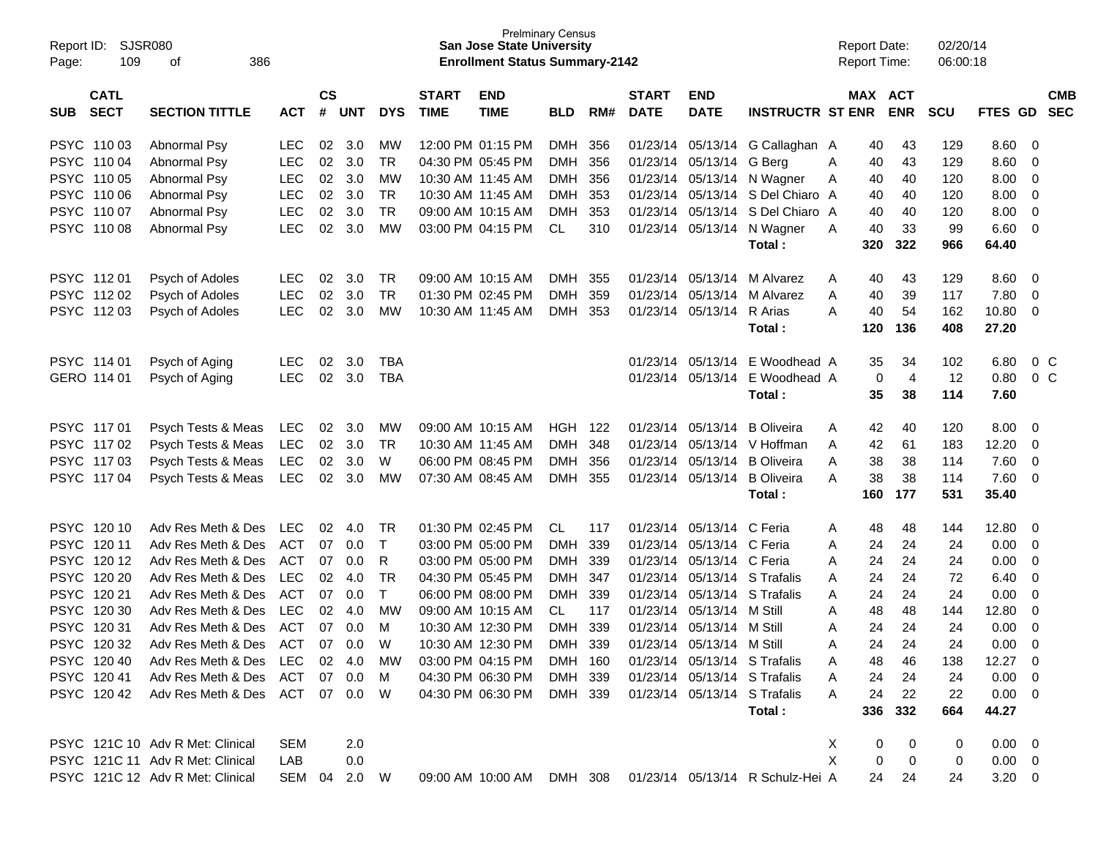| Report ID:<br>Page: | SJSR080<br>109             | 386                                          |                          |                    |               |                 | <b>San Jose State University</b><br><b>Enrollment Status Summary-2142</b> | <b>Prelminary Census</b>               |                          |            |                             |                                                              |                                        | <b>Report Date:</b><br><b>Report Time:</b> |          | 02/20/14<br>06:00:18  |            |                   |                            |
|---------------------|----------------------------|----------------------------------------------|--------------------------|--------------------|---------------|-----------------|---------------------------------------------------------------------------|----------------------------------------|--------------------------|------------|-----------------------------|--------------------------------------------------------------|----------------------------------------|--------------------------------------------|----------|-----------------------|------------|-------------------|----------------------------|
| <b>SUB</b>          | <b>CATL</b><br><b>SECT</b> | <b>SECTION TITTLE</b>                        | <b>ACT</b>               | $\mathsf{cs}$<br># | <b>UNT</b>    | <b>DYS</b>      | <b>START</b><br><b>TIME</b>                                               | <b>END</b><br><b>TIME</b>              | <b>BLD</b>               | RM#        | <b>START</b><br><b>DATE</b> | <b>END</b><br><b>DATE</b>                                    | <b>INSTRUCTR ST ENR</b>                |                                            |          | MAX ACT<br><b>ENR</b> | <b>SCU</b> | FTES GD           | <b>CMB</b><br><b>SEC</b>   |
|                     |                            |                                              |                          |                    |               |                 |                                                                           |                                        |                          |            |                             |                                                              |                                        |                                            |          |                       |            |                   |                            |
|                     | PSYC 110 03                | Abnormal Psy                                 | LEC.                     | 02                 | 3.0           | MW              |                                                                           | 12:00 PM 01:15 PM                      | DMH                      | 356        | 01/23/14                    | 05/13/14                                                     | G Callaghan A                          |                                            | 40       | 43                    | 129        | 8.60              | 0                          |
|                     | PSYC 110 04<br>PSYC 110 05 | Abnormal Psy                                 | <b>LEC</b><br><b>LEC</b> | 02<br>02           | 3.0<br>3.0    | <b>TR</b><br>MW |                                                                           | 04:30 PM 05:45 PM<br>10:30 AM 11:45 AM | <b>DMH</b><br><b>DMH</b> | 356<br>356 | 01/23/14<br>01/23/14        | 05/13/14                                                     | G Berg                                 | A                                          | 40       | 43<br>40              | 129        | 8.60<br>8.00      | 0<br>0                     |
|                     | PSYC 110 06                | Abnormal Psy<br>Abnormal Psy                 | <b>LEC</b>               | 02                 | 3.0           | <b>TR</b>       |                                                                           | 10:30 AM 11:45 AM                      | <b>DMH</b>               | 353        | 01/23/14                    | 05/13/14<br>05/13/14                                         | N Wagner<br>S Del Chiaro A             | Α                                          | 40<br>40 | 40                    | 120<br>120 | 8.00              | $\mathbf 0$                |
|                     | PSYC 110 07                | Abnormal Psy                                 | <b>LEC</b>               | 02                 | 3.0           | <b>TR</b>       |                                                                           | 09:00 AM 10:15 AM                      | <b>DMH</b>               | 353        | 01/23/14                    | 05/13/14                                                     | S Del Chiaro A                         |                                            | 40       | 40                    | 120        | 8.00              | $\mathbf 0$                |
|                     | PSYC 110 08                | Abnormal Psy                                 | <b>LEC</b>               | 02                 | 3.0           | <b>MW</b>       |                                                                           | 03:00 PM 04:15 PM                      | CL                       | 310        | 01/23/14                    | 05/13/14                                                     | N Wagner                               | A                                          | 40       | 33                    | 99         | 6.60              | $\mathbf 0$                |
|                     |                            |                                              |                          |                    |               |                 |                                                                           |                                        |                          |            |                             |                                                              | Total:                                 |                                            | 320      | 322                   | 966        | 64.40             |                            |
|                     |                            |                                              |                          |                    |               |                 |                                                                           |                                        |                          |            |                             |                                                              |                                        |                                            |          |                       |            |                   |                            |
|                     | PSYC 11201                 | Psych of Adoles                              | LEC.                     | 02                 | 3.0           | TR              |                                                                           | 09:00 AM 10:15 AM                      | DMH                      | 355        | 01/23/14                    | 05/13/14                                                     | M Alvarez                              | A                                          | 40       | 43                    | 129        | 8.60              | 0                          |
|                     | PSYC 11202                 | Psych of Adoles                              | <b>LEC</b>               | 02                 | 3.0           | <b>TR</b>       |                                                                           | 01:30 PM 02:45 PM                      | <b>DMH</b>               | 359        | 01/23/14                    | 05/13/14                                                     | M Alvarez                              | A                                          | 40       | 39                    | 117        | 7.80              | 0                          |
|                     | PSYC 11203                 | Psych of Adoles                              | <b>LEC</b>               | 02                 | 3.0           | <b>MW</b>       |                                                                           | 10:30 AM 11:45 AM                      | DMH                      | 353        | 01/23/14                    | 05/13/14                                                     | R Arias                                | A                                          | 40       | 54                    | 162        | 10.80             | 0                          |
|                     |                            |                                              |                          |                    |               |                 |                                                                           |                                        |                          |            |                             |                                                              | Total:                                 |                                            | 120      | 136                   | 408        | 27.20             |                            |
|                     | PSYC 114 01                | Psych of Aging                               | <b>LEC</b>               | 02                 | 3.0           | <b>TBA</b>      |                                                                           |                                        |                          |            | 01/23/14                    | 05/13/14                                                     | E Woodhead A                           |                                            | 35       | 34                    | 102        | 6.80              | 0 <sup>o</sup>             |
|                     | GERO 114 01                | Psych of Aging                               | <b>LEC</b>               | $02\,$             | 3.0           | <b>TBA</b>      |                                                                           |                                        |                          |            | 01/23/14                    | 05/13/14                                                     | E Woodhead A                           |                                            | 0        | $\overline{4}$        | 12         | 0.80              | 0 <sup>o</sup>             |
|                     |                            |                                              |                          |                    |               |                 |                                                                           |                                        |                          |            |                             |                                                              | Total:                                 |                                            | 35       | 38                    | 114        | 7.60              |                            |
|                     |                            |                                              |                          |                    |               |                 |                                                                           |                                        |                          |            |                             |                                                              |                                        |                                            |          |                       |            |                   |                            |
|                     | PSYC 11701                 | Psych Tests & Meas                           | <b>LEC</b>               | 02                 | 3.0           | <b>MW</b>       |                                                                           | 09:00 AM 10:15 AM                      | HGH                      | 122        | 01/23/14                    | 05/13/14                                                     | <b>B</b> Oliveira                      | A                                          | 42       | 40                    | 120        | 8.00              | 0                          |
|                     | PSYC 11702                 | Psych Tests & Meas                           | <b>LEC</b>               | 02                 | 3.0           | TR              |                                                                           | 10:30 AM 11:45 AM                      | <b>DMH</b>               | 348        | 01/23/14                    | 05/13/14                                                     | V Hoffman                              | A                                          | 42       | 61                    | 183        | 12.20             | 0                          |
|                     | PSYC 11703<br>PSYC 11704   | Psych Tests & Meas<br>Psych Tests & Meas     | <b>LEC</b><br><b>LEC</b> | 02<br>02           | 3.0<br>3.0    | W<br><b>MW</b>  |                                                                           | 06:00 PM 08:45 PM<br>07:30 AM 08:45 AM | <b>DMH</b><br>DMH 355    | 356        | 01/23/14<br>01/23/14        | 05/13/14<br>05/13/14                                         | <b>B</b> Oliveira<br><b>B</b> Oliveira | Α<br>A                                     | 38<br>38 | 38<br>38              | 114<br>114 | 7.60<br>7.60      | $\mathbf 0$<br>$\mathbf 0$ |
|                     |                            |                                              |                          |                    |               |                 |                                                                           |                                        |                          |            |                             |                                                              | Total:                                 |                                            | 160      | 177                   | 531        | 35.40             |                            |
|                     |                            |                                              |                          |                    |               |                 |                                                                           |                                        |                          |            |                             |                                                              |                                        |                                            |          |                       |            |                   |                            |
|                     | PSYC 120 10                | Adv Res Meth & Des                           | <b>LEC</b>               | 02                 | 4.0           | TR              |                                                                           | 01:30 PM 02:45 PM                      | CL                       | 117        | 01/23/14                    | 05/13/14                                                     | C Feria                                | A                                          | 48       | 48                    | 144        | 12.80             | 0                          |
|                     | PSYC 12011                 | Adv Res Meth & Des                           | ACT                      | 07                 | 0.0           | $\mathsf T$     |                                                                           | 03:00 PM 05:00 PM                      | <b>DMH</b>               | 339        | 01/23/14                    | 05/13/14 C Feria                                             |                                        | Α                                          | 24       | 24                    | 24         | 0.00              | 0                          |
|                     | PSYC 12012                 | Adv Res Meth & Des                           | ACT                      | 07                 | 0.0           | R               |                                                                           | 03:00 PM 05:00 PM                      | <b>DMH</b>               | 339        | 01/23/14                    | 05/13/14 C Feria                                             |                                        | Α                                          | 24       | 24                    | 24         | 0.00              | 0                          |
|                     | PSYC 120 20                | Adv Res Meth & Des                           | <b>LEC</b>               | 02                 | 4.0           | TR              |                                                                           | 04:30 PM 05:45 PM                      | <b>DMH</b>               | 347        | 01/23/14                    |                                                              | 05/13/14 S Trafalis                    | Α                                          | 24       | 24                    | 72         | 6.40              | 0                          |
|                     | PSYC 120 21                | Adv Res Meth & Des                           | ACT                      | 07                 | 0.0           | T               |                                                                           | 06:00 PM 08:00 PM                      | <b>DMH</b>               | 339        | 01/23/14                    |                                                              | 05/13/14 S Trafalis                    | Α                                          | 24       | 24                    | 24         | 0.00              | 0                          |
|                     | PSYC 120 30                | Adv Res Meth & Des                           | LEC                      | 02                 | 4.0           | MW              |                                                                           | 09:00 AM 10:15 AM                      | CL                       | 117        | 01/23/14                    | 05/13/14                                                     | M Still                                | Α                                          | 48       | 48                    | 144        | 12.80             | 0                          |
|                     | PSYC 120 31                | Adv Res Meth & Des                           | ACT                      | 07                 | 0.0           | M<br>W          |                                                                           | 10:30 AM 12:30 PM                      | <b>DMH</b>               | 339        | 01/23/14                    | 05/13/14                                                     | M Still                                | Α                                          | 24<br>24 | 24<br>24              | 24<br>24   | 0.00              | 0<br>$\Omega$              |
|                     | PSYC 120 32                | Adv Res Meth & Des                           | ACT                      | 07                 | 0.0<br>02 4.0 |                 |                                                                           | 10:30 AM 12:30 PM<br>03:00 PM 04:15 PM | <b>DMH</b>               | 339        | 01/23/14                    | 05/13/14                                                     | M Still                                | Α                                          |          |                       |            | 0.00              |                            |
|                     | PSYC 12040<br>PSYC 12041   | Adv Res Meth & Des LEC<br>Adv Res Meth & Des | ACT                      | 07                 | 0.0           | <b>MW</b><br>M  |                                                                           | 04:30 PM 06:30 PM                      | DMH 160<br>DMH 339       |            |                             | 01/23/14 05/13/14 S Trafalis<br>01/23/14 05/13/14 S Trafalis |                                        |                                            | 48<br>24 | 46<br>24              | 138<br>24  | $12.27$ 0<br>0.00 | - 0                        |
|                     | PSYC 12042                 | Adv Res Meth & Des ACT 07 0.0 W              |                          |                    |               |                 |                                                                           | 04:30 PM 06:30 PM                      | DMH 339                  |            |                             |                                                              | 01/23/14 05/13/14 S Trafalis           | A                                          | 24       | 22                    | 22         | $0.00 \t 0$       |                            |
|                     |                            |                                              |                          |                    |               |                 |                                                                           |                                        |                          |            |                             |                                                              | Total:                                 |                                            | 336      | 332                   | 664        | 44.27             |                            |
|                     |                            |                                              |                          |                    |               |                 |                                                                           |                                        |                          |            |                             |                                                              |                                        |                                            |          |                       |            |                   |                            |
|                     |                            | PSYC 121C 10 Adv R Met: Clinical             | <b>SEM</b>               |                    | 2.0           |                 |                                                                           |                                        |                          |            |                             |                                                              |                                        | Χ                                          | 0        | 0                     | 0          | $0.00 \t 0$       |                            |
|                     |                            | PSYC 121C 11 Adv R Met: Clinical             | LAB                      |                    | 0.0           |                 |                                                                           |                                        |                          |            |                             |                                                              |                                        | X                                          | 0        | 0                     | 0          | $0.00 \t 0$       |                            |
|                     |                            | PSYC 121C 12 Adv R Met: Clinical             | SEM 04 2.0 W             |                    |               |                 |                                                                           | 09:00 AM 10:00 AM DMH 308              |                          |            |                             |                                                              | 01/23/14 05/13/14 R Schulz-Hei A       |                                            | 24       | 24                    | 24         | $3.20 \ 0$        |                            |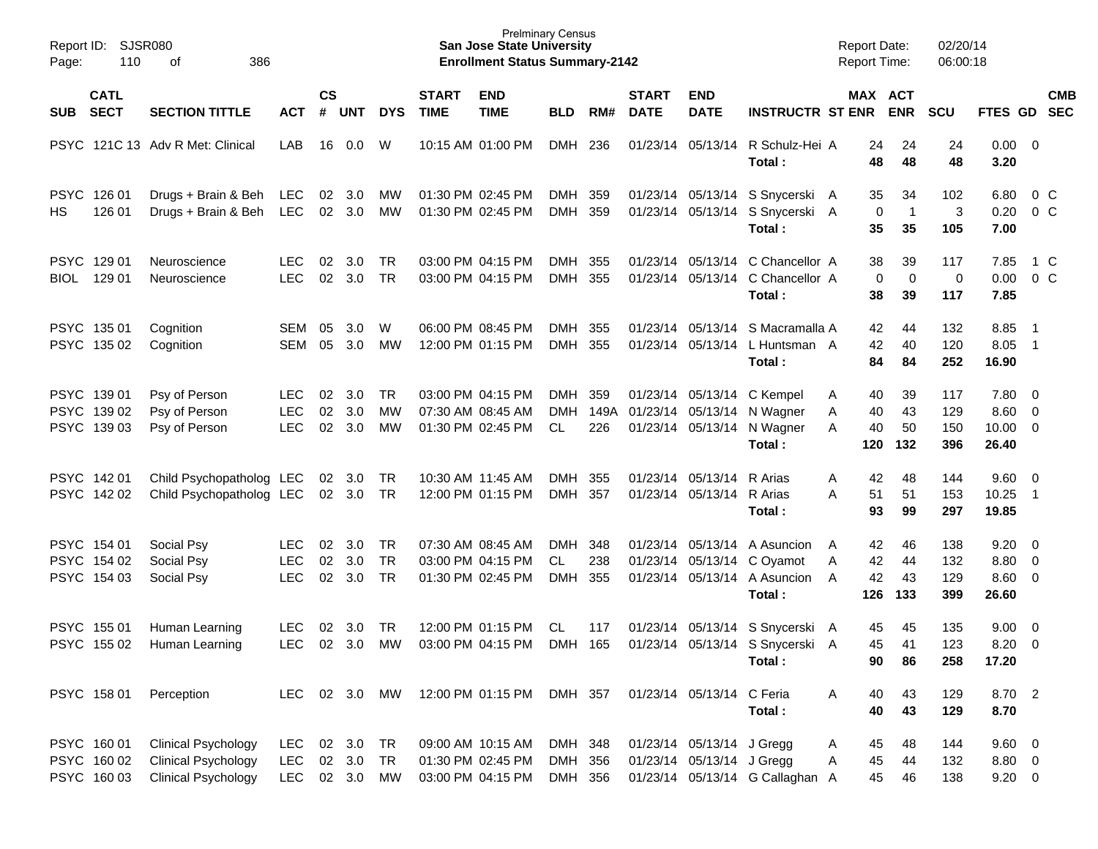| Page:       | Report ID: SJSR080<br>110<br>386<br>of    |                                                                                        |                                        |                    |                               |                                     |                             | <b>San Jose State University</b><br><b>Enrollment Status Summary-2142</b> | <b>Prelminary Census</b>      |                    |                             |                                                        |                                                                                                      | <b>Report Date:</b><br><b>Report Time:</b> |                               | 02/20/14<br>06:00:18     |                                                   |                                                          |            |
|-------------|-------------------------------------------|----------------------------------------------------------------------------------------|----------------------------------------|--------------------|-------------------------------|-------------------------------------|-----------------------------|---------------------------------------------------------------------------|-------------------------------|--------------------|-----------------------------|--------------------------------------------------------|------------------------------------------------------------------------------------------------------|--------------------------------------------|-------------------------------|--------------------------|---------------------------------------------------|----------------------------------------------------------|------------|
| <b>SUB</b>  | <b>CATL</b><br><b>SECT</b>                | <b>SECTION TITTLE</b>                                                                  | <b>ACT</b>                             | $\mathsf{cs}$<br># | <b>UNT</b>                    | <b>DYS</b>                          | <b>START</b><br><b>TIME</b> | <b>END</b><br><b>TIME</b>                                                 | <b>BLD</b>                    | RM#                | <b>START</b><br><b>DATE</b> | <b>END</b><br><b>DATE</b>                              | <b>INSTRUCTR ST ENR</b>                                                                              |                                            | MAX ACT<br><b>ENR</b>         | <b>SCU</b>               | FTES GD SEC                                       |                                                          | <b>CMB</b> |
|             |                                           | PSYC 121C 13 Adv R Met: Clinical                                                       | LAB                                    | 16                 | $0.0\,$                       | W                                   |                             | 10:15 AM 01:00 PM                                                         | DMH                           | 236                |                             | 01/23/14 05/13/14                                      | R Schulz-Hei A<br>Total:                                                                             | 24<br>48                                   | 24<br>48                      | 24<br>48                 | $0.00 \t 0$<br>3.20                               |                                                          |            |
| HS          | PSYC 126 01<br>126 01                     | Drugs + Brain & Beh<br>Drugs + Brain & Beh                                             | <b>LEC</b><br><b>LEC</b>               | 02                 | $02 \quad 3.0$<br>3.0         | MW<br>MW                            |                             | 01:30 PM 02:45 PM<br>01:30 PM 02:45 PM                                    | DMH 359<br>DMH 359            |                    |                             |                                                        | 01/23/14 05/13/14 S Snycerski A<br>01/23/14 05/13/14 S Snycerski A<br>Total:                         | 35<br>35                                   | 34<br>0<br>$\mathbf{1}$<br>35 | 102<br>3<br>105          | 6.80<br>0.20<br>7.00                              | 0 <sup>o</sup>                                           | $0\,$ C    |
| <b>BIOL</b> | PSYC 129 01<br>129 01                     | Neuroscience<br>Neuroscience                                                           | LEC.<br><b>LEC</b>                     | 02<br>02           | 3.0<br>3.0                    | TR<br><b>TR</b>                     |                             | 03:00 PM 04:15 PM<br>03:00 PM 04:15 PM                                    | DMH 355<br>DMH 355            |                    |                             |                                                        | 01/23/14 05/13/14 C Chancellor A<br>01/23/14 05/13/14 C Chancellor A<br>Total:                       | 38<br>38                                   | 39<br>$\mathbf 0$<br>0<br>39  | 117<br>$\pmb{0}$<br>117  | 7.85<br>0.00<br>7.85                              | 1 C<br>$0\,$ C                                           |            |
|             | PSYC 135 01<br>PSYC 135 02                | Cognition<br>Cognition                                                                 | SEM<br><b>SEM</b>                      | 05<br>05           | 3.0<br>3.0                    | W<br>MW                             |                             | 06:00 PM 08:45 PM<br>12:00 PM 01:15 PM                                    | DMH<br>DMH 355                | 355                |                             |                                                        | 01/23/14 05/13/14 S Macramalla A<br>01/23/14 05/13/14 L Huntsman A<br>Total:                         | 42<br>42<br>84                             | 44<br>40<br>84                | 132<br>120<br>252        | 8.85<br>8.05<br>16.90                             | $\overline{\phantom{0}}$ 1<br>$\overline{\phantom{0}}$ 1 |            |
|             | PSYC 139 01<br>PSYC 139 02<br>PSYC 139 03 | Psy of Person<br>Psy of Person<br>Psy of Person                                        | <b>LEC</b><br><b>LEC</b><br><b>LEC</b> | 02<br>02<br>02     | 3.0<br>3.0<br>3.0             | TR.<br><b>MW</b><br>MW              |                             | 03:00 PM 04:15 PM<br>07:30 AM 08:45 AM<br>01:30 PM 02:45 PM               | DMH<br><b>DMH</b><br>CL.      | 359<br>149A<br>226 |                             | 01/23/14 05/13/14                                      | 01/23/14 05/13/14 C Kempel<br>N Wagner<br>01/23/14 05/13/14 N Wagner<br>Total:                       | 40<br>Α<br>40<br>Α<br>40<br>A<br>120       | 39<br>43<br>50<br>132         | 117<br>129<br>150<br>396 | 7.80 0<br>$8.60 \quad 0$<br>$10.00 \t 0$<br>26.40 |                                                          |            |
|             | PSYC 14201<br>PSYC 142 02                 | Child Psychopatholog LEC<br>Child Psychopatholog LEC                                   |                                        | 02<br>02           | 3.0<br>3.0                    | TR<br>TR                            |                             | 10:30 AM 11:45 AM<br>12:00 PM 01:15 PM                                    | DMH<br>DMH 357                | 355                |                             | 01/23/14 05/13/14<br>01/23/14 05/13/14                 | R Arias<br>R Arias<br>Total:                                                                         | Α<br>42<br>A<br>51<br>93                   | 48<br>51<br>99                | 144<br>153<br>297        | 9.60 0<br>10.25<br>19.85                          | $\overline{\phantom{0}}$ 1                               |            |
|             | PSYC 154 01<br>PSYC 154 02<br>PSYC 154 03 | Social Psy<br>Social Psy<br>Social Psy                                                 | LEC.<br><b>LEC</b><br><b>LEC</b>       | 02<br>02<br>02     | 3.0<br>3.0<br>3.0             | <b>TR</b><br><b>TR</b><br><b>TR</b> |                             | 07:30 AM 08:45 AM<br>03:00 PM 04:15 PM<br>01:30 PM 02:45 PM               | DMH<br>CL<br><b>DMH</b>       | 348<br>238<br>355  |                             |                                                        | 01/23/14 05/13/14 A Asuncion<br>01/23/14 05/13/14 C Oyamot<br>01/23/14 05/13/14 A Asuncion<br>Total: | 42<br>A<br>42<br>Α<br>42<br>A<br>126       | 46<br>44<br>43<br>133         | 138<br>132<br>129<br>399 | $9.20 \ 0$<br>8.80 0<br>8.60 0<br>26.60           |                                                          |            |
|             | PSYC 155 01<br>PSYC 155 02                | Human Learning<br>Human Learning                                                       | <b>LEC</b><br><b>LEC</b>               | 02<br>02           | 3.0<br>3.0                    | <b>TR</b><br>MW                     |                             | 12:00 PM 01:15 PM<br>03:00 PM 04:15 PM                                    | CL<br>DMH 165                 | 117                |                             |                                                        | 01/23/14 05/13/14 S Snycerski A<br>01/23/14 05/13/14 S Snycerski A<br>Total:                         | 45<br>45<br>90                             | 45<br>41<br>86                | 135<br>123<br>258        | 9.00<br>8.20<br>17.20                             | $\overline{\phantom{0}}$<br>$\overline{\mathbf{0}}$      |            |
|             | PSYC 158 01                               | Perception                                                                             | <b>LEC</b>                             |                    | 02 3.0                        | MW                                  |                             | 12:00 PM 01:15 PM                                                         | DMH 357                       |                    |                             | 01/23/14 05/13/14 C Feria                              | Total:                                                                                               | 40<br>Α<br>40                              | 43<br>43                      | 129<br>129               | 8.70 2<br>8.70                                    |                                                          |            |
|             | PSYC 160 01<br>PSYC 160 02<br>PSYC 16003  | <b>Clinical Psychology</b><br><b>Clinical Psychology</b><br><b>Clinical Psychology</b> | <b>LEC</b><br><b>LEC</b><br><b>LEC</b> |                    | 02 3.0<br>02 3.0<br>02 3.0 MW | TR<br>TR                            |                             | 09:00 AM 10:15 AM<br>01:30 PM 02:45 PM<br>03:00 PM 04:15 PM               | DMH 348<br>DMH 356<br>DMH 356 |                    |                             | 01/23/14 05/13/14 J Gregg<br>01/23/14 05/13/14 J Gregg | 01/23/14 05/13/14 G Callaghan A                                                                      | 45<br>A<br>45<br>Α<br>45                   | 48<br>44<br>46                | 144<br>132<br>138        | 9.60 0<br>8.80 0<br>$9.20 \ 0$                    |                                                          |            |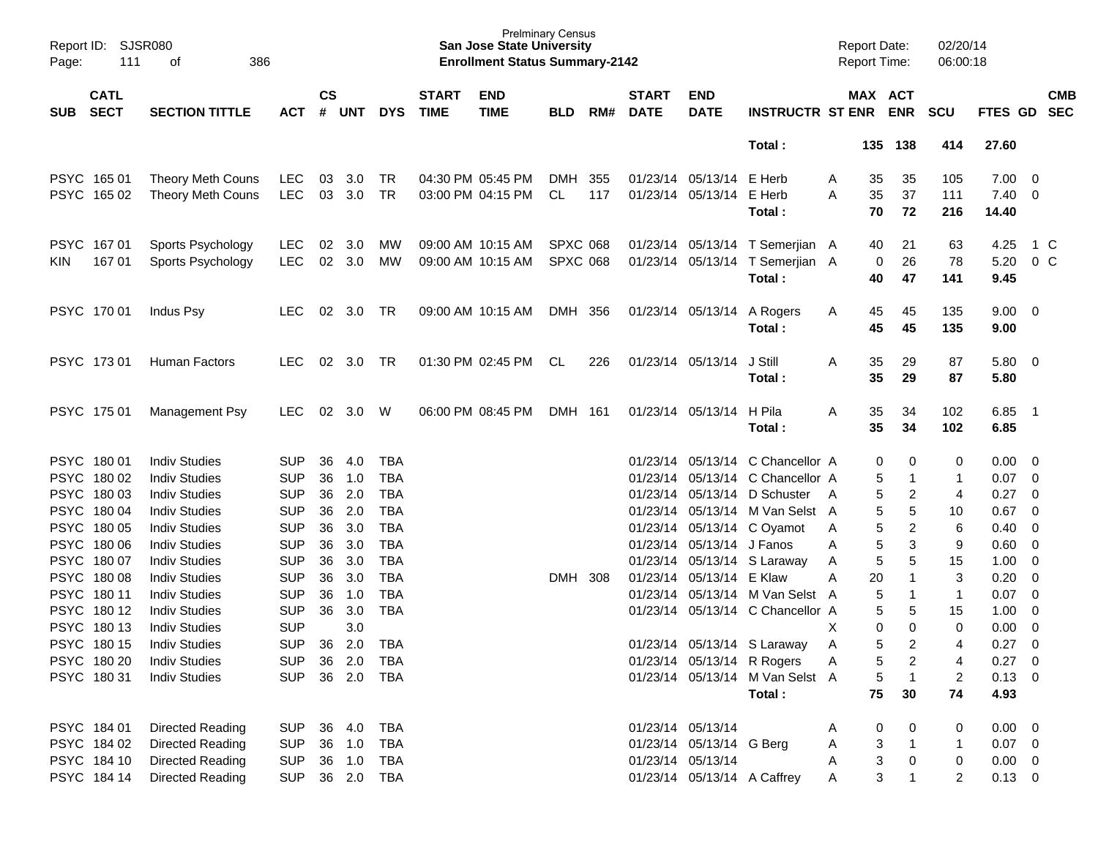| Report ID:<br>Page: | <b>SJSR080</b><br>111      | 386<br>οf               |            |                |            |            |                             | <b>Prelminary Census</b><br><b>San Jose State University</b><br><b>Enrollment Status Summary-2142</b> |                 |       |                             |                           |                                           |   | <b>Report Date:</b><br><b>Report Time:</b> |                               | 02/20/14<br>06:00:18 |                    |                          |                          |
|---------------------|----------------------------|-------------------------|------------|----------------|------------|------------|-----------------------------|-------------------------------------------------------------------------------------------------------|-----------------|-------|-----------------------------|---------------------------|-------------------------------------------|---|--------------------------------------------|-------------------------------|----------------------|--------------------|--------------------------|--------------------------|
| <b>SUB</b>          | <b>CATL</b><br><b>SECT</b> | <b>SECTION TITTLE</b>   | <b>ACT</b> | <b>CS</b><br># | <b>UNT</b> | <b>DYS</b> | <b>START</b><br><b>TIME</b> | <b>END</b><br><b>TIME</b>                                                                             | BLD             | RM#   | <b>START</b><br><b>DATE</b> | <b>END</b><br><b>DATE</b> | <b>INSTRUCTR ST ENR</b>                   |   | MAX ACT                                    | <b>ENR</b>                    | <b>SCU</b>           | FTES GD            |                          | <b>CMB</b><br><b>SEC</b> |
|                     |                            |                         |            |                |            |            |                             |                                                                                                       |                 |       |                             |                           | Total:                                    |   | 135                                        | 138                           | 414                  | 27.60              |                          |                          |
| <b>PSYC</b>         | 165 01                     | Theory Meth Couns       | <b>LEC</b> | 03             | 3.0        | TR         |                             | 04:30 PM 05:45 PM                                                                                     | <b>DMH</b>      | 355   |                             | 01/23/14 05/13/14         | E Herb                                    | A | 35                                         | 35                            | 105                  | 7.00               | $\overline{\mathbf{0}}$  |                          |
| <b>PSYC</b>         | 165 02                     | Theory Meth Couns       | <b>LEC</b> | 03             | 3.0        | <b>TR</b>  |                             | 03:00 PM 04:15 PM                                                                                     | CL              | 117   |                             | 01/23/14 05/13/14         | E Herb<br>Total:                          | A | 35<br>70                                   | 37<br>72                      | 111<br>216           | 7.40<br>14.40      | - 0                      |                          |
|                     |                            |                         |            |                |            |            |                             |                                                                                                       |                 |       |                             |                           |                                           |   |                                            |                               |                      |                    |                          |                          |
| <b>PSYC</b>         | 16701                      | Sports Psychology       | <b>LEC</b> | 02             | 3.0        | MW         |                             | 09:00 AM 10:15 AM                                                                                     | <b>SPXC 068</b> |       |                             | 01/23/14 05/13/14         | T Semerjian A                             |   | 40                                         | 21                            | 63                   | 4.25               | 1 C                      |                          |
| <b>KIN</b>          | 167 01                     | Sports Psychology       | <b>LEC</b> | 02             | 3.0        | MW         |                             | 09:00 AM 10:15 AM                                                                                     | <b>SPXC 068</b> |       |                             | 01/23/14 05/13/14         | T Semerjian A<br>Total:                   |   | 0<br>40                                    | 26<br>47                      | 78<br>141            | 5.20<br>9.45       | $0\,C$                   |                          |
|                     | PSYC 17001                 | Indus Psy               | <b>LEC</b> | 02             | 3.0        | TR         |                             | 09:00 AM 10:15 AM                                                                                     | DMH             | 356   |                             | 01/23/14 05/13/14         | A Rogers                                  | A | 45                                         | 45                            | 135                  | 9.00               | $\overline{\phantom{0}}$ |                          |
|                     |                            |                         |            |                |            |            |                             |                                                                                                       |                 |       |                             |                           | Total:                                    |   | 45                                         | 45                            | 135                  | 9.00               |                          |                          |
|                     | PSYC 17301                 | Human Factors           | <b>LEC</b> | 02             | 3.0        | TR         |                             | 01:30 PM 02:45 PM                                                                                     | CL              | 226   |                             | 01/23/14 05/13/14         | J Still                                   | A | 35                                         | 29                            | 87                   | 5.80               | $\overline{\phantom{0}}$ |                          |
|                     |                            |                         |            |                |            |            |                             |                                                                                                       |                 |       |                             |                           | Total:                                    |   | 35                                         | 29                            | 87                   | 5.80               |                          |                          |
|                     | PSYC 175 01                | Management Psy          | <b>LEC</b> | 02             | 3.0        | W          |                             | 06:00 PM 08:45 PM                                                                                     | DMH             | - 161 |                             | 01/23/14 05/13/14         | H Pila                                    | A | 35                                         | 34                            | 102                  | 6.85               | - 1                      |                          |
|                     |                            |                         |            |                |            |            |                             |                                                                                                       |                 |       |                             |                           | Total:                                    |   | 35                                         | 34                            | 102                  | 6.85               |                          |                          |
| <b>PSYC</b>         | 180 01                     | <b>Indiv Studies</b>    | <b>SUP</b> | 36             | 4.0        | <b>TBA</b> |                             |                                                                                                       |                 |       |                             |                           | 01/23/14 05/13/14 C Chancellor A          |   | 0                                          | 0                             | 0                    | 0.00               | $\overline{\mathbf{0}}$  |                          |
| <b>PSYC</b>         | 180 02                     | <b>Indiv Studies</b>    | <b>SUP</b> | 36             | 1.0        | <b>TBA</b> |                             |                                                                                                       |                 |       |                             |                           | 01/23/14 05/13/14 C Chancellor A          |   | 5                                          | 1                             | -1                   | 0.07               | $\overline{\mathbf{0}}$  |                          |
| <b>PSYC</b>         | 180 03                     | <b>Indiv Studies</b>    | <b>SUP</b> | 36             | 2.0        | <b>TBA</b> |                             |                                                                                                       |                 |       |                             | 01/23/14 05/13/14         | D Schuster                                | A | 5                                          | 2                             | 4                    | 0.27               | $\overline{\mathbf{0}}$  |                          |
| <b>PSYC</b>         | 180 04                     | <b>Indiv Studies</b>    | <b>SUP</b> | 36             | 2.0        | <b>TBA</b> |                             |                                                                                                       |                 |       |                             |                           | 01/23/14 05/13/14 M Van Selst A           |   | 5                                          | 5                             | 10                   | 0.67               | 0                        |                          |
| <b>PSYC</b>         | 180 05                     | <b>Indiv Studies</b>    | <b>SUP</b> | 36             | 3.0        | <b>TBA</b> |                             |                                                                                                       |                 |       |                             |                           | 01/23/14 05/13/14 C Oyamot                | A | 5                                          | 2                             | 6                    | 0.40               | 0                        |                          |
| <b>PSYC</b>         | 180 06                     | <b>Indiv Studies</b>    | <b>SUP</b> | 36             | 3.0        | <b>TBA</b> |                             |                                                                                                       |                 |       |                             | 01/23/14 05/13/14         | J Fanos                                   | Α | 5                                          | 3                             | 9                    | 0.60               | $\overline{\mathbf{0}}$  |                          |
| <b>PSYC</b>         | 180 07                     | <b>Indiv Studies</b>    | <b>SUP</b> | 36             | 3.0        | <b>TBA</b> |                             |                                                                                                       |                 |       |                             |                           | 01/23/14 05/13/14 S Laraway               | A | 5                                          | 5                             | 15                   | 1.00               | $\overline{\mathbf{0}}$  |                          |
| <b>PSYC</b>         | 18008                      | <b>Indiv Studies</b>    | <b>SUP</b> | 36             | 3.0        | <b>TBA</b> |                             |                                                                                                       | <b>DMH</b>      | - 308 |                             | 01/23/14 05/13/14         | E Klaw                                    | Α | 20                                         |                               | 3                    | 0.20               | 0                        |                          |
| <b>PSYC</b>         | 180 11                     | <b>Indiv Studies</b>    | <b>SUP</b> | 36             | 1.0        | <b>TBA</b> |                             |                                                                                                       |                 |       | 01/23/14                    |                           | 05/13/14 M Van Selst A                    |   | 5                                          | 1                             | $\overline{1}$       | 0.07               | 0                        |                          |
| <b>PSYC</b>         | 180 12                     | <b>Indiv Studies</b>    | <b>SUP</b> | 36             | 3.0        | <b>TBA</b> |                             |                                                                                                       |                 |       |                             |                           | 01/23/14 05/13/14 C Chancellor A          |   | 5                                          | 5                             | 15                   | 1.00               | $\overline{\mathbf{0}}$  |                          |
| <b>PSYC</b>         | 180 13                     | <b>Indiv Studies</b>    | <b>SUP</b> |                | 3.0        |            |                             |                                                                                                       |                 |       |                             |                           |                                           | Χ | 0                                          | $\Omega$                      | 0                    | 0.00               | $\mathbf 0$              |                          |
|                     | PSYC 180 15                | <b>Indiv Studies</b>    | SUP 36 2.0 |                |            | <b>TBA</b> |                             |                                                                                                       |                 |       |                             |                           | 01/23/14 05/13/14 S Laraway               | A | 5                                          | 2                             | $\Lambda$            | 0.27               | $\overline{\mathbf{0}}$  |                          |
|                     | PSYC 180 20                | <b>Indiv Studies</b>    | <b>SUP</b> |                |            |            |                             |                                                                                                       |                 |       |                             |                           | 01/23/14 05/13/14 R Rogers                | A | 5                                          | $\overline{2}$                | 4                    | $0.27 \t 0$        |                          |                          |
|                     | PSYC 18031                 | <b>Indiv Studies</b>    | <b>SUP</b> |                | 36 2.0 TBA |            |                             |                                                                                                       |                 |       |                             |                           | 01/23/14 05/13/14 M Van Selst A<br>Total: |   | 5<br>75                                    | $\overline{\mathbf{1}}$<br>30 | $\overline{2}$<br>74 | $0.13 \ 0$<br>4.93 |                          |                          |
|                     | PSYC 184 01                | Directed Reading        | <b>SUP</b> |                | 36 4.0     | <b>TBA</b> |                             |                                                                                                       |                 |       |                             | 01/23/14 05/13/14         |                                           | A | 0                                          | 0                             | 0                    | $0.00 \quad 0$     |                          |                          |
|                     | PSYC 184 02                | <b>Directed Reading</b> | <b>SUP</b> |                | 36 1.0     | <b>TBA</b> |                             |                                                                                                       |                 |       |                             | 01/23/14 05/13/14 G Berg  |                                           | Α | 3                                          | $\mathbf{1}$                  | $\mathbf{1}$         | $0.07$ 0           |                          |                          |
|                     | PSYC 184 10                | <b>Directed Reading</b> | <b>SUP</b> |                | 36 1.0     | TBA        |                             |                                                                                                       |                 |       |                             | 01/23/14 05/13/14         |                                           | A | 3                                          | $\mathbf 0$                   | 0                    | $0.00 \t 0$        |                          |                          |
|                     | PSYC 184 14                | <b>Directed Reading</b> | <b>SUP</b> |                | 36 2.0 TBA |            |                             |                                                                                                       |                 |       |                             |                           | 01/23/14 05/13/14 A Caffrey               | Α | 3                                          | $\mathbf{1}$                  | $\overline{2}$       | $0.13 \ 0$         |                          |                          |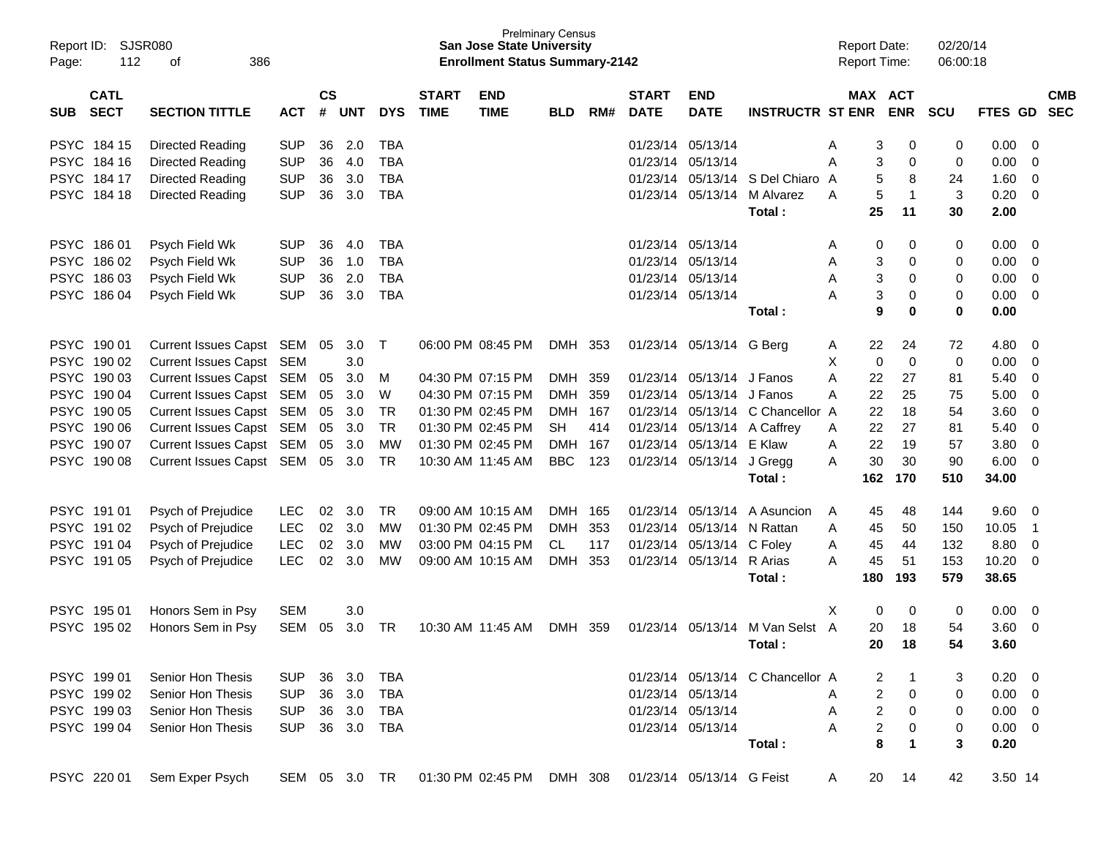| Report ID:<br>Page: | <b>SJSR080</b><br>112<br>386<br>οf<br><b>CATL</b> |                             |               |               |            |            |              | <b>San Jose State University</b><br><b>Enrollment Status Summary-2142</b> | <b>Prelminary Census</b> |     |              |                             |                                  | <b>Report Date:</b><br>Report Time: |             | 02/20/14<br>06:00:18 |             |                          |            |
|---------------------|---------------------------------------------------|-----------------------------|---------------|---------------|------------|------------|--------------|---------------------------------------------------------------------------|--------------------------|-----|--------------|-----------------------------|----------------------------------|-------------------------------------|-------------|----------------------|-------------|--------------------------|------------|
|                     |                                                   |                             |               | $\mathsf{cs}$ |            |            | <b>START</b> | <b>END</b>                                                                |                          |     | <b>START</b> | <b>END</b>                  |                                  |                                     | MAX ACT     |                      |             |                          | <b>CMB</b> |
| <b>SUB</b>          | <b>SECT</b>                                       | <b>SECTION TITTLE</b>       | <b>ACT</b>    | #             | <b>UNT</b> | <b>DYS</b> | <b>TIME</b>  | <b>TIME</b>                                                               | <b>BLD</b>               | RM# | <b>DATE</b>  | <b>DATE</b>                 | <b>INSTRUCTR ST ENR</b>          |                                     | <b>ENR</b>  | <b>SCU</b>           | FTES GD     |                          | <b>SEC</b> |
| PSYC 184 15         |                                                   | Directed Reading            | <b>SUP</b>    | 36            | 2.0        | TBA        |              |                                                                           |                          |     |              | 01/23/14 05/13/14           |                                  | 3<br>A                              | 0           | 0                    | 0.00        | 0                        |            |
| PSYC 184 16         |                                                   | Directed Reading            | <b>SUP</b>    | 36            | 4.0        | TBA        |              |                                                                           |                          |     |              | 01/23/14 05/13/14           |                                  | Α<br>3                              | 0           | 0                    | 0.00        | 0                        |            |
| PSYC 184 17         |                                                   | Directed Reading            | <b>SUP</b>    | 36            | 3.0        | <b>TBA</b> |              |                                                                           |                          |     |              |                             | 01/23/14 05/13/14 S Del Chiaro A | 5                                   | 8           | 24                   | 1.60        | 0                        |            |
| <b>PSYC</b>         | 184 18                                            | Directed Reading            | <b>SUP</b>    | 36            | 3.0        | TBA        |              |                                                                           |                          |     |              | 01/23/14 05/13/14           | M Alvarez                        | 5<br>A                              | $\mathbf 1$ | 3                    | 0.20        | 0                        |            |
|                     |                                                   |                             |               |               |            |            |              |                                                                           |                          |     |              |                             | Total:                           | 25                                  | 11          | 30                   | 2.00        |                          |            |
| <b>PSYC</b>         | 186 01                                            | Psych Field Wk              | <b>SUP</b>    | 36            | 4.0        | TBA        |              |                                                                           |                          |     |              | 01/23/14 05/13/14           |                                  | 0<br>A                              | 0           | 0                    | 0.00        | 0                        |            |
| PSYC 186 02         |                                                   | Psych Field Wk              | <b>SUP</b>    | 36            | 1.0        | TBA        |              |                                                                           |                          |     |              | 01/23/14 05/13/14           |                                  | Α<br>3                              | 0           | 0                    | 0.00        | 0                        |            |
| <b>PSYC</b>         | 186 03                                            | Psych Field Wk              | <b>SUP</b>    | 36            | 2.0        | <b>TBA</b> |              |                                                                           |                          |     |              | 01/23/14 05/13/14           |                                  | 3<br>Α                              | 0           | 0                    | 0.00        | 0                        |            |
| <b>PSYC</b>         | 186 04                                            | Psych Field Wk              | <b>SUP</b>    | 36            | 3.0        | <b>TBA</b> |              |                                                                           |                          |     |              | 01/23/14 05/13/14           |                                  | 3<br>А                              | 0           | 0                    | 0.00        | 0                        |            |
|                     |                                                   |                             |               |               |            |            |              |                                                                           |                          |     |              |                             | Total:                           | 9                                   | 0           | 0                    | 0.00        |                          |            |
| <b>PSYC</b>         | 190 01                                            | <b>Current Issues Capst</b> | SEM           | 05            | 3.0        | Τ          |              | 06:00 PM 08:45 PM                                                         | <b>DMH</b>               | 353 |              | 01/23/14 05/13/14 G Berg    |                                  | 22<br>A                             | 24          | 72                   | 4.80        | 0                        |            |
| <b>PSYC</b>         | 190 02                                            | <b>Current Issues Capst</b> | SEM           |               | 3.0        |            |              |                                                                           |                          |     |              |                             |                                  | 0<br>X                              | $\mathbf 0$ | 0                    | 0.00        | 0                        |            |
| <b>PSYC</b>         | 190 03                                            | <b>Current Issues Capst</b> | SEM           | 05            | 3.0        | M          |              | 04:30 PM 07:15 PM                                                         | <b>DMH</b>               | 359 |              | 01/23/14 05/13/14 J Fanos   |                                  | A<br>22                             | 27          | 81                   | 5.40        | 0                        |            |
| <b>PSYC</b>         | 190 04                                            | <b>Current Issues Capst</b> | <b>SEM</b>    | 05            | 3.0        | W          |              | 04:30 PM 07:15 PM                                                         | <b>DMH</b>               | 359 |              | 01/23/14 05/13/14 J Fanos   |                                  | A<br>22                             | 25          | 75                   | 5.00        | 0                        |            |
| <b>PSYC</b>         | 190 05                                            | <b>Current Issues Capst</b> | <b>SEM</b>    | 05            | 3.0        | <b>TR</b>  |              | 01:30 PM 02:45 PM                                                         | DMH                      | 167 |              |                             | 01/23/14 05/13/14 C Chancellor A | 22                                  | 18          | 54                   | 3.60        | 0                        |            |
| <b>PSYC</b>         | 190 06                                            | <b>Current Issues Capst</b> | <b>SEM</b>    | 05            | 3.0        | <b>TR</b>  |              | 01:30 PM 02:45 PM                                                         | SН                       | 414 |              | 01/23/14 05/13/14 A Caffrey |                                  | 22<br>A                             | 27          | 81                   | 5.40        | 0                        |            |
| <b>PSYC</b>         | 190 07                                            | <b>Current Issues Capst</b> | <b>SEM</b>    | 05            | 3.0        | <b>MW</b>  |              | 01:30 PM 02:45 PM                                                         | DMH                      | 167 |              | 01/23/14 05/13/14 E Klaw    |                                  | 22<br>Α                             | 19          | 57                   | 3.80        | 0                        |            |
| <b>PSYC</b>         | 190 08                                            | <b>Current Issues Capst</b> | SEM           | 05            | 3.0        | TR         |              | 10:30 AM 11:45 AM                                                         | <b>BBC</b>               | 123 |              | 01/23/14 05/13/14 J Gregg   |                                  | 30<br>A                             | 30          | 90                   | 6.00        | 0                        |            |
|                     |                                                   |                             |               |               |            |            |              |                                                                           |                          |     |              |                             | Total:                           | 162                                 | 170         | 510                  | 34.00       |                          |            |
| PSYC 191 01         |                                                   | Psych of Prejudice          | <b>LEC</b>    | 02            | 3.0        | TR         |              | 09:00 AM 10:15 AM                                                         | <b>DMH</b>               | 165 |              | 01/23/14 05/13/14           | A Asuncion                       | 45<br>A                             | 48          | 144                  | 9.60        | 0                        |            |
| PSYC 191 02         |                                                   | Psych of Prejudice          | <b>LEC</b>    | 02            | 3.0        | MW         |              | 01:30 PM 02:45 PM                                                         | DMH                      | 353 |              | 01/23/14 05/13/14 N Rattan  |                                  | A<br>45                             | 50          | 150                  | 10.05       | -1                       |            |
| <b>PSYC</b>         | 191 04                                            | Psych of Prejudice          | <b>LEC</b>    | 02            | 3.0        | MW         |              | 03:00 PM 04:15 PM                                                         | CL                       | 117 |              | 01/23/14 05/13/14           | C Foley                          | A<br>45                             | 44          | 132                  | 8.80        | 0                        |            |
| PSYC 191 05         |                                                   | Psych of Prejudice          | <b>LEC</b>    | 02            | 3.0        | MW         |              | 09:00 AM 10:15 AM                                                         | DMH.                     | 353 |              | 01/23/14 05/13/14           | R Arias                          | A<br>45                             | 51          | 153                  | 10.20       | 0                        |            |
|                     |                                                   |                             |               |               |            |            |              |                                                                           |                          |     |              |                             | Total:                           | 180                                 | 193         | 579                  | 38.65       |                          |            |
| PSYC 195 01         |                                                   | Honors Sem in Psy           | <b>SEM</b>    |               | 3.0        |            |              |                                                                           |                          |     |              |                             |                                  | X<br>0                              | 0           | 0                    | 0.00        | 0                        |            |
| PSYC 195 02         |                                                   | Honors Sem in Psy           | <b>SEM</b>    | 05            | 3.0        | TR         |              | 10:30 AM 11:45 AM                                                         | DMH.                     | 359 |              | 01/23/14 05/13/14           | M Van Selst A                    | 20                                  | 18          | 54                   | 3.60        | 0                        |            |
|                     |                                                   |                             |               |               |            |            |              |                                                                           |                          |     |              |                             | Total:                           | 20                                  | 18          | 54                   | 3.60        |                          |            |
| PSYC 199 01         |                                                   | Senior Hon Thesis           | <b>SUP</b>    | 36            | 3.0        | TBA        |              |                                                                           |                          |     |              |                             | 01/23/14 05/13/14 C Chancellor A | 2                                   |             | 3                    | $0.20 \ 0$  |                          |            |
| PSYC 199 02         |                                                   | Senior Hon Thesis           | <b>SUP</b>    | 36            | 3.0        | TBA        |              |                                                                           |                          |     |              | 01/23/14 05/13/14           |                                  | A                                   | 2<br>0      | 0                    | 0.00        | $\overline{\phantom{0}}$ |            |
| PSYC 199 03         |                                                   | Senior Hon Thesis           | <b>SUP</b>    | 36            | 3.0        | TBA        |              |                                                                           |                          |     |              | 01/23/14 05/13/14           |                                  | Α                                   | 2<br>0      | 0                    | $0.00 \t 0$ |                          |            |
| PSYC 199 04         |                                                   | Senior Hon Thesis           | <b>SUP</b>    |               | 36 3.0     | TBA        |              |                                                                           |                          |     |              | 01/23/14 05/13/14           |                                  | A                                   | 2<br>0      | 0                    | $0.00 \t 0$ |                          |            |
|                     |                                                   |                             |               |               |            |            |              |                                                                           |                          |     |              |                             | Total:                           | 8                                   | 1           | 3                    | 0.20        |                          |            |
| PSYC 220 01         |                                                   | Sem Exper Psych             | SEM 05 3.0 TR |               |            |            |              | 01:30 PM_02:45 PM                                                         | DMH 308                  |     |              | 01/23/14 05/13/14 G Feist   |                                  | 20<br>A                             | 14          | 42                   | 3.50 14     |                          |            |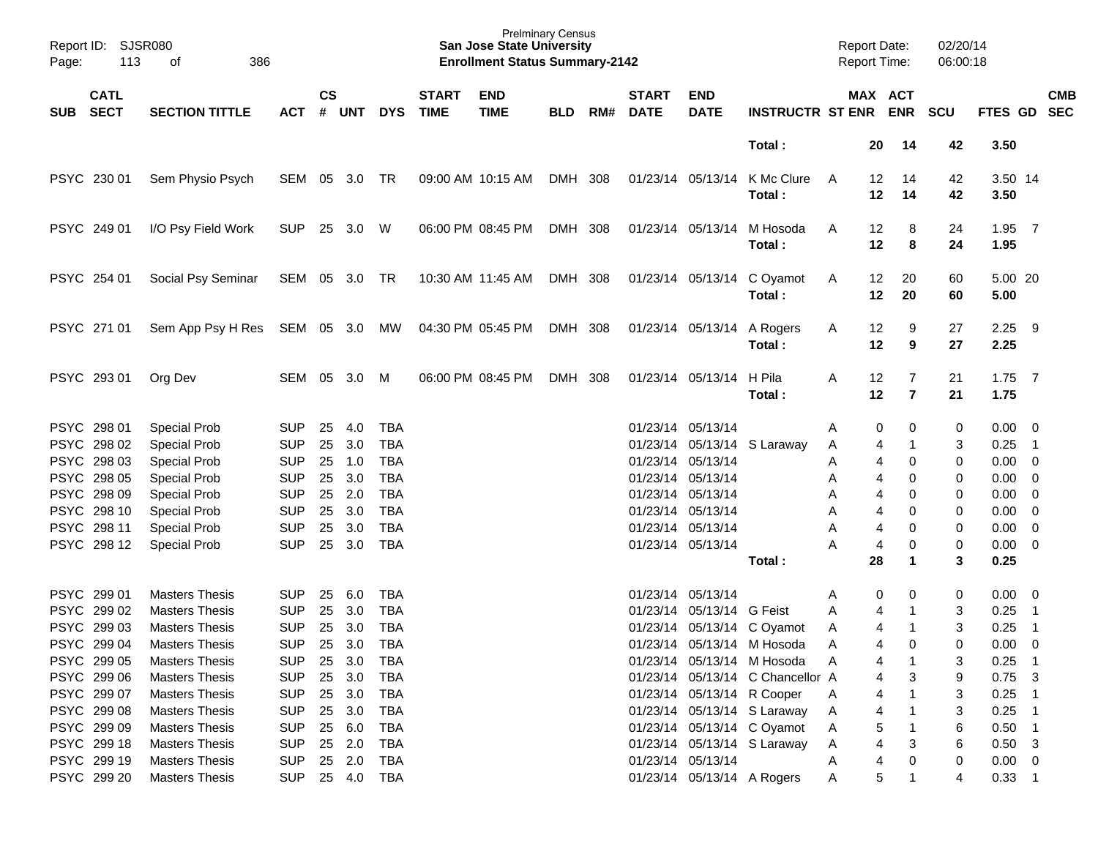| Page: | Report ID: SJSR080<br>113 | 386<br>of                       |                |               |          |            |                          | <b>Prelminary Census</b><br><b>San Jose State University</b><br><b>Enrollment Status Summary-2142</b> |            |     |                             |                            |                                        | <b>Report Date:</b><br><b>Report Time:</b> |                      | 02/20/14<br>06:00:18 |                  |                            |            |
|-------|---------------------------|---------------------------------|----------------|---------------|----------|------------|--------------------------|-------------------------------------------------------------------------------------------------------|------------|-----|-----------------------------|----------------------------|----------------------------------------|--------------------------------------------|----------------------|----------------------|------------------|----------------------------|------------|
|       | <b>CATL</b><br>SUB SECT   | <b>SECTION TITTLE</b>           | ACT            | $\mathsf{cs}$ | # UNT    |            | <b>START</b><br>DYS TIME | <b>END</b><br><b>TIME</b>                                                                             | <b>BLD</b> | RM# | <b>START</b><br><b>DATE</b> | <b>END</b><br><b>DATE</b>  | <b>INSTRUCTR ST ENR ENR</b>            |                                            | MAX ACT              | <b>SCU</b>           | FTES GD SEC      |                            | <b>CMB</b> |
|       |                           |                                 |                |               |          |            |                          |                                                                                                       |            |     |                             |                            | Total:                                 | 20                                         | -14                  | 42                   | 3.50             |                            |            |
|       | PSYC 230 01               | Sem Physio Psych                | SEM 05 3.0 TR  |               |          |            |                          | 09:00 AM 10:15 AM                                                                                     | DMH 308    |     |                             |                            | 01/23/14 05/13/14 K Mc Clure<br>Total: | 12<br>A<br>12                              | 14<br>14             | 42<br>42             | 3.50 14<br>3.50  |                            |            |
|       | PSYC 249 01               | I/O Psy Field Work              | <b>SUP</b>     |               | 25 3.0 W |            |                          | 06:00 PM 08:45 PM                                                                                     | DMH 308    |     |                             |                            | 01/23/14 05/13/14 M Hosoda<br>Total:   | 12<br>A<br>12                              | 8<br>8               | 24<br>24             | $1.95$ 7<br>1.95 |                            |            |
|       | PSYC 254 01               | Social Psy Seminar              | SEM 05 3.0 TR  |               |          |            |                          | 10:30 AM 11:45 AM                                                                                     | DMH 308    |     |                             |                            | 01/23/14 05/13/14 C Oyamot<br>Total:   | 12<br>A<br>12                              | 20<br>20             | 60<br>60             | 5.00 20<br>5.00  |                            |            |
|       | PSYC 271 01               | Sem App Psy H Res SEM 05 3.0 MW |                |               |          |            | 04:30 PM 05:45 PM        |                                                                                                       | DMH 308    |     |                             | 01/23/14 05/13/14 A Rogers | Total:                                 | 12<br>A<br>12                              | 9<br>9               | 27<br>27             | $2.25$ 9<br>2.25 |                            |            |
|       | PSYC 293 01               | Org Dev                         | SEM 05 3.0     |               |          | M          |                          | 06:00 PM 08:45 PM                                                                                     | DMH 308    |     |                             | 01/23/14 05/13/14 H Pila   | Total:                                 | Α<br>12<br>12                              | 7<br>$\overline{7}$  | 21<br>21             | $1.75$ 7<br>1.75 |                            |            |
|       | PSYC 298 01               | Special Prob                    | <b>SUP</b>     | 25            | 4.0      | TBA        |                          |                                                                                                       |            |     |                             | 01/23/14 05/13/14          |                                        | Α                                          | 0<br>0               | 0                    | $0.00 \t 0$      |                            |            |
|       | PSYC 298 02               | Special Prob                    | <b>SUP</b>     | 25            | 3.0      | <b>TBA</b> |                          |                                                                                                       |            |     |                             |                            | 01/23/14 05/13/14 S Laraway            | A                                          | 4                    | 3                    | 0.25             | $\overline{\phantom{0}}$ 1 |            |
|       | PSYC 298 03               | Special Prob                    | <b>SUP</b>     | 25            | 1.0      | <b>TBA</b> |                          |                                                                                                       |            |     |                             | 01/23/14 05/13/14          |                                        | Α                                          | 4<br>0               | 0                    | 0.00             | $\overline{\phantom{0}}$   |            |
|       | PSYC 298 05               | Special Prob                    | <b>SUP</b>     | 25            | 3.0      | <b>TBA</b> |                          |                                                                                                       |            |     |                             | 01/23/14 05/13/14          |                                        | Α                                          | 4<br>0               | 0                    | 0.00             | $\overline{\mathbf{0}}$    |            |
|       | PSYC 298 09               | Special Prob                    | <b>SUP</b>     | 25            | 2.0      | <b>TBA</b> |                          |                                                                                                       |            |     |                             | 01/23/14 05/13/14          |                                        | Α                                          | 4<br>0               | 0                    | 0.00             | $\overline{\mathbf{0}}$    |            |
|       | PSYC 298 10               | Special Prob                    | <b>SUP</b>     | 25            | 3.0      | <b>TBA</b> |                          |                                                                                                       |            |     |                             | 01/23/14 05/13/14          |                                        | Α                                          | 4<br>0               | 0                    | 0.00             | $\overline{\mathbf{0}}$    |            |
|       | PSYC 298 11               | Special Prob                    | <b>SUP</b>     | 25            | 3.0      | <b>TBA</b> |                          |                                                                                                       |            |     |                             | 01/23/14 05/13/14          |                                        | Α                                          | 4<br>0               | 0                    | $0.00 \t 0$      |                            |            |
|       | PSYC 298 12               | <b>Special Prob</b>             | <b>SUP</b>     | 25            | 3.0      | <b>TBA</b> |                          |                                                                                                       |            |     |                             | 01/23/14 05/13/14          |                                        | Α                                          | 4<br>0               | 0                    | $0.00 \t 0$      |                            |            |
|       |                           |                                 |                |               |          |            |                          |                                                                                                       |            |     |                             |                            | Total:                                 | 28                                         | $\blacktriangleleft$ | 3                    | 0.25             |                            |            |
|       | PSYC 299 01               | <b>Masters Thesis</b>           | <b>SUP</b>     | 25            | 6.0      | TBA        |                          |                                                                                                       |            |     |                             | 01/23/14 05/13/14          |                                        | Α                                          | 0<br>0               | 0                    | 0.00             | $\overline{\phantom{0}}$   |            |
|       | PSYC 299 02               | <b>Masters Thesis</b>           | <b>SUP</b>     | 25            | 3.0      | <b>TBA</b> |                          |                                                                                                       |            |     |                             | 01/23/14 05/13/14 G Feist  |                                        | Α                                          | 4                    | 3                    | 0.25             | $\overline{\phantom{0}}$ 1 |            |
|       | PSYC 299 03               | <b>Masters Thesis</b>           | <b>SUP</b>     | 25            | 3.0      | <b>TBA</b> |                          |                                                                                                       |            |     |                             |                            | 01/23/14 05/13/14 C Oyamot             | A                                          | 4<br>$\mathbf 1$     | 3                    | 0.25             | $\overline{\phantom{0}}$ 1 |            |
|       | PSYC 299 04               | <b>Masters Thesis</b>           | <b>SUP</b>     |               | 25 3.0   | <b>TBA</b> |                          |                                                                                                       |            |     |                             |                            | 01/23/14 05/13/14 M Hosoda             | A                                          | 4<br>$\Omega$        | $\Omega$             | 0.00             | $\overline{\mathbf{0}}$    |            |
|       | PSYC 299 05               | <b>Masters Thesis</b>           | <b>SUP</b>     | 25            | 3.0      | TBA        |                          |                                                                                                       |            |     |                             |                            | 01/23/14 05/13/14 M Hosoda             | Α                                          | 4                    | 3                    | 0.25             | $\overline{\phantom{0}}$ 1 |            |
|       | PSYC 299 06               | <b>Masters Thesis</b>           | <b>SUP</b>     | 25            | 3.0      | TBA        |                          |                                                                                                       |            |     |                             |                            | 01/23/14 05/13/14 C Chancellor A       |                                            | 3<br>4               | 9                    | $0.75$ 3         |                            |            |
|       | PSYC 299 07               | <b>Masters Thesis</b>           | <b>SUP</b>     |               | 25 3.0   | TBA        |                          |                                                                                                       |            |     |                             |                            | 01/23/14 05/13/14 R Cooper             | Α                                          | 4                    | 3                    | $0.25$ 1         |                            |            |
|       | PSYC 299 08               | <b>Masters Thesis</b>           | <b>SUP</b>     |               | 25 3.0   | TBA        |                          |                                                                                                       |            |     |                             |                            | 01/23/14 05/13/14 S Laraway            | A                                          | 4                    | 3                    | $0.25$ 1         |                            |            |
|       | PSYC 299 09               | <b>Masters Thesis</b>           | <b>SUP</b>     |               | 25 6.0   | TBA        |                          |                                                                                                       |            |     |                             |                            | 01/23/14 05/13/14 C Oyamot             | Α                                          | 5                    | 6                    | $0.50$ 1         |                            |            |
|       | PSYC 299 18               | <b>Masters Thesis</b>           | <b>SUP</b>     |               | 25 2.0   | TBA        |                          |                                                                                                       |            |     |                             |                            | 01/23/14 05/13/14 S Laraway            | Α                                          | 4<br>3               | 6                    | $0.50$ 3         |                            |            |
|       | PSYC 299 19               | <b>Masters Thesis</b>           | <b>SUP</b>     |               | 25 2.0   | TBA        |                          |                                                                                                       |            |     |                             | 01/23/14 05/13/14          |                                        | Α                                          | 4                    | 0                    | $0.00 \quad 0$   |                            |            |
|       | PSYC 299 20               | <b>Masters Thesis</b>           | SUP 25 4.0 TBA |               |          |            |                          |                                                                                                       |            |     |                             | 01/23/14 05/13/14 A Rogers |                                        | Α                                          | 5                    | 4                    | $0.33$ 1         |                            |            |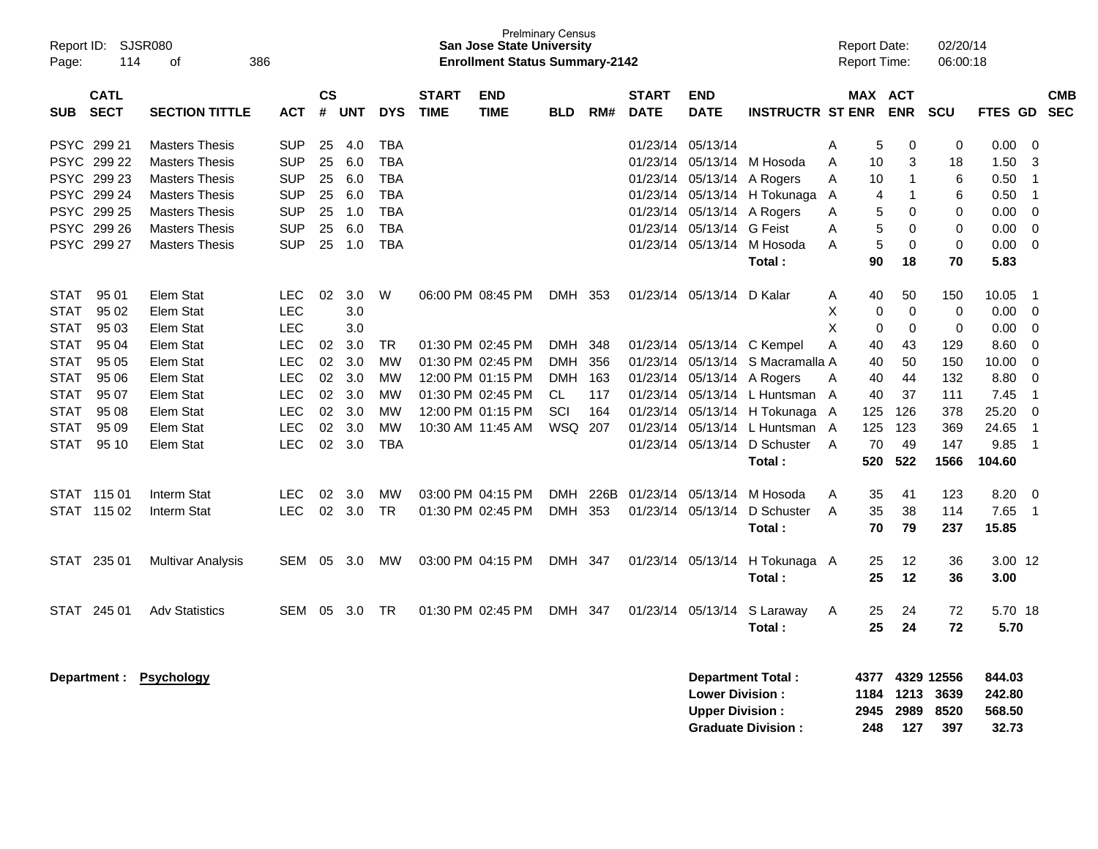| Page:       | Report ID: SJSR080<br>114<br>386<br>οf |                                                |                          |                    |            |                          |                             | <b>San Jose State University</b><br><b>Enrollment Status Summary-2142</b> | <b>Prelminary Census</b> |      |                             |                                              |                                |                | <b>Report Date:</b><br><b>Report Time:</b> |                       | 02/20/14<br>06:00:18       |                            |                  |                          |
|-------------|----------------------------------------|------------------------------------------------|--------------------------|--------------------|------------|--------------------------|-----------------------------|---------------------------------------------------------------------------|--------------------------|------|-----------------------------|----------------------------------------------|--------------------------------|----------------|--------------------------------------------|-----------------------|----------------------------|----------------------------|------------------|--------------------------|
| <b>SUB</b>  | <b>CATL</b><br><b>SECT</b>             | <b>SECTION TITTLE</b>                          | <b>ACT</b>               | $\mathsf{cs}$<br># | <b>UNT</b> | <b>DYS</b>               | <b>START</b><br><b>TIME</b> | <b>END</b><br><b>TIME</b>                                                 | <b>BLD</b>               | RM#  | <b>START</b><br><b>DATE</b> | <b>END</b><br><b>DATE</b>                    | <b>INSTRUCTR ST ENR</b>        |                |                                            | MAX ACT<br><b>ENR</b> | <b>SCU</b>                 | <b>FTES GD</b>             |                  | <b>CMB</b><br><b>SEC</b> |
|             | <b>PSYC 29921</b><br>PSYC 299 22       | <b>Masters Thesis</b><br><b>Masters Thesis</b> | <b>SUP</b><br><b>SUP</b> | 25<br>25           | 4.0<br>6.0 | <b>TBA</b><br><b>TBA</b> |                             |                                                                           |                          |      | 01/23/14<br>01/23/14        | 05/13/14<br>05/13/14                         | M Hosoda                       | A<br>A         | 5<br>10                                    | 0<br>3                | 0<br>18                    | 0.00<br>1.50               | $\mathbf 0$<br>3 |                          |
|             | PSYC 299 23                            | <b>Masters Thesis</b>                          | <b>SUP</b>               | 25                 | 6.0        | <b>TBA</b>               |                             |                                                                           |                          |      |                             | 01/23/14 05/13/14                            | A Rogers                       | A              | 10                                         | $\mathbf{1}$          | 6                          | 0.50                       | $\overline{1}$   |                          |
|             | PSYC 299 24                            | <b>Masters Thesis</b>                          | <b>SUP</b>               | 25                 | 6.0        | <b>TBA</b>               |                             |                                                                           |                          |      | 01/23/14                    |                                              | 05/13/14 H Tokunaga A          |                | 4                                          | $\mathbf{1}$          | 6                          | 0.50                       | $\overline{1}$   |                          |
|             | PSYC 299 25                            | <b>Masters Thesis</b>                          | <b>SUP</b>               | 25                 | 1.0        | <b>TBA</b>               |                             |                                                                           |                          |      |                             | 01/23/14 05/13/14 A Rogers                   |                                | A              | 5                                          | 0                     | 0                          | 0.00                       | $\mathbf 0$      |                          |
|             | PSYC 299 26                            | <b>Masters Thesis</b>                          | <b>SUP</b>               | 25                 | 6.0        | <b>TBA</b>               |                             |                                                                           |                          |      | 01/23/14                    | 05/13/14 G Feist                             |                                | Α              | 5                                          | $\Omega$              | 0                          | 0.00                       | $\mathbf 0$      |                          |
|             | PSYC 299 27                            | <b>Masters Thesis</b>                          | <b>SUP</b>               | 25                 | 1.0        | <b>TBA</b>               |                             |                                                                           |                          |      |                             |                                              | 01/23/14 05/13/14 M Hosoda     | A              | 5                                          | $\mathbf 0$           | $\mathbf 0$                | 0.00                       | $\mathbf 0$      |                          |
|             |                                        |                                                |                          |                    |            |                          |                             |                                                                           |                          |      |                             |                                              | Total:                         |                | 90                                         | 18                    | 70                         | 5.83                       |                  |                          |
| <b>STAT</b> | 95 01                                  | Elem Stat                                      | <b>LEC</b>               | 02                 | 3.0        | W                        |                             | 06:00 PM 08:45 PM                                                         | DMH 353                  |      |                             | 01/23/14 05/13/14 D Kalar                    |                                | Α              | 40                                         | 50                    | 150                        | 10.05                      | $\overline{1}$   |                          |
| <b>STAT</b> | 95 02                                  | Elem Stat                                      | <b>LEC</b>               |                    | 3.0        |                          |                             |                                                                           |                          |      |                             |                                              |                                | X              | 0                                          | $\mathbf 0$           | 0                          | 0.00                       | $\mathbf 0$      |                          |
| <b>STAT</b> | 95 03                                  | Elem Stat                                      | <b>LEC</b>               |                    | 3.0        |                          |                             |                                                                           |                          |      |                             |                                              |                                | X              | 0                                          | 0                     | 0                          | 0.00                       | $\mathbf 0$      |                          |
| <b>STAT</b> | 95 04                                  | Elem Stat                                      | <b>LEC</b>               | 02                 | 3.0        | TR.                      |                             | 01:30 PM 02:45 PM                                                         | DMH                      | 348  |                             |                                              | 01/23/14 05/13/14 C Kempel     | A              | 40                                         | 43                    | 129                        | 8.60                       | $\mathbf 0$      |                          |
| STAT        | 95 05                                  | Elem Stat                                      | <b>LEC</b>               | $02\,$             | 3.0        | <b>MW</b>                |                             | 01:30 PM 02:45 PM                                                         | <b>DMH</b>               | 356  | 01/23/14                    |                                              | 05/13/14 S Macramalla A        |                | 40                                         | 50                    | 150                        | 10.00                      | 0                |                          |
| STAT        | 95 06                                  | Elem Stat                                      | LEC                      | 02                 | 3.0        | <b>MW</b>                |                             | 12:00 PM 01:15 PM                                                         | <b>DMH</b>               | 163  | 01/23/14                    |                                              | 05/13/14 A Rogers              | A              | 40                                         | 44                    | 132                        | 8.80                       | $\mathbf 0$      |                          |
| <b>STAT</b> | 95 07                                  | Elem Stat                                      | LEC                      | 02                 | 3.0        | <b>MW</b>                |                             | 01:30 PM 02:45 PM                                                         | CL                       | 117  |                             |                                              | 01/23/14 05/13/14 L Huntsman A |                | 40                                         | 37                    | 111                        | 7.45                       | $\overline{1}$   |                          |
| <b>STAT</b> | 95 08                                  | Elem Stat                                      | <b>LEC</b>               | 02                 | 3.0        | <b>MW</b>                |                             | 12:00 PM 01:15 PM                                                         | SCI                      | 164  | 01/23/14                    |                                              | 05/13/14 H Tokunaga A          |                | 125                                        | 126                   | 378                        | 25.20                      | $\mathbf 0$      |                          |
| <b>STAT</b> | 95 09                                  | Elem Stat                                      | <b>LEC</b>               | 02                 | 3.0        | <b>MW</b>                |                             | 10:30 AM 11:45 AM                                                         | <b>WSQ</b>               | 207  | 01/23/14                    | 05/13/14                                     | L Huntsman A                   |                | 125                                        | 123                   | 369                        | 24.65                      | $\overline{1}$   |                          |
| STAT        | 95 10                                  | Elem Stat                                      | <b>LEC</b>               | 02                 | 3.0        | <b>TBA</b>               |                             |                                                                           |                          |      |                             | 01/23/14 05/13/14                            | D Schuster                     | - A            | 70                                         | 49                    | 147                        | 9.85                       | $\overline{1}$   |                          |
|             |                                        |                                                |                          |                    |            |                          |                             |                                                                           |                          |      |                             |                                              | Total:                         |                | 520                                        | 522                   | 1566                       | 104.60                     |                  |                          |
|             | STAT 11501                             | <b>Interm Stat</b>                             | <b>LEC</b>               | 02                 | 3.0        | <b>MW</b>                |                             | 03:00 PM 04:15 PM                                                         | DMH                      | 226B | 01/23/14                    | 05/13/14                                     | M Hosoda                       | Α              | 35                                         | 41                    | 123                        | 8.20                       | $\mathbf 0$      |                          |
|             | STAT 115 02                            | Interm Stat                                    | <b>LEC</b>               |                    | 02 3.0     | <b>TR</b>                |                             | 01:30 PM 02:45 PM                                                         | DMH 353                  |      |                             | 01/23/14 05/13/14                            | D Schuster                     | $\overline{A}$ | 35                                         | 38                    | 114                        | 7.65                       | $\overline{1}$   |                          |
|             |                                        |                                                |                          |                    |            |                          |                             |                                                                           |                          |      |                             |                                              | Total:                         |                | 70                                         | 79                    | 237                        | 15.85                      |                  |                          |
|             | STAT 235 01                            | Multivar Analysis                              | SEM                      | 05                 | - 3.0      | MW                       |                             | 03:00 PM 04:15 PM                                                         | DMH 347                  |      |                             | 01/23/14 05/13/14                            | H Tokunaga A                   |                | 25                                         | 12                    | 36                         | $3.00$ 12                  |                  |                          |
|             |                                        |                                                |                          |                    |            |                          |                             |                                                                           |                          |      |                             |                                              | Total:                         |                | 25                                         | 12                    | 36                         | 3.00                       |                  |                          |
|             | STAT 245 01                            | <b>Adv Statistics</b>                          | SEM                      | 05                 | 3.0        | TR.                      |                             | 01:30 PM 02:45 PM                                                         | DMH 347                  |      |                             | 01/23/14 05/13/14                            | S Laraway                      | A              | 25                                         | 24                    | 72                         | 5.70 18                    |                  |                          |
|             |                                        |                                                |                          |                    |            |                          |                             |                                                                           |                          |      |                             |                                              | Total:                         |                | 25                                         | 24                    | 72                         | 5.70                       |                  |                          |
|             | Department :                           | <b>Psychology</b>                              |                          |                    |            |                          |                             |                                                                           |                          |      |                             | <b>Lower Division:</b><br>I Inner Division · | <b>Department Total:</b>       |                | 4377<br>1184<br>2945                       | 1213<br>2989          | 4329 12556<br>3639<br>8520 | 844.03<br>242.80<br>568.50 |                  |                          |

**Upper Division : 2945 2989 8520 568.50 Graduate Division : 248 127 397 32.73**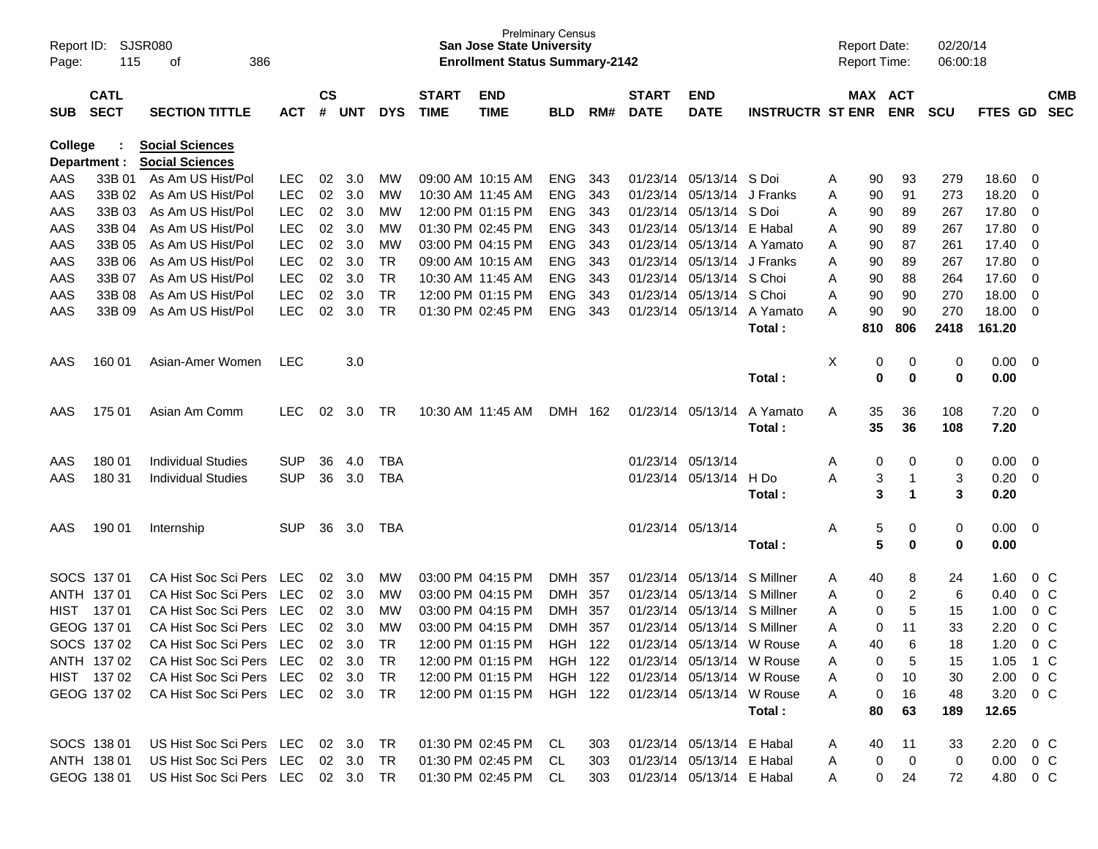| Report ID: | 115          | SJSR080<br>386                     |            |               |            |            |              | <b>San Jose State University</b>      | <b>Prelminary Census</b> |     |              |                           |                         | <b>Report Date:</b><br><b>Report Time:</b> |     |                | 02/20/14   |                |                          |            |
|------------|--------------|------------------------------------|------------|---------------|------------|------------|--------------|---------------------------------------|--------------------------|-----|--------------|---------------------------|-------------------------|--------------------------------------------|-----|----------------|------------|----------------|--------------------------|------------|
| Page:      |              | οf                                 |            |               |            |            |              | <b>Enrollment Status Summary-2142</b> |                          |     |              |                           |                         |                                            |     |                | 06:00:18   |                |                          |            |
|            | <b>CATL</b>  |                                    |            | $\mathsf{cs}$ |            |            | <b>START</b> | <b>END</b>                            |                          |     | <b>START</b> | <b>END</b>                |                         |                                            |     | MAX ACT        |            |                |                          | <b>CMB</b> |
| <b>SUB</b> | <b>SECT</b>  | <b>SECTION TITTLE</b>              | <b>ACT</b> | #             | <b>UNT</b> | <b>DYS</b> | <b>TIME</b>  | <b>TIME</b>                           | <b>BLD</b>               | RM# | <b>DATE</b>  | <b>DATE</b>               | <b>INSTRUCTR ST ENR</b> |                                            |     | <b>ENR</b>     | <b>SCU</b> | <b>FTES GD</b> |                          | <b>SEC</b> |
| College    |              | <b>Social Sciences</b>             |            |               |            |            |              |                                       |                          |     |              |                           |                         |                                            |     |                |            |                |                          |            |
|            | Department : | <b>Social Sciences</b>             |            |               |            |            |              |                                       |                          |     |              |                           |                         |                                            |     |                |            |                |                          |            |
| AAS        | 33B 01       | As Am US Hist/Pol                  | LEC.       | 02            | 3.0        | <b>MW</b>  |              | 09:00 AM 10:15 AM                     | <b>ENG</b>               | 343 |              | 01/23/14 05/13/14 S Doi   |                         | A                                          | 90  | 93             | 279        | 18.60          | - 0                      |            |
| AAS        | 33B 02       | As Am US Hist/Pol                  | <b>LEC</b> | 02            | 3.0        | MW         |              | 10:30 AM 11:45 AM                     | <b>ENG</b>               | 343 | 01/23/14     | 05/13/14                  | J Franks                | A                                          | 90  | 91             | 273        | 18.20          | 0                        |            |
| AAS        | 33B 03       | As Am US Hist/Pol                  | <b>LEC</b> | 02            | 3.0        | МW         |              | 12:00 PM 01:15 PM                     | <b>ENG</b>               | 343 | 01/23/14     | 05/13/14                  | S Doi                   | A                                          | 90  | 89             | 267        | 17.80          | - 0                      |            |
| AAS        | 33B 04       | As Am US Hist/Pol                  | <b>LEC</b> | 02            | 3.0        | МW         |              | 01:30 PM 02:45 PM                     | <b>ENG</b>               | 343 |              | 01/23/14 05/13/14         | E Habal                 | A                                          | 90  | 89             | 267        | 17.80          | - 0                      |            |
| AAS        | 33B 05       | As Am US Hist/Pol                  | <b>LEC</b> | 02            | 3.0        | MW         |              | 03:00 PM 04:15 PM                     | <b>ENG</b>               | 343 | 01/23/14     | 05/13/14                  | A Yamato                | A                                          | 90  | 87             | 261        | 17.40          | - 0                      |            |
| AAS        | 33B 06       | As Am US Hist/Pol                  | <b>LEC</b> | 02            | 3.0        | <b>TR</b>  |              | 09:00 AM 10:15 AM                     | <b>ENG</b>               | 343 | 01/23/14     | 05/13/14                  | J Franks                | A                                          | 90  | 89             | 267        | 17.80          | - 0                      |            |
| AAS        | 33B 07       | As Am US Hist/Pol                  | <b>LEC</b> | 02            | 3.0        | <b>TR</b>  |              | 10:30 AM 11:45 AM                     | <b>ENG</b>               | 343 |              | 01/23/14 05/13/14         | S Choi                  | A                                          | 90  | 88             | 264        | 17.60          | - 0                      |            |
| AAS        | 33B 08       | As Am US Hist/Pol                  | <b>LEC</b> | 02            | 3.0        | <b>TR</b>  |              | 12:00 PM 01:15 PM                     | <b>ENG</b>               | 343 | 01/23/14     | 05/13/14                  | S Choi                  | A                                          | 90  | 90             | 270        | 18.00          | 0                        |            |
| AAS        | 33B 09       | As Am US Hist/Pol                  | <b>LEC</b> | 02            | 3.0        | <b>TR</b>  |              | 01:30 PM 02:45 PM                     | <b>ENG</b>               | 343 | 01/23/14     | 05/13/14                  | A Yamato                | A                                          | 90  | 90             | 270        | 18.00          | - 0                      |            |
|            |              |                                    |            |               |            |            |              |                                       |                          |     |              |                           | Total:                  |                                            | 810 | 806            | 2418       | 161.20         |                          |            |
| AAS        | 160 01       | Asian-Amer Women                   | LEC        |               | 3.0        |            |              |                                       |                          |     |              |                           |                         | X                                          | 0   | 0              | 0          | 0.00           | $\overline{\phantom{0}}$ |            |
|            |              |                                    |            |               |            |            |              |                                       |                          |     |              |                           | Total:                  |                                            | 0   | $\bf{0}$       | 0          | 0.00           |                          |            |
|            |              |                                    |            |               |            |            |              |                                       |                          |     |              |                           |                         |                                            |     |                |            |                |                          |            |
| AAS        | 175 01       | Asian Am Comm                      | <b>LEC</b> | 02            | 3.0        | TR         |              | 10:30 AM 11:45 AM                     | DMH 162                  |     |              | 01/23/14 05/13/14         | A Yamato                | A                                          | 35  | 36             | 108        | 7.20           | $\overline{\phantom{0}}$ |            |
|            |              |                                    |            |               |            |            |              |                                       |                          |     |              |                           | Total:                  |                                            | 35  | 36             | 108        | 7.20           |                          |            |
|            |              |                                    |            |               |            |            |              |                                       |                          |     |              |                           |                         |                                            |     |                |            |                |                          |            |
| AAS        | 180 01       | <b>Individual Studies</b>          | <b>SUP</b> | 36            | 4.0        | <b>TBA</b> |              |                                       |                          |     |              | 01/23/14 05/13/14         |                         | A                                          | 0   | 0              | 0          | 0.00           | $\overline{\mathbf{0}}$  |            |
| AAS        | 180 31       | <b>Individual Studies</b>          | <b>SUP</b> | 36            | 3.0        | <b>TBA</b> |              |                                       |                          |     |              | 01/23/14 05/13/14         | H Do                    | A                                          | 3   | $\mathbf{1}$   | 3          | 0.20           | $\overline{\mathbf{0}}$  |            |
|            |              |                                    |            |               |            |            |              |                                       |                          |     |              |                           | Total:                  |                                            | 3   | -1             | 3          | 0.20           |                          |            |
| AAS        | 190 01       | Internship                         | <b>SUP</b> | 36            | 3.0        | TBA        |              |                                       |                          |     |              | 01/23/14 05/13/14         |                         | A                                          | 5   | 0              | 0          | 0.00           | $\overline{\phantom{0}}$ |            |
|            |              |                                    |            |               |            |            |              |                                       |                          |     |              |                           | Total:                  |                                            | 5   | 0              | 0          | 0.00           |                          |            |
|            | SOCS 137 01  | CA Hist Soc Sci Pers               | <b>LEC</b> | 02            | 3.0        | <b>MW</b>  |              | 03:00 PM 04:15 PM                     | DMH                      | 357 | 01/23/14     | 05/13/14                  | S Millner               | A                                          | 40  | 8              | 24         | 1.60           | 0 <sup>C</sup>           |            |
|            | ANTH 137 01  | CA Hist Soc Sci Pers               | LEC        | 02            | 3.0        | MW         |              | 03:00 PM 04:15 PM                     | <b>DMH</b>               | 357 | 01/23/14     | 05/13/14                  | S Millner               | A                                          | 0   | $\overline{2}$ | 6          | 0.40           | $0\,C$                   |            |
| HIST       | 13701        | CA Hist Soc Sci Pers               | LEC        | 02            | 3.0        | МW         |              | 03:00 PM 04:15 PM                     | <b>DMH</b>               | 357 | 01/23/14     | 05/13/14                  | S Millner               | A                                          | 0   | 5              | 15         | 1.00           | $0\,C$                   |            |
|            | GEOG 137 01  | CA Hist Soc Sci Pers               | <b>LEC</b> | 02            | 3.0        | MW         |              | 03:00 PM 04:15 PM                     | <b>DMH</b>               | 357 | 01/23/14     | 05/13/14                  | S Millner               | A                                          | 0   | 11             | 33         | 2.20           | $0\,C$                   |            |
|            | SOCS 137 02  | CA Hist Soc Sci Pers               | LEC        | 02            | 3.0        | <b>TR</b>  |              | 12:00 PM 01:15 PM                     | <b>HGH</b>               | 122 |              | 01/23/14 05/13/14 W Rouse |                         | A                                          | 40  | 6              | 18         | 1.20           | 0 <sup>C</sup>           |            |
|            | ANTH 137 02  | CA Hist Soc Sci Pers LEC 02 3.0    |            |               |            | TR.        |              | 12:00 PM 01:15 PM HGH 122             |                          |     |              | 01/23/14 05/13/14 W Rouse |                         |                                            | 0   | 5              | 15         | $1.05$ 1 C     |                          |            |
|            | HIST 137 02  | CA Hist Soc Sci Pers LEC           |            |               | 02 3.0     | TR         |              | 12:00 PM 01:15 PM                     | HGH 122                  |     |              | 01/23/14 05/13/14 W Rouse |                         | Α                                          | 0   | 10             | 30         | 2.00 0 C       |                          |            |
|            | GEOG 137 02  | CA Hist Soc Sci Pers LEC 02 3.0 TR |            |               |            |            |              | 12:00 PM 01:15 PM HGH 122             |                          |     |              | 01/23/14 05/13/14 W Rouse |                         | A                                          | 0   | 16             | 48         | 3.20 0 C       |                          |            |
|            |              |                                    |            |               |            |            |              |                                       |                          |     |              |                           | Total:                  |                                            | 80  | 63             | 189        | 12.65          |                          |            |
|            | SOCS 138 01  | US Hist Soc Sci Pers LEC 02 3.0    |            |               |            | TR         |              | 01:30 PM 02:45 PM CL                  |                          | 303 |              | 01/23/14 05/13/14 E Habal |                         | A                                          | 40  | 11             | 33         | $2.20 \t 0 C$  |                          |            |
|            | ANTH 138 01  | US Hist Soc Sci Pers LEC 02 3.0    |            |               |            | TR         |              | 01:30 PM 02:45 PM CL                  |                          | 303 |              | 01/23/14 05/13/14 E Habal |                         | A                                          | 0   | $\mathbf 0$    | 0          | $0.00 \t 0 C$  |                          |            |
|            | GEOG 138 01  | US Hist Soc Sci Pers LEC 02 3.0 TR |            |               |            |            |              | 01:30 PM 02:45 PM CL                  |                          | 303 |              | 01/23/14 05/13/14 E Habal |                         | A                                          | 0   | 24             | 72         | 4.80 0 C       |                          |            |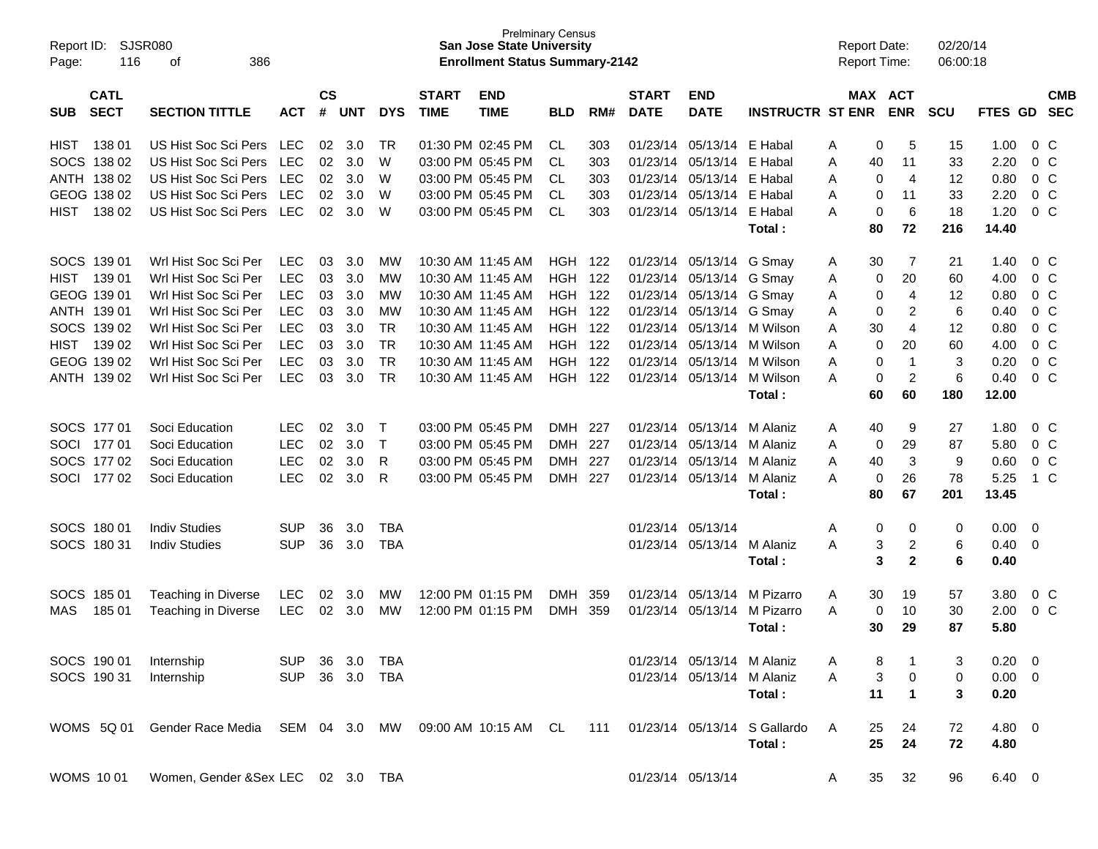| Report ID:<br>Page: | 116         | SJSR080<br>386<br>οf                                            |            |               |            |            |              | <b>Prelminary Census</b><br><b>San Jose State University</b><br><b>Enrollment Status Summary-2142</b> |            |     |              |                            |                                  | <b>Report Date:</b><br>Report Time: |                      | 02/20/14<br>06:00:18 |                |                |            |
|---------------------|-------------|-----------------------------------------------------------------|------------|---------------|------------|------------|--------------|-------------------------------------------------------------------------------------------------------|------------|-----|--------------|----------------------------|----------------------------------|-------------------------------------|----------------------|----------------------|----------------|----------------|------------|
|                     | <b>CATL</b> |                                                                 |            | $\mathsf{cs}$ |            |            | <b>START</b> | <b>END</b>                                                                                            |            |     | <b>START</b> | <b>END</b>                 |                                  |                                     | MAX ACT              |                      |                |                | <b>CMB</b> |
| <b>SUB</b>          | <b>SECT</b> | <b>SECTION TITTLE</b>                                           | <b>ACT</b> | #             | <b>UNT</b> | <b>DYS</b> | <b>TIME</b>  | <b>TIME</b>                                                                                           | <b>BLD</b> | RM# | <b>DATE</b>  | <b>DATE</b>                | <b>INSTRUCTR ST ENR</b>          |                                     | <b>ENR</b>           | <b>SCU</b>           | <b>FTES</b>    | <b>GD</b>      | <b>SEC</b> |
| <b>HIST</b>         | 138 01      | US Hist Soc Sci Pers                                            | LEC        | 02            | 3.0        | <b>TR</b>  |              | 01:30 PM 02:45 PM                                                                                     | <b>CL</b>  | 303 | 01/23/14     | 05/13/14                   | E Habal                          | Α                                   | 5<br>0               | 15                   | 1.00           | 0 <sup>o</sup> |            |
|                     | SOCS 138 02 | US Hist Soc Sci Pers                                            | <b>LEC</b> | 02            | 3.0        | W          |              | 03:00 PM 05:45 PM                                                                                     | <b>CL</b>  | 303 | 01/23/14     | 05/13/14                   | E Habal                          | Α                                   | 40<br>11             | 33                   | 2.20           | 0 <sup>o</sup> |            |
|                     | ANTH 138 02 | <b>US Hist Soc Sci Pers</b>                                     | <b>LEC</b> | 02            | 3.0        | W          |              | 03:00 PM 05:45 PM                                                                                     | <b>CL</b>  | 303 | 01/23/14     | 05/13/14                   | E Habal                          | A                                   | $\overline{4}$<br>0  | 12                   | 0.80           | 0 <sup>o</sup> |            |
|                     | GEOG 138 02 | US Hist Soc Sci Pers                                            | <b>LEC</b> | 02            | 3.0        | W          |              | 03:00 PM 05:45 PM                                                                                     | <b>CL</b>  | 303 | 01/23/14     | 05/13/14                   | E Habal                          | A                                   | 11<br>0              | 33                   | 2.20           | 0 <sup>o</sup> |            |
| <b>HIST</b>         | 138 02      | US Hist Soc Sci Pers                                            | <b>LEC</b> | 02            | 3.0        | W          |              | 03:00 PM 05:45 PM                                                                                     | <b>CL</b>  | 303 | 01/23/14     | 05/13/14                   | E Habal                          | A                                   | 6<br>0               | 18                   | 1.20           | 0 <sup>o</sup> |            |
|                     |             |                                                                 |            |               |            |            |              |                                                                                                       |            |     |              |                            | Total :                          |                                     | 80<br>72             | 216                  | 14.40          |                |            |
|                     | SOCS 139 01 | Wrl Hist Soc Sci Per                                            | <b>LEC</b> | 03            | 3.0        | <b>MW</b>  |              | 10:30 AM 11:45 AM                                                                                     | HGH        | 122 | 01/23/14     | 05/13/14 G Smay            |                                  | A                                   | 7<br>30              | 21                   | 1.40           | 0 <sup>o</sup> |            |
| <b>HIST</b>         | 139 01      | Wrl Hist Soc Sci Per                                            | <b>LEC</b> | 03            | 3.0        | МW         |              | 10:30 AM 11:45 AM                                                                                     | <b>HGH</b> | 122 | 01/23/14     | 05/13/14                   | G Smay                           | A                                   | 20<br>0              | 60                   | 4.00           | 0 <sup>o</sup> |            |
|                     | GEOG 139 01 | Wrl Hist Soc Sci Per                                            | <b>LEC</b> | 03            | 3.0        | МW         |              | 10:30 AM 11:45 AM                                                                                     | <b>HGH</b> | 122 | 01/23/14     | 05/13/14                   | G Smay                           | Α                                   | $\overline{4}$<br>0  | 12                   | 0.80           | 0 <sup>o</sup> |            |
|                     | ANTH 139 01 | Wrl Hist Soc Sci Per                                            | <b>LEC</b> | 03            | 3.0        | МW         |              | 10:30 AM 11:45 AM                                                                                     | HGH        | 122 | 01/23/14     | 05/13/14                   | G Smay                           | Α                                   | $\overline{2}$<br>0  | 6                    | 0.40           | 0 <sup>o</sup> |            |
|                     | SOCS 139 02 | Wrl Hist Soc Sci Per                                            | <b>LEC</b> | 03            | 3.0        | <b>TR</b>  |              | 10:30 AM 11:45 AM                                                                                     | <b>HGH</b> | 122 | 01/23/14     | 05/13/14                   | M Wilson                         | A                                   | $\overline{4}$<br>30 | 12                   | 0.80           | 0 <sup>o</sup> |            |
| <b>HIST</b>         | 139 02      | Wrl Hist Soc Sci Per                                            | <b>LEC</b> | 03            | 3.0        | <b>TR</b>  |              | 10:30 AM 11:45 AM                                                                                     | <b>HGH</b> | 122 | 01/23/14     | 05/13/14                   | M Wilson                         | A                                   | 20<br>0              | 60                   | 4.00           | 0 <sup>o</sup> |            |
|                     | GEOG 139 02 | Wrl Hist Soc Sci Per                                            | <b>LEC</b> | 03            | 3.0        | <b>TR</b>  |              | 10:30 AM 11:45 AM                                                                                     | <b>HGH</b> | 122 | 01/23/14     | 05/13/14                   | M Wilson                         | A                                   | 0<br>$\mathbf{1}$    | 3                    | 0.20           | 0 <sup>o</sup> |            |
|                     | ANTH 139 02 | Wrl Hist Soc Sci Per                                            | <b>LEC</b> | 03            | 3.0        | <b>TR</b>  |              | 10:30 AM 11:45 AM                                                                                     | <b>HGH</b> | 122 | 01/23/14     | 05/13/14                   | M Wilson                         | A                                   | $\overline{2}$<br>0  | 6                    | 0.40           | 0 <sup>o</sup> |            |
|                     |             |                                                                 |            |               |            |            |              |                                                                                                       |            |     |              |                            | Total :                          |                                     | 60<br>60             | 180                  | 12.00          |                |            |
|                     | SOCS 177 01 | Soci Education                                                  | <b>LEC</b> | 02            | 3.0        | $\top$     |              | 03:00 PM 05:45 PM                                                                                     | <b>DMH</b> | 227 | 01/23/14     | 05/13/14                   | M Alaniz                         | Α                                   | 40<br>9              | 27                   | 1.80           | 0 <sup>o</sup> |            |
|                     | SOCI 177 01 | Soci Education                                                  | <b>LEC</b> | 02            | 3.0        | $\top$     |              | 03:00 PM 05:45 PM                                                                                     | <b>DMH</b> | 227 | 01/23/14     | 05/13/14                   | M Alaniz                         | A                                   | 29<br>0              | 87                   | 5.80           | 0 <sup>o</sup> |            |
|                     | SOCS 177 02 | Soci Education                                                  | <b>LEC</b> | 02            | 3.0        | R          |              | 03:00 PM 05:45 PM                                                                                     | <b>DMH</b> | 227 | 01/23/14     | 05/13/14                   | M Alaniz                         | A                                   | 3<br>40              | 9                    | 0.60           | 0 <sup>o</sup> |            |
| <b>SOCI</b>         | 17702       | Soci Education                                                  | <b>LEC</b> | 02            | 3.0        | R          |              | 03:00 PM 05:45 PM                                                                                     | DMH        | 227 | 01/23/14     | 05/13/14                   | M Alaniz                         | A                                   | 0<br>26              | 78                   | 5.25           | 1 C            |            |
|                     |             |                                                                 |            |               |            |            |              |                                                                                                       |            |     |              |                            | Total :                          |                                     | 80<br>67             | 201                  | 13.45          |                |            |
|                     | SOCS 180 01 | <b>Indiv Studies</b>                                            | <b>SUP</b> | 36            | 3.0        | <b>TBA</b> |              |                                                                                                       |            |     | 01/23/14     | 05/13/14                   |                                  | Α                                   | 0<br>0               | 0                    | 0.00           | - 0            |            |
|                     | SOCS 180 31 | <b>Indiv Studies</b>                                            | <b>SUP</b> | 36            | 3.0        | <b>TBA</b> |              |                                                                                                       |            |     | 01/23/14     | 05/13/14                   | M Alaniz                         | A                                   | $\overline{c}$<br>3  | 6                    | 0.40           | - 0            |            |
|                     |             |                                                                 |            |               |            |            |              |                                                                                                       |            |     |              |                            | Total :                          |                                     | 3<br>$\mathbf{2}$    | 6                    | 0.40           |                |            |
|                     | SOCS 185 01 | Teaching in Diverse                                             | <b>LEC</b> | 02            | 3.0        | MW         |              | 12:00 PM 01:15 PM                                                                                     | <b>DMH</b> | 359 | 01/23/14     | 05/13/14                   | M Pizarro                        | Α                                   | 30<br>19             | 57                   | 3.80           | 0 <sup>o</sup> |            |
| MAS                 | 185 01      | Teaching in Diverse                                             | <b>LEC</b> | 02            | 3.0        | МW         |              | 12:00 PM 01:15 PM                                                                                     | DMH        | 359 | 01/23/14     | 05/13/14                   | M Pizarro                        | A                                   | 10<br>0              | 30                   | 2.00           | 0 <sup>o</sup> |            |
|                     |             |                                                                 |            |               |            |            |              |                                                                                                       |            |     |              |                            | Total :                          |                                     | 29<br>30             | 87                   | 5.80           |                |            |
|                     | SOCS 190 01 | Internship                                                      | <b>SUP</b> |               | 36 3.0     | TBA        |              |                                                                                                       |            |     |              | 01/23/14 05/13/14 M Alaniz |                                  |                                     | 8                    | 3                    | $0.20 \ 0$     |                |            |
|                     | SOCS 190 31 | Internship                                                      | <b>SUP</b> |               | 36 3.0 TBA |            |              |                                                                                                       |            |     |              | 01/23/14 05/13/14          | M Alaniz                         | A                                   | 3<br>$\pmb{0}$       | 0                    | $0.00 \t 0$    |                |            |
|                     |             |                                                                 |            |               |            |            |              |                                                                                                       |            |     |              |                            | Total:                           |                                     | 11<br>1              | 3                    | 0.20           |                |            |
|                     |             | WOMS 5Q 01 Gender Race Media SEM 04 3.0 MW 09:00 AM 10:15 AM CL |            |               |            |            |              |                                                                                                       |            |     |              |                            | 111 01/23/14 05/13/14 S Gallardo | A                                   | 25<br>24             | 72                   | 4.80 0         |                |            |
|                     |             |                                                                 |            |               |            |            |              |                                                                                                       |            |     |              |                            | Total:                           |                                     | 25<br>24             | 72                   | 4.80           |                |            |
|                     | WOMS 1001   | Women, Gender &Sex LEC 02 3.0 TBA                               |            |               |            |            |              |                                                                                                       |            |     |              | 01/23/14 05/13/14          |                                  | A                                   | 35<br>32             | 96                   | $6.40 \quad 0$ |                |            |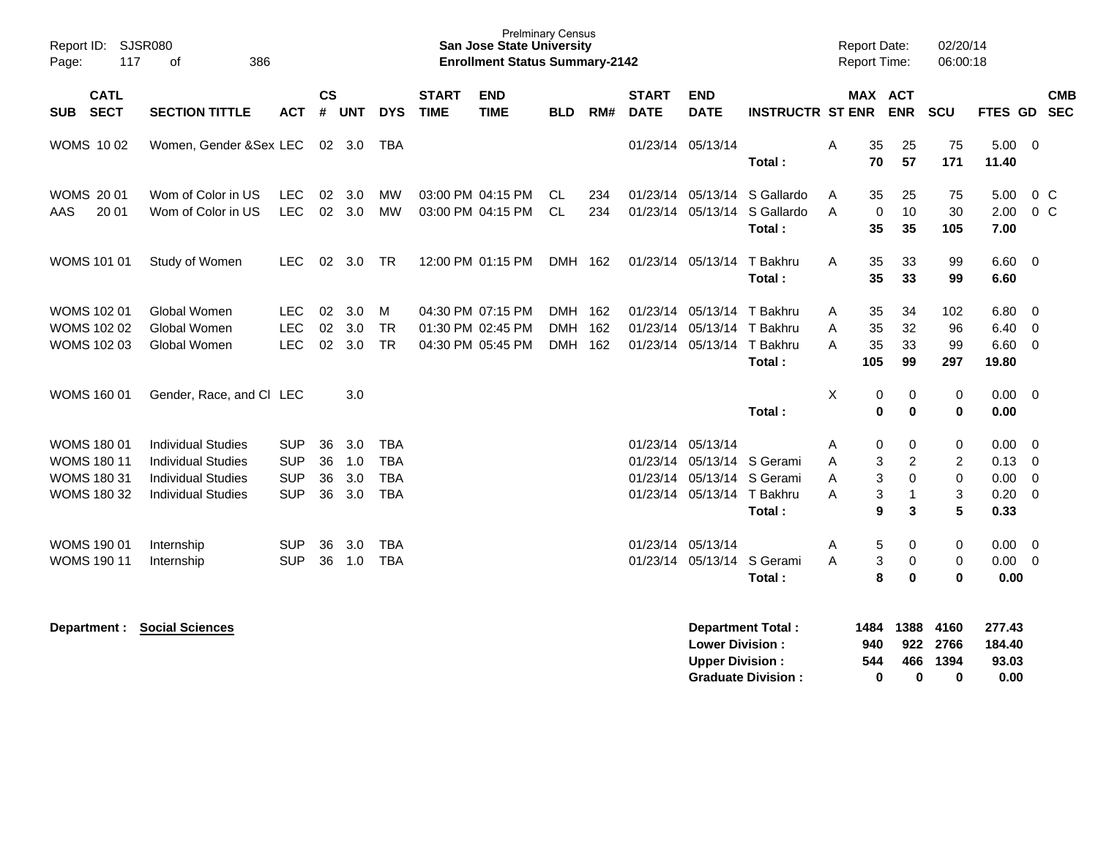| Report ID: SJSR080<br>117<br>Page:                                            | 386<br>of                                                                                                        |                                                      |                      |                          |                                                      |                             | <b>San Jose State University</b><br><b>Enrollment Status Summary-2142</b> | <b>Prelminary Census</b>         |            |                             |                                                                                                             |                                                       |                  | <b>Report Date:</b>                 | Report Time:                              | 02/20/14<br>06:00:18                         |                                      |                                                                                                            |                          |
|-------------------------------------------------------------------------------|------------------------------------------------------------------------------------------------------------------|------------------------------------------------------|----------------------|--------------------------|------------------------------------------------------|-----------------------------|---------------------------------------------------------------------------|----------------------------------|------------|-----------------------------|-------------------------------------------------------------------------------------------------------------|-------------------------------------------------------|------------------|-------------------------------------|-------------------------------------------|----------------------------------------------|--------------------------------------|------------------------------------------------------------------------------------------------------------|--------------------------|
| <b>CATL</b><br><b>SECT</b><br><b>SUB</b>                                      | <b>SECTION TITTLE</b>                                                                                            | <b>ACT</b>                                           | <b>CS</b><br>#       | <b>UNT</b>               | <b>DYS</b>                                           | <b>START</b><br><b>TIME</b> | <b>END</b><br><b>TIME</b>                                                 | <b>BLD</b>                       | RM#        | <b>START</b><br><b>DATE</b> | <b>END</b><br><b>DATE</b>                                                                                   | <b>INSTRUCTR ST ENR</b>                               |                  |                                     | MAX ACT<br><b>ENR</b>                     | SCU                                          | <b>FTES GD</b>                       |                                                                                                            | <b>CMB</b><br><b>SEC</b> |
| <b>WOMS 1002</b>                                                              | Women, Gender & Sex LEC                                                                                          |                                                      |                      | 02 3.0                   | <b>TBA</b>                                           |                             |                                                                           |                                  |            |                             | 01/23/14 05/13/14                                                                                           | Total:                                                | A                | 35<br>70                            | 25<br>57                                  | 75<br>171                                    | $5.00 \t 0$<br>11.40                 |                                                                                                            |                          |
| <b>WOMS 2001</b><br>20 01<br>AAS                                              | Wom of Color in US<br>Wom of Color in US                                                                         | <b>LEC</b><br><b>LEC</b>                             | 02                   | 3.0<br>02 3.0            | <b>MW</b><br>MW                                      |                             | 03:00 PM 04:15 PM<br>03:00 PM 04:15 PM                                    | CL.<br><b>CL</b>                 | 234<br>234 | 01/23/14                    | 05/13/14<br>01/23/14 05/13/14                                                                               | S Gallardo<br>S Gallardo<br>Total:                    | A<br>A           | 35<br>$\mathbf 0$<br>35             | 25<br>10<br>35                            | 75<br>30<br>105                              | 5.00<br>2.00<br>7.00                 | 0 C<br>$0\,C$                                                                                              |                          |
| WOMS 101 01                                                                   | Study of Women                                                                                                   | <b>LEC</b>                                           |                      | 02 3.0                   | <b>TR</b>                                            |                             | 12:00 PM 01:15 PM                                                         | DMH 162                          |            |                             | 01/23/14 05/13/14                                                                                           | T Bakhru<br>Total:                                    | A                | 35<br>35                            | 33<br>33                                  | 99<br>99                                     | 6.60<br>6.60                         | $\overline{\mathbf{0}}$                                                                                    |                          |
| <b>WOMS 102 01</b><br><b>WOMS 102 02</b><br>WOMS 102 03                       | Global Women<br>Global Women<br>Global Women                                                                     | <b>LEC</b><br><b>LEC</b><br><b>LEC</b>               | 02<br>02<br>02       | 3.0<br>3.0<br>3.0        | м<br><b>TR</b><br><b>TR</b>                          |                             | 04:30 PM 07:15 PM<br>01:30 PM 02:45 PM<br>04:30 PM 05:45 PM               | DMH 162<br><b>DMH</b><br>DMH 162 | 162        |                             | 01/23/14 05/13/14 T Bakhru<br>01/23/14 05/13/14 T Bakhru<br>01/23/14 05/13/14                               | T Bakhru<br>Total:                                    | Α<br>A<br>A      | 35<br>35<br>35<br>105               | 34<br>32<br>33<br>99                      | 102<br>96<br>99<br>297                       | 6.80<br>6.40<br>6.60<br>19.80        | $\overline{\mathbf{0}}$<br>- 0<br>0                                                                        |                          |
| WOMS 160 01                                                                   | Gender, Race, and CI LEC                                                                                         |                                                      |                      | 3.0                      |                                                      |                             |                                                                           |                                  |            |                             |                                                                                                             | Total:                                                | X                | 0<br>$\bf{0}$                       | 0<br>$\bf{0}$                             | 0<br>$\bf{0}$                                | $0.00 \quad 0$<br>0.00               |                                                                                                            |                          |
| <b>WOMS 180 01</b><br><b>WOMS 180 11</b><br>WOMS 180 31<br><b>WOMS 180 32</b> | <b>Individual Studies</b><br><b>Individual Studies</b><br><b>Individual Studies</b><br><b>Individual Studies</b> | <b>SUP</b><br><b>SUP</b><br><b>SUP</b><br><b>SUP</b> | 36<br>36<br>36<br>36 | 3.0<br>1.0<br>3.0<br>3.0 | <b>TBA</b><br><b>TBA</b><br><b>TBA</b><br><b>TBA</b> |                             |                                                                           |                                  |            |                             | 01/23/14 05/13/14<br>01/23/14 05/13/14 S Gerami<br>01/23/14 05/13/14 S Gerami<br>01/23/14 05/13/14 T Bakhru | Total:                                                | Α<br>Α<br>A<br>A | 0<br>3<br>$\mathbf{3}$<br>3<br>9    | 0<br>$\overline{c}$<br>$\Omega$<br>1<br>3 | 0<br>$\overline{2}$<br>$\mathbf 0$<br>3<br>5 | 0.00<br>0.13<br>0.00<br>0.20<br>0.33 | $\overline{\mathbf{0}}$<br>$\overline{\phantom{0}}$<br>$\overline{\mathbf{0}}$<br>$\overline{\phantom{0}}$ |                          |
| <b>WOMS 190 01</b><br><b>WOMS 190 11</b>                                      | Internship<br>Internship                                                                                         | <b>SUP</b><br><b>SUP</b>                             | 36<br>36             | 3.0<br>1.0               | TBA<br><b>TBA</b>                                    |                             |                                                                           |                                  |            |                             | 01/23/14 05/13/14<br>01/23/14 05/13/14 S Gerami                                                             | Total:                                                | Α<br>A           | 5<br>$\ensuremath{\mathsf{3}}$<br>8 | 0<br>0<br>$\bf{0}$                        | 0<br>$\pmb{0}$<br>$\bf{0}$                   | 0.00<br>$0.00 \t 0$<br>0.00          | $\overline{\mathbf{0}}$                                                                                    |                          |
| Department :                                                                  | <b>Social Sciences</b>                                                                                           |                                                      |                      |                          |                                                      |                             |                                                                           |                                  |            |                             | <b>Lower Division:</b><br><b>Upper Division:</b>                                                            | <b>Department Total:</b><br><b>Graduate Division:</b> |                  | 1484<br>940<br>544<br>$\bf{0}$      | 1388<br>922<br>466<br>$\bf{0}$            | 4160<br>2766<br>1394<br>$\bf{0}$             | 277.43<br>184.40<br>93.03<br>0.00    |                                                                                                            |                          |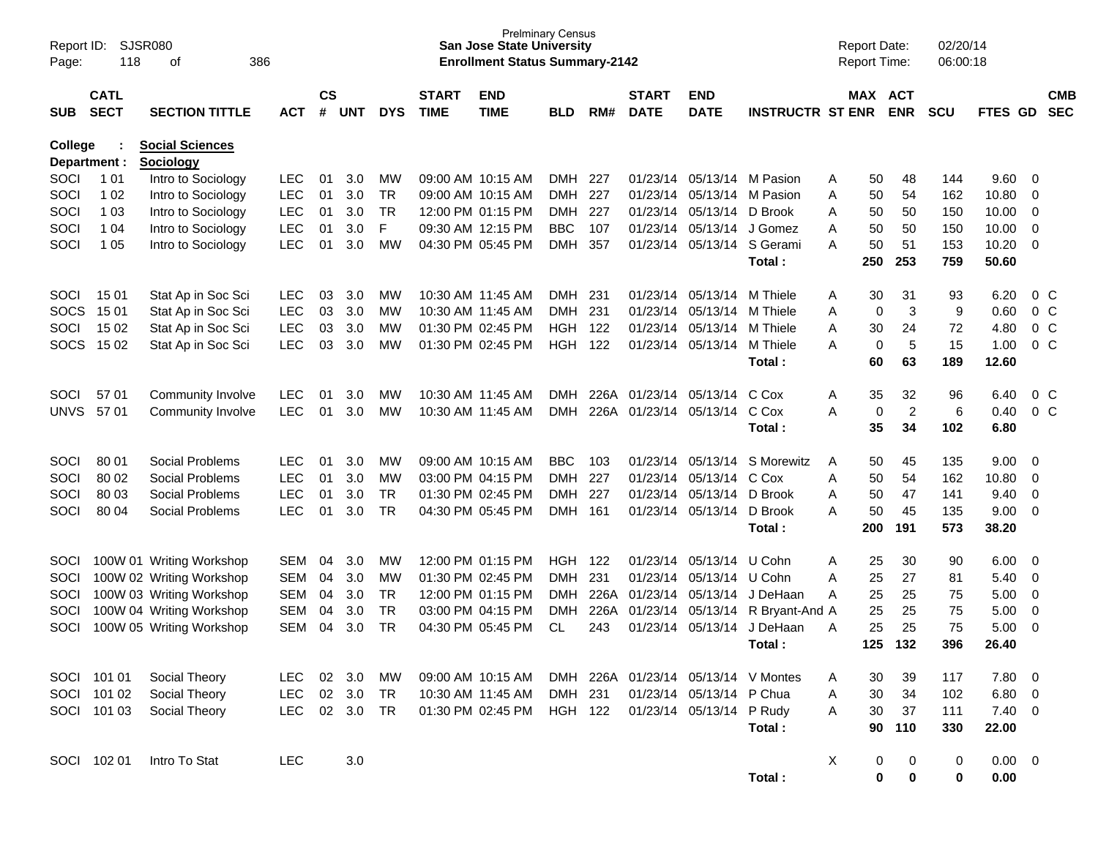| Report ID:<br>Page: | 118                        | <b>SJSR080</b><br>386<br>of                |            |                    |            |            |                             | <b>San Jose State University</b><br><b>Enrollment Status Summary-2142</b> | <b>Prelminary Census</b> |      |                             |                              |                                 | <b>Report Date:</b><br><b>Report Time:</b> |                       |                | 02/20/14<br>06:00:18 |                |                         |                          |
|---------------------|----------------------------|--------------------------------------------|------------|--------------------|------------|------------|-----------------------------|---------------------------------------------------------------------------|--------------------------|------|-----------------------------|------------------------------|---------------------------------|--------------------------------------------|-----------------------|----------------|----------------------|----------------|-------------------------|--------------------------|
| <b>SUB</b>          | <b>CATL</b><br><b>SECT</b> | <b>SECTION TITTLE</b>                      | <b>ACT</b> | $\mathsf{cs}$<br># | <b>UNT</b> | <b>DYS</b> | <b>START</b><br><b>TIME</b> | <b>END</b><br><b>TIME</b>                                                 | <b>BLD</b>               | RM#  | <b>START</b><br><b>DATE</b> | <b>END</b><br><b>DATE</b>    | <b>INSTRUCTR ST ENR</b>         |                                            | MAX ACT<br><b>ENR</b> |                | <b>SCU</b>           | FTES GD        |                         | <b>CMB</b><br><b>SEC</b> |
| College             | Department :               | <b>Social Sciences</b><br><b>Sociology</b> |            |                    |            |            |                             |                                                                           |                          |      |                             |                              |                                 |                                            |                       |                |                      |                |                         |                          |
| SOCI                | 1 0 1                      | Intro to Sociology                         | <b>LEC</b> | 01                 | 3.0        | <b>MW</b>  |                             | 09:00 AM 10:15 AM                                                         | DMH.                     | -227 |                             | 01/23/14 05/13/14 M Pasion   |                                 | Α                                          | 50                    | 48             | 144                  | 9.60           | $\overline{\mathbf{0}}$ |                          |
| SOCI                | 1 0 2                      | Intro to Sociology                         | <b>LEC</b> | 01                 | 3.0        | TR         |                             | 09:00 AM 10:15 AM                                                         | <b>DMH</b>               | 227  |                             | 01/23/14 05/13/14            | M Pasion                        | Α                                          | 50                    | 54             | 162                  | 10.80          | 0                       |                          |
| SOCI                | 1 0 3                      | Intro to Sociology                         | <b>LEC</b> | 01                 | 3.0        | TR         |                             | 12:00 PM 01:15 PM                                                         | <b>DMH</b>               | 227  |                             | 01/23/14 05/13/14            | D Brook                         | Α                                          | 50                    | 50             | 150                  | 10.00          | $\mathbf 0$             |                          |
| SOCI                | 1 04                       | Intro to Sociology                         | <b>LEC</b> | 01                 | 3.0        | F.         |                             | 09:30 AM 12:15 PM                                                         | <b>BBC</b>               | 107  |                             | 01/23/14 05/13/14            | J Gomez                         | A                                          | 50                    | 50             | 150                  | 10.00          | $\mathbf 0$             |                          |
| SOCI                | 1 0 5                      | Intro to Sociology                         | <b>LEC</b> | 01                 | 3.0        | MW         | 04:30 PM 05:45 PM           |                                                                           | <b>DMH</b>               | 357  |                             |                              | 01/23/14 05/13/14 S Gerami      | A                                          | 50                    | 51             | 153                  | 10.20          | $\overline{0}$          |                          |
|                     |                            |                                            |            |                    |            |            |                             |                                                                           |                          |      |                             |                              | Total:                          |                                            | 250                   | 253            | 759                  | 50.60          |                         |                          |
| SOCI                | 1501                       | Stat Ap in Soc Sci                         | <b>LEC</b> | 03                 | 3.0        | <b>MW</b>  |                             | 10:30 AM 11:45 AM                                                         | DMH.                     | -231 |                             | 01/23/14 05/13/14            | M Thiele                        | A                                          | 30                    | 31             | 93                   | 6.20           | $0\,$ C                 |                          |
| SOCS                | 15 01                      | Stat Ap in Soc Sci                         | <b>LEC</b> | 03                 | 3.0        | МW         |                             | 10:30 AM 11:45 AM                                                         | <b>DMH</b>               | 231  |                             | 01/23/14 05/13/14            | M Thiele                        | Α                                          | 0                     | 3              | 9                    | 0.60           | 0 <sup>o</sup>          |                          |
| SOCI                | 15 02                      | Stat Ap in Soc Sci                         | <b>LEC</b> | 03                 | 3.0        | MW         | 01:30 PM 02:45 PM           |                                                                           | <b>HGH</b>               | 122  |                             | 01/23/14 05/13/14            | M Thiele                        | Α                                          | 30                    | 24             | 72                   | 4.80           | 0 <sup>o</sup>          |                          |
|                     | SOCS 1502                  | Stat Ap in Soc Sci                         | <b>LEC</b> | 03                 | 3.0        | MW         | 01:30 PM 02:45 PM           |                                                                           | <b>HGH</b>               | 122  |                             | 01/23/14 05/13/14            | M Thiele                        | Α                                          | 0                     | 5              | 15                   | 1.00           | 0 <sup>o</sup>          |                          |
|                     |                            |                                            |            |                    |            |            |                             |                                                                           |                          |      |                             |                              | Total:                          |                                            | 60                    | 63             | 189                  | 12.60          |                         |                          |
| SOCI                | 57 01                      | Community Involve                          | <b>LEC</b> | 01                 | 3.0        | MW         |                             | 10:30 AM 11:45 AM                                                         | DMH                      |      |                             | 226A 01/23/14 05/13/14       | C Cox                           | Α                                          | 35                    | 32             | 96                   | 6.40           | $0\,$ C                 |                          |
| <b>UNVS</b>         | 5701                       | Community Involve                          | <b>LEC</b> | 01                 | 3.0        | MW         |                             | 10:30 AM 11:45 AM                                                         | DMH                      |      |                             | 226A 01/23/14 05/13/14 C Cox |                                 | Α                                          | 0                     | $\overline{c}$ | 6                    | 0.40           | 0 <sup>o</sup>          |                          |
|                     |                            |                                            |            |                    |            |            |                             |                                                                           |                          |      |                             |                              | Total:                          |                                            | 35                    | 34             | 102                  | 6.80           |                         |                          |
| SOCI                | 80 01                      | Social Problems                            | LEC.       | 01                 | 3.0        | MW         | 09:00 AM 10:15 AM           |                                                                           | <b>BBC</b>               | 103  |                             | 01/23/14 05/13/14            | S Morewitz                      | A                                          | 50                    | 45             | 135                  | 9.00           | $\overline{\mathbf{0}}$ |                          |
| SOCI                | 80 02                      | Social Problems                            | <b>LEC</b> | 01                 | 3.0        | MW         |                             | 03:00 PM 04:15 PM                                                         | <b>DMH</b>               | 227  |                             | 01/23/14 05/13/14            | C Cox                           | Α                                          | 50                    | 54             | 162                  | 10.80          | 0                       |                          |
| SOCI                | 80 03                      | Social Problems                            | <b>LEC</b> | 01                 | 3.0        | <b>TR</b>  | 01:30 PM 02:45 PM           |                                                                           | <b>DMH</b>               | 227  |                             | 01/23/14 05/13/14            | D Brook                         | A                                          | 50                    | 47             | 141                  | 9.40           | $\mathbf 0$             |                          |
| SOCI                | 80 04                      | Social Problems                            | <b>LEC</b> | 01                 | 3.0        | TR         |                             | 04:30 PM 05:45 PM                                                         | <b>DMH</b>               | 161  |                             | 01/23/14 05/13/14            | D Brook                         | Α                                          | 50                    | 45             | 135                  | 9.00           | $\overline{\mathbf{0}}$ |                          |
|                     |                            |                                            |            |                    |            |            |                             |                                                                           |                          |      |                             |                              | Total:                          |                                            | 200                   | 191            | 573                  | 38.20          |                         |                          |
| SOCI                |                            | 100W 01 Writing Workshop                   | <b>SEM</b> | 04                 | 3.0        | MW         |                             | 12:00 PM 01:15 PM                                                         | HGH                      | -122 |                             | 01/23/14 05/13/14            | U Cohn                          | A                                          | 25                    | 30             | 90                   | 6.00           | $\overline{\mathbf{0}}$ |                          |
| SOCI                |                            | 100W 02 Writing Workshop                   | <b>SEM</b> | 04                 | 3.0        | MW         | 01:30 PM 02:45 PM           |                                                                           | DMH.                     | 231  |                             | 01/23/14 05/13/14            | U Cohn                          | Α                                          | 25                    | 27             | 81                   | 5.40           | 0                       |                          |
| SOCI                |                            | 100W 03 Writing Workshop                   | <b>SEM</b> | 04                 | 3.0        | TR         |                             | 12:00 PM 01:15 PM                                                         | <b>DMH</b>               | 226A |                             | 01/23/14 05/13/14            | J DeHaan                        | A                                          | 25                    | 25             | 75                   | 5.00           | $\mathbf 0$             |                          |
| SOCI                |                            | 100W 04 Writing Workshop                   | <b>SEM</b> | 04                 | 3.0        | <b>TR</b>  | 03:00 PM 04:15 PM           |                                                                           | <b>DMH</b>               | 226A | 01/23/14 05/13/14           |                              | R Bryant-And A                  |                                            | 25                    | 25             | 75                   | 5.00           | $\mathbf 0$             |                          |
| SOCI                |                            | 100W 05 Writing Workshop                   | <b>SEM</b> | 04                 | 3.0        | <b>TR</b>  |                             | 04:30 PM 05:45 PM                                                         | CL                       | 243  |                             | 01/23/14 05/13/14            | J DeHaan                        | A                                          | 25                    | 25             | 75                   | 5.00           | 0                       |                          |
|                     |                            |                                            |            |                    |            |            |                             |                                                                           |                          |      |                             |                              | Total:                          |                                            | 125                   | 132            | 396                  | 26.40          |                         |                          |
|                     | SOCI 101 01                | Social Theory                              | LEC.       | 02                 | 3.0        | МW         |                             | 09:00 AM 10:15 AM                                                         | <b>DMH</b>               |      |                             |                              | 226A 01/23/14 05/13/14 V Montes | Α                                          | 30                    | 39             | 117                  | 7.80           | $\overline{\mathbf{0}}$ |                          |
|                     | SOCI 101 02                | Social Theory                              | <b>LEC</b> |                    | 02 3.0     | <b>TR</b>  |                             | 10:30 AM 11:45 AM                                                         | DMH 231                  |      |                             | 01/23/14 05/13/14 P Chua     |                                 | Α                                          | 30                    | 34             | 102                  | 6.80 0         |                         |                          |
|                     | SOCI 101 03                | Social Theory                              | <b>LEC</b> |                    | 02 3.0     | <b>TR</b>  |                             | 01:30 PM 02:45 PM                                                         | <b>HGH 122</b>           |      |                             | 01/23/14 05/13/14 P Rudy     |                                 | A                                          | 30                    | 37             | 111                  | $7.40 \ 0$     |                         |                          |
|                     |                            |                                            |            |                    |            |            |                             |                                                                           |                          |      |                             |                              | Total:                          |                                            | 90                    | 110            | 330                  | 22.00          |                         |                          |
|                     | SOCI 102 01                | Intro To Stat                              | <b>LEC</b> |                    | 3.0        |            |                             |                                                                           |                          |      |                             |                              |                                 | X                                          | 0                     | 0              | 0                    | $0.00 \quad 0$ |                         |                          |
|                     |                            |                                            |            |                    |            |            |                             |                                                                           |                          |      |                             |                              | Total:                          |                                            | $\mathbf 0$           | $\mathbf 0$    | 0                    | 0.00           |                         |                          |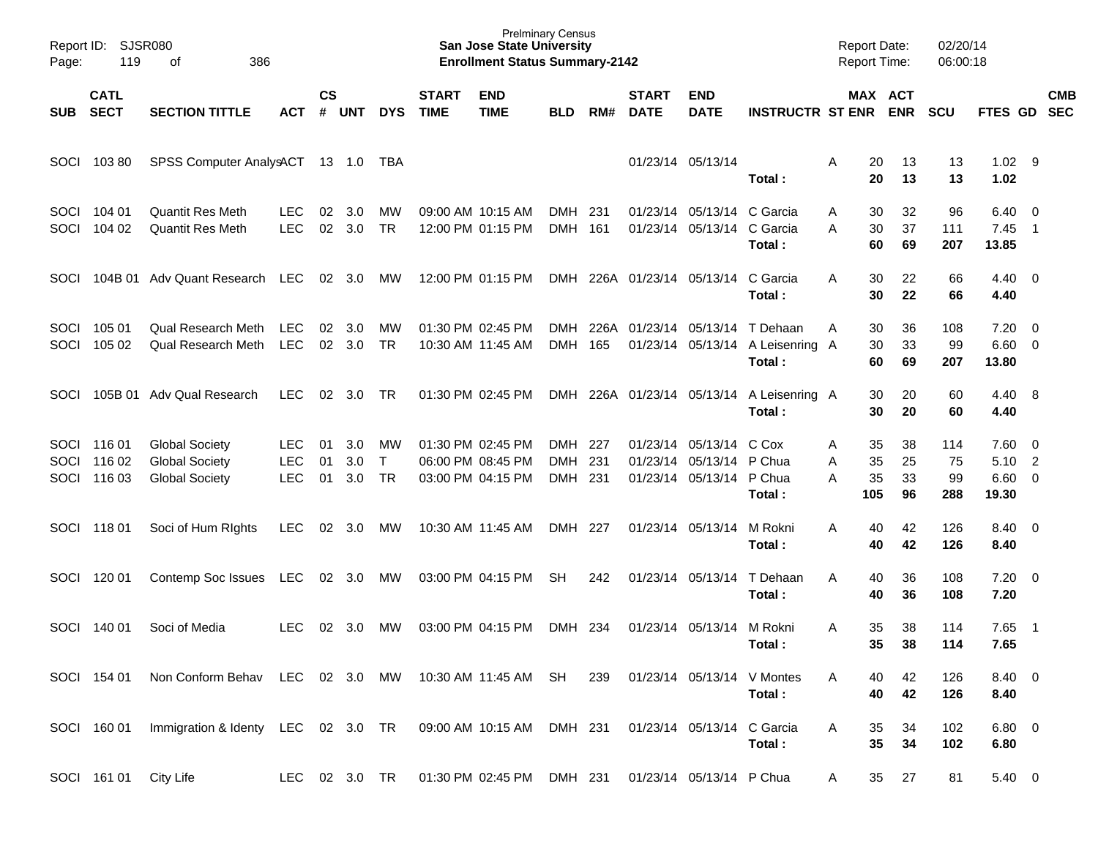| Page:               | Report ID: SJSR080<br>119            | 386<br>of                                                               |                                 |                    |                   |                                 |                             | <b>Prelminary Census</b><br><b>San Jose State University</b><br><b>Enrollment Status Summary-2142</b> |                                  |     |                             |                                                             |                                                        |             |                       | <b>Report Date:</b><br><b>Report Time:</b> | 02/20/14<br>06:00:18   |                                             |                                           |            |
|---------------------|--------------------------------------|-------------------------------------------------------------------------|---------------------------------|--------------------|-------------------|---------------------------------|-----------------------------|-------------------------------------------------------------------------------------------------------|----------------------------------|-----|-----------------------------|-------------------------------------------------------------|--------------------------------------------------------|-------------|-----------------------|--------------------------------------------|------------------------|---------------------------------------------|-------------------------------------------|------------|
| SUB                 | <b>CATL</b><br><b>SECT</b>           | <b>SECTION TITTLE</b>                                                   | <b>ACT</b>                      | $\mathsf{cs}$<br># | <b>UNT</b>        | <b>DYS</b>                      | <b>START</b><br><b>TIME</b> | <b>END</b><br><b>TIME</b>                                                                             | <b>BLD</b>                       | RM# | <b>START</b><br><b>DATE</b> | <b>END</b><br><b>DATE</b>                                   | <b>INSTRUCTR ST ENR</b>                                |             |                       | MAX ACT<br><b>ENR</b>                      | <b>SCU</b>             | FTES GD SEC                                 |                                           | <b>CMB</b> |
| SOCI                | 10380                                | SPSS Computer AnalysACT 13 1.0 TBA                                      |                                 |                    |                   |                                 |                             |                                                                                                       |                                  |     |                             | 01/23/14 05/13/14                                           | Total:                                                 | Α           | 20<br>20              | 13<br>13                                   | 13<br>13               | $1.02$ 9<br>1.02                            |                                           |            |
| <b>SOCI</b><br>SOCI | 104 01<br>104 02                     | Quantit Res Meth<br>Quantit Res Meth                                    | <b>LEC</b><br><b>LEC</b>        | 02<br>02           | 3.0<br>3.0        | MW<br><b>TR</b>                 |                             | 09:00 AM 10:15 AM<br>12:00 PM 01:15 PM                                                                | DMH<br>DMH 161                   | 231 |                             | 01/23/14 05/13/14 C Garcia<br>01/23/14 05/13/14             | C Garcia<br>Total:                                     | Α<br>A      | 30<br>30<br>60        | 32<br>37<br>69                             | 96<br>111<br>207       | 6.40<br>7.45<br>13.85                       | $\overline{\mathbf{0}}$<br>$\overline{1}$ |            |
| SOCI                |                                      | 104B 01 Adv Quant Research                                              | LEC                             |                    | $02 \quad 3.0$    | МW                              |                             | 12:00 PM 01:15 PM                                                                                     |                                  |     | DMH 226A 01/23/14 05/13/14  |                                                             | C Garcia<br>Total:                                     | A           | 30<br>30              | 22<br>22                                   | 66<br>66               | $4.40 \quad 0$<br>4.40                      |                                           |            |
| <b>SOCI</b><br>SOCI | 105 01<br>105 02                     | <b>Qual Research Meth</b><br><b>Qual Research Meth</b>                  | <b>LEC</b><br><b>LEC</b>        | 02<br>02           | 3.0<br>3.0        | MW<br><b>TR</b>                 |                             | 01:30 PM 02:45 PM<br>10:30 AM 11:45 AM                                                                | DMH<br>DMH 165                   |     |                             | 226A 01/23/14 05/13/14                                      | T Dehaan<br>01/23/14 05/13/14 A Leisenring A<br>Total: | Α           | 30<br>30<br>60        | 36<br>33<br>69                             | 108<br>99<br>207       | 7.20<br>$6.60$ 0<br>13.80                   | $\overline{\phantom{0}}$                  |            |
| SOCI                |                                      | 105B 01 Adv Qual Research                                               | LEC.                            | 02                 | 3.0               | <b>TR</b>                       |                             | 01:30 PM 02:45 PM                                                                                     |                                  |     |                             |                                                             | DMH 226A 01/23/14 05/13/14 A Leisenring A<br>Total:    |             | 30<br>30              | 20<br>20                                   | 60<br>60               | 4.40 8<br>4.40                              |                                           |            |
| SOCI                | SOCI 116 01<br>SOCI 116 02<br>116 03 | <b>Global Society</b><br><b>Global Society</b><br><b>Global Society</b> | LEC<br><b>LEC</b><br><b>LEC</b> | 01<br>01<br>01     | 3.0<br>3.0<br>3.0 | MW<br>$\mathsf{T}$<br><b>TR</b> |                             | 01:30 PM 02:45 PM<br>06:00 PM 08:45 PM<br>03:00 PM 04:15 PM                                           | DMH 227<br><b>DMH</b><br>DMH 231 | 231 |                             | 01/23/14 05/13/14<br>01/23/14 05/13/14<br>01/23/14 05/13/14 | C Cox<br>P Chua<br>P Chua<br>Total:                    | Α<br>Α<br>A | 35<br>35<br>35<br>105 | 38<br>25<br>33<br>96                       | 114<br>75<br>99<br>288 | $7.60 \quad 0$<br>5.10<br>$6.60$ 0<br>19.30 | $\overline{2}$                            |            |
| SOCI                | 11801                                | Soci of Hum Rights                                                      | <b>LEC</b>                      | 02                 | 3.0               | МW                              |                             | 10:30 AM 11:45 AM                                                                                     | DMH 227                          |     |                             | 01/23/14 05/13/14                                           | M Rokni<br>Total:                                      | A           | 40<br>40              | 42<br>42                                   | 126<br>126             | 8.40 0<br>8.40                              |                                           |            |
| SOCI                | 120 01                               | Contemp Soc Issues                                                      | LEC                             |                    | 02 3.0            | MW                              |                             | 03:00 PM 04:15 PM                                                                                     | <b>SH</b>                        | 242 |                             | 01/23/14 05/13/14                                           | T Dehaan<br>Total:                                     | A           | 40<br>40              | 36<br>36                                   | 108<br>108             | $7.20 \t 0$<br>7.20                         |                                           |            |
| SOCI                | 140 01                               | Soci of Media                                                           | LEC                             | 02                 | 3.0               | МW                              |                             | 03:00 PM 04:15 PM                                                                                     | DMH                              | 234 |                             | 01/23/14 05/13/14                                           | M Rokni<br>Total:                                      | A           | 35<br>35              | 38<br>38                                   | 114<br>114             | 7.65<br>7.65                                | $\overline{\phantom{1}}$                  |            |
|                     | SOCI 154 01                          | Non Conform Behav LEC 02 3.0 MW                                         |                                 |                    |                   |                                 |                             | 10:30 AM 11:45 AM SH                                                                                  |                                  | 239 |                             | 01/23/14 05/13/14 V Montes                                  | Total:                                                 |             | 40<br>40              | 42<br>42                                   | 126<br>126             | 8.40 0<br>8.40                              |                                           |            |
|                     |                                      | SOCI 160 01 Immigration & Identy LEC 02 3.0 TR                          |                                 |                    |                   |                                 |                             | 09:00 AM 10:15 AM                                                                                     | DMH 231                          |     |                             | 01/23/14 05/13/14 C Garcia                                  | Total:                                                 | A           | 35<br>35              | 34<br>34                                   | 102<br>102             | $6.80$ 0<br>6.80                            |                                           |            |
|                     | SOCI 161 01 City Life                |                                                                         | LEC 02 3.0 TR                   |                    |                   |                                 |                             | 01:30 PM 02:45 PM DMH 231                                                                             |                                  |     |                             | 01/23/14 05/13/14 P Chua                                    |                                                        | A           | 35                    | 27                                         | 81                     | 5.40 0                                      |                                           |            |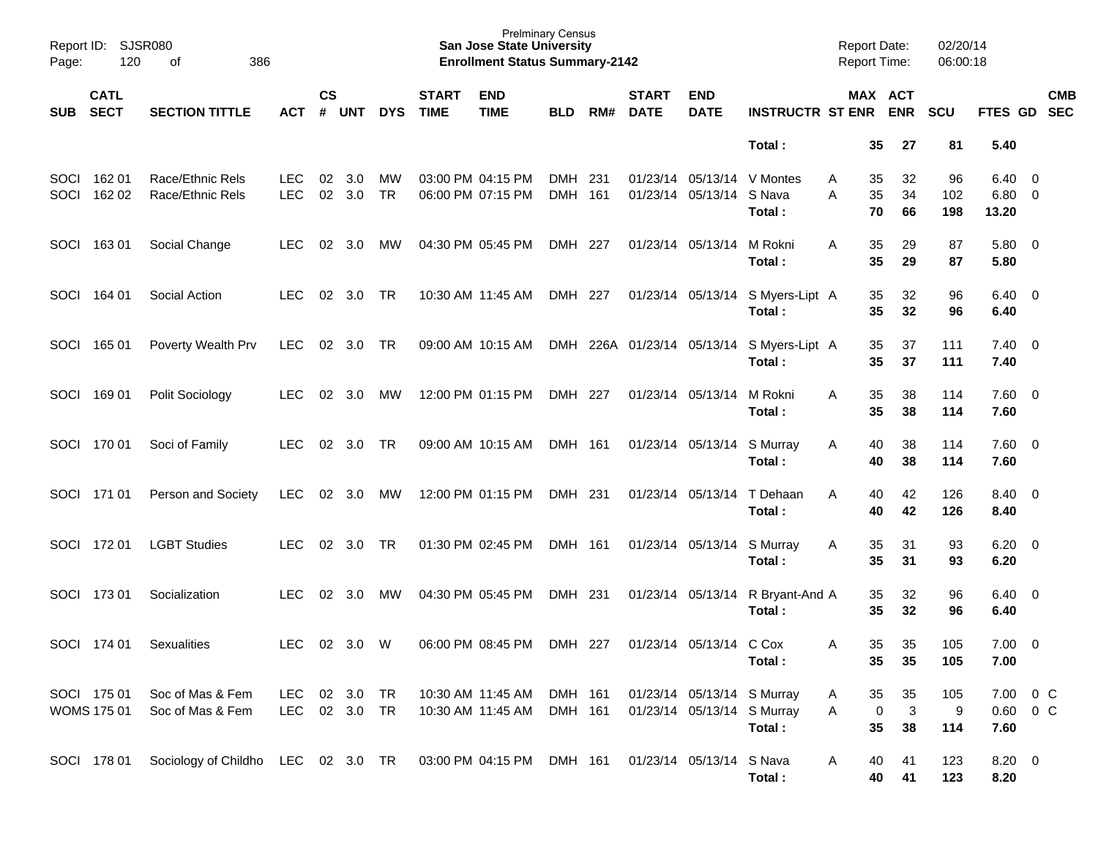| Page: | Report ID: SJSR080<br>120         | 386<br>of                            |                          |                    |                     |                 |                             | <b>Prelminary Census</b><br><b>San Jose State University</b><br><b>Enrollment Status Summary-2142</b> |                    |     |                             |                                                          |                                                     | <b>Report Date:</b><br><b>Report Time:</b> |                                           | 02/20/14<br>06:00:18 |                                |                         |
|-------|-----------------------------------|--------------------------------------|--------------------------|--------------------|---------------------|-----------------|-----------------------------|-------------------------------------------------------------------------------------------------------|--------------------|-----|-----------------------------|----------------------------------------------------------|-----------------------------------------------------|--------------------------------------------|-------------------------------------------|----------------------|--------------------------------|-------------------------|
|       | <b>CATL</b><br>SUB SECT           | <b>SECTION TITTLE</b>                | <b>ACT</b>               | $\mathsf{cs}$<br># | <b>UNT</b>          | <b>DYS</b>      | <b>START</b><br><b>TIME</b> | <b>END</b><br><b>TIME</b>                                                                             | <b>BLD</b>         | RM# | <b>START</b><br><b>DATE</b> | <b>END</b><br><b>DATE</b>                                | <b>INSTRUCTR ST ENR ENR</b>                         |                                            | MAX ACT                                   | <b>SCU</b>           | FTES GD SEC                    | <b>CMB</b>              |
|       |                                   |                                      |                          |                    |                     |                 |                             |                                                                                                       |                    |     |                             |                                                          | Total:                                              |                                            | 35<br>27                                  | 81                   | 5.40                           |                         |
| SOCI  | SOCI 162 01<br>162 02             | Race/Ethnic Rels<br>Race/Ethnic Rels | <b>LEC</b><br><b>LEC</b> | 02<br>02           | 3.0<br>3.0          | МW<br><b>TR</b> |                             | 03:00 PM 04:15 PM<br>06:00 PM 07:15 PM                                                                | DMH 231<br>DMH 161 |     |                             | 01/23/14 05/13/14 V Montes<br>01/23/14 05/13/14          | S Nava<br>Total:                                    | A<br>A                                     | 35<br>32<br>35<br>34<br>70<br>66          | 96<br>102<br>198     | 6.40<br>$6.80\quad 0$<br>13.20 | $\overline{0}$          |
|       | SOCI 163 01                       | Social Change                        | LEC.                     | 02                 | 3.0                 | MW              |                             | 04:30 PM 05:45 PM                                                                                     | DMH 227            |     |                             | 01/23/14 05/13/14                                        | M Rokni<br>Total:                                   | A                                          | 35<br>29<br>35<br>29                      | 87<br>87             | $5.80\ 0$<br>5.80              |                         |
|       | SOCI 164 01                       | Social Action                        | <b>LEC</b>               |                    | 02 3.0              | <b>TR</b>       |                             | 10:30 AM 11:45 AM                                                                                     | DMH 227            |     |                             |                                                          | 01/23/14 05/13/14 S Myers-Lipt A<br>Total:          |                                            | 35<br>32<br>35<br>32                      | 96<br>96             | 6.40<br>6.40                   | $\overline{\mathbf{0}}$ |
|       | SOCI 165 01                       | Poverty Wealth Prv                   | <b>LEC</b>               |                    | 02 3.0              | TR              |                             | 09:00 AM 10:15 AM                                                                                     |                    |     |                             |                                                          | DMH 226A 01/23/14 05/13/14 S Myers-Lipt A<br>Total: |                                            | 35<br>37<br>35<br>37                      | 111<br>111           | 7.40<br>7.40                   | $\overline{\mathbf{0}}$ |
|       | SOCI 169 01                       | Polit Sociology                      | <b>LEC</b>               | 02                 | 3.0                 | MW              |                             | 12:00 PM 01:15 PM                                                                                     | DMH 227            |     |                             | 01/23/14 05/13/14                                        | M Rokni<br>Total:                                   | A                                          | 35<br>38<br>35<br>38                      | 114<br>114           | $7.60 \quad 0$<br>7.60         |                         |
|       | SOCI 170 01                       | Soci of Family                       | <b>LEC</b>               | 02                 | 3.0                 | <b>TR</b>       |                             | 09:00 AM 10:15 AM                                                                                     | DMH 161            |     |                             | 01/23/14 05/13/14                                        | S Murray<br>Total:                                  | A                                          | 40<br>38<br>40<br>38                      | 114<br>114           | $7.60 \t 0$<br>7.60            |                         |
|       | SOCI 171 01                       | Person and Society                   | <b>LEC</b>               | 02                 | 3.0                 | MW              |                             | 12:00 PM 01:15 PM                                                                                     | DMH 231            |     |                             | 01/23/14 05/13/14                                        | T Dehaan<br>Total:                                  | A                                          | 42<br>40<br>40<br>42                      | 126<br>126           | 8.40<br>8.40                   | $\overline{\mathbf{0}}$ |
|       | SOCI 172 01                       | <b>LGBT Studies</b>                  | <b>LEC</b>               | 02                 | 3.0                 | <b>TR</b>       |                             | 01:30 PM 02:45 PM                                                                                     | DMH 161            |     |                             | 01/23/14 05/13/14                                        | S Murray<br>Total:                                  | A                                          | 35<br>31<br>35<br>31                      | 93<br>93             | 6.20<br>6.20                   | $\overline{\mathbf{0}}$ |
|       | SOCI 173 01                       | Socialization                        | <b>LEC</b>               | 02                 | 3.0                 | МW              |                             | 04:30 PM 05:45 PM                                                                                     | DMH 231            |     |                             | 01/23/14 05/13/14                                        | R Bryant-And A<br>Total:                            |                                            | 35<br>32<br>35<br>32                      | 96<br>96             | 6.40<br>6.40                   | $\overline{\mathbf{0}}$ |
|       | SOCI 174 01                       | Sexualities                          | <b>LEC</b>               |                    | 02 3.0              | W               |                             | 06:00 PM 08:45 PM                                                                                     | DMH 227            |     |                             | 01/23/14 05/13/14 C Cox                                  | Total:                                              | A                                          | 35<br>35<br>35<br>35                      | 105<br>105           | 7.00<br>7.00                   | $\overline{\mathbf{0}}$ |
|       | SOCI 175 01<br><b>WOMS 175 01</b> | Soc of Mas & Fem<br>Soc of Mas & Fem | LEC<br>LEC               |                    | 02 3.0<br>02 3.0 TR | TR              |                             | 10:30 AM 11:45 AM<br>10:30 AM 11:45 AM                                                                | DMH 161<br>DMH 161 |     |                             | 01/23/14 05/13/14 S Murray<br>01/23/14 05/13/14 S Murray | Total:                                              | Α<br>Α                                     | 35<br>35<br>$\mathbf{3}$<br>0<br>35<br>38 | 105<br>9<br>114      | 7.00<br>$0.60 \t 0 C$<br>7.60  | $0\,C$                  |
|       | SOCI 178 01                       | Sociology of Childho LEC 02 3.0 TR   |                          |                    |                     |                 |                             | 03:00 PM 04:15 PM                                                                                     | DMH 161            |     |                             | 01/23/14 05/13/14 S Nava                                 | Total:                                              | A                                          | 40<br>41<br>40<br>41                      | 123<br>123           | 8.20 0<br>8.20                 |                         |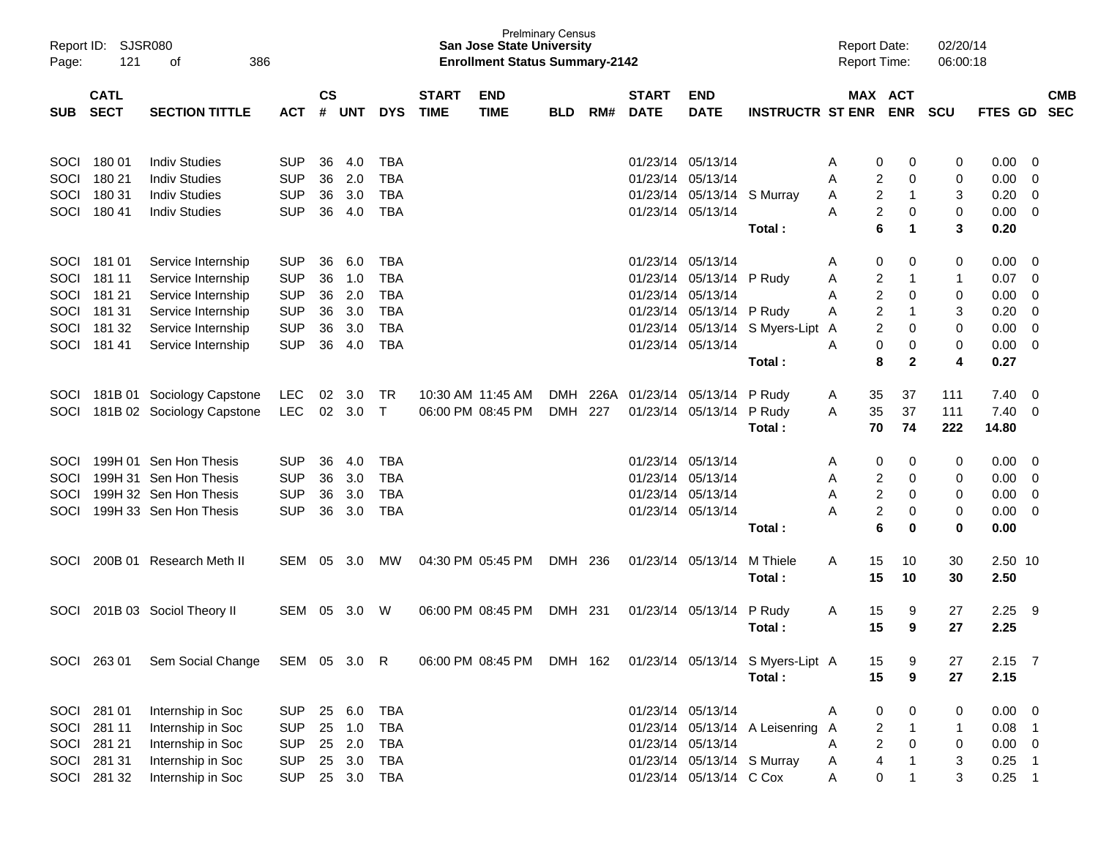| Report ID:<br>Page: | SJSR080<br>121 | 386<br>οf                  |              |               |            |              |              | <b>San Jose State University</b><br><b>Enrollment Status Summary-2142</b> | <b>Prelminary Census</b> |       |              |                               |                                  | <b>Report Date:</b><br><b>Report Time:</b> |                               | 02/20/14<br>06:00:18 |             |                |            |
|---------------------|----------------|----------------------------|--------------|---------------|------------|--------------|--------------|---------------------------------------------------------------------------|--------------------------|-------|--------------|-------------------------------|----------------------------------|--------------------------------------------|-------------------------------|----------------------|-------------|----------------|------------|
|                     | <b>CATL</b>    |                            |              | $\mathsf{cs}$ |            |              | <b>START</b> | <b>END</b>                                                                |                          |       | <b>START</b> | <b>END</b>                    |                                  |                                            | MAX ACT                       |                      |             |                | <b>CMB</b> |
| <b>SUB</b>          | <b>SECT</b>    | <b>SECTION TITTLE</b>      | <b>ACT</b>   | #             | <b>UNT</b> | <b>DYS</b>   | <b>TIME</b>  | <b>TIME</b>                                                               | <b>BLD</b>               | RM#   | <b>DATE</b>  | <b>DATE</b>                   | <b>INSTRUCTR ST ENR</b>          |                                            | <b>ENR</b>                    | <b>SCU</b>           | FTES GD SEC |                |            |
| SOCI                | 180 01         | <b>Indiv Studies</b>       | <b>SUP</b>   | 36            | 4.0        | <b>TBA</b>   |              |                                                                           |                          |       |              | 01/23/14 05/13/14             |                                  | Α                                          | 0<br>0                        | 0                    | 0.00        | 0              |            |
| SOCI                | 180 21         | <b>Indiv Studies</b>       | <b>SUP</b>   | 36            | 2.0        | <b>TBA</b>   |              |                                                                           |                          |       |              | 01/23/14 05/13/14             |                                  | A                                          | 2<br>0                        | 0                    | 0.00        | 0              |            |
| SOCI                | 180 31         | <b>Indiv Studies</b>       | <b>SUP</b>   | 36            | 3.0        | <b>TBA</b>   |              |                                                                           |                          |       |              | 01/23/14 05/13/14 S Murray    |                                  | A                                          | $\overline{c}$<br>1           | 3                    | 0.20        | $\overline{0}$ |            |
| SOCI                | 180 41         | <b>Indiv Studies</b>       | <b>SUP</b>   | 36            | 4.0        | <b>TBA</b>   |              |                                                                           |                          |       |              | 01/23/14 05/13/14             |                                  | Α                                          | $\overline{c}$<br>0           | 0                    | 0.00        | $\overline{0}$ |            |
|                     |                |                            |              |               |            |              |              |                                                                           |                          |       |              |                               | Total:                           |                                            | 6<br>1                        | 3                    | 0.20        |                |            |
| SOCI                | 181 01         | Service Internship         | <b>SUP</b>   | 36            | 6.0        | <b>TBA</b>   |              |                                                                           |                          |       |              | 01/23/14 05/13/14             |                                  | Α                                          | 0<br>0                        | 0                    | 0.00        | 0              |            |
| SOCI                | 181 11         | Service Internship         | <b>SUP</b>   | 36            | 1.0        | <b>TBA</b>   |              |                                                                           |                          |       |              | 01/23/14 05/13/14 P Rudy      |                                  | Α                                          | $\overline{\mathbf{c}}$<br>-1 | $\mathbf{1}$         | 0.07        | 0              |            |
| SOCI                | 181 21         | Service Internship         | <b>SUP</b>   | 36            | 2.0        | <b>TBA</b>   |              |                                                                           |                          |       |              | 01/23/14 05/13/14             |                                  | A                                          | $\overline{\mathbf{c}}$<br>0  | 0                    | 0.00        | 0              |            |
| SOCI                | 181 31         | Service Internship         | <b>SUP</b>   | 36            | 3.0        | <b>TBA</b>   |              |                                                                           |                          |       |              | 01/23/14 05/13/14 P Rudy      |                                  | A                                          | $\overline{2}$<br>-1          | 3                    | 0.20        | 0              |            |
| <b>SOCI</b>         | 181 32         | Service Internship         | <b>SUP</b>   | 36            | 3.0        | <b>TBA</b>   |              |                                                                           |                          |       |              |                               | 01/23/14 05/13/14 S Myers-Lipt   | A                                          | $\overline{c}$<br>0           | 0                    | 0.00        | $\mathbf 0$    |            |
| SOCI                | 181 41         | Service Internship         | <b>SUP</b>   | 36            | 4.0        | <b>TBA</b>   |              |                                                                           |                          |       |              | 01/23/14 05/13/14             |                                  | A                                          | 0<br>0                        | 0                    | 0.00        | $\mathbf 0$    |            |
|                     |                |                            |              |               |            |              |              |                                                                           |                          |       |              |                               | Total:                           |                                            | 8<br>$\mathbf{2}$             | 4                    | 0.27        |                |            |
| <b>SOCI</b>         |                | 181B 01 Sociology Capstone | <b>LEC</b>   | 02            | 3.0        | TR.          |              | 10:30 AM 11:45 AM                                                         | <b>DMH</b>               |       |              | 226A 01/23/14 05/13/14 P Rudy |                                  | 35<br>A                                    | 37                            | 111                  | 7.40        | 0              |            |
| SOCI                |                | 181B 02 Sociology Capstone | <b>LEC</b>   |               | 02 3.0     | $\mathsf{T}$ |              | 06:00 PM 08:45 PM                                                         | <b>DMH</b>               | 227   |              | 01/23/14 05/13/14             | P Rudy                           | 35<br>A                                    | 37                            | 111                  | 7.40        | $\overline{0}$ |            |
|                     |                |                            |              |               |            |              |              |                                                                           |                          |       |              |                               | Total:                           | 70                                         | 74                            | 222                  | 14.80       |                |            |
| <b>SOCI</b>         |                | 199H 01 Sen Hon Thesis     | <b>SUP</b>   | 36            | 4.0        | <b>TBA</b>   |              |                                                                           |                          |       |              | 01/23/14 05/13/14             |                                  | Α                                          | 0<br>0                        | 0                    | 0.00        | 0              |            |
| SOCI                |                | 199H 31 Sen Hon Thesis     | <b>SUP</b>   | 36            | 3.0        | <b>TBA</b>   |              |                                                                           |                          |       |              | 01/23/14 05/13/14             |                                  | Α                                          | 2<br>0                        | 0                    | 0.00        | 0              |            |
| SOCI                |                | 199H 32 Sen Hon Thesis     | <b>SUP</b>   | 36            | 3.0        | <b>TBA</b>   |              |                                                                           |                          |       |              | 01/23/14 05/13/14             |                                  | A                                          | $\overline{\mathbf{c}}$<br>0  | 0                    | 0.00        | 0              |            |
| SOCI                |                | 199H 33 Sen Hon Thesis     | <b>SUP</b>   | 36            | 3.0        | <b>TBA</b>   |              |                                                                           |                          |       |              | 01/23/14 05/13/14             |                                  | А                                          | $\overline{\mathbf{c}}$<br>0  | 0                    | 0.00        | 0              |            |
|                     |                |                            |              |               |            |              |              |                                                                           |                          |       |              |                               | Total:                           |                                            | 6<br>0                        | $\mathbf 0$          | 0.00        |                |            |
| <b>SOCI</b>         |                | 200B 01 Research Meth II   | <b>SEM</b>   | 05            | 3.0        | <b>MW</b>    |              | 04:30 PM 05:45 PM                                                         | DMH                      | 236   |              | 01/23/14 05/13/14             | M Thiele                         | 15<br>A                                    | 10                            | 30                   | 2.50 10     |                |            |
|                     |                |                            |              |               |            |              |              |                                                                           |                          |       |              |                               | Total:                           | 15                                         | 10                            | 30                   | 2.50        |                |            |
| <b>SOCI</b>         |                | 201B 03 Sociol Theory II   | <b>SEM</b>   | 05            | 3.0        | W            |              | 06:00 PM 08:45 PM                                                         | DMH                      | - 231 |              | 01/23/14 05/13/14             | P Rudy                           | 15<br>A                                    | 9                             | 27                   | 2.25        | - 9            |            |
|                     |                |                            |              |               |            |              |              |                                                                           |                          |       |              |                               | Total:                           | 15                                         | 9                             | 27                   | 2.25        |                |            |
|                     |                |                            |              |               |            |              |              |                                                                           |                          |       |              |                               |                                  |                                            |                               |                      |             |                |            |
|                     | SOCI 263 01    | Sem Social Change          | SEM 05 3.0 R |               |            |              |              | 06:00 PM 08:45 PM                                                         | DMH 162                  |       |              |                               | 01/23/14 05/13/14 S Myers-Lipt A | 15                                         | 9                             | 27                   | $2.15$ 7    |                |            |
|                     |                |                            |              |               |            |              |              |                                                                           |                          |       |              |                               | Total:                           | 15                                         | 9                             | 27                   | 2.15        |                |            |
|                     | SOCI 281 01    | Internship in Soc          | SUP          |               | 25 6.0     | <b>TBA</b>   |              |                                                                           |                          |       |              | 01/23/14 05/13/14             |                                  | Α                                          | 0<br>0                        | 0                    | $0.00 \t 0$ |                |            |
|                     | SOCI 281 11    | Internship in Soc          | <b>SUP</b>   | 25            | 1.0        | <b>TBA</b>   |              |                                                                           |                          |       |              |                               | 01/23/14 05/13/14 A Leisenring   | A                                          | $\overline{\mathbf{c}}$<br>1  | $\mathbf{1}$         | $0.08$ 1    |                |            |
|                     | SOCI 281 21    | Internship in Soc          | <b>SUP</b>   |               | 25 2.0     | <b>TBA</b>   |              |                                                                           |                          |       |              | 01/23/14 05/13/14             |                                  | A                                          | $\overline{2}$<br>$\mathbf 0$ | 0                    | $0.00 \t 0$ |                |            |
|                     | SOCI 281 31    | Internship in Soc          | <b>SUP</b>   |               | 25 3.0     | <b>TBA</b>   |              |                                                                           |                          |       |              | 01/23/14 05/13/14 S Murray    |                                  | A                                          | $\overline{\mathbf{4}}$       | 3                    | $0.25$ 1    |                |            |
|                     | SOCI 281 32    | Internship in Soc          | <b>SUP</b>   |               | 25 3.0 TBA |              |              |                                                                           |                          |       |              | 01/23/14 05/13/14 C Cox       |                                  | A                                          | 0<br>1                        | 3                    | $0.25$ 1    |                |            |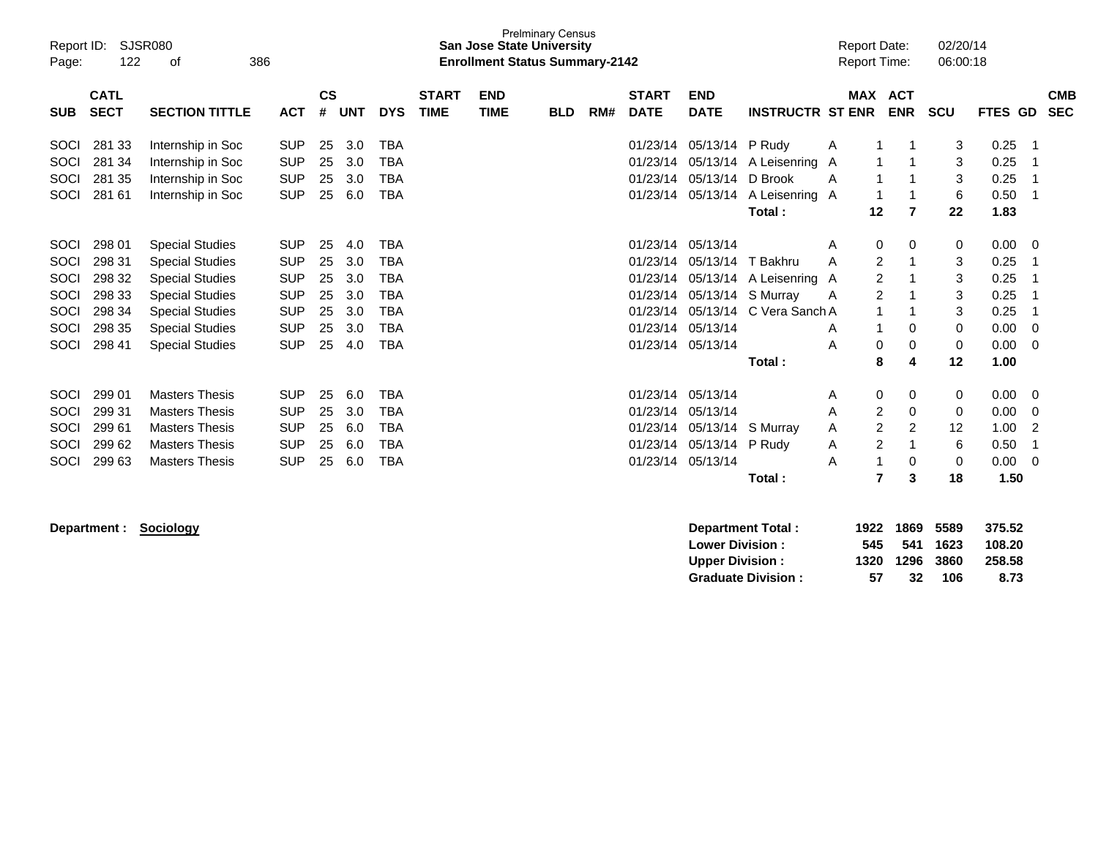| Page:      | SJSR080<br>Report ID:<br>122<br>386<br>οf |                        |            |                |            |            |                             | <b>San Jose State University</b><br><b>Enrollment Status Summary-2142</b> | <b>Prelminary Census</b> |     |                             |                           |                         | <b>Report Date:</b> | <b>Report Time:</b> |                | 02/20/14<br>06:00:18 |         |                          |
|------------|-------------------------------------------|------------------------|------------|----------------|------------|------------|-----------------------------|---------------------------------------------------------------------------|--------------------------|-----|-----------------------------|---------------------------|-------------------------|---------------------|---------------------|----------------|----------------------|---------|--------------------------|
| <b>SUB</b> | <b>CATL</b><br><b>SECT</b>                | <b>SECTION TITTLE</b>  | <b>ACT</b> | <b>CS</b><br># | <b>UNT</b> | <b>DYS</b> | <b>START</b><br><b>TIME</b> | <b>END</b><br><b>TIME</b>                                                 | <b>BLD</b>               | RM# | <b>START</b><br><b>DATE</b> | <b>END</b><br><b>DATE</b> | <b>INSTRUCTR ST ENR</b> |                     | MAX ACT             | <b>ENR</b>     | <b>SCU</b>           | FTES GD | <b>CMB</b><br><b>SEC</b> |
|            |                                           |                        |            |                |            |            |                             |                                                                           |                          |     |                             |                           |                         |                     |                     |                |                      |         |                          |
| SOCI       | 281 33                                    | Internship in Soc      | <b>SUP</b> | 25             | 3.0        | <b>TBA</b> |                             |                                                                           |                          |     | 01/23/14                    | 05/13/14 P Rudy           |                         | Α                   |                     |                | 3                    | 0.25    |                          |
| SOCI       | 281 34                                    | Internship in Soc      | <b>SUP</b> | 25             | 3.0        | <b>TBA</b> |                             |                                                                           |                          |     | 01/23/14                    | 05/13/14                  | A Leisenring A          |                     |                     |                | 3                    | 0.25    |                          |
| SOCI       | 281 35                                    | Internship in Soc      | <b>SUP</b> | 25             | 3.0        | TBA        |                             |                                                                           |                          |     | 01/23/14                    | 05/13/14 D Brook          |                         | A                   |                     |                | 3                    | 0.25    |                          |
| SOCI       | 281 61                                    | Internship in Soc      | <b>SUP</b> | 25             | 6.0        | <b>TBA</b> |                             |                                                                           |                          |     | 01/23/14                    | 05/13/14                  | A Leisenring A          |                     |                     |                | 6                    | 0.50    |                          |
|            |                                           |                        |            |                |            |            |                             |                                                                           |                          |     |                             |                           | Total:                  |                     | 12                  | 7              | 22                   | 1.83    |                          |
| SOCI       | 298 01                                    | <b>Special Studies</b> | <b>SUP</b> | 25             | 4.0        | <b>TBA</b> |                             |                                                                           |                          |     | 01/23/14                    | 05/13/14                  |                         | Α                   | 0                   | 0              | 0                    | 0.00    | 0                        |
| SOCI       | 298 31                                    | <b>Special Studies</b> | <b>SUP</b> | 25             | 3.0        | TBA        |                             |                                                                           |                          |     | 01/23/14                    | 05/13/14                  | T Bakhru                | Α                   | 2                   |                | 3                    | 0.25    |                          |
| SOCI       | 298 32                                    | <b>Special Studies</b> | <b>SUP</b> | 25             | 3.0        | <b>TBA</b> |                             |                                                                           |                          |     | 01/23/14                    |                           | 05/13/14 A Leisenring A |                     | $\overline{2}$      |                | 3                    | 0.25    |                          |
| SOCI       | 298 33                                    | <b>Special Studies</b> | <b>SUP</b> | 25             | 3.0        | <b>TBA</b> |                             |                                                                           |                          |     | 01/23/14                    |                           | 05/13/14 S Murray       | A                   | $\overline{2}$      |                | 3                    | 0.25    |                          |
| SOCI       | 298 34                                    | <b>Special Studies</b> | <b>SUP</b> | 25             | 3.0        | <b>TBA</b> |                             |                                                                           |                          |     | 01/23/14                    |                           | 05/13/14 C Vera Sanch A |                     | 1                   |                | 3                    | 0.25    |                          |
| SOCI       | 298 35                                    | <b>Special Studies</b> | <b>SUP</b> | 25             | 3.0        | <b>TBA</b> |                             |                                                                           |                          |     | 01/23/14                    | 05/13/14                  |                         | Α                   |                     | 0              | 0                    | 0.00    | 0                        |
| SOCI       | 298 41                                    | <b>Special Studies</b> | <b>SUP</b> | 25             | 4.0        | <b>TBA</b> |                             |                                                                           |                          |     | 01/23/14                    | 05/13/14                  |                         | A                   | 0                   | 0              | 0                    | 0.00    | 0                        |
|            |                                           |                        |            |                |            |            |                             |                                                                           |                          |     |                             |                           | Total:                  |                     | 8                   | 4              | 12                   | 1.00    |                          |
| SOCI       | 299 01                                    | <b>Masters Thesis</b>  | <b>SUP</b> | 25             | 6.0        | <b>TBA</b> |                             |                                                                           |                          |     | 01/23/14                    | 05/13/14                  |                         | A                   | 0                   | 0              | 0                    | 0.00    | 0                        |
| SOCI       | 299 31                                    | <b>Masters Thesis</b>  | <b>SUP</b> | 25             | 3.0        | <b>TBA</b> |                             |                                                                           |                          |     | 01/23/14                    | 05/13/14                  |                         | Α                   | 2                   | 0              | 0                    | 0.00    | 0                        |
| SOCI       | 29961                                     | <b>Masters Thesis</b>  | <b>SUP</b> | 25             | 6.0        | TBA        |                             |                                                                           |                          |     | 01/23/14                    | 05/13/14                  | S Murray                | Α                   | 2                   | $\overline{2}$ | 12                   | 1.00    | 2                        |
| SOCI       | 299 62                                    | <b>Masters Thesis</b>  | <b>SUP</b> | 25             | 6.0        | <b>TBA</b> |                             |                                                                           |                          |     | 01/23/14                    | 05/13/14 P Rudv           |                         | Α                   | 2                   |                | 6                    | 0.50    |                          |
| SOCI       | 299 63                                    | <b>Masters Thesis</b>  | <b>SUP</b> | 25             | 6.0        | <b>TBA</b> |                             |                                                                           |                          |     | 01/23/14                    | 05/13/14                  |                         | A                   |                     | 0              | 0                    | 0.00    | 0                        |
|            |                                           |                        |            |                |            |            |                             |                                                                           |                          |     |                             |                           | Total:                  |                     | 7                   | 3              | 18                   | 1.50    |                          |

| Department: Sociology | Department Total:         | 1922 | 1869 | 5589 | 375.52 |
|-----------------------|---------------------------|------|------|------|--------|
|                       | <b>Lower Division:</b>    | 545  | 541  | 1623 | 108.20 |
|                       | <b>Upper Division:</b>    | 1320 | 1296 | 3860 | 258.58 |
|                       | <b>Graduate Division:</b> | 57   | 32   | 106  | 8.73   |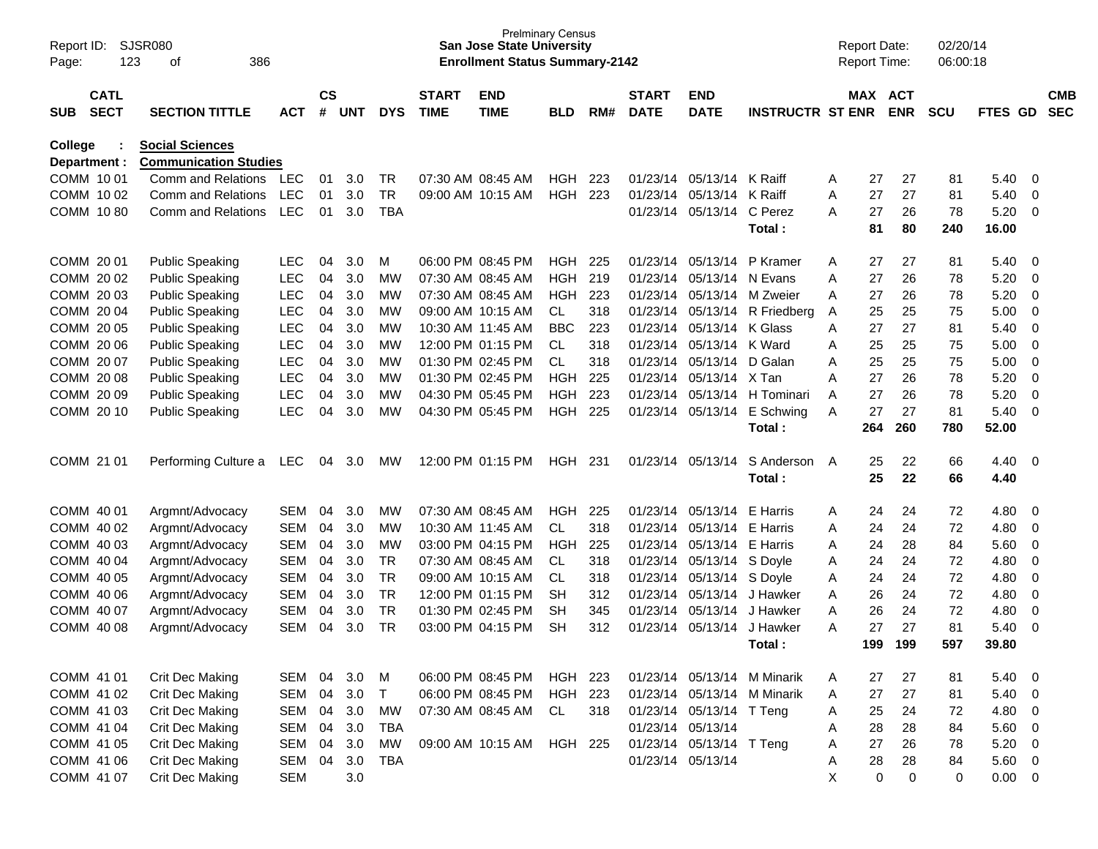| Report ID:<br>Page:      | 123                        | <b>SJSR080</b><br>386<br>οf                            |                          |                    |            |                        |                             | <b>Prelminary Census</b><br><b>San Jose State University</b><br><b>Enrollment Status Summary-2142</b> |                          |            |                             |                           |                             |        | <b>Report Date:</b><br>Report Time: |                       | 02/20/14<br>06:00:18 |                     |                            |                          |
|--------------------------|----------------------------|--------------------------------------------------------|--------------------------|--------------------|------------|------------------------|-----------------------------|-------------------------------------------------------------------------------------------------------|--------------------------|------------|-----------------------------|---------------------------|-----------------------------|--------|-------------------------------------|-----------------------|----------------------|---------------------|----------------------------|--------------------------|
| <b>SUB</b>               | <b>CATL</b><br><b>SECT</b> | <b>SECTION TITTLE</b>                                  | <b>ACT</b>               | $\mathsf{cs}$<br># | UNT        | <b>DYS</b>             | <b>START</b><br><b>TIME</b> | <b>END</b><br><b>TIME</b>                                                                             | <b>BLD</b>               | RM#        | <b>START</b><br><b>DATE</b> | <b>END</b><br><b>DATE</b> | <b>INSTRUCTR ST ENR</b>     |        |                                     | MAX ACT<br><b>ENR</b> | <b>SCU</b>           | FTES GD             |                            | <b>CMB</b><br><b>SEC</b> |
| College<br>Department :  |                            | <b>Social Sciences</b><br><b>Communication Studies</b> |                          |                    |            |                        |                             |                                                                                                       |                          |            |                             |                           |                             |        |                                     |                       |                      |                     |                            |                          |
| COMM 10 01               |                            | Comm and Relations                                     | LEC                      | 01                 | 3.0        | <b>TR</b>              |                             | 07:30 AM 08:45 AM                                                                                     | HGH.                     | 223        | 01/23/14                    | 05/13/14 K Raiff          |                             | A      | 27                                  | 27                    | 81                   | 5.40                | - 0                        |                          |
| COMM 1002                |                            | Comm and Relations                                     | <b>LEC</b>               | 01                 | 3.0        | <b>TR</b>              |                             | 09:00 AM 10:15 AM                                                                                     | <b>HGH</b>               | 223        | 01/23/14                    | 05/13/14                  | K Raiff                     | A      | 27                                  | 27                    | 81                   | 5.40                | $\mathbf 0$                |                          |
| COMM 1080                |                            | Comm and Relations                                     | <b>LEC</b>               | 01                 | 3.0        | <b>TBA</b>             |                             |                                                                                                       |                          |            | 01/23/14                    | 05/13/14                  | C Perez<br>Total:           | A      | 27<br>81                            | 26<br>80              | 78<br>240            | 5.20<br>16.00       | $\overline{0}$             |                          |
| COMM 20 01               |                            | <b>Public Speaking</b>                                 | <b>LEC</b>               | 04                 | 3.0        | M                      |                             | 06:00 PM 08:45 PM                                                                                     | <b>HGH</b>               | 225        | 01/23/14                    | 05/13/14                  | P Kramer                    | A      | 27                                  | 27                    | 81                   | 5.40                | 0                          |                          |
| COMM 20 02               |                            | <b>Public Speaking</b>                                 | <b>LEC</b>               | 04                 | 3.0        | MW                     |                             | 07:30 AM 08:45 AM                                                                                     | <b>HGH</b>               | 219        | 01/23/14                    | 05/13/14 N Evans          |                             | A      | 27                                  | 26                    | 78                   | 5.20                | $\mathbf 0$                |                          |
| COMM 20 03               |                            | <b>Public Speaking</b>                                 | LEC                      | 04                 | 3.0        | MW                     |                             | 07:30 AM 08:45 AM                                                                                     | <b>HGH</b>               | 223        | 01/23/14                    | 05/13/14                  | M Zweier                    | A      | 27                                  | 26                    | 78                   | 5.20                | $\mathbf 0$                |                          |
| COMM 20 04               |                            | <b>Public Speaking</b>                                 | <b>LEC</b>               | 04                 | 3.0        | МW                     |                             | 09:00 AM 10:15 AM                                                                                     | CL.                      | 318        | 01/23/14                    |                           | 05/13/14 R Friedberg        | A      | 25                                  | 25                    | 75                   | 5.00                | $\mathbf 0$                |                          |
| COMM 20 05               |                            | <b>Public Speaking</b>                                 | <b>LEC</b>               | 04                 | 3.0        | <b>MW</b>              |                             | 10:30 AM 11:45 AM                                                                                     | <b>BBC</b>               | 223        | 01/23/14                    | 05/13/14 K Glass          |                             | A      | 27                                  | 27                    | 81                   | 5.40                | $\mathbf 0$                |                          |
| COMM 20 06               |                            | <b>Public Speaking</b>                                 | <b>LEC</b>               | 04                 | 3.0        | МW                     |                             | 12:00 PM 01:15 PM                                                                                     | CL.                      | 318        | 01/23/14                    | 05/13/14                  | K Ward                      | A      | 25                                  | 25                    | 75                   | 5.00                | $\mathbf 0$                |                          |
| COMM 20 07               |                            | <b>Public Speaking</b>                                 | <b>LEC</b>               | 04                 | 3.0        | <b>MW</b>              |                             | 01:30 PM 02:45 PM                                                                                     | CL.                      | 318        | 01/23/14                    | 05/13/14                  | D Galan                     | A      | 25                                  | 25                    | 75                   | 5.00                | $\mathbf 0$                |                          |
| COMM 20 08<br>COMM 20 09 |                            | <b>Public Speaking</b>                                 | <b>LEC</b><br><b>LEC</b> | 04<br>04           | 3.0<br>3.0 | <b>MW</b><br>MW        |                             | 01:30 PM 02:45 PM<br>04:30 PM 05:45 PM                                                                | <b>HGH</b><br><b>HGH</b> | 225<br>223 | 01/23/14<br>01/23/14        | 05/13/14<br>05/13/14      | X Tan<br>H Tominari         | A      | 27<br>27                            | 26<br>26              | 78<br>78             | 5.20<br>5.20        | $\mathbf 0$<br>$\mathbf 0$ |                          |
| COMM 20 10               |                            | <b>Public Speaking</b><br><b>Public Speaking</b>       | <b>LEC</b>               | 04                 | 3.0        | MW                     |                             | 04:30 PM 05:45 PM                                                                                     | <b>HGH</b>               | 225        | 01/23/14                    | 05/13/14                  | E Schwing                   | A<br>A | 27                                  | 27                    | 81                   | 5.40                | $\overline{0}$             |                          |
|                          |                            |                                                        |                          |                    |            |                        |                             |                                                                                                       |                          |            |                             |                           | Total:                      |        | 264                                 | 260                   | 780                  | 52.00               |                            |                          |
| COMM 21 01               |                            | Performing Culture a                                   | <b>LEC</b>               | 04                 | 3.0        | MW                     |                             | 12:00 PM 01:15 PM                                                                                     | HGH                      | 231        | 01/23/14                    | 05/13/14                  | S Anderson<br>Total:        | A      | 25<br>25                            | 22<br>22              | 66<br>66             | 4.40<br>4.40        | 0                          |                          |
| COMM 40 01               |                            | Argmnt/Advocacy                                        | <b>SEM</b>               | 04                 | 3.0        | МW                     |                             | 07:30 AM 08:45 AM                                                                                     | <b>HGH</b>               | 225        | 01/23/14                    | 05/13/14                  | E Harris                    | A      | 24                                  | 24                    | 72                   | 4.80                | 0                          |                          |
| COMM 40 02               |                            | Argmnt/Advocacy                                        | SEM                      | 04                 | 3.0        | MW                     |                             | 10:30 AM 11:45 AM                                                                                     | CL.                      | 318        | 01/23/14                    | 05/13/14                  | E Harris                    | A      | 24                                  | 24                    | 72                   | 4.80                | $\mathbf 0$                |                          |
| COMM 40 03               |                            | Argmnt/Advocacy                                        | SEM                      | 04                 | 3.0        | MW                     |                             | 03:00 PM 04:15 PM                                                                                     | <b>HGH</b>               | 225        | 01/23/14                    | 05/13/14                  | E Harris                    | A      | 24                                  | 28                    | 84                   | 5.60                | $\mathbf 0$                |                          |
| COMM 40 04               |                            | Argmnt/Advocacy                                        | SEM                      | 04                 | 3.0        | TR                     |                             | 07:30 AM 08:45 AM                                                                                     | CL.                      | 318        | 01/23/14                    | 05/13/14                  | S Doyle                     | A      | 24                                  | 24                    | 72                   | 4.80                | $\mathbf 0$                |                          |
| COMM 40 05               |                            | Argmnt/Advocacy                                        | SEM                      | 04                 | 3.0        | <b>TR</b>              |                             | 09:00 AM 10:15 AM                                                                                     | CL                       | 318        | 01/23/14                    | 05/13/14 S Doyle          |                             | A      | 24                                  | 24                    | 72                   | 4.80                | $\mathbf 0$                |                          |
| COMM 40 06               |                            | Argmnt/Advocacy                                        | SEM                      | 04                 | 3.0        | TR                     |                             | 12:00 PM 01:15 PM                                                                                     | <b>SH</b>                | 312        | 01/23/14                    | 05/13/14                  | J Hawker                    | A      | 26                                  | 24                    | 72                   | 4.80                | $\mathbf 0$                |                          |
| COMM 40 07<br>COMM 40 08 |                            | Argmnt/Advocacy                                        | <b>SEM</b><br><b>SEM</b> | 04<br>04           | 3.0<br>3.0 | <b>TR</b><br><b>TR</b> |                             | 01:30 PM 02:45 PM<br>03:00 PM 04:15 PM                                                                | <b>SH</b><br><b>SH</b>   | 345<br>312 | 01/23/14<br>01/23/14        | 05/13/14<br>05/13/14      | J Hawker<br>J Hawker        | A<br>A | 26<br>27                            | 24<br>27              | 72<br>81             | 4.80<br>5.40        | $\mathbf 0$<br>$\mathbf 0$ |                          |
|                          |                            | Argmnt/Advocacy                                        |                          |                    |            |                        |                             |                                                                                                       |                          |            |                             |                           | Total:                      |        | 199                                 | 199                   | 597                  | 39.80               |                            |                          |
| COMM 41 01               |                            | <b>Crit Dec Making</b>                                 | SEM                      | 04                 | 3.0        | M                      |                             | 06:00 PM 08:45 PM                                                                                     | HGH                      | 223        |                             |                           | 01/23/14 05/13/14 M Minarik | A      | 27                                  | 27                    | 81                   | 5.40                | 0                          |                          |
| COMM 41 02               |                            | <b>Crit Dec Making</b>                                 | SEM                      | 04                 | 3.0        | $\top$                 |                             | 06:00 PM 08:45 PM                                                                                     | HGH 223                  |            |                             |                           | 01/23/14 05/13/14 M Minarik | Α      | 27                                  | 27                    | 81                   | 5.40                | $\overline{0}$             |                          |
| COMM 41 03               |                            | Crit Dec Making                                        | SEM                      | 04                 | 3.0        | MW                     |                             | 07:30 AM 08:45 AM                                                                                     | CL                       | 318        |                             | 01/23/14 05/13/14 T Teng  |                             | A      | 25                                  | 24                    | 72                   | 4.80                | $\overline{0}$             |                          |
| COMM 41 04               |                            | Crit Dec Making                                        | SEM                      | 04                 | 3.0        | <b>TBA</b>             |                             |                                                                                                       |                          |            | 01/23/14 05/13/14           |                           |                             | A      | 28                                  | 28                    | 84                   | 5.60                | $\overline{0}$             |                          |
| COMM 41 05               |                            | <b>Crit Dec Making</b>                                 | SEM                      | 04                 | 3.0        | <b>MW</b>              |                             | 09:00 AM 10:15 AM                                                                                     | <b>HGH 225</b>           |            |                             | 01/23/14 05/13/14 T Teng  |                             | A      | 27                                  | 26                    | 78                   | 5.20                | $\overline{0}$             |                          |
| COMM 41 06<br>COMM 41 07 |                            | <b>Crit Dec Making</b><br><b>Crit Dec Making</b>       | SEM<br><b>SEM</b>        | 04                 | 3.0<br>3.0 | <b>TBA</b>             |                             |                                                                                                       |                          |            |                             | 01/23/14 05/13/14         |                             | A<br>Χ | 28<br>0                             | 28<br>0               | 84<br>0              | 5.60<br>$0.00 \t 0$ | $\overline{\mathbf{0}}$    |                          |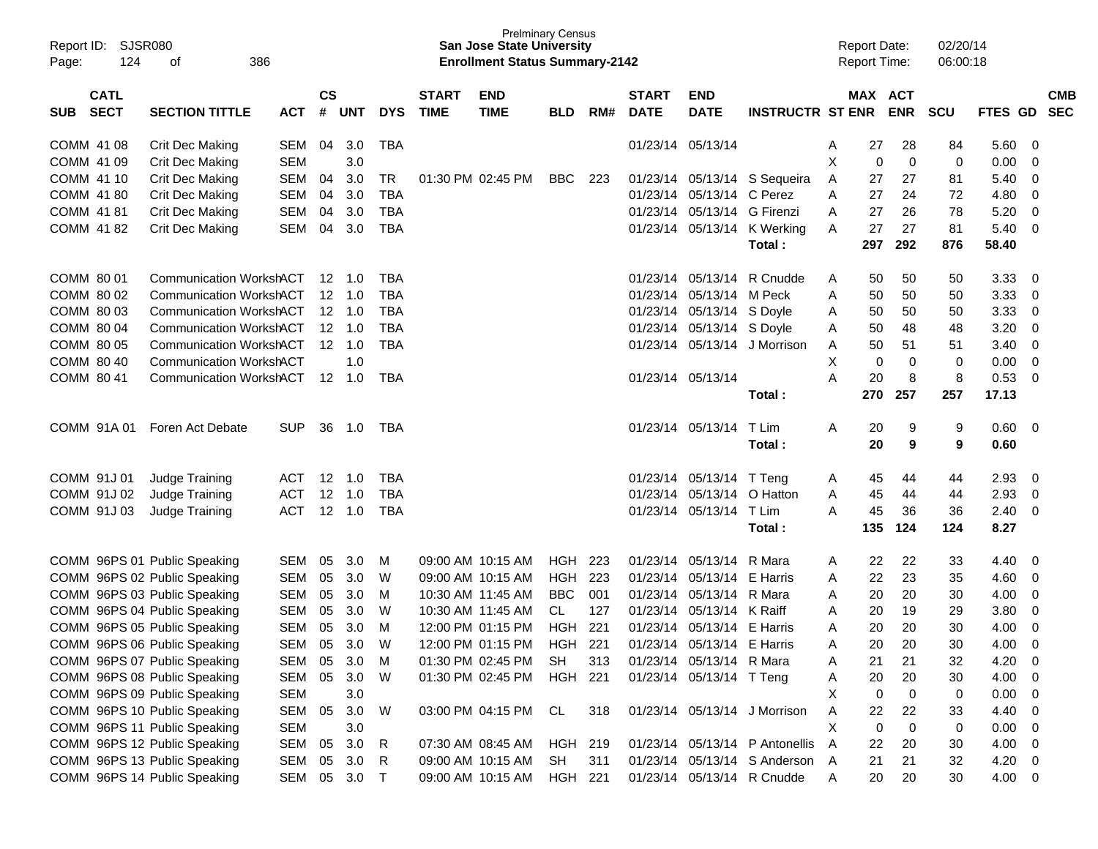|       | Report ID: SJSR080 |                                |            |               |                |            |                   | <b>San Jose State University</b>      | <b>Prelminary Census</b> |     |              |                             |                                  |   | <b>Report Date:</b> |             | 02/20/14 |         |                         |            |
|-------|--------------------|--------------------------------|------------|---------------|----------------|------------|-------------------|---------------------------------------|--------------------------|-----|--------------|-----------------------------|----------------------------------|---|---------------------|-------------|----------|---------|-------------------------|------------|
| Page: | 124                | 386<br>of                      |            |               |                |            |                   | <b>Enrollment Status Summary-2142</b> |                          |     |              |                             |                                  |   | <b>Report Time:</b> |             | 06:00:18 |         |                         |            |
|       |                    |                                |            |               |                |            |                   |                                       |                          |     |              |                             |                                  |   |                     |             |          |         |                         |            |
|       | <b>CATL</b>        |                                |            | $\mathsf{cs}$ |                |            | <b>START</b>      | <b>END</b>                            |                          |     | <b>START</b> | <b>END</b>                  |                                  |   | MAX ACT             |             |          |         |                         | <b>CMB</b> |
|       | SUB SECT           | <b>SECTION TITTLE</b>          | ACT        |               | # UNT          | <b>DYS</b> | <b>TIME</b>       | <b>TIME</b>                           | <b>BLD</b>               | RM# | <b>DATE</b>  | <b>DATE</b>                 | <b>INSTRUCTR ST ENR</b>          |   |                     | <b>ENR</b>  | SCU      | FTES GD |                         | <b>SEC</b> |
|       | COMM 41 08         | Crit Dec Making                | SEM        | 04            | 3.0            | TBA        |                   |                                       |                          |     |              | 01/23/14 05/13/14           |                                  | A | 27                  | 28          | 84       | 5.60    | 0                       |            |
|       | COMM 41 09         | <b>Crit Dec Making</b>         | <b>SEM</b> |               | 3.0            |            |                   |                                       |                          |     |              |                             |                                  | X | 0                   | $\mathbf 0$ | 0        | 0.00    | 0                       |            |
|       | COMM 41 10         | <b>Crit Dec Making</b>         | SEM        | 04            | 3.0            | TR         |                   | 01:30 PM 02:45 PM                     | BBC                      | 223 |              |                             | 01/23/14 05/13/14 S Sequeira     | A | 27                  | 27          | 81       | 5.40    | $\mathbf 0$             |            |
|       | COMM 41 80         | Crit Dec Making                | SEM        | 04            | 3.0            | <b>TBA</b> |                   |                                       |                          |     |              | 01/23/14 05/13/14 C Perez   |                                  | A | 27                  | 24          | 72       | 4.80    | $\mathbf 0$             |            |
|       | COMM 41 81         | Crit Dec Making                | SEM        | 04            | 3.0            | <b>TBA</b> |                   |                                       |                          |     |              | 01/23/14 05/13/14 G Firenzi |                                  | A | 27                  | 26          | 78       | 5.20    | $\mathbf 0$             |            |
|       | COMM 4182          | Crit Dec Making                | SEM        | 04            | 3.0            | TBA        |                   |                                       |                          |     |              |                             | 01/23/14 05/13/14 K Werking      | A | 27                  | 27          | 81       | 5.40    | $\overline{0}$          |            |
|       |                    |                                |            |               |                |            |                   |                                       |                          |     |              |                             | Total:                           |   | 297                 | 292         | 876      | 58.40   |                         |            |
|       | COMM 80 01         | Communication WorkshACT        |            |               |                | TBA        |                   |                                       |                          |     |              |                             | 01/23/14 05/13/14 R Cnudde       | A | 50                  | 50          | 50       | 3.33    | 0                       |            |
|       | COMM 80 02         | <b>Communication WorkshACT</b> |            |               | $12 \quad 1.0$ | TBA        |                   |                                       |                          |     |              | 01/23/14 05/13/14 M Peck    |                                  | A | 50                  | 50          | 50       | 3.33    | 0                       |            |
|       | COMM 80 03         | <b>Communication WorkshACT</b> |            |               | $12 \quad 1.0$ | TBA        |                   |                                       |                          |     |              | 01/23/14 05/13/14 S Doyle   |                                  | A | 50                  | 50          | 50       | 3.33    | $\mathbf 0$             |            |
|       | COMM 80 04         | <b>Communication WorkshACT</b> |            |               | $12 \quad 1.0$ | TBA        |                   |                                       |                          |     |              | 01/23/14 05/13/14 S Doyle   |                                  | A | 50                  | 48          | 48       | 3.20    | $\mathbf 0$             |            |
|       | COMM 80 05         | <b>Communication WorkshACT</b> |            |               | $12 \quad 1.0$ | <b>TBA</b> |                   |                                       |                          |     |              |                             | 01/23/14 05/13/14 J Morrison     | A | 50                  | 51          | 51       | 3.40    | $\mathbf 0$             |            |
|       | COMM 80 40         | <b>Communication WorkshACT</b> |            |               | 1.0            |            |                   |                                       |                          |     |              |                             |                                  | X | 0                   | $\mathbf 0$ | 0        | 0.00    | $\mathbf 0$             |            |
|       | COMM 80 41         | Communication WorkshACT        |            |               | 12 1.0         | TBA        |                   |                                       |                          |     |              | 01/23/14 05/13/14           |                                  | A | 20                  | 8           | 8        | 0.53    | $\mathbf 0$             |            |
|       |                    |                                |            |               |                |            |                   |                                       |                          |     |              |                             | Total:                           |   | 270                 | 257         | 257      | 17.13   |                         |            |
|       | COMM 91A 01        | Foren Act Debate               | <b>SUP</b> |               | 36 1.0         | TBA        |                   |                                       |                          |     |              | 01/23/14 05/13/14           | T Lim                            | A | 20                  | 9           | 9        | 0.60    | $\overline{0}$          |            |
|       |                    |                                |            |               |                |            |                   |                                       |                          |     |              |                             | Total:                           |   | 20                  | 9           | 9        | 0.60    |                         |            |
|       | COMM 91J 01        | Judge Training                 | ACT        |               | 12 1.0         | TBA        |                   |                                       |                          |     |              | 01/23/14 05/13/14 T Teng    |                                  | A | 45                  | 44          | 44       | 2.93    | 0                       |            |
|       | COMM 91J 02        | Judge Training                 | ACT        |               | 12 1.0         | TBA        |                   |                                       |                          |     |              | 01/23/14 05/13/14 O Hatton  |                                  | A | 45                  | 44          | 44       | 2.93    | $\mathbf 0$             |            |
|       | COMM 91J 03        | Judge Training                 | <b>ACT</b> |               | 12 1.0         | TBA        |                   |                                       |                          |     |              | 01/23/14 05/13/14 T Lim     |                                  | А | 45                  | 36          | 36       | 2.40    | $\mathbf 0$             |            |
|       |                    |                                |            |               |                |            |                   |                                       |                          |     |              |                             | Total:                           |   | 135                 | 124         | 124      | 8.27    |                         |            |
|       |                    | COMM 96PS 01 Public Speaking   | SEM        | 05            | 3.0            | M          |                   | 09:00 AM 10:15 AM                     | HGH                      | 223 |              | 01/23/14 05/13/14 R Mara    |                                  | A | 22                  | 22          |          | 4.40    | 0                       |            |
|       |                    | COMM 96PS 02 Public Speaking   | SEM        | 05            | 3.0            | W          | 09:00 AM 10:15 AM |                                       | HGH                      | 223 |              | 01/23/14 05/13/14 E Harris  |                                  | A | 22                  | 23          | 33<br>35 | 4.60    | 0                       |            |
|       |                    | COMM 96PS 03 Public Speaking   | SEM        | 05            | 3.0            | M          | 10:30 AM 11:45 AM |                                       | <b>BBC</b>               | 001 |              | 01/23/14 05/13/14 R Mara    |                                  | A | 20                  | 20          | 30       | 4.00    | $\mathbf 0$             |            |
|       |                    | COMM 96PS 04 Public Speaking   | SEM        | 05            | 3.0            | W          | 10:30 AM 11:45 AM |                                       | CL                       | 127 |              | 01/23/14 05/13/14 K Raiff   |                                  | A | 20                  | 19          | 29       | 3.80    | $\mathbf 0$             |            |
|       |                    | COMM 96PS 05 Public Speaking   | SEM        | 05            | 3.0            | M          | 12:00 PM 01:15 PM |                                       | HGH                      | 221 | 01/23/14     | 05/13/14 E Harris           |                                  | A | 20                  | 20          | 30       | 4.00    | $\mathbf 0$             |            |
|       |                    | COMM 96PS 06 Public Speaking   | SEM        | 05            | 3.0            | W          | 12:00 PM 01:15 PM |                                       | HGH 221                  |     |              | 01/23/14 05/13/14 E Harris  |                                  | Α | 20                  | 20          | 30       | 4.00    | $\mathbf 0$             |            |
|       |                    | COMM 96PS 07 Public Speaking   | SEM 05     |               | 3.0            | M          |                   | 01:30 PM 02:45 PM                     | SH                       | 313 |              | 01/23/14 05/13/14 R Mara    |                                  | A | 21                  | 21          | 32       | 4.20    | $\overline{0}$          |            |
|       |                    | COMM 96PS 08 Public Speaking   | SEM        | 05            | 3.0            | W          |                   | 01:30 PM 02:45 PM HGH 221             |                          |     |              | 01/23/14 05/13/14 T Teng    |                                  | A | 20                  | 20          | 30       | 4.00    | $\overline{\mathbf{0}}$ |            |
|       |                    | COMM 96PS 09 Public Speaking   | <b>SEM</b> |               | 3.0            |            |                   |                                       |                          |     |              |                             |                                  | Х | 0                   | $\mathbf 0$ | 0        | 0.00    | $\overline{0}$          |            |
|       |                    | COMM 96PS 10 Public Speaking   | SEM        | 05            | 3.0            | W          |                   | 03:00 PM 04:15 PM CL                  |                          | 318 |              |                             | 01/23/14 05/13/14 J Morrison     | A | 22                  | 22          | 33       | 4.40    | 0                       |            |
|       |                    | COMM 96PS 11 Public Speaking   | <b>SEM</b> |               | 3.0            |            |                   |                                       |                          |     |              |                             |                                  | Χ | 0                   | $\mathbf 0$ | 0        | 0.00    | $\overline{0}$          |            |
|       |                    | COMM 96PS 12 Public Speaking   | SEM        | 05            | 3.0            | R          |                   | 07:30 AM 08:45 AM HGH 219             |                          |     |              |                             | 01/23/14 05/13/14 P Antonellis A |   | 22                  | 20          | 30       | 4.00    | $\overline{0}$          |            |
|       |                    | COMM 96PS 13 Public Speaking   | SEM 05     |               | 3.0            | R.         |                   | 09:00 AM 10:15 AM                     | SH                       | 311 |              |                             | 01/23/14 05/13/14 S Anderson A   |   | 21                  | 21          | 32       | 4.20    | $\overline{0}$          |            |
|       |                    | COMM 96PS 14 Public Speaking   |            |               | SEM 05 3.0 T   |            |                   | 09:00 AM 10:15 AM HGH 221             |                          |     |              |                             | 01/23/14 05/13/14 R Cnudde       | A | 20                  | 20          | 30       | 4.00 0  |                         |            |
|       |                    |                                |            |               |                |            |                   |                                       |                          |     |              |                             |                                  |   |                     |             |          |         |                         |            |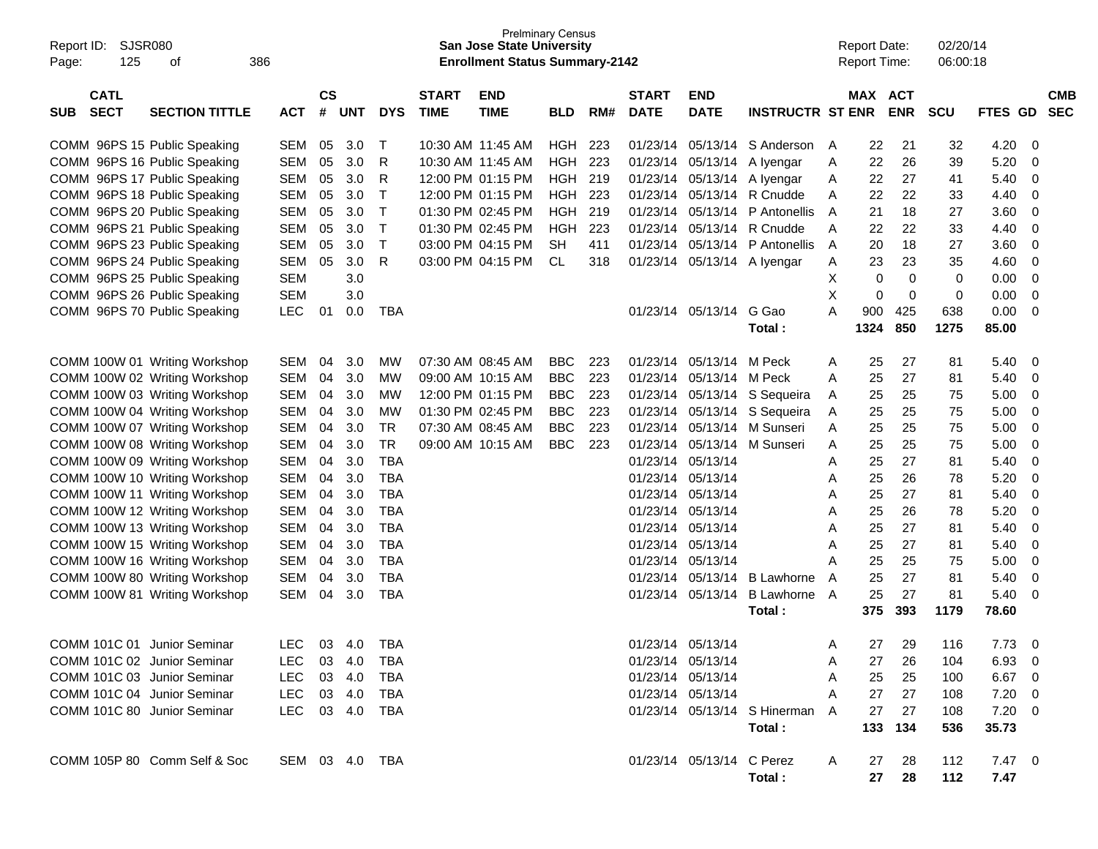| Report ID:<br>SJSR080<br>125<br>386<br>οf<br>Page:                |                |                    |            |              |                             | <b>San Jose State University</b><br><b>Enrollment Status Summary-2142</b> | <b>Prelminary Census</b> |     |                             |                           |                                |              | <b>Report Date:</b><br><b>Report Time:</b> |            | 02/20/14<br>06:00:18 |                |     |                          |
|-------------------------------------------------------------------|----------------|--------------------|------------|--------------|-----------------------------|---------------------------------------------------------------------------|--------------------------|-----|-----------------------------|---------------------------|--------------------------------|--------------|--------------------------------------------|------------|----------------------|----------------|-----|--------------------------|
| <b>CATL</b><br><b>SECT</b><br><b>SECTION TITTLE</b><br><b>SUB</b> | <b>ACT</b>     | $\mathsf{cs}$<br># | <b>UNT</b> | <b>DYS</b>   | <b>START</b><br><b>TIME</b> | <b>END</b><br><b>TIME</b>                                                 | <b>BLD</b>               | RM# | <b>START</b><br><b>DATE</b> | <b>END</b><br><b>DATE</b> | <b>INSTRUCTR ST ENR</b>        |              | MAX ACT                                    | <b>ENR</b> | <b>SCU</b>           | <b>FTES GD</b> |     | <b>CMB</b><br><b>SEC</b> |
| COMM 96PS 15 Public Speaking                                      | SEM            | 05                 | 3.0        | Т            |                             | 10:30 AM 11:45 AM                                                         | HGH                      | 223 |                             |                           | 01/23/14 05/13/14 S Anderson   | A            | 22                                         | 21         | 32                   | 4.20           | - 0 |                          |
| COMM 96PS 16 Public Speaking                                      | SEM            | 05                 | 3.0        | R            |                             | 10:30 AM 11:45 AM                                                         | <b>HGH</b>               | 223 |                             |                           | 01/23/14 05/13/14 A Iyengar    | A            | 22                                         | 26         | 39                   | 5.20           | 0   |                          |
| COMM 96PS 17 Public Speaking                                      | <b>SEM</b>     | 05                 | 3.0        | R            |                             | 12:00 PM 01:15 PM                                                         | <b>HGH</b>               | 219 |                             |                           | 01/23/14 05/13/14 A Iyengar    | A            | 22                                         | 27         | 41                   | 5.40           | 0   |                          |
| COMM 96PS 18 Public Speaking                                      | <b>SEM</b>     | 05                 | 3.0        | $\mathsf{T}$ |                             | 12:00 PM 01:15 PM                                                         | <b>HGH</b>               | 223 |                             |                           | 01/23/14 05/13/14 R Cnudde     | A            | 22                                         | 22         | 33                   | 4.40           | 0   |                          |
| COMM 96PS 20 Public Speaking                                      | <b>SEM</b>     | 05                 | 3.0        | $\top$       |                             | 01:30 PM 02:45 PM                                                         | <b>HGH</b>               | 219 |                             |                           | 01/23/14 05/13/14 P Antonellis | A            | 21                                         | 18         | 27                   | 3.60           | 0   |                          |
| COMM 96PS 21 Public Speaking                                      | <b>SEM</b>     | 05                 | 3.0        | $\mathsf{T}$ |                             | 01:30 PM 02:45 PM                                                         | <b>HGH</b>               | 223 |                             |                           | 01/23/14 05/13/14 R Cnudde     | A            | 22                                         | 22         | 33                   | 4.40           | 0   |                          |
| COMM 96PS 23 Public Speaking                                      | <b>SEM</b>     | 05                 | 3.0        | $\top$       |                             | 03:00 PM 04:15 PM                                                         | <b>SH</b>                | 411 |                             |                           | 01/23/14 05/13/14 P Antonellis | A            | 20                                         | 18         | 27                   | 3.60           | 0   |                          |
| COMM 96PS 24 Public Speaking                                      | <b>SEM</b>     | 05                 | 3.0        | R            |                             | 03:00 PM 04:15 PM                                                         | <b>CL</b>                | 318 |                             |                           | 01/23/14 05/13/14 A Iyengar    | A            | 23                                         | 23         | 35                   | 4.60           | 0   |                          |
| COMM 96PS 25 Public Speaking                                      | <b>SEM</b>     |                    | 3.0        |              |                             |                                                                           |                          |     |                             |                           |                                | Х            | 0                                          | 0          | 0                    | 0.00           | 0   |                          |
| COMM 96PS 26 Public Speaking                                      | <b>SEM</b>     |                    | 3.0        |              |                             |                                                                           |                          |     |                             |                           |                                | X            | $\mathbf 0$                                | 0          | 0                    | 0.00           | 0   |                          |
| COMM 96PS 70 Public Speaking                                      | LEC            | 01                 | 0.0        | <b>TBA</b>   |                             |                                                                           |                          |     |                             | 01/23/14 05/13/14         | G Gao                          | A            | 900                                        | 425        | 638                  | 0.00           | 0   |                          |
|                                                                   |                |                    |            |              |                             |                                                                           |                          |     |                             |                           | Total:                         |              | 1324                                       | 850        | 1275                 | 85.00          |     |                          |
| COMM 100W 01 Writing Workshop                                     | SEM            | 04                 | 3.0        | MW           |                             | 07:30 AM 08:45 AM                                                         | <b>BBC</b>               | 223 |                             | 01/23/14 05/13/14 M Peck  |                                | A            | 25                                         | 27         | 81                   | 5.40           | - 0 |                          |
| COMM 100W 02 Writing Workshop                                     | SEM            | 04                 | 3.0        | MW           |                             | 09:00 AM 10:15 AM                                                         | <b>BBC</b>               | 223 |                             | 01/23/14 05/13/14 M Peck  |                                | A            | 25                                         | 27         | 81                   | 5.40           | - 0 |                          |
| COMM 100W 03 Writing Workshop                                     | SEM            | 04                 | 3.0        | MW           |                             | 12:00 PM 01:15 PM                                                         | <b>BBC</b>               | 223 |                             |                           | 01/23/14 05/13/14 S Sequeira   | A            | 25                                         | 25         | 75                   | 5.00           | 0   |                          |
| COMM 100W 04 Writing Workshop                                     | SEM            | 04                 | 3.0        | MW           |                             | 01:30 PM 02:45 PM                                                         | <b>BBC</b>               | 223 |                             |                           | 01/23/14 05/13/14 S Sequeira   | A            | 25                                         | 25         | 75                   | 5.00           | 0   |                          |
| COMM 100W 07 Writing Workshop                                     | SEM            | 04                 | 3.0        | <b>TR</b>    |                             | 07:30 AM 08:45 AM                                                         | <b>BBC</b>               | 223 |                             |                           | 01/23/14 05/13/14 M Sunseri    | A            | 25                                         | 25         | 75                   | 5.00           | 0   |                          |
| COMM 100W 08 Writing Workshop                                     | SEM            | 04                 | 3.0        | <b>TR</b>    |                             | 09:00 AM 10:15 AM                                                         | <b>BBC</b>               | 223 |                             |                           | 01/23/14 05/13/14 M Sunseri    | A            | 25                                         | 25         | 75                   | 5.00           | 0   |                          |
| COMM 100W 09 Writing Workshop                                     | <b>SEM</b>     | 04                 | 3.0        | <b>TBA</b>   |                             |                                                                           |                          |     |                             | 01/23/14 05/13/14         |                                | A            | 25                                         | 27         | 81                   | 5.40           | 0   |                          |
| COMM 100W 10 Writing Workshop                                     | <b>SEM</b>     | 04                 | 3.0        | <b>TBA</b>   |                             |                                                                           |                          |     |                             | 01/23/14 05/13/14         |                                | A            | 25                                         | 26         | 78                   | 5.20           | 0   |                          |
| COMM 100W 11 Writing Workshop                                     | SEM            | 04                 | 3.0        | <b>TBA</b>   |                             |                                                                           |                          |     |                             | 01/23/14 05/13/14         |                                | A            | 25                                         | 27         | 81                   | 5.40           | 0   |                          |
| COMM 100W 12 Writing Workshop                                     | SEM            | 04                 | 3.0        | <b>TBA</b>   |                             |                                                                           |                          |     |                             | 01/23/14 05/13/14         |                                | A            | 25                                         | 26         | 78                   | 5.20           | 0   |                          |
| COMM 100W 13 Writing Workshop                                     | SEM            | 04                 | 3.0        | <b>TBA</b>   |                             |                                                                           |                          |     |                             | 01/23/14 05/13/14         |                                | A            | 25                                         | 27         | 81                   | 5.40           | 0   |                          |
| COMM 100W 15 Writing Workshop                                     | SEM            | 04                 | 3.0        | <b>TBA</b>   |                             |                                                                           |                          |     |                             | 01/23/14 05/13/14         |                                | A            | 25                                         | 27         | 81                   | 5.40           | 0   |                          |
| COMM 100W 16 Writing Workshop                                     | SEM            | 04                 | 3.0        | <b>TBA</b>   |                             |                                                                           |                          |     |                             | 01/23/14 05/13/14         |                                | A            | 25                                         | 25         | 75                   | 5.00           | 0   |                          |
| COMM 100W 80 Writing Workshop                                     | SEM            | 04                 | 3.0        | <b>TBA</b>   |                             |                                                                           |                          |     |                             |                           | 01/23/14 05/13/14 B Lawhorne   | A            | 25                                         | 27         | 81                   | 5.40           | 0   |                          |
| COMM 100W 81 Writing Workshop                                     | SEM            | 04                 | 3.0        | <b>TBA</b>   |                             |                                                                           |                          |     |                             |                           | 01/23/14 05/13/14 B Lawhorne   | A            | 25                                         | 27         | 81                   | 5.40           | - 0 |                          |
|                                                                   |                |                    |            |              |                             |                                                                           |                          |     |                             |                           | Total:                         |              | 375                                        | 393        | 1179                 | 78.60          |     |                          |
| COMM 101C 01 Junior Seminar                                       | <b>LEC</b>     |                    | 03 4.0     | TBA          |                             |                                                                           |                          |     |                             | 01/23/14 05/13/14         |                                | A            | 27                                         | 29         | 116                  | 7.73           | - 0 |                          |
| COMM 101C 02 Junior Seminar                                       | LEC 03 4.0 TBA |                    |            |              |                             |                                                                           |                          |     |                             | 01/23/14 05/13/14         |                                | A            | 27                                         | -26        | 104                  | $6.93$ 0       |     |                          |
| COMM 101C 03 Junior Seminar                                       | LEC            |                    |            |              |                             |                                                                           |                          |     |                             | 01/23/14 05/13/14         |                                | A            | 25                                         | 25         | 100                  | 6.67 0         |     |                          |
| COMM 101C 04 Junior Seminar                                       | LEC 03 4.0 TBA |                    |            |              |                             |                                                                           |                          |     |                             | 01/23/14 05/13/14         |                                | A            | 27                                         | 27         | 108                  | $7.20\quad 0$  |     |                          |
| COMM 101C 80 Junior Seminar                                       | LEC 03 4.0 TBA |                    |            |              |                             |                                                                           |                          |     |                             |                           | 01/23/14 05/13/14 S Hinerman A |              | 27                                         | 27         | 108                  | $7.20 \t 0$    |     |                          |
|                                                                   |                |                    |            |              |                             |                                                                           |                          |     |                             |                           | Total:                         |              |                                            | 133 134    | 536                  | 35.73          |     |                          |
| COMM 105P 80 Comm Self & Soc                                      | SEM 03 4.0 TBA |                    |            |              |                             |                                                                           |                          |     |                             | 01/23/14 05/13/14 C Perez | Total :                        | $\mathsf{A}$ | 27<br>27                                   | 28<br>28   | 112<br>112           | 7.47 0<br>7.47 |     |                          |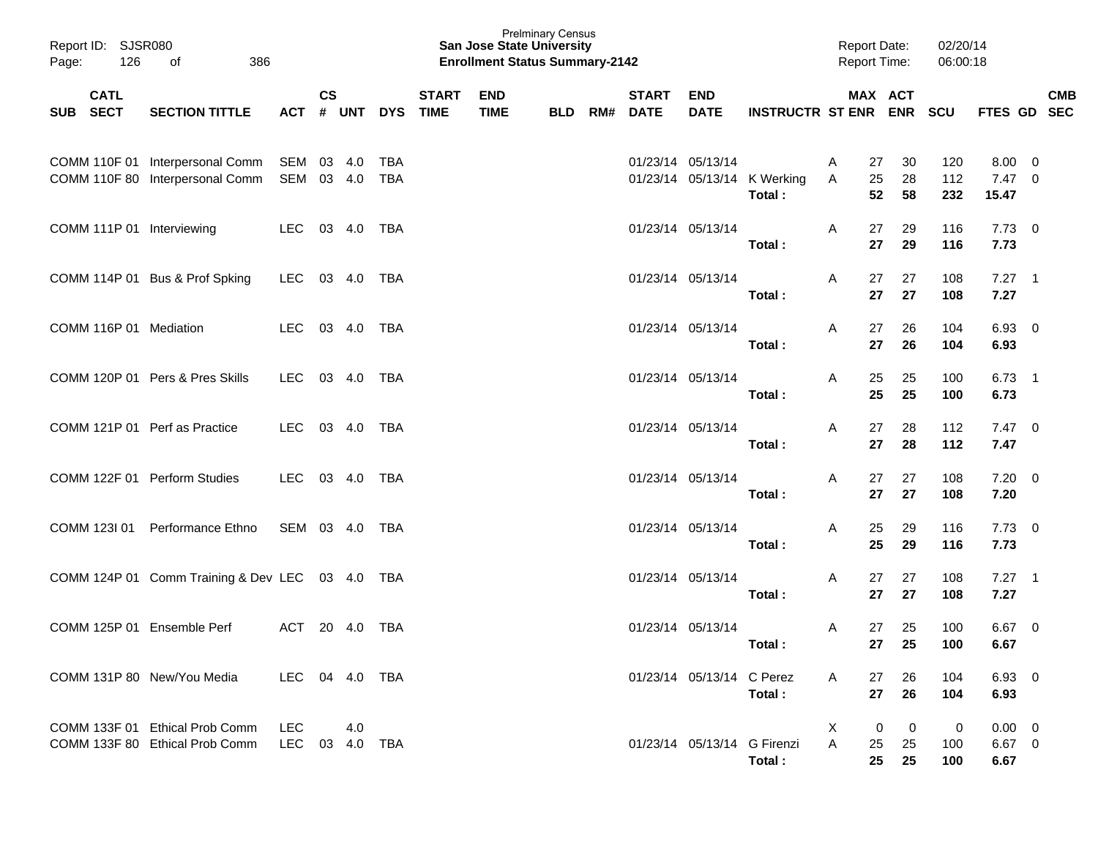| Report ID: SJSR080<br>126<br>Page: | 386<br>of                                                                     |                   |               |        |            |              | <b>San Jose State University</b><br><b>Enrollment Status Summary-2142</b> | <b>Prelminary Census</b> |                          |                             |                                       | <b>Report Date:</b><br><b>Report Time:</b> |                                             | 02/20/14<br>06:00:18 |                                      |            |  |
|------------------------------------|-------------------------------------------------------------------------------|-------------------|---------------|--------|------------|--------------|---------------------------------------------------------------------------|--------------------------|--------------------------|-----------------------------|---------------------------------------|--------------------------------------------|---------------------------------------------|----------------------|--------------------------------------|------------|--|
| <b>CATL</b><br>SUB SECT            | <b>SECTION TITTLE</b>                                                         | ACT # UNT         | $\mathsf{cs}$ |        | DYS TIME   | <b>START</b> | <b>END</b><br><b>TIME</b>                                                 | <b>BLD</b>               | <b>START</b><br>RM# DATE | <b>END</b><br><b>DATE</b>   | INSTRUCTR ST ENR ENR SCU              |                                            | MAX ACT                                     |                      | FTES GD SEC                          | <b>CMB</b> |  |
|                                    | COMM 110F 01 Interpersonal Comm SEM 03 4.0<br>COMM 110F 80 Interpersonal Comm | SEM 03 4.0        |               |        | TBA<br>TBA |              |                                                                           |                          |                          | 01/23/14 05/13/14           | 01/23/14 05/13/14 K Werking<br>Total: | Α<br>Α                                     | 30<br>27<br>25<br>28<br>52<br>58            | 120<br>112<br>232    | $8.00 \ 0$<br>$7.47\quad 0$<br>15.47 |            |  |
| COMM 111P 01 Interviewing          |                                                                               | LEC 03 4.0        |               |        | TBA        |              |                                                                           |                          |                          | 01/23/14 05/13/14           | Total:                                | A                                          | 29<br>27<br>27<br>29                        | 116<br>116           | $7.73 \t 0$<br>7.73                  |            |  |
|                                    | COMM 114P 01 Bus & Prof Spking                                                | LEC 03 4.0 TBA    |               |        |            |              |                                                                           |                          |                          | 01/23/14 05/13/14           | Total:                                | A                                          | 27<br>27<br>27<br>27                        | 108<br>108           | $7.27$ 1<br>7.27                     |            |  |
| COMM 116P 01 Mediation             |                                                                               | LEC 03 4.0        |               |        | TBA        |              |                                                                           |                          |                          | 01/23/14 05/13/14           | Total:                                | A                                          | 26<br>27<br>27<br>26                        | 104<br>104           | $6.93$ 0<br>6.93                     |            |  |
|                                    | COMM 120P 01 Pers & Pres Skills                                               | LEC 03 4.0        |               |        | TBA        |              |                                                                           |                          |                          | 01/23/14 05/13/14           | Total:                                | Α                                          | 25<br>25<br>25<br>25                        | 100<br>100           | $6.73$ 1<br>6.73                     |            |  |
| COMM 121P 01 Perf as Practice      |                                                                               | LEC               |               | 03 4.0 | TBA        |              |                                                                           |                          |                          | 01/23/14 05/13/14           | Total:                                | Α                                          | 27<br>28<br>27<br>28                        | 112<br>112           | $7.47\quad 0$<br>7.47                |            |  |
|                                    | COMM 122F 01 Perform Studies                                                  | LEC               |               | 03 4.0 | TBA        |              |                                                                           |                          |                          | 01/23/14 05/13/14           | Total:                                | Α                                          | 27<br>27<br>27<br>27                        | 108<br>108           | $7.20 \ 0$<br>7.20                   |            |  |
|                                    | COMM 1231 01 Performance Ethno                                                | SEM 03 4.0 TBA    |               |        |            |              |                                                                           |                          |                          | 01/23/14 05/13/14           | Total:                                | Α                                          | 29<br>25<br>25<br>29                        | 116<br>116           | $7.73 \quad 0$<br>7.73               |            |  |
|                                    | COMM 124P 01 Comm Training & Dev LEC 03 4.0 TBA                               |                   |               |        |            |              |                                                                           |                          |                          | 01/23/14 05/13/14           | Total:                                | A                                          | 27<br>27<br>27<br>27                        | 108<br>108           | $7.27$ 1<br>7.27                     |            |  |
| COMM 125P 01 Ensemble Perf         |                                                                               | ACT               |               | 20 4.0 | TBA        |              |                                                                           |                          |                          | 01/23/14 05/13/14           | Total:                                | Α                                          | 25<br>27<br>27<br>25                        | 100<br>100           | $6.67$ 0<br>6.67                     |            |  |
|                                    | COMM 131P 80 New/You Media                                                    | LEC               |               | 04 4.0 | TBA        |              |                                                                           |                          |                          | 01/23/14 05/13/14 C Perez   | Total:                                | A                                          | 26<br>27<br>27<br>26                        | 104<br>104           | $6.93\quad 0$<br>6.93                |            |  |
|                                    | COMM 133F 01 Ethical Prob Comm<br>COMM 133F 80 Ethical Prob Comm              | <b>LEC</b><br>LEC |               | 4.0    |            |              |                                                                           |                          |                          | 01/23/14 05/13/14 G Firenzi | Total:                                | X<br>A                                     | 0<br>$\overline{0}$<br>25<br>25<br>25<br>25 | 0<br>100<br>100      | $0.00 \t 0$<br>$6.67$ 0<br>6.67      |            |  |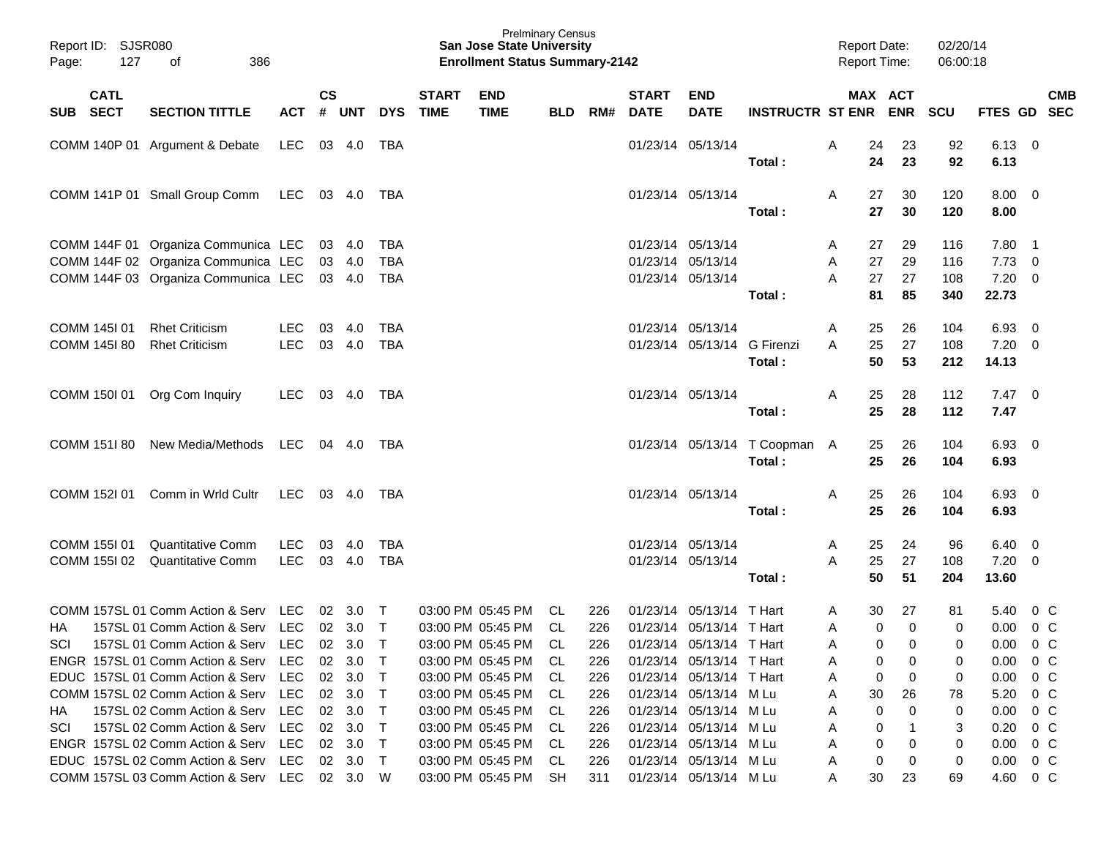| Report ID: SJSR080<br>Page:  | 386<br>127<br>οf                                                                                                              |                          |               |                                            |                            |                             | <b>San Jose State University</b><br><b>Enrollment Status Summary-2142</b>                    | <b>Prelminary Census</b> |                          |                             |                                                                                                      |                                         | <b>Report Date:</b><br><b>Report Time:</b> |                       | 02/20/14<br>06:00:18     |                                                             |                                            |                          |
|------------------------------|-------------------------------------------------------------------------------------------------------------------------------|--------------------------|---------------|--------------------------------------------|----------------------------|-----------------------------|----------------------------------------------------------------------------------------------|--------------------------|--------------------------|-----------------------------|------------------------------------------------------------------------------------------------------|-----------------------------------------|--------------------------------------------|-----------------------|--------------------------|-------------------------------------------------------------|--------------------------------------------|--------------------------|
| <b>CATL</b><br>SUB SECT      | <b>SECTION TITTLE</b>                                                                                                         | <b>ACT</b>               | $\mathsf{cs}$ | # UNT                                      | <b>DYS</b>                 | <b>START</b><br><b>TIME</b> | <b>END</b><br><b>TIME</b>                                                                    | <b>BLD</b>               | RM#                      | <b>START</b><br><b>DATE</b> | <b>END</b><br><b>DATE</b>                                                                            | <b>INSTRUCTR ST ENR</b>                 |                                            | MAX ACT<br><b>ENR</b> | <b>SCU</b>               | <b>FTES GD</b>                                              |                                            | <b>CMB</b><br><b>SEC</b> |
|                              | COMM 140P 01 Argument & Debate                                                                                                | LEC                      |               | 03 4.0                                     | TBA                        |                             |                                                                                              |                          |                          |                             | 01/23/14 05/13/14                                                                                    | Total:                                  | Α<br>24<br>24                              | 23<br>23              | 92<br>92                 | $6.13 \quad 0$<br>6.13                                      |                                            |                          |
|                              | COMM 141P 01 Small Group Comm                                                                                                 | LEC                      |               | 03 4.0                                     | TBA                        |                             |                                                                                              |                          |                          |                             | 01/23/14 05/13/14                                                                                    | Total:                                  | 27<br>A<br>27                              | 30<br>30              | 120<br>120               | $8.00 \t 0$<br>8.00                                         |                                            |                          |
|                              | COMM 144F 01 Organiza Communica LEC<br>COMM 144F 02 Organiza Communica LEC<br>COMM 144F 03 Organiza Communica LEC             |                          |               | 03 4.0<br>03 4.0<br>03 4.0                 | TBA<br>TBA<br>TBA          |                             |                                                                                              |                          |                          |                             | 01/23/14 05/13/14<br>01/23/14 05/13/14<br>01/23/14 05/13/14                                          | Total:                                  | 27<br>A<br>27<br>A<br>27<br>A<br>81        | 29<br>29<br>27<br>85  | 116<br>116<br>108<br>340 | $7.80$ 1<br>7.73<br>7.20<br>22.73                           | $\overline{\phantom{0}}$<br>- 0            |                          |
| COMM 145I 01<br>COMM 145I 80 | <b>Rhet Criticism</b><br><b>Rhet Criticism</b>                                                                                | <b>LEC</b><br><b>LEC</b> | 03            | 4.0<br>03 4.0                              | TBA<br>TBA                 |                             |                                                                                              |                          |                          |                             | 01/23/14 05/13/14<br>01/23/14 05/13/14 G Firenzi                                                     | Total:                                  | 25<br>A<br>25<br>A<br>50                   | 26<br>27<br>53        | 104<br>108<br>212        | 6.93<br>7.20<br>14.13                                       | $\overline{\phantom{0}}$<br>$\overline{0}$ |                          |
| COMM 150I 01                 | Org Com Inquiry                                                                                                               | LEC.                     |               | 03 4.0                                     | TBA                        |                             |                                                                                              |                          |                          |                             | 01/23/14 05/13/14                                                                                    | Total:                                  | Α<br>25<br>25                              | 28<br>28              | 112<br>112               | $7.47\quad 0$<br>7.47                                       |                                            |                          |
| COMM 151I 80                 | New Media/Methods                                                                                                             | LEC 04 4.0               |               |                                            | TBA                        |                             |                                                                                              |                          |                          |                             |                                                                                                      | 01/23/14 05/13/14 T Coopman A<br>Total: | 25<br>25                                   | 26<br>26              | 104<br>104               | $6.93$ 0<br>6.93                                            |                                            |                          |
| COMM 152I 01                 | Comm in Wrld Cultr                                                                                                            | LEC                      |               | 03 4.0                                     | TBA                        |                             |                                                                                              |                          |                          |                             | 01/23/14 05/13/14                                                                                    | Total:                                  | 25<br>A<br>25                              | 26<br>26              | 104<br>104               | $6.93$ 0<br>6.93                                            |                                            |                          |
| COMM 155I 01<br>COMM 155I 02 | Quantitative Comm<br><b>Quantitative Comm</b>                                                                                 | <b>LEC</b><br><b>LEC</b> | 03            | 4.0<br>03 4.0                              | TBA<br>TBA                 |                             |                                                                                              |                          |                          |                             | 01/23/14 05/13/14<br>01/23/14 05/13/14                                                               | Total:                                  | 25<br>A<br>25<br>A<br>50                   | 24<br>27<br>51        | 96<br>108<br>204         | 6.40<br>7.20<br>13.60                                       | $\overline{\phantom{0}}$<br>- 0            |                          |
| НA                           | COMM 157SL 01 Comm Action & Serv LEC<br>157SL 01 Comm Action & Serv LEC                                                       |                          |               | 02 3.0<br>02 3.0                           | $\top$<br>$\top$           |                             | 03:00 PM 05:45 PM<br>03:00 PM 05:45 PM                                                       | CL<br>CL                 | 226<br>226               |                             | 01/23/14 05/13/14 T Hart<br>01/23/14 05/13/14 T Hart                                                 |                                         | 30<br>A<br>0<br>A                          | 27<br>$\mathbf 0$     | 81<br>0                  | 5.40<br>0.00                                                | $0\,C$<br>$0\,C$                           |                          |
| SCI                          | 157SL 01 Comm Action & Serv LEC 02 3.0<br>ENGR 157SL 01 Comm Action & Serv LEC 02 3.0<br>EDUC 157SL 01 Comm Action & Serv LEC |                          |               | $02 \quad 3.0$                             | $\top$<br>$\top$           |                             | 03:00 PM 05:45 PM<br>03:00 PM 05:45 PM CL<br>03:00 PM 05:45 PM CL                            | CL                       | 226<br>226<br>226        |                             | 01/23/14 05/13/14 T Hart<br>01/23/14 05/13/14 T Hart<br>01/23/14 05/13/14 T Hart                     |                                         | A<br>0<br>A<br>0<br>A                      | 0<br>0<br>0<br>0      | 0<br>0<br>0              | 0.00<br>$0.00 \t 0 C$<br>$0.00 \t 0 C$                      | 0 <sup>C</sup>                             |                          |
| HA.                          | COMM 157SL 02 Comm Action & Serv LEC<br>157SL 02 Comm Action & Serv LEC<br>157SL 02 Comm Action & Serv LEC                    |                          |               | $02 \quad 3.0$<br>02 3.0                   | $\top$<br>$\top$           |                             | 03:00 PM 05:45 PM CL<br>03:00 PM 05:45 PM CL                                                 |                          | 226<br>226               |                             | 01/23/14 05/13/14 M Lu<br>01/23/14 05/13/14 M Lu                                                     |                                         | 30<br>A<br>0<br>A                          | 26<br>$\Omega$        | 78<br>0                  | 5.20 0 C<br>$0.00 \t 0 C$                                   |                                            |                          |
| SCI                          | ENGR 157SL 02 Comm Action & Serv LEC<br>EDUC 157SL 02 Comm Action & Serv LEC<br>COMM 157SL 03 Comm Action & Serv LEC 02 3.0 W |                          |               | 02 3.0<br>$02 \quad 3.0$<br>$02 \quad 3.0$ | $\top$<br>$\top$<br>$\top$ |                             | 03:00 PM 05:45 PM CL<br>03:00 PM 05:45 PM CL<br>03:00 PM 05:45 PM CL<br>03:00 PM 05:45 PM SH |                          | 226<br>226<br>226<br>311 |                             | 01/23/14 05/13/14 M Lu<br>01/23/14 05/13/14 M Lu<br>01/23/14 05/13/14 M Lu<br>01/23/14 05/13/14 M Lu |                                         | 0<br>A<br>0<br>A<br>0<br>A<br>30<br>A      | 0<br>0<br>23          | 3<br>0<br>0<br>69        | $0.20 \t 0 C$<br>$0.00 \t 0 C$<br>$0.00 \t 0 C$<br>4.60 0 C |                                            |                          |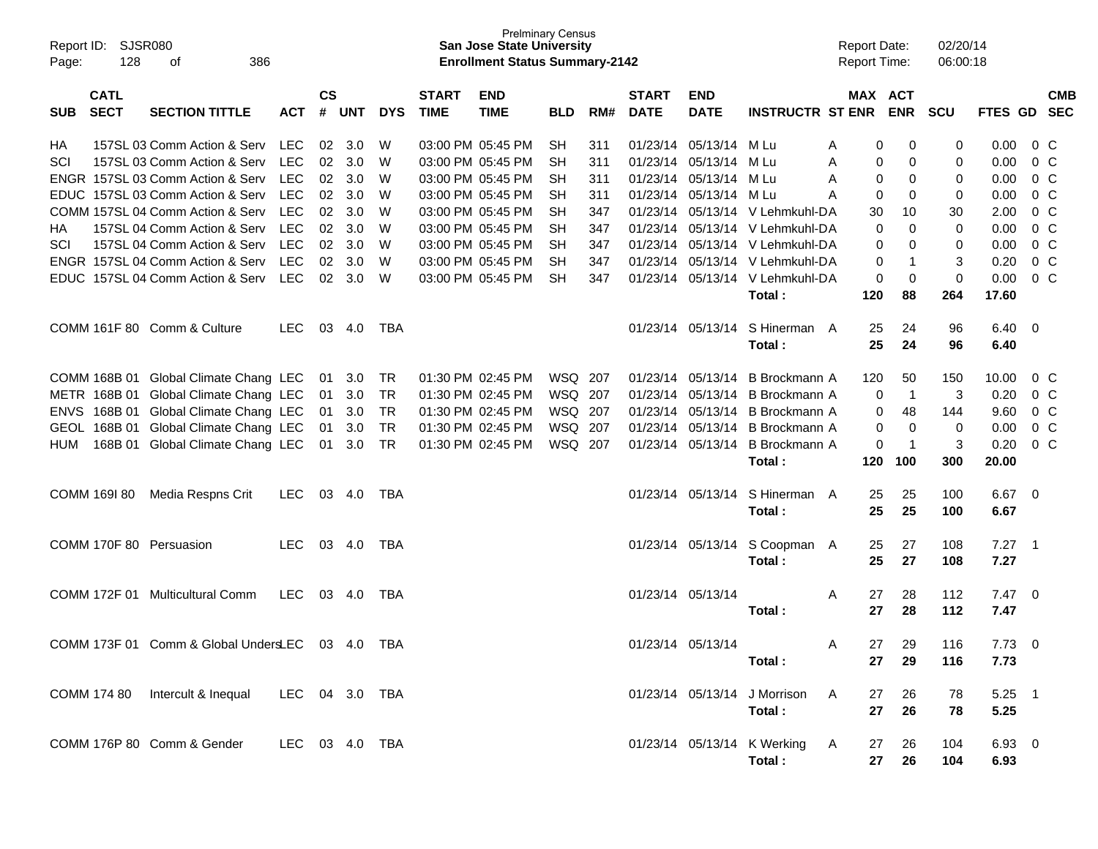| Report ID:<br>Page: | 128                        | SJSR080<br>386<br>οf                            |                |                    |            |            |                             | <b>San Jose State University</b><br><b>Enrollment Status Summary-2142</b> | <b>Prelminary Census</b> |     |                             |                           |                                 |          | <b>Report Date:</b><br><b>Report Time:</b> |                | 02/20/14<br>06:00:18 |               |                            |                          |
|---------------------|----------------------------|-------------------------------------------------|----------------|--------------------|------------|------------|-----------------------------|---------------------------------------------------------------------------|--------------------------|-----|-----------------------------|---------------------------|---------------------------------|----------|--------------------------------------------|----------------|----------------------|---------------|----------------------------|--------------------------|
| <b>SUB</b>          | <b>CATL</b><br><b>SECT</b> | <b>SECTION TITTLE</b>                           | <b>ACT</b>     | $\mathsf{cs}$<br># | <b>UNT</b> | <b>DYS</b> | <b>START</b><br><b>TIME</b> | <b>END</b><br><b>TIME</b>                                                 | BLD                      | RM# | <b>START</b><br><b>DATE</b> | <b>END</b><br><b>DATE</b> | <b>INSTRUCTR ST ENR</b>         |          | MAX ACT                                    | <b>ENR</b>     | <b>SCU</b>           | FTES GD       |                            | <b>CMB</b><br><b>SEC</b> |
| HA                  |                            | 157SL 03 Comm Action & Serv                     | LEC            | 02                 | 3.0        | W          |                             | 03:00 PM 05:45 PM                                                         | <b>SH</b>                | 311 |                             | 01/23/14 05/13/14 M Lu    |                                 | A        | 0                                          | 0              | 0                    | 0.00          | $0\,C$                     |                          |
| SCI                 |                            | 157SL 03 Comm Action & Serv                     | <b>LEC</b>     | 02                 | 3.0        | W          |                             | 03:00 PM 05:45 PM                                                         | <b>SH</b>                | 311 |                             | 01/23/14 05/13/14         | M Lu                            | A        | 0                                          | 0              | 0                    | 0.00          | $0\,C$                     |                          |
| <b>ENGR</b>         |                            | 157SL 03 Comm Action & Serv                     | <b>LEC</b>     | 02                 | 3.0        | W          |                             | 03:00 PM 05:45 PM                                                         | <b>SH</b>                | 311 |                             | 01/23/14 05/13/14         | M Lu                            | A        | 0                                          | 0              | 0                    | 0.00          | $0\,C$                     |                          |
| <b>EDUC</b>         |                            | 157SL 03 Comm Action & Serv                     | <b>LEC</b>     | 02                 | 3.0        | W          |                             | 03:00 PM 05:45 PM                                                         | <b>SH</b>                | 311 |                             | 01/23/14 05/13/14         | M Lu                            | A        | 0                                          | 0              | 0                    | 0.00          | 0 <sup>C</sup>             |                          |
|                     |                            | COMM 157SL 04 Comm Action & Serv                | <b>LEC</b>     | 02                 | 3.0        | W          |                             | 03:00 PM 05:45 PM                                                         | <b>SH</b>                | 347 |                             |                           | 01/23/14 05/13/14 V Lehmkuhl-DA |          | 30                                         | 10             | 30                   | 2.00          | 0 <sup>C</sup>             |                          |
| HA                  |                            | 157SL 04 Comm Action & Serv                     | <b>LEC</b>     | 02                 | 3.0        | W          |                             | 03:00 PM 05:45 PM                                                         | <b>SH</b>                | 347 |                             |                           | 01/23/14 05/13/14 V Lehmkuhl-DA |          | 0                                          | 0              | 0                    | 0.00          | 0 <sup>C</sup>             |                          |
| SCI                 |                            | 157SL 04 Comm Action & Serv                     | <b>LEC</b>     | 02                 | 3.0        | W          |                             | 03:00 PM 05:45 PM                                                         | <b>SH</b>                | 347 |                             |                           | 01/23/14 05/13/14 V Lehmkuhl-DA |          | 0                                          | 0              | 0                    | 0.00          | 0 <sup>C</sup>             |                          |
| <b>ENGR</b>         |                            | 157SL 04 Comm Action & Serv                     | <b>LEC</b>     | 02                 | 3.0        | W          |                             | 03:00 PM 05:45 PM                                                         | <b>SH</b>                | 347 |                             |                           | 01/23/14 05/13/14 V Lehmkuhl-DA |          | 0                                          | $\mathbf 1$    | 3                    | 0.20          | 0 <sup>C</sup>             |                          |
| <b>EDUC</b>         |                            | 157SL 04 Comm Action & Serv                     | <b>LEC</b>     | 02                 | 3.0        | W          |                             | 03:00 PM 05:45 PM                                                         | <b>SH</b>                | 347 |                             |                           | 01/23/14 05/13/14 V Lehmkuhl-DA |          | 0                                          | 0              | 0                    | 0.00          | 0 <sup>C</sup>             |                          |
|                     |                            |                                                 |                |                    |            |            |                             |                                                                           |                          |     |                             |                           | Total:                          |          | 120                                        | 88             | 264                  | 17.60         |                            |                          |
|                     |                            | COMM 161F 80 Comm & Culture                     | <b>LEC</b>     | 03                 | 4.0        | TBA        |                             |                                                                           |                          |     |                             | 01/23/14 05/13/14         | S Hinerman A                    |          | 25                                         | 24             | 96                   | 6.40          | $\overline{\phantom{0}}$   |                          |
|                     |                            |                                                 |                |                    |            |            |                             |                                                                           |                          |     |                             |                           | Total:                          |          | 25                                         | 24             | 96                   | 6.40          |                            |                          |
|                     |                            |                                                 |                |                    |            |            |                             |                                                                           |                          |     |                             |                           |                                 |          |                                            |                |                      |               |                            |                          |
|                     | COMM 168B 01               | Global Climate Chang LEC                        |                | 01                 | 3.0        | TR         |                             | 01:30 PM 02:45 PM                                                         | WSQ 207                  |     | 01/23/14                    | 05/13/14                  | B Brockmann A                   |          | 120                                        | 50             | 150                  | 10.00         | $0\,C$                     |                          |
| METR                | 168B 01                    | Global Climate Chang LEC                        |                | 01                 | 3.0        | <b>TR</b>  |                             | 01:30 PM 02:45 PM                                                         | WSQ 207                  |     |                             | 01/23/14 05/13/14         | B Brockmann A                   |          | 0                                          | $\overline{1}$ | 3                    | 0.20          | $0\,C$                     |                          |
| <b>ENVS</b>         | 168B 01                    | Global Climate Chang LEC                        |                | 01                 | 3.0        | <b>TR</b>  |                             | 01:30 PM 02:45 PM                                                         | WSQ 207                  |     |                             | 01/23/14 05/13/14         | B Brockmann A                   |          | 0                                          | 48             | 144                  | 9.60          | 0 <sup>C</sup>             |                          |
| <b>GEOL</b>         | 168B 01                    | Global Climate Chang LEC                        |                | 01                 | 3.0        | <b>TR</b>  |                             | 01:30 PM 02:45 PM                                                         | WSQ 207                  |     |                             | 01/23/14 05/13/14         | B Brockmann A                   |          | 0                                          | 0              | 0                    | 0.00          | 0 <sup>C</sup>             |                          |
| <b>HUM</b>          |                            | 168B 01 Global Climate Chang LEC                |                | 01                 | 3.0        | <b>TR</b>  |                             | 01:30 PM 02:45 PM                                                         | WSQ 207                  |     |                             | 01/23/14 05/13/14         | B Brockmann A                   |          | 0                                          | $\mathbf 1$    | 3                    | 0.20          | 0 <sup>C</sup>             |                          |
|                     |                            |                                                 |                |                    |            |            |                             |                                                                           |                          |     |                             |                           | Total:                          |          | 120                                        | 100            | 300                  | 20.00         |                            |                          |
|                     |                            |                                                 |                |                    |            |            |                             |                                                                           |                          |     |                             |                           |                                 |          |                                            |                |                      |               |                            |                          |
|                     | COMM 169I 80               | Media Respns Crit                               | <b>LEC</b>     | 03                 | 4.0        | TBA        |                             |                                                                           |                          |     |                             | 01/23/14 05/13/14         | S Hinerman A                    |          | 25                                         | 25             | 100                  | 6.67          | $\overline{\phantom{0}}$   |                          |
|                     |                            |                                                 |                |                    |            |            |                             |                                                                           |                          |     |                             |                           | Total:                          |          | 25                                         | 25             | 100                  | 6.67          |                            |                          |
|                     |                            |                                                 |                |                    |            |            |                             |                                                                           |                          |     |                             |                           |                                 |          |                                            |                |                      |               |                            |                          |
|                     |                            | COMM 170F 80 Persuasion                         | <b>LEC</b>     | 03                 | 4.0        | TBA        |                             |                                                                           |                          |     |                             | 01/23/14 05/13/14         | S Coopman A                     |          | 25                                         | 27             | 108                  | 7.27          | $\overline{\phantom{0}}$ 1 |                          |
|                     |                            |                                                 |                |                    |            |            |                             |                                                                           |                          |     |                             |                           | Total:                          |          | 25                                         | 27             | 108                  | 7.27          |                            |                          |
|                     |                            |                                                 |                |                    |            |            |                             |                                                                           |                          |     |                             |                           |                                 |          |                                            |                |                      |               |                            |                          |
|                     |                            | COMM 172F 01 Multicultural Comm                 | <b>LEC</b>     | 03                 | 4.0        | TBA        |                             |                                                                           |                          |     |                             | 01/23/14 05/13/14         |                                 | A        | 27                                         | 28             | 112                  | $7.47\quad 0$ |                            |                          |
|                     |                            |                                                 |                |                    |            |            |                             |                                                                           |                          |     |                             |                           | Total:                          |          | 27                                         | 28             | 112                  | 7.47          |                            |                          |
|                     |                            |                                                 |                |                    |            |            |                             |                                                                           |                          |     |                             |                           |                                 |          |                                            |                |                      |               |                            |                          |
|                     |                            | COMM 173F 01 Comm & Global UndersLEC 03 4.0 TBA |                |                    |            |            |                             |                                                                           |                          |     |                             | 01/23/14 05/13/14         |                                 | A        | 27                                         | 29             | 116                  | $7.73 \t 0$   |                            |                          |
|                     |                            |                                                 |                |                    |            |            |                             |                                                                           |                          |     |                             |                           | Total:                          |          | 27                                         | 29             | 116                  | 7.73          |                            |                          |
|                     |                            |                                                 |                |                    |            |            |                             |                                                                           |                          |     |                             |                           |                                 |          |                                            |                |                      |               |                            |                          |
|                     |                            | COMM 174 80 Intercult & Inequal LEC 04 3.0 TBA  |                |                    |            |            |                             |                                                                           |                          |     |                             |                           | 01/23/14 05/13/14 J Morrison    | <b>A</b> | 27                                         | 26             | 78                   | $5.25$ 1      |                            |                          |
|                     |                            |                                                 |                |                    |            |            |                             |                                                                           |                          |     |                             |                           | Total:                          |          | 27                                         | 26             | 78                   | 5.25          |                            |                          |
|                     |                            |                                                 |                |                    |            |            |                             |                                                                           |                          |     |                             |                           |                                 |          |                                            |                |                      |               |                            |                          |
|                     |                            | COMM 176P 80 Comm & Gender                      | LEC 03 4.0 TBA |                    |            |            |                             |                                                                           |                          |     |                             |                           | 01/23/14 05/13/14 K Werking A   |          | 27                                         | 26             | 104                  | 6.93 0        |                            |                          |
|                     |                            |                                                 |                |                    |            |            |                             |                                                                           |                          |     |                             |                           | Total:                          |          | 27                                         | 26             | 104                  | 6.93          |                            |                          |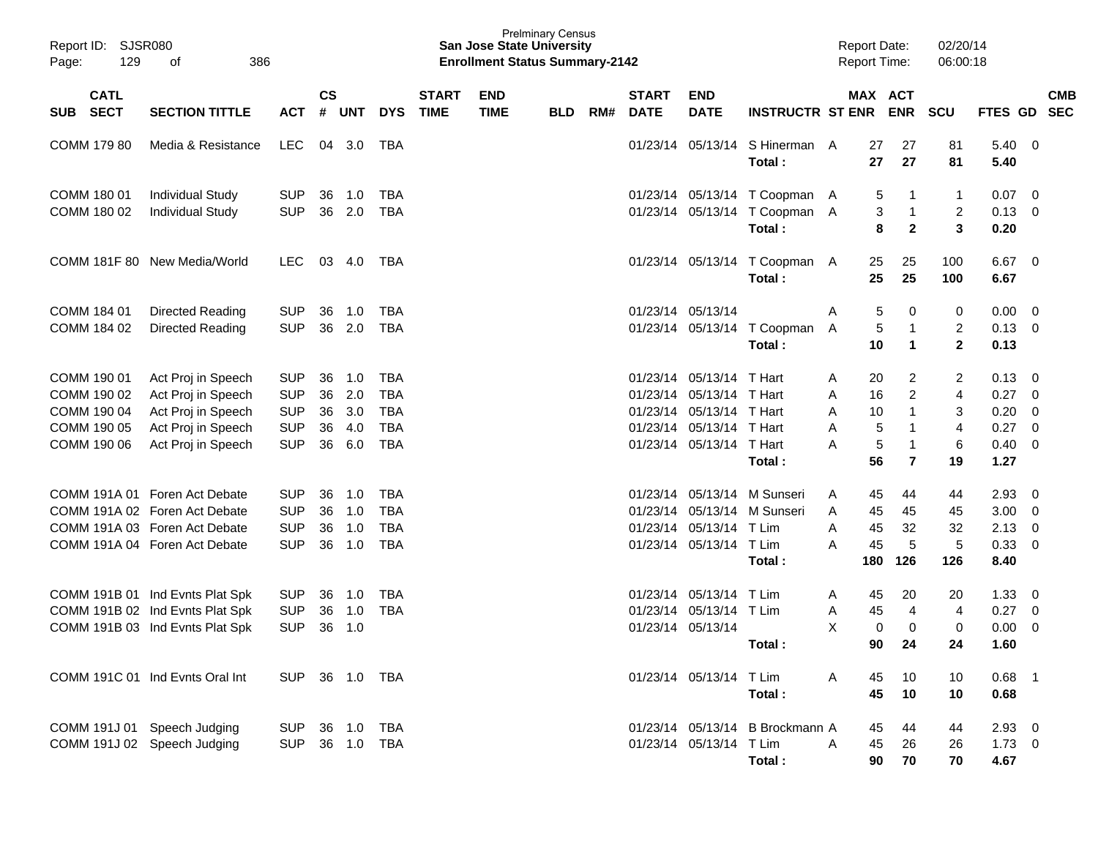| Report ID:<br>129<br>Page:                                              | <b>SJSR080</b><br>386<br>οf                                                                                                      |                                                                    |                            |                                 |                                                                    |                             | <b>San Jose State University</b><br><b>Enrollment Status Summary-2142</b> | <b>Prelminary Census</b> |     |                                                          |                                                          |                                                             | <b>Report Date:</b><br><b>Report Time:</b>              |                                                                                                   | 02/20/14<br>06:00:18        |                                              |                                      |
|-------------------------------------------------------------------------|----------------------------------------------------------------------------------------------------------------------------------|--------------------------------------------------------------------|----------------------------|---------------------------------|--------------------------------------------------------------------|-----------------------------|---------------------------------------------------------------------------|--------------------------|-----|----------------------------------------------------------|----------------------------------------------------------|-------------------------------------------------------------|---------------------------------------------------------|---------------------------------------------------------------------------------------------------|-----------------------------|----------------------------------------------|--------------------------------------|
| <b>CATL</b><br><b>SECT</b><br><b>SUB</b>                                | <b>SECTION TITTLE</b>                                                                                                            | <b>ACT</b>                                                         | $\mathsf{cs}$<br>#         | <b>UNT</b>                      | <b>DYS</b>                                                         | <b>START</b><br><b>TIME</b> | <b>END</b><br><b>TIME</b>                                                 | <b>BLD</b>               | RM# | <b>START</b><br><b>DATE</b>                              | <b>END</b><br><b>DATE</b>                                | <b>INSTRUCTR ST ENR</b>                                     |                                                         | MAX ACT<br><b>ENR</b>                                                                             | <b>SCU</b>                  | FTES GD                                      | <b>CMB</b><br><b>SEC</b>             |
| COMM 179 80                                                             | Media & Resistance                                                                                                               | <b>LEC</b>                                                         | 04                         | 3.0                             | TBA                                                                |                             |                                                                           |                          |     | 01/23/14                                                 | 05/13/14                                                 | S Hinerman A<br>Total:                                      | 27<br>27                                                | 27<br>27                                                                                          | 81<br>81                    | 5.40<br>5.40                                 | - 0                                  |
| COMM 180 01<br>COMM 180 02                                              | <b>Individual Study</b><br><b>Individual Study</b>                                                                               | <b>SUP</b><br><b>SUP</b>                                           | 36<br>36                   | 1.0<br>2.0                      | <b>TBA</b><br><b>TBA</b>                                           |                             |                                                                           |                          |     | 01/23/14<br>01/23/14                                     |                                                          | 05/13/14 T Coopman A<br>05/13/14 T Coopman A<br>Total:      | 5<br>3<br>8                                             | -1<br>$\mathbf{1}$<br>$\mathbf{2}$                                                                | 1<br>2<br>3                 | 0.07<br>0.13<br>0.20                         | - 0<br>0                             |
|                                                                         | COMM 181F 80 New Media/World                                                                                                     | <b>LEC</b>                                                         | 03                         | 4.0                             | TBA                                                                |                             |                                                                           |                          |     | 01/23/14                                                 |                                                          | 05/13/14 T Coopman A<br>Total:                              | 25<br>25                                                | 25<br>25                                                                                          | 100<br>100                  | 6.67<br>6.67                                 | - 0                                  |
| COMM 184 01<br>COMM 184 02                                              | Directed Reading<br>Directed Reading                                                                                             | <b>SUP</b><br><b>SUP</b>                                           | 36<br>36                   | 1.0<br>2.0                      | <b>TBA</b><br><b>TBA</b>                                           |                             |                                                                           |                          |     | 01/23/14<br>01/23/14                                     | 05/13/14<br>05/13/14                                     | T Coopman<br>Total:                                         | A<br>5<br>5<br>A<br>10                                  | 0<br>$\mathbf{1}$<br>1                                                                            | 0<br>2<br>$\mathbf{2}$      | 0.00<br>0.13<br>0.13                         | - 0<br>- 0                           |
| COMM 190 01<br>COMM 190 02<br>COMM 190 04<br>COMM 190 05<br>COMM 190 06 | Act Proj in Speech<br>Act Proj in Speech<br>Act Proj in Speech<br>Act Proj in Speech<br>Act Proj in Speech                       | <b>SUP</b><br><b>SUP</b><br><b>SUP</b><br><b>SUP</b><br><b>SUP</b> | 36<br>36<br>36<br>36<br>36 | 1.0<br>2.0<br>3.0<br>4.0<br>6.0 | <b>TBA</b><br><b>TBA</b><br><b>TBA</b><br><b>TBA</b><br><b>TBA</b> |                             |                                                                           |                          |     | 01/23/14<br>01/23/14<br>01/23/14<br>01/23/14<br>01/23/14 | 05/13/14<br>05/13/14<br>05/13/14<br>05/13/14<br>05/13/14 | T Hart<br>T Hart<br>T Hart<br>T Hart<br>T Hart<br>Total:    | 20<br>A<br>16<br>A<br>10<br>A<br>5<br>A<br>5<br>A<br>56 | $\overline{2}$<br>$\overline{c}$<br>$\mathbf{1}$<br>$\mathbf{1}$<br>$\mathbf 1$<br>$\overline{7}$ | 2<br>4<br>3<br>4<br>6<br>19 | 0.13<br>0.27<br>0.20<br>0.27<br>0.40<br>1.27 | 0<br>0<br>0<br>- 0<br>$\overline{0}$ |
|                                                                         | COMM 191A 01 Foren Act Debate<br>COMM 191A 02 Foren Act Debate<br>COMM 191A 03 Foren Act Debate<br>COMM 191A 04 Foren Act Debate | <b>SUP</b><br><b>SUP</b><br><b>SUP</b><br><b>SUP</b>               | 36<br>36<br>36<br>36       | 1.0<br>1.0<br>1.0<br>1.0        | <b>TBA</b><br><b>TBA</b><br><b>TBA</b><br><b>TBA</b>               |                             |                                                                           |                          |     | 01/23/14<br>01/23/14<br>01/23/14<br>01/23/14             | 05/13/14<br>05/13/14<br>05/13/14                         | 05/13/14 M Sunseri<br>M Sunseri<br>T Lim<br>T Lim<br>Total: | 45<br>A<br>45<br>A<br>A<br>45<br>A<br>45<br>180         | 44<br>45<br>32<br>5<br>126                                                                        | 44<br>45<br>32<br>5<br>126  | 2.93<br>3.00<br>2.13<br>0.33<br>8.40         | 0<br>- 0<br>0<br>- 0                 |
|                                                                         | COMM 191B 01 Ind Evnts Plat Spk<br>COMM 191B 02 Ind Evnts Plat Spk<br>COMM 191B 03 Ind Evnts Plat Spk                            | <b>SUP</b><br><b>SUP</b><br><b>SUP</b>                             | 36<br>36<br>36             | 1.0<br>1.0<br>1.0               | <b>TBA</b><br><b>TBA</b>                                           |                             |                                                                           |                          |     | 01/23/14<br>01/23/14<br>01/23/14                         | 05/13/14<br>05/13/14<br>05/13/14                         | T Lim<br>T Lim<br>Total:                                    | 45<br>A<br>45<br>A<br>X<br>0<br>90                      | 20<br>$\overline{4}$<br>$\mathbf 0$<br>24                                                         | 20<br>4<br>0<br>24          | 1.33<br>0.27<br>0.00<br>1.60                 | - 0<br>0<br>$\mathbf 0$              |
|                                                                         | COMM 191C 01 Ind Evnts Oral Int                                                                                                  | SUP 36 1.0 TBA                                                     |                            |                                 |                                                                    |                             |                                                                           |                          |     |                                                          | 01/23/14 05/13/14 T Lim                                  | Total:                                                      | A<br>45<br>45                                           | 10<br>10                                                                                          | 10<br>10                    | $0.68$ 1<br>0.68                             |                                      |
|                                                                         | COMM 191J 01 Speech Judging<br>COMM 191J 02 Speech Judging                                                                       | SUP<br><b>SUP</b>                                                  |                            | 36 1.0<br>36 1.0                | TBA<br>TBA                                                         |                             |                                                                           |                          |     |                                                          | 01/23/14 05/13/14 T Lim                                  | 01/23/14 05/13/14 B Brockmann A<br>Total:                   | 45<br>45<br>$\mathsf{A}$<br>90                          | 44<br>26<br>70                                                                                    | 44<br>26<br>70              | $2.93$ 0<br>$1.73 \t 0$<br>4.67              |                                      |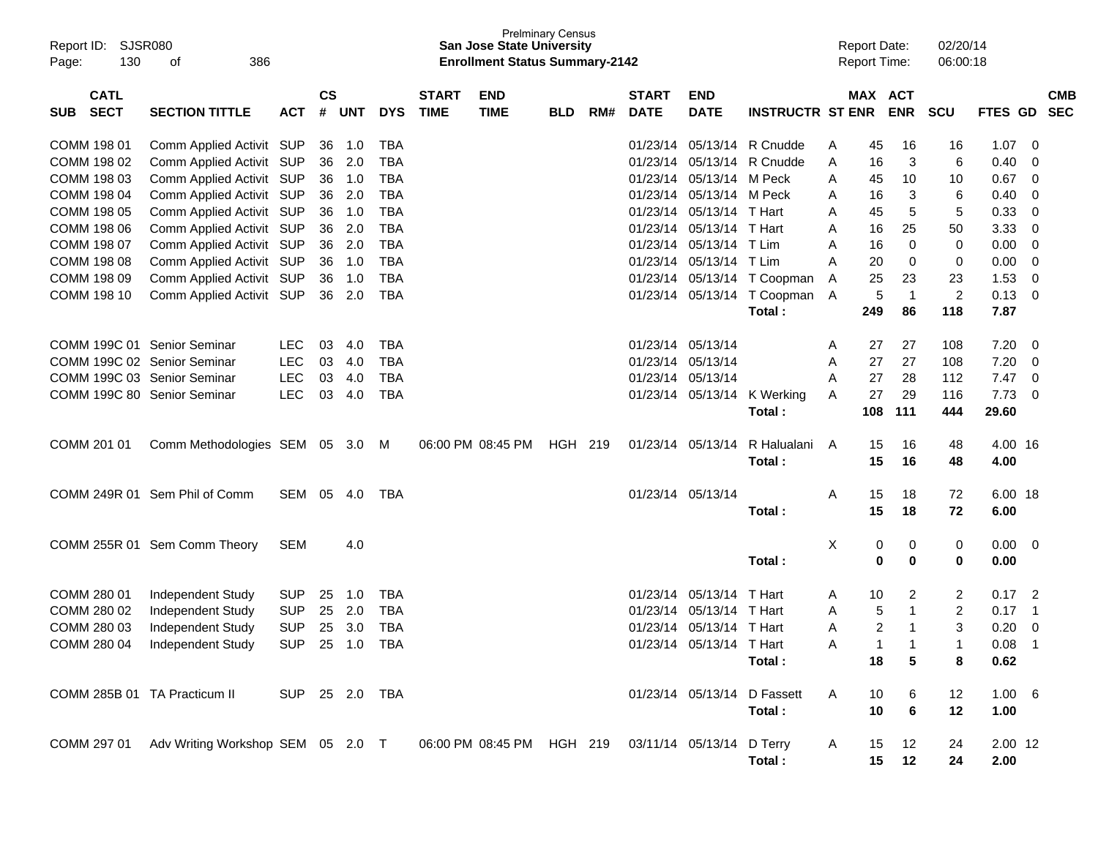| Report ID:<br>130<br>Page:               | SJSR080<br>386<br>οf                                                                              |                |                |            |            |                             | <b>San Jose State University</b><br><b>Enrollment Status Summary-2142</b> | <b>Prelminary Census</b> |     |                             |                           |                             |   | <b>Report Date:</b><br><b>Report Time:</b> |             | 02/20/14<br>06:00:18 |                 |                         |                          |
|------------------------------------------|---------------------------------------------------------------------------------------------------|----------------|----------------|------------|------------|-----------------------------|---------------------------------------------------------------------------|--------------------------|-----|-----------------------------|---------------------------|-----------------------------|---|--------------------------------------------|-------------|----------------------|-----------------|-------------------------|--------------------------|
| <b>CATL</b><br><b>SECT</b><br><b>SUB</b> | <b>SECTION TITTLE</b>                                                                             | <b>ACT</b>     | <b>CS</b><br># | <b>UNT</b> | <b>DYS</b> | <b>START</b><br><b>TIME</b> | <b>END</b><br><b>TIME</b>                                                 | <b>BLD</b>               | RM# | <b>START</b><br><b>DATE</b> | <b>END</b><br><b>DATE</b> | <b>INSTRUCTR ST ENR</b>     |   | MAX ACT                                    | <b>ENR</b>  | <b>SCU</b>           | FTES GD         |                         | <b>CMB</b><br><b>SEC</b> |
| COMM 198 01                              | Comm Applied Activit SUP                                                                          |                | 36             | 1.0        | <b>TBA</b> |                             |                                                                           |                          |     | 01/23/14                    | 05/13/14                  | R Cnudde                    | A | 45                                         | 16          | 16                   | 1.07            | 0                       |                          |
| COMM 198 02                              | Comm Applied Activit SUP                                                                          |                | 36             | 2.0        | <b>TBA</b> |                             |                                                                           |                          |     | 01/23/14                    | 05/13/14                  | R Cnudde                    | A | 16                                         | 3           | 6                    | 0.40            | 0                       |                          |
| COMM 198 03                              | Comm Applied Activit SUP                                                                          |                | 36             | 1.0        | <b>TBA</b> |                             |                                                                           |                          |     | 01/23/14                    | 05/13/14                  | M Peck                      | A | 45                                         | 10          | 10                   | 0.67            | 0                       |                          |
| COMM 198 04                              | Comm Applied Activit SUP                                                                          |                | 36             | 2.0        | <b>TBA</b> |                             |                                                                           |                          |     | 01/23/14                    | 05/13/14                  | M Peck                      | A | 16                                         | 3           | 6                    | 0.40            | 0                       |                          |
| COMM 198 05                              | Comm Applied Activit SUP                                                                          |                | 36             | 1.0        | <b>TBA</b> |                             |                                                                           |                          |     | 01/23/14                    | 05/13/14                  | T Hart                      | A | 45                                         | 5           | 5                    | 0.33            | 0                       |                          |
| COMM 198 06                              | Comm Applied Activit SUP                                                                          |                | 36             | 2.0        | <b>TBA</b> |                             |                                                                           |                          |     | 01/23/14                    | 05/13/14                  | T Hart                      | A | 16                                         | 25          | 50                   | 3.33            | 0                       |                          |
| COMM 198 07                              | Comm Applied Activit SUP                                                                          |                | 36             | 2.0        | <b>TBA</b> |                             |                                                                           |                          |     | 01/23/14                    | 05/13/14                  | T Lim                       | A | 16                                         | 0           | 0                    | 0.00            | 0                       |                          |
| COMM 198 08                              | Comm Applied Activit SUP                                                                          |                | 36             | 1.0        | <b>TBA</b> |                             |                                                                           |                          |     | 01/23/14                    | 05/13/14                  | T Lim                       | A | 20                                         | 0           | 0                    | 0.00            | 0                       |                          |
| COMM 198 09                              | Comm Applied Activit SUP                                                                          |                | 36             | 1.0        | <b>TBA</b> |                             |                                                                           |                          |     | 01/23/14                    |                           | 05/13/14 T Coopman          | A | 25                                         | 23          | 23                   | 1.53            | 0                       |                          |
| COMM 198 10                              | Comm Applied Activit SUP                                                                          |                | 36             | 2.0        | <b>TBA</b> |                             |                                                                           |                          |     | 01/23/14                    | 05/13/14                  | T Coopman                   | A | 5                                          | $\mathbf 1$ | $\overline{c}$       | 0.13            | 0                       |                          |
|                                          |                                                                                                   |                |                |            |            |                             |                                                                           |                          |     |                             |                           | Total:                      |   | 249                                        | 86          | 118                  | 7.87            |                         |                          |
|                                          |                                                                                                   |                |                |            |            |                             |                                                                           |                          |     |                             |                           |                             |   |                                            |             |                      |                 |                         |                          |
| COMM 199C 01 Senior Seminar              |                                                                                                   | <b>LEC</b>     | 03             | 4.0        | TBA        |                             |                                                                           |                          |     | 01/23/14                    | 05/13/14                  |                             | A | 27                                         | 27          | 108                  | 7.20            | 0                       |                          |
| COMM 199C 02 Senior Seminar              |                                                                                                   | <b>LEC</b>     | 03             | 4.0        | TBA        |                             |                                                                           |                          |     | 01/23/14                    | 05/13/14                  |                             | A | 27                                         | 27          | 108                  | 7.20            | 0                       |                          |
| COMM 199C 03 Senior Seminar              |                                                                                                   | <b>LEC</b>     | 03             | 4.0        | TBA        |                             |                                                                           |                          |     | 01/23/14                    | 05/13/14                  |                             | A | 27                                         | 28          | 112                  | 7.47            | 0                       |                          |
| COMM 199C 80 Senior Seminar              |                                                                                                   | <b>LEC</b>     | 03             | 4.0        | <b>TBA</b> |                             |                                                                           |                          |     | 01/23/14                    | 05/13/14                  | K Werking                   | A | 27                                         | 29          | 116                  | 7.73            | 0                       |                          |
|                                          |                                                                                                   |                |                |            |            |                             |                                                                           |                          |     |                             |                           | Total:                      |   | 108                                        | 111         | 444                  | 29.60           |                         |                          |
|                                          |                                                                                                   |                |                |            |            |                             |                                                                           |                          |     | 01/23/14                    | 05/13/14                  | R Halualani                 | Α |                                            |             |                      |                 |                         |                          |
| COMM 201 01                              | Comm Methodologies SEM 05 3.0                                                                     |                |                |            | M          |                             | 06:00 PM 08:45 PM                                                         | HGH 219                  |     |                             |                           | Total:                      |   | 15<br>15                                   | 16<br>16    | 48<br>48             | 4.00 16<br>4.00 |                         |                          |
|                                          |                                                                                                   |                |                |            |            |                             |                                                                           |                          |     |                             |                           |                             |   |                                            |             |                      |                 |                         |                          |
|                                          | COMM 249R 01 Sem Phil of Comm                                                                     | SEM 05         |                | 4.0        | TBA        |                             |                                                                           |                          |     | 01/23/14 05/13/14           |                           |                             | Α | 15                                         | 18          | 72                   | 6.00 18         |                         |                          |
|                                          |                                                                                                   |                |                |            |            |                             |                                                                           |                          |     |                             |                           | Total:                      |   | 15                                         | 18          | 72                   | 6.00            |                         |                          |
|                                          |                                                                                                   |                |                |            |            |                             |                                                                           |                          |     |                             |                           |                             |   |                                            |             |                      |                 |                         |                          |
|                                          | COMM 255R 01 Sem Comm Theory                                                                      | <b>SEM</b>     |                | 4.0        |            |                             |                                                                           |                          |     |                             |                           |                             | Χ | 0                                          | 0           | 0                    | 0.00            | 0                       |                          |
|                                          |                                                                                                   |                |                |            |            |                             |                                                                           |                          |     |                             |                           | Total:                      |   | 0                                          | 0           | 0                    | 0.00            |                         |                          |
|                                          |                                                                                                   |                |                |            |            |                             |                                                                           |                          |     |                             |                           |                             |   |                                            |             |                      |                 |                         |                          |
| COMM 280 01                              | Independent Study                                                                                 | <b>SUP</b>     | 25             | 1.0        | TBA        |                             |                                                                           |                          |     | 01/23/14                    | 05/13/14                  | T Hart                      | A | 10                                         | 2           | 2                    | 0.17            | $\overline{c}$          |                          |
| COMM 280 02                              | Independent Study                                                                                 | <b>SUP</b>     | 25             | 2.0        | TBA        |                             |                                                                           |                          |     | 01/23/14                    | 05/13/14                  | T Hart                      | A | 5                                          | -1          | 2                    | 0.17            | $\overline{1}$          |                          |
| COMM 280 03                              | Independent Study                                                                                 | <b>SUP</b>     | 25             | 3.0        | <b>TBA</b> |                             |                                                                           |                          |     | 01/23/14                    | 05/13/14                  | T Hart                      | A | 2                                          | -1          | 3                    | 0.20            | 0                       |                          |
|                                          | COMM 280 04 Independent Study                                                                     | <b>SUP</b>     |                | 25 1.0     | <b>TBA</b> |                             |                                                                           |                          |     |                             | 01/23/14 05/13/14 T Hart  |                             | Α | 1                                          |             | 1                    | 0.08            | $\overline{\mathbf{1}}$ |                          |
|                                          |                                                                                                   |                |                |            |            |                             |                                                                           |                          |     |                             |                           | Total:                      |   | 18                                         | 5           | 8                    | 0.62            |                         |                          |
|                                          |                                                                                                   |                |                |            |            |                             |                                                                           |                          |     |                             |                           |                             |   |                                            |             |                      |                 |                         |                          |
| COMM 285B 01 TA Practicum II             |                                                                                                   | SUP 25 2.0 TBA |                |            |            |                             |                                                                           |                          |     |                             |                           | 01/23/14 05/13/14 D Fassett | A | 10                                         | 6           | 12                   | $1.00\quad 6$   |                         |                          |
|                                          |                                                                                                   |                |                |            |            |                             |                                                                           |                          |     |                             |                           | Total:                      |   | 10                                         | 6           | 12                   | 1.00            |                         |                          |
|                                          |                                                                                                   |                |                |            |            |                             |                                                                           |                          |     |                             |                           |                             |   |                                            |             |                      |                 |                         |                          |
|                                          | COMM 297 01 Adv Writing Workshop SEM 05 2.0 T 06:00 PM 08:45 PM HGH 219 03/11/14 05/13/14 D Terry |                |                |            |            |                             |                                                                           |                          |     |                             |                           |                             | A | 15                                         | 12          | 24                   | $2.00$ 12       |                         |                          |
|                                          |                                                                                                   |                |                |            |            |                             |                                                                           |                          |     |                             |                           | Total:                      |   | 15                                         | 12          | 24                   | 2.00            |                         |                          |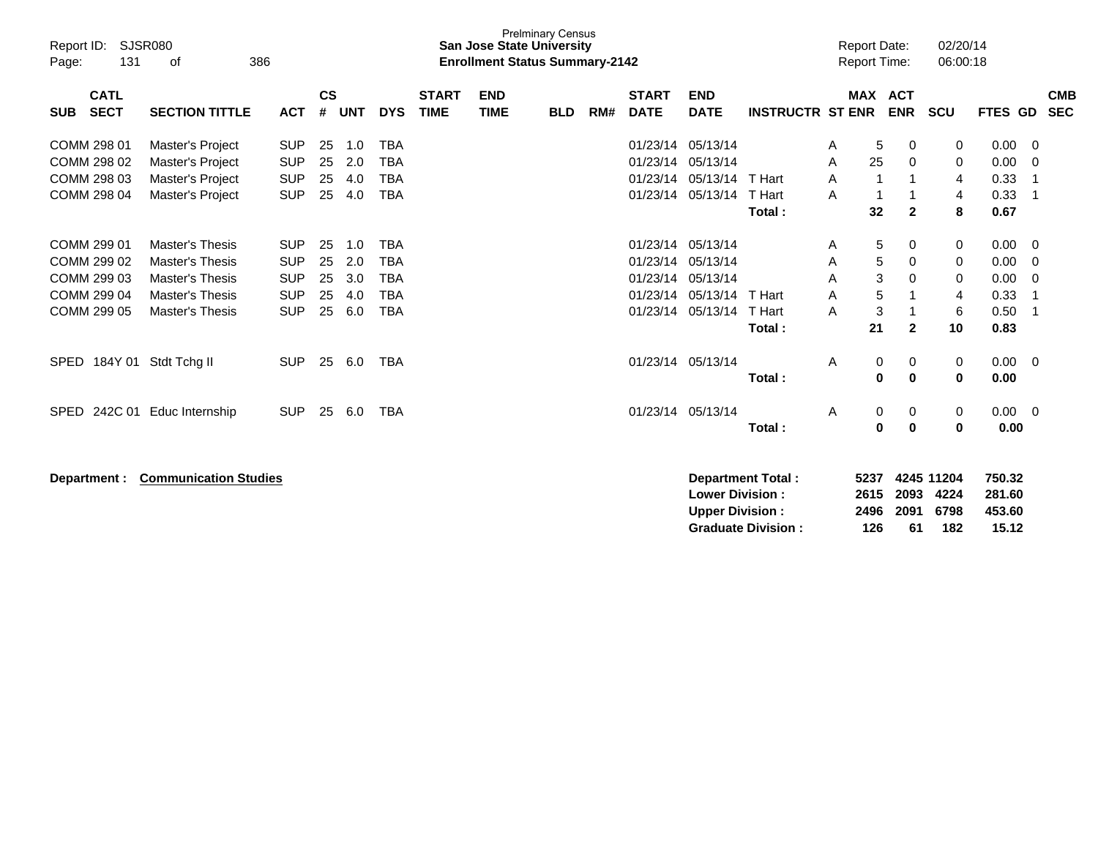| Report ID:<br>131<br>Page:               | <b>SJSR080</b><br>386<br>0f  |            |                    |            |            |                             | <b>San Jose State University</b><br><b>Enrollment Status Summary-2142</b> | <b>Prelminary Census</b> |     |                             |                           |                          |   | <b>Report Date:</b><br><b>Report Time:</b> |                          | 02/20/14<br>06:00:18 |                |                          |
|------------------------------------------|------------------------------|------------|--------------------|------------|------------|-----------------------------|---------------------------------------------------------------------------|--------------------------|-----|-----------------------------|---------------------------|--------------------------|---|--------------------------------------------|--------------------------|----------------------|----------------|--------------------------|
| <b>CATL</b><br><b>SECT</b><br><b>SUB</b> | <b>SECTION TITTLE</b>        | <b>ACT</b> | $\mathsf{cs}$<br># | <b>UNT</b> | <b>DYS</b> | <b>START</b><br><b>TIME</b> | <b>END</b><br><b>TIME</b>                                                 | <b>BLD</b>               | RM# | <b>START</b><br><b>DATE</b> | <b>END</b><br><b>DATE</b> | <b>INSTRUCTR ST ENR</b>  |   | <b>MAX</b>                                 | <b>ACT</b><br><b>ENR</b> | <b>SCU</b>           | <b>FTES GD</b> | <b>CMB</b><br><b>SEC</b> |
|                                          |                              |            |                    |            |            |                             |                                                                           |                          |     |                             |                           |                          |   |                                            |                          |                      |                |                          |
| COMM 298 01                              | Master's Project             | <b>SUP</b> | 25                 | 1.0        | <b>TBA</b> |                             |                                                                           |                          |     | 01/23/14                    | 05/13/14                  |                          | A | 5                                          | 0                        | 0                    | 0.00           | $\mathbf 0$              |
| COMM 298 02                              | Master's Project             | <b>SUP</b> | 25                 | 2.0        | <b>TBA</b> |                             |                                                                           |                          |     | 01/23/14                    | 05/13/14                  |                          | A | 25                                         | 0                        | 0                    | 0.00           | 0                        |
| COMM 298 03                              | Master's Project             | <b>SUP</b> | 25                 | 4.0        | <b>TBA</b> |                             |                                                                           |                          |     | 01/23/14                    | 05/13/14                  | T Hart                   | A | $\overline{1}$                             | 1                        | $\overline{4}$       | 0.33           | -1                       |
| COMM 298 04                              | Master's Project             | <b>SUP</b> | 25                 | 4.0        | <b>TBA</b> |                             |                                                                           |                          |     | 01/23/14                    | 05/13/14                  | T Hart                   | Α | $\mathbf 1$                                | 1                        | 4                    | 0.33           | -1                       |
|                                          |                              |            |                    |            |            |                             |                                                                           |                          |     |                             |                           | Total:                   |   | 32                                         | $\overline{2}$           | 8                    | 0.67           |                          |
|                                          |                              |            |                    |            |            |                             |                                                                           |                          |     |                             |                           |                          |   |                                            |                          |                      |                |                          |
| COMM 299 01                              | <b>Master's Thesis</b>       | <b>SUP</b> | 25                 | 1.0        | <b>TBA</b> |                             |                                                                           |                          |     | 01/23/14                    | 05/13/14                  |                          | A | 5                                          | 0                        | 0                    | 0.00           | $\overline{0}$           |
| COMM 299 02                              | <b>Master's Thesis</b>       | <b>SUP</b> | 25                 | 2.0        | <b>TBA</b> |                             |                                                                           |                          |     | 01/23/14                    | 05/13/14                  |                          | Α | 5                                          | 0                        | 0                    | 0.00           | 0                        |
| COMM 299 03                              | <b>Master's Thesis</b>       | <b>SUP</b> | 25                 | 3.0        | <b>TBA</b> |                             |                                                                           |                          |     | 01/23/14                    | 05/13/14                  |                          | Α | 3                                          | 0                        | 0                    | 0.00           | 0                        |
| COMM 299 04                              | <b>Master's Thesis</b>       | <b>SUP</b> | 25                 | 4.0        | <b>TBA</b> |                             |                                                                           |                          |     | 01/23/14                    | 05/13/14                  | T Hart                   | A | 5                                          | 1                        | 4                    | 0.33           | -1                       |
| COMM 299 05                              | <b>Master's Thesis</b>       | <b>SUP</b> | 25                 | 6.0        | <b>TBA</b> |                             |                                                                           |                          |     | 01/23/14                    | 05/13/14                  | T Hart                   | A | 3                                          | 1                        | 6                    | 0.50           | -1                       |
|                                          |                              |            |                    |            |            |                             |                                                                           |                          |     |                             |                           | Total:                   |   | 21                                         | $\mathbf{2}$             | 10                   | 0.83           |                          |
| SPED 184Y 01 Stdt Tchg II                |                              | <b>SUP</b> | 25                 | 6.0        | <b>TBA</b> |                             |                                                                           |                          |     | 01/23/14 05/13/14           |                           |                          | A | 0                                          | 0                        | 0                    | $0.00 \quad 0$ |                          |
|                                          |                              |            |                    |            |            |                             |                                                                           |                          |     |                             |                           | Total:                   |   | 0                                          | 0                        | 0                    | 0.00           |                          |
|                                          |                              |            |                    |            |            |                             |                                                                           |                          |     |                             |                           |                          |   |                                            |                          |                      |                |                          |
| 242C 01<br><b>SPED</b>                   | Educ Internship              | <b>SUP</b> | 25                 | 6.0        | <b>TBA</b> |                             |                                                                           |                          |     | 01/23/14 05/13/14           |                           |                          | A | 0                                          | 0                        | 0                    | $0.00 \t 0$    |                          |
|                                          |                              |            |                    |            |            |                             |                                                                           |                          |     |                             |                           | Total:                   |   | 0                                          | 0                        | 0                    | 0.00           |                          |
|                                          |                              |            |                    |            |            |                             |                                                                           |                          |     |                             |                           |                          |   |                                            |                          |                      |                |                          |
| Department :                             | <b>Communication Studies</b> |            |                    |            |            |                             |                                                                           |                          |     |                             |                           | <b>Department Total:</b> |   | 5237                                       |                          | 4245 11204           | 750.32         |                          |
|                                          |                              |            |                    |            |            |                             |                                                                           |                          |     |                             | <b>Lower Division:</b>    |                          |   | 2615                                       | 2093                     | 4224                 | 281.60         |                          |
|                                          |                              |            |                    |            |            |                             |                                                                           |                          |     |                             | <b>Upper Division:</b>    |                          |   | 2496                                       | 2091                     | 6798                 | 453.60         |                          |

**Graduate Division : 126 61 182 15.12**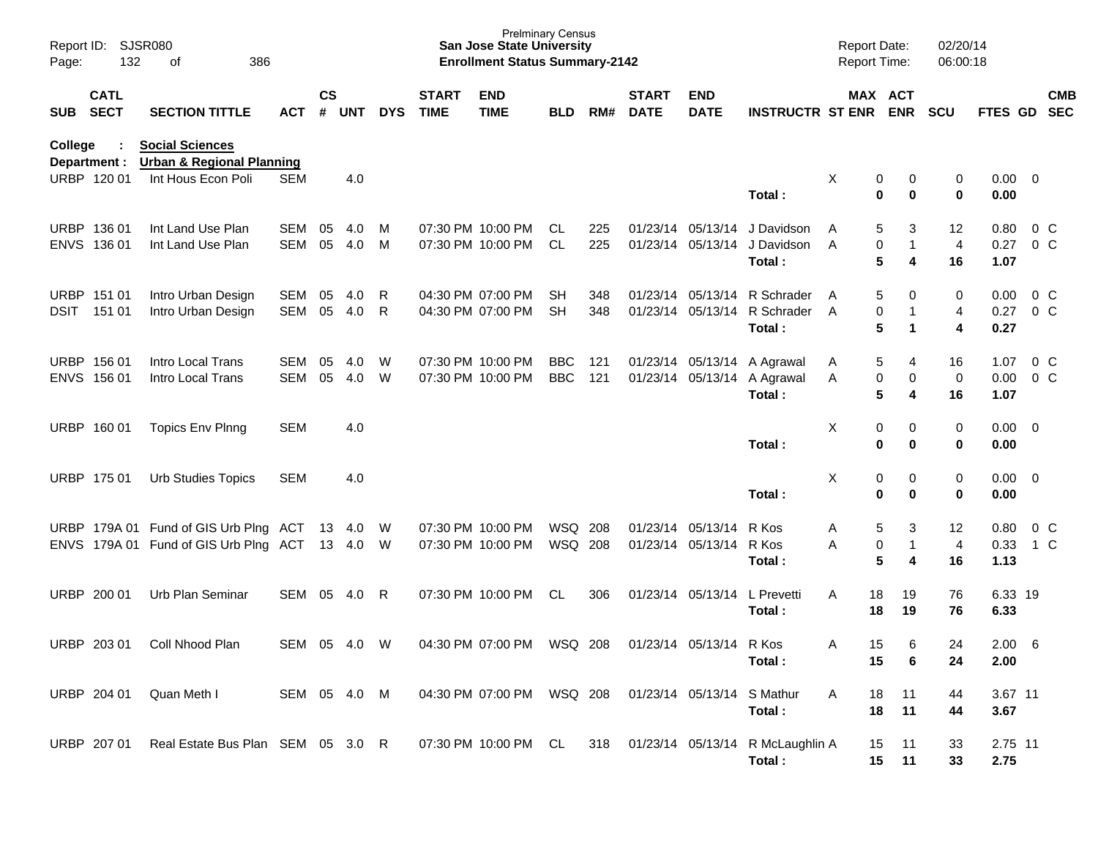| Report ID:<br>Page: | 132                         | <b>SJSR080</b><br>386<br>οf                                                          |                   |                    |               |            |                             | <b>Prelminary Census</b><br><b>San Jose State University</b><br><b>Enrollment Status Summary-2142</b> |                          |            |                             |                                        |                                                    | <b>Report Date:</b><br><b>Report Time:</b> |                                       | 02/20/14<br>06:00:18 |                        |                          |  |
|---------------------|-----------------------------|--------------------------------------------------------------------------------------|-------------------|--------------------|---------------|------------|-----------------------------|-------------------------------------------------------------------------------------------------------|--------------------------|------------|-----------------------------|----------------------------------------|----------------------------------------------------|--------------------------------------------|---------------------------------------|----------------------|------------------------|--------------------------|--|
| SUB SECT            | <b>CATL</b>                 | <b>SECTION TITTLE</b>                                                                | <b>ACT</b>        | $\mathsf{cs}$<br># | <b>UNT</b>    | <b>DYS</b> | <b>START</b><br><b>TIME</b> | <b>END</b><br><b>TIME</b>                                                                             | <b>BLD</b>               | RM#        | <b>START</b><br><b>DATE</b> | <b>END</b><br><b>DATE</b>              | <b>INSTRUCTR ST ENR</b>                            |                                            | MAX ACT<br><b>ENR</b>                 | <b>SCU</b>           | <b>FTES GD</b>         | <b>CMB</b><br><b>SEC</b> |  |
| <b>College</b>      | Department :<br>URBP 120 01 | <b>Social Sciences</b><br><b>Urban &amp; Regional Planning</b><br>Int Hous Econ Poli | <b>SEM</b>        |                    | 4.0           |            |                             |                                                                                                       |                          |            |                             |                                        |                                                    | X                                          | 0<br>0                                | 0                    | $0.00 \quad 0$         |                          |  |
|                     |                             |                                                                                      |                   |                    |               |            |                             |                                                                                                       |                          |            |                             |                                        | Total:                                             |                                            | $\mathbf 0$<br>0                      | 0                    | 0.00                   |                          |  |
|                     | URBP 136 01<br>ENVS 136 01  | Int Land Use Plan<br>Int Land Use Plan                                               | SEM<br>SEM        | 05<br>05           | 4.0<br>4.0    | M<br>M     |                             | 07:30 PM 10:00 PM<br>07:30 PM 10:00 PM                                                                | CL.<br>CL.               | 225<br>225 |                             | 01/23/14 05/13/14<br>01/23/14 05/13/14 | J Davidson<br>J Davidson<br>Total:                 | Α<br>A                                     | 3<br>5<br>0<br>$\mathbf{1}$<br>5<br>4 | 12<br>4<br>16        | 0.80<br>0.27<br>1.07   | 0 C<br>0 <sup>o</sup>    |  |
| <b>DSIT</b>         | URBP 151 01<br>151 01       | Intro Urban Design<br>Intro Urban Design                                             | SEM<br>SEM        | 05<br>05           | 4.0<br>4.0    | R<br>R     |                             | 04:30 PM 07:00 PM<br>04:30 PM 07:00 PM                                                                | <b>SH</b><br><b>SH</b>   | 348<br>348 | 01/23/14 05/13/14           | 01/23/14 05/13/14                      | R Schrader<br>R Schrader<br>Total:                 | A<br>A                                     | 5<br>0<br>0<br>1<br>5<br>$\mathbf 1$  | 0<br>4<br>4          | 0.00<br>0.27<br>0.27   | 0 C<br>0 <sup>o</sup>    |  |
|                     | URBP 156 01<br>ENVS 156 01  | Intro Local Trans<br>Intro Local Trans                                               | <b>SEM</b><br>SEM | 05<br>05           | 4.0<br>4.0    | W<br>W     |                             | 07:30 PM 10:00 PM<br>07:30 PM 10:00 PM                                                                | <b>BBC</b><br><b>BBC</b> | 121<br>121 |                             | 01/23/14 05/13/14                      | A Agrawal<br>01/23/14 05/13/14 A Agrawal<br>Total: | A<br>Α                                     | 5<br>4<br>0<br>0<br>5<br>4            | 16<br>0<br>16        | 1.07<br>0.00<br>1.07   | 0 C<br>0 <sup>o</sup>    |  |
|                     | URBP 160 01                 | <b>Topics Env Plnng</b>                                                              | <b>SEM</b>        |                    | 4.0           |            |                             |                                                                                                       |                          |            |                             |                                        | Total:                                             | X                                          | 0<br>0<br>0<br>0                      | 0<br>0               | $0.00 \quad 0$<br>0.00 |                          |  |
|                     | URBP 175 01                 | <b>Urb Studies Topics</b>                                                            | <b>SEM</b>        |                    | 4.0           |            |                             |                                                                                                       |                          |            |                             |                                        | Total:                                             | X                                          | 0<br>0<br>0<br>0                      | 0<br>0               | $0.00 \quad 0$<br>0.00 |                          |  |
|                     |                             | URBP 179A 01 Fund of GIS Urb Plng ACT 13<br>ENVS 179A 01 Fund of GIS Urb Plng ACT    |                   |                    | 4.0<br>13 4.0 | W<br>- W   |                             | 07:30 PM 10:00 PM<br>07:30 PM 10:00 PM                                                                | WSQ<br>WSQ 208           | 208        | 01/23/14 05/13/14           | 01/23/14 05/13/14                      | R Kos<br>R Kos<br>Total:                           | Α<br>Α                                     | 5<br>3<br>0<br>$\mathbf{1}$<br>5<br>4 | 12<br>4<br>16        | 0.80<br>0.33<br>1.13   | 0 <sup>o</sup><br>1 C    |  |
| <b>URBP</b>         | 200 01                      | Urb Plan Seminar                                                                     | SEM               | 05                 | 4.0           | R          |                             | 07:30 PM 10:00 PM                                                                                     | CL                       | 306        | 01/23/14 05/13/14           |                                        | L Prevetti<br>Total:                               | Α<br>18<br>18                              | 19<br>19                              | 76<br>76             | 6.33 19<br>6.33        |                          |  |
|                     | URBP 203 01                 | Coll Nhood Plan                                                                      | SEM               | 05                 | 4.0           | W          |                             | 04:30 PM 07:00 PM                                                                                     | WSQ 208                  |            |                             | 01/23/14 05/13/14 R Kos                | Total:                                             | 15<br>A<br>15                              | 6<br>6                                | 24<br>24             | 2.00<br>2.00           | - 6                      |  |
|                     | URBP 204 01                 | Quan Meth I                                                                          | SEM 05 4.0 M      |                    |               |            |                             | 04:30 PM 07:00 PM WSQ 208                                                                             |                          |            |                             | 01/23/14 05/13/14                      | S Mathur<br>Total:                                 | 18<br>A<br>18                              | 11<br>11                              | 44<br>44             | 3.67 11<br>3.67        |                          |  |
|                     | URBP 207 01                 | Real Estate Bus Plan SEM 05 3.0 R                                                    |                   |                    |               |            |                             | 07:30 PM 10:00 PM CL                                                                                  |                          | 318        |                             |                                        | 01/23/14 05/13/14 R McLaughlin A<br>Total:         | 15<br>15                                   | 11<br>11                              | 33<br>33             | 2.75 11<br>2.75        |                          |  |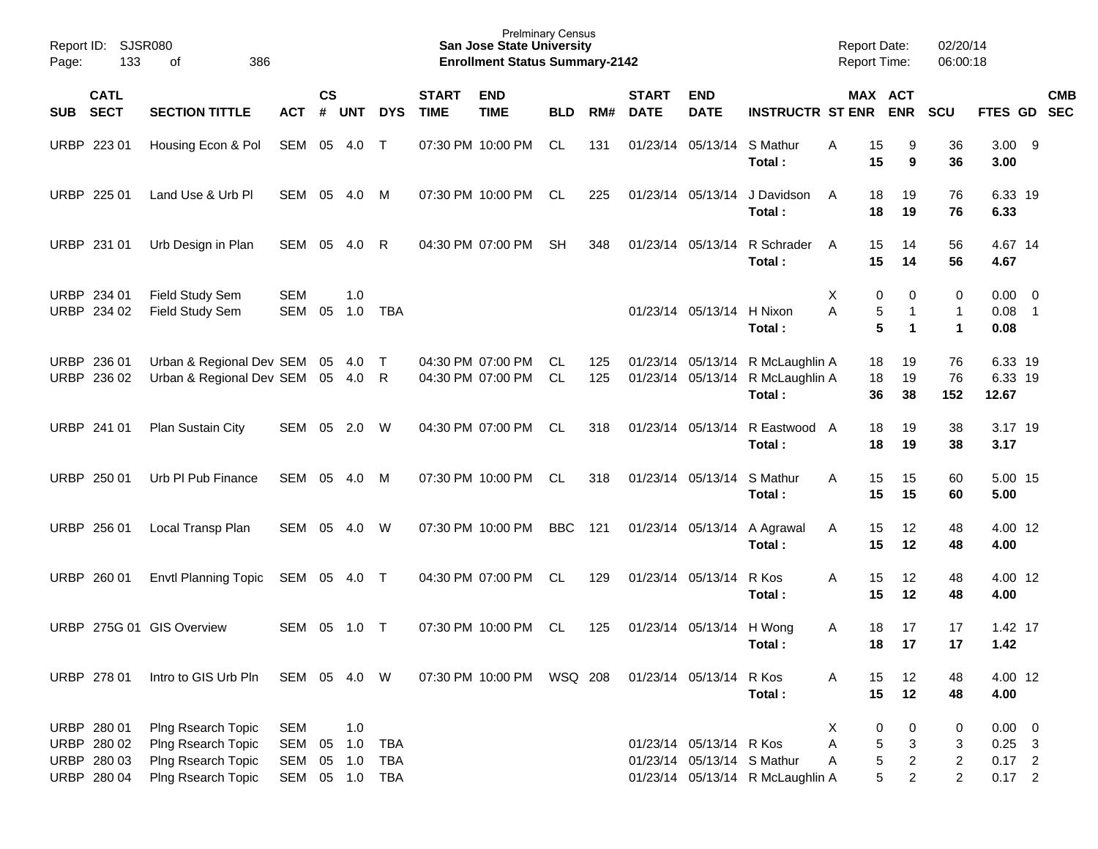| Report ID:<br>Page: | 133                                                      | SJSR080<br>386<br>оf                                                                 |                                        |                    |                   |                                        |                             | <b>Prelminary Census</b><br><b>San Jose State University</b><br><b>Enrollment Status Summary-2142</b> |                 |            |                             |                                                       |                                            | <b>Report Date:</b><br>Report Time: |                                                                         | 02/20/14<br>06:00:18                                |                                                 |                                                      |                          |
|---------------------|----------------------------------------------------------|--------------------------------------------------------------------------------------|----------------------------------------|--------------------|-------------------|----------------------------------------|-----------------------------|-------------------------------------------------------------------------------------------------------|-----------------|------------|-----------------------------|-------------------------------------------------------|--------------------------------------------|-------------------------------------|-------------------------------------------------------------------------|-----------------------------------------------------|-------------------------------------------------|------------------------------------------------------|--------------------------|
| <b>SUB</b>          | <b>CATL</b><br><b>SECT</b>                               | <b>SECTION TITTLE</b>                                                                | <b>ACT</b>                             | $\mathsf{cs}$<br># | <b>UNT</b>        | <b>DYS</b>                             | <b>START</b><br><b>TIME</b> | <b>END</b><br><b>TIME</b>                                                                             | <b>BLD</b>      | RM#        | <b>START</b><br><b>DATE</b> | <b>END</b><br><b>DATE</b>                             | <b>INSTRUCTR ST ENR</b>                    |                                     | MAX ACT<br><b>ENR</b>                                                   | <b>SCU</b>                                          | FTES GD                                         |                                                      | <b>CMB</b><br><b>SEC</b> |
| <b>URBP</b>         | 223 01                                                   | Housing Econ & Pol                                                                   | SEM                                    | 05                 | 4.0               | $\top$                                 |                             | 07:30 PM 10:00 PM                                                                                     | <b>CL</b>       | 131        |                             | 01/23/14 05/13/14                                     | S Mathur<br>Total:                         | 15<br>Α<br>15                       | 9<br>9                                                                  | 36<br>36                                            | $3.00$ 9<br>3.00                                |                                                      |                          |
|                     | URBP 225 01                                              | Land Use & Urb Pl                                                                    | SEM                                    | 05                 | 4.0               | M                                      |                             | 07:30 PM 10:00 PM                                                                                     | <b>CL</b>       | 225        |                             | 01/23/14 05/13/14                                     | J Davidson<br>Total:                       | A<br>18<br>18                       | 19<br>19                                                                | 76<br>76                                            | 6.33 19<br>6.33                                 |                                                      |                          |
|                     | URBP 231 01                                              | Urb Design in Plan                                                                   | SEM                                    | 05                 | 4.0               | R                                      |                             | 04:30 PM 07:00 PM                                                                                     | <b>SH</b>       | 348        |                             | 01/23/14 05/13/14                                     | R Schrader<br>Total:                       | A<br>15<br>15                       | 14<br>14                                                                | 56<br>56                                            | 4.67 14<br>4.67                                 |                                                      |                          |
| <b>URBP</b>         | 234 01<br>URBP 234 02                                    | Field Study Sem<br>Field Study Sem                                                   | <b>SEM</b><br>SEM                      | 05                 | 1.0<br>1.0        | <b>TBA</b>                             |                             |                                                                                                       |                 |            |                             | 01/23/14 05/13/14                                     | H Nixon<br>Total:                          | X<br>A                              | 0<br>0<br>5<br>5<br>1                                                   | 0<br>1<br>1                                         | 0.00<br>0.08<br>0.08                            | $\overline{\phantom{0}}$<br>$\overline{\phantom{1}}$ |                          |
| <b>URBP</b>         | 236 01<br>URBP 236 02                                    | Urban & Regional Dev SEM<br>Urban & Regional Dev SEM 05                              |                                        | 05                 | 4.0<br>- 4.0      | $\top$<br>R                            |                             | 04:30 PM 07:00 PM<br>04:30 PM 07:00 PM                                                                | CL<br><b>CL</b> | 125<br>125 |                             | 01/23/14 05/13/14<br>01/23/14 05/13/14                | R McLaughlin A<br>R McLaughlin A<br>Total: | 18<br>18<br>36                      | 19<br>19<br>38                                                          | 76<br>76<br>152                                     | 6.33 19<br>6.33 19<br>12.67                     |                                                      |                          |
|                     | URBP 241 01                                              | Plan Sustain City                                                                    | SEM                                    | 05                 | 2.0               | W                                      |                             | 04:30 PM 07:00 PM                                                                                     | <b>CL</b>       | 318        |                             | 01/23/14 05/13/14                                     | R Eastwood A<br>Total:                     | 18<br>18                            | 19<br>19                                                                | 38<br>38                                            | 3.17 19<br>3.17                                 |                                                      |                          |
|                     | URBP 250 01                                              | Urb PI Pub Finance                                                                   | <b>SEM</b>                             | 05                 | 4.0               | M                                      |                             | 07:30 PM 10:00 PM                                                                                     | <b>CL</b>       | 318        |                             | 01/23/14 05/13/14                                     | S Mathur<br>Total:                         | A<br>15<br>15                       | 15<br>15                                                                | 60<br>60                                            | 5.00 15<br>5.00                                 |                                                      |                          |
|                     | URBP 256 01                                              | Local Transp Plan                                                                    | SEM                                    | 05                 | 4.0               | W                                      |                             | 07:30 PM 10:00 PM                                                                                     | <b>BBC</b>      | 121        |                             | 01/23/14 05/13/14                                     | A Agrawal<br>Total:                        | 15<br>Α<br>15                       | 12<br>12                                                                | 48<br>48                                            | 4.00 12<br>4.00                                 |                                                      |                          |
|                     | URBP 260 01                                              | <b>Envtl Planning Topic</b>                                                          | SEM                                    | 05                 | 4.0               | $\top$                                 |                             | 04:30 PM 07:00 PM                                                                                     | CL.             | 129        |                             | 01/23/14 05/13/14                                     | R Kos<br>Total:                            | 15<br>Α<br>15                       | 12<br>12                                                                | 48<br>48                                            | 4.00 12<br>4.00                                 |                                                      |                          |
|                     |                                                          | URBP 275G 01 GIS Overview                                                            | SEM                                    | 05                 | 1.0               | $\top$                                 |                             | 07:30 PM 10:00 PM                                                                                     | CL.             | 125        |                             | 01/23/14 05/13/14 H Wong                              | Total:                                     | 18<br>Α                             | 17<br>17<br>18                                                          | 17<br>17                                            | 1.42 17<br>1.42                                 |                                                      |                          |
|                     | URBP 278 01                                              | Intro to GIS Urb Pln                                                                 | SEM 05 4.0 W                           |                    |                   |                                        |                             | 07:30 PM 10:00 PM WSQ 208                                                                             |                 |            |                             | 01/23/14 05/13/14 R Kos                               | Total:                                     | A<br>15<br>15                       | 12<br>12                                                                | 48<br>48                                            | 4.00 12<br>4.00                                 |                                                      |                          |
|                     | URBP 280 01<br>URBP 280 02<br>URBP 280 03<br>URBP 280 04 | Plng Rsearch Topic<br>Plng Rsearch Topic<br>Plng Rsearch Topic<br>Plng Rsearch Topic | <b>SEM</b><br>SEM<br>SEM<br>SEM 05 1.0 | 05<br>05           | 1.0<br>1.0<br>1.0 | <b>TBA</b><br><b>TBA</b><br><b>TBA</b> |                             |                                                                                                       |                 |            |                             | 01/23/14 05/13/14 R Kos<br>01/23/14 05/13/14 S Mathur | 01/23/14 05/13/14 R McLaughlin A           | х<br>Α<br>Α                         | 0<br>0<br>5<br>3<br>5<br>$\overline{\mathbf{c}}$<br>$\overline{c}$<br>5 | 0<br>3<br>$\overline{\mathbf{c}}$<br>$\overline{c}$ | $0.00 \t 0$<br>$0.25$ 3<br>$0.17$ 2<br>$0.17$ 2 |                                                      |                          |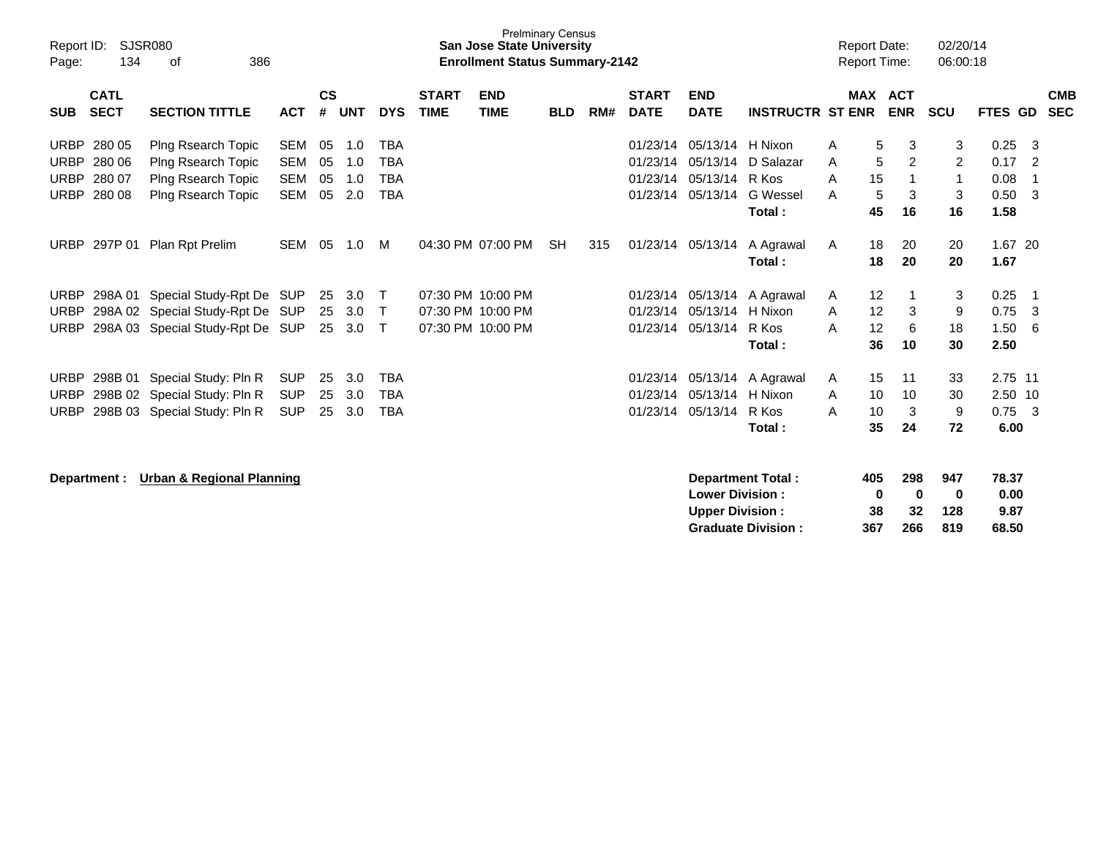| Report ID:<br>134<br>Page:                                                             | <b>SJSR080</b><br>386<br>οf                                                                              |                                                      |                      |                          |                                                      |                             | <b>San Jose State University</b><br><b>Enrollment Status Summary-2142</b> | <b>Prelminary Census</b> |     |                                              |                                                  |                                                |                  | <b>Report Date:</b><br>Report Time: |                                         | 02/20/14<br>06:00:18        |                                    |                                 |                          |
|----------------------------------------------------------------------------------------|----------------------------------------------------------------------------------------------------------|------------------------------------------------------|----------------------|--------------------------|------------------------------------------------------|-----------------------------|---------------------------------------------------------------------------|--------------------------|-----|----------------------------------------------|--------------------------------------------------|------------------------------------------------|------------------|-------------------------------------|-----------------------------------------|-----------------------------|------------------------------------|---------------------------------|--------------------------|
| <b>CATL</b><br><b>SECT</b><br><b>SUB</b>                                               | <b>SECTION TITTLE</b>                                                                                    | <b>ACT</b>                                           | $\mathsf{cs}$<br>#   | <b>UNT</b>               | <b>DYS</b>                                           | <b>START</b><br><b>TIME</b> | <b>END</b><br><b>TIME</b>                                                 | <b>BLD</b>               | RM# | <b>START</b><br><b>DATE</b>                  | <b>END</b><br><b>DATE</b>                        | <b>INSTRUCTR ST ENR</b>                        |                  | <b>MAX ACT</b>                      | <b>ENR</b>                              | <b>SCU</b>                  | FTES GD                            |                                 | <b>CMB</b><br><b>SEC</b> |
| <b>URBP</b><br>280 05<br><b>URBP</b><br>280 06<br><b>URBP</b><br>280 07<br>URBP 280 08 | Plng Rsearch Topic<br>Plng Rsearch Topic<br>Plng Rsearch Topic<br>Plng Rsearch Topic                     | <b>SEM</b><br><b>SEM</b><br><b>SEM</b><br><b>SEM</b> | 05<br>05<br>05<br>05 | 1.0<br>1.0<br>1.0<br>2.0 | <b>TBA</b><br><b>TBA</b><br><b>TBA</b><br><b>TBA</b> |                             |                                                                           |                          |     | 01/23/14<br>01/23/14<br>01/23/14<br>01/23/14 | 05/13/14<br>05/13/14<br>05/13/14<br>05/13/14     | H Nixon<br>D Salazar<br>R Kos<br>G Wessel      | A<br>A<br>A<br>A | 5<br>5<br>15<br>5                   | 3<br>$\overline{2}$<br>$\mathbf 1$<br>3 | 3<br>2<br>$\mathbf{1}$<br>3 | 0.25<br>0.17<br>0.08<br>0.50       | -3<br>$\overline{2}$<br>-1<br>3 |                          |
| 297P 01<br><b>URBP</b>                                                                 | Plan Rpt Prelim                                                                                          | <b>SEM</b>                                           | 05                   | 1.0                      | M                                                    |                             | 04:30 PM 07:00 PM                                                         | <b>SH</b>                | 315 | 01/23/14                                     | 05/13/14                                         | Total:<br>A Agrawal<br>Total:                  | A                | 45<br>18<br>18                      | 16<br>20<br>20                          | 16<br>20<br>20              | 1.58<br>1.67 20<br>1.67            |                                 |                          |
| <b>URBP</b><br><b>URBP</b><br><b>URBP</b>                                              | 298A 01 Special Study-Rpt De SUP<br>298A 02 Special Study-Rpt De SUP<br>298A 03 Special Study-Rpt De SUP |                                                      | 25<br>25<br>25       | 3.0<br>3.0<br>3.0        | $\mathsf{T}$<br>Т<br>T                               |                             | 07:30 PM 10:00 PM<br>07:30 PM 10:00 PM<br>07:30 PM 10:00 PM               |                          |     | 01/23/14<br>01/23/14<br>01/23/14             | 05/13/14<br>05/13/14<br>05/13/14                 | A Agrawal<br>H Nixon<br>R Kos<br>Total:        | A<br>A<br>A      | 12<br>12<br>12<br>36                | 3<br>6<br>10                            | 3<br>9<br>18<br>30          | 0.25<br>0.75<br>1.50<br>2.50       | $\overline{1}$<br>-3<br>6       |                          |
| 298B 01<br><b>URBP</b><br><b>URBP</b><br><b>URBP</b>                                   | Special Study: Pln R<br>298B 02 Special Study: Pln R<br>298B 03 Special Study: Pln R                     | <b>SUP</b><br><b>SUP</b><br><b>SUP</b>               | 25<br>25<br>25       | 3.0<br>3.0<br>3.0        | <b>TBA</b><br><b>TBA</b><br><b>TBA</b>               |                             |                                                                           |                          |     | 01/23/14<br>01/23/14<br>01/23/14             | 05/13/14<br>05/13/14<br>05/13/14                 | A Agrawal<br>H Nixon<br>R Kos<br>Total:        | A<br>A<br>A      | 15<br>10<br>10<br>35                | 11<br>10<br>3<br>24                     | 33<br>30<br>9<br>72         | 2.75 11<br>2.50 10<br>0.75<br>6.00 | - 3                             |                          |
| Department :                                                                           | <b>Urban &amp; Regional Planning</b>                                                                     |                                                      |                      |                          |                                                      |                             |                                                                           |                          |     |                                              | <b>Lower Division:</b><br><b>Upper Division:</b> | Department Total:<br><b>Graduate Division:</b> |                  | 405<br>0<br>38<br>367               | 298<br>0<br>32<br>266                   | 947<br>0<br>128<br>819      | 78.37<br>0.00<br>9.87<br>68.50     |                                 |                          |